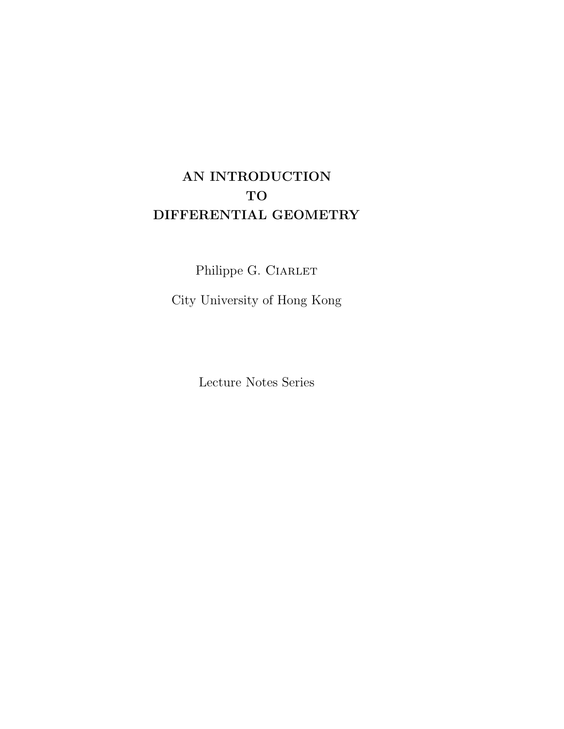# AN INTRODUCTION TO DIFFERENTIAL GEOMETRY

Philippe G. CIARLET

City University of Hong Kong

Lecture Notes Series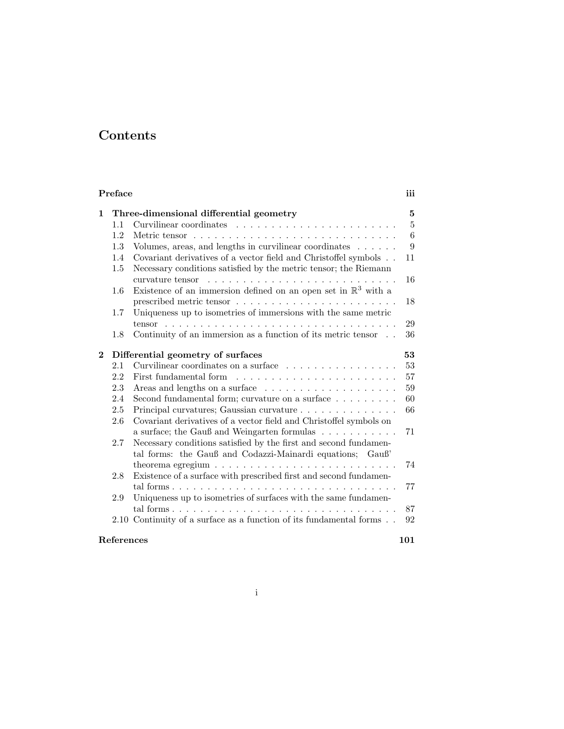## Contents

| Preface           |                                         |                                                                                                                                       |                |  |  |  |  |
|-------------------|-----------------------------------------|---------------------------------------------------------------------------------------------------------------------------------------|----------------|--|--|--|--|
| $\mathbf{1}$      | Three-dimensional differential geometry |                                                                                                                                       |                |  |  |  |  |
|                   | 1.1                                     | Curvilinear coordinates $\ldots$ , $\ldots$ , $\ldots$ , $\ldots$ , $\ldots$ , $\ldots$ , $\ldots$                                    | $\overline{5}$ |  |  |  |  |
|                   | 1.2                                     |                                                                                                                                       | 6              |  |  |  |  |
|                   | 1.3                                     | Volumes, areas, and lengths in curvilinear coordinates                                                                                | 9              |  |  |  |  |
|                   | 1.4<br>1.5                              | Covariant derivatives of a vector field and Christoffel symbols<br>Necessary conditions satisfied by the metric tensor; the Riemann   | 11             |  |  |  |  |
|                   |                                         |                                                                                                                                       | 16             |  |  |  |  |
|                   | $1.6\,$                                 | Existence of an immersion defined on an open set in $\mathbb{R}^3$ with a                                                             | 18             |  |  |  |  |
|                   | 1.7                                     |                                                                                                                                       |                |  |  |  |  |
|                   |                                         | Uniqueness up to isometries of immersions with the same metric                                                                        | 29             |  |  |  |  |
|                   | 1.8                                     | Continuity of an immersion as a function of its metric tensor $\phantom{1}$                                                           | 36             |  |  |  |  |
|                   |                                         |                                                                                                                                       |                |  |  |  |  |
| $\bf{2}$          |                                         | Differential geometry of surfaces                                                                                                     | 53             |  |  |  |  |
|                   | 2.1                                     | Curvilinear coordinates on a surface                                                                                                  | 53             |  |  |  |  |
|                   | 2.2                                     | First fundamental form                                                                                                                | 57             |  |  |  |  |
|                   | 2.3                                     |                                                                                                                                       | 59             |  |  |  |  |
|                   | 2.4                                     | Second fundamental form; curvature on a surface $\dots \dots \dots$                                                                   | 60             |  |  |  |  |
|                   | 2.5                                     | Principal curvatures; Gaussian curvature                                                                                              | 66             |  |  |  |  |
|                   | 2.6                                     | Covariant derivatives of a vector field and Christoffel symbols on<br>a surface; the Gauß and Weingarten formulas $\dots \dots \dots$ | 71             |  |  |  |  |
|                   | 2.7                                     | Necessary conditions satisfied by the first and second fundamen-<br>tal forms: the Gauß and Codazzi-Mainardi equations; Gauß'         |                |  |  |  |  |
|                   |                                         |                                                                                                                                       | 74             |  |  |  |  |
|                   | 2.8                                     | Existence of a surface with prescribed first and second fundamen-                                                                     |                |  |  |  |  |
|                   |                                         |                                                                                                                                       | 77             |  |  |  |  |
|                   | 2.9                                     | Uniqueness up to isometries of surfaces with the same fundamen-                                                                       |                |  |  |  |  |
|                   |                                         |                                                                                                                                       | 87             |  |  |  |  |
|                   |                                         | $2.10$ Continuity of a surface as a function of its fundamental forms                                                                 | 92             |  |  |  |  |
| References<br>101 |                                         |                                                                                                                                       |                |  |  |  |  |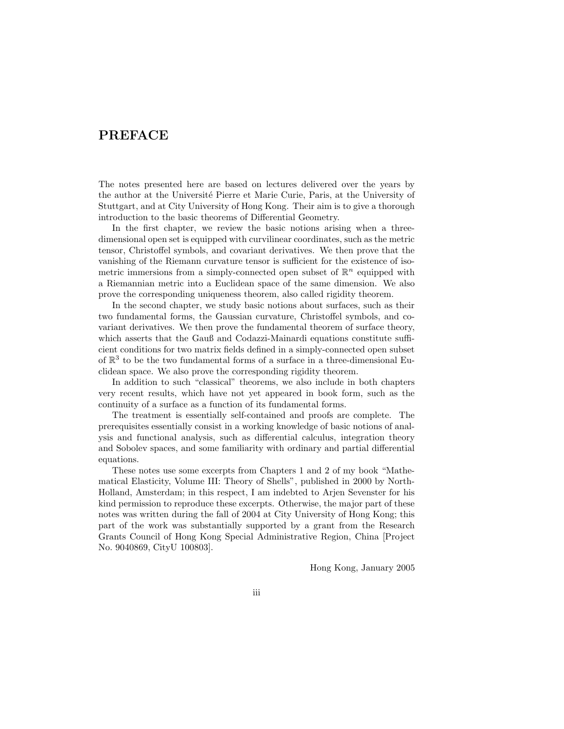## PREFACE

The notes presented here are based on lectures delivered over the years by the author at the Université Pierre et Marie Curie, Paris, at the University of Stuttgart, and at City University of Hong Kong. Their aim is to give a thorough introduction to the basic theorems of Differential Geometry.

In the first chapter, we review the basic notions arising when a threedimensional open set is equipped with curvilinear coordinates, such as the metric tensor, Christoffel symbols, and covariant derivatives. We then prove that the vanishing of the Riemann curvature tensor is sufficient for the existence of isometric immersions from a simply-connected open subset of  $\mathbb{R}^n$  equipped with a Riemannian metric into a Euclidean space of the same dimension. We also prove the corresponding uniqueness theorem, also called rigidity theorem.

In the second chapter, we study basic notions about surfaces, such as their two fundamental forms, the Gaussian curvature, Christoffel symbols, and covariant derivatives. We then prove the fundamental theorem of surface theory, which asserts that the Gauß and Codazzi-Mainardi equations constitute sufficient conditions for two matrix fields defined in a simply-connected open subset of  $\mathbb{R}^3$  to be the two fundamental forms of a surface in a three-dimensional Euclidean space. We also prove the corresponding rigidity theorem.

In addition to such "classical" theorems, we also include in both chapters very recent results, which have not yet appeared in book form, such as the continuity of a surface as a function of its fundamental forms.

The treatment is essentially self-contained and proofs are complete. The prerequisites essentially consist in a working knowledge of basic notions of analysis and functional analysis, such as differential calculus, integration theory and Sobolev spaces, and some familiarity with ordinary and partial differential equations.

These notes use some excerpts from Chapters 1 and 2 of my book "Mathematical Elasticity, Volume III: Theory of Shells", published in 2000 by North-Holland, Amsterdam; in this respect, I am indebted to Arjen Sevenster for his kind permission to reproduce these excerpts. Otherwise, the major part of these notes was written during the fall of 2004 at City University of Hong Kong; this part of the work was substantially supported by a grant from the Research Grants Council of Hong Kong Special Administrative Region, China [Project No. 9040869, CityU 100803].

Hong Kong, January 2005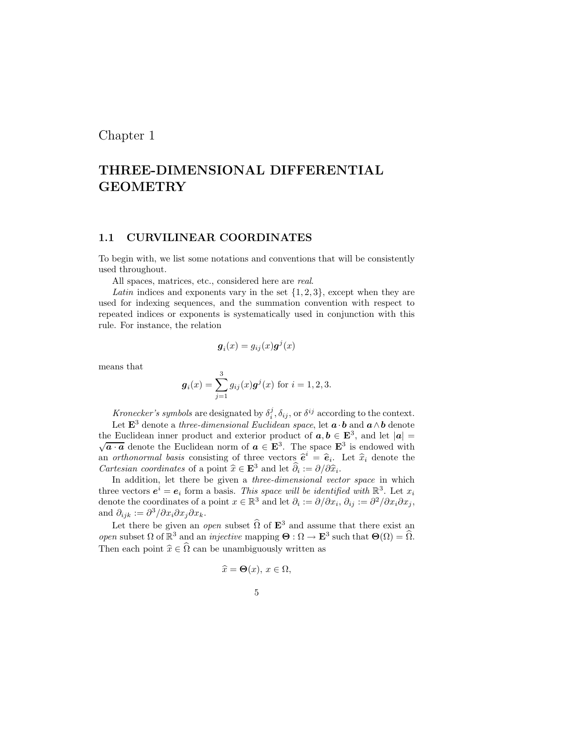## Chapter 1

## THREE-DIMENSIONAL DIFFERENTIAL GEOMETRY

#### 1.1 CURVILINEAR COORDINATES

To begin with, we list some notations and conventions that will be consistently used throughout.

All spaces, matrices, etc., considered here are real.

Latin indices and exponents vary in the set  $\{1, 2, 3\}$ , except when they are used for indexing sequences, and the summation convention with respect to repeated indices or exponents is systematically used in conjunction with this rule. For instance, the relation

$$
\boldsymbol{g}_i(x) = g_{ij}(x) \boldsymbol{g}^j(x)
$$

means that

$$
\boldsymbol{g}_i(x) = \sum_{j=1}^3 g_{ij}(x) \boldsymbol{g}^j(x) \text{ for } i = 1, 2, 3.
$$

Kronecker's symbols are designated by  $\delta_i^j$ ,  $\delta_{ij}$ , or  $\delta^{ij}$  according to the context.

Let  $\mathbf{E}^3$  denote a three-dimensional Euclidean space, let  $\mathbf{a} \cdot \mathbf{b}$  and  $\mathbf{a} \wedge \mathbf{b}$  denote the Euclidean inner product and exterior product of  $\mathbf{a}, \mathbf{b} \in \mathbf{E}^3$ , and let  $|\mathbf{a}| = \sqrt{\mathbf{a} \cdot \mathbf{a}}$  denote the Euclidean norm of  $\mathbf{a} \in \mathbf{E}^3$ . The space  $\mathbf{E}^3$  is endowed with  $\overline{a \cdot a}$  denote the Euclidean norm of  $a \in \mathbf{E}^{3}$ . The space  $\mathbf{E}^{3}$  is endowed with an *orthonormal basis* consisting of three vectors  $\hat{\mathbf{e}}^i = \hat{\mathbf{e}}_i$ . Let  $\hat{x}_i$  denote the Cartesian coordinates of a point  $\hat{x} \in \mathbf{E}^3$  and let  $\hat{\partial}_i := \partial/\partial \hat{x}_i$ .

In addition, let there be given a *three-dimensional vector space* in which three vectors  $e^i = e_i$  form a basis. This space will be identified with  $\mathbb{R}^3$ . Let  $x_i$ denote the coordinates of a point  $x \in \mathbb{R}^3$  and let  $\partial_i := \partial/\partial x_i$ ,  $\partial_{ij} := \partial^2/\partial x_i \partial x_j$ , and  $\partial_{ijk} := \partial^3/\partial x_i \partial x_j \partial x_k$ .

Let there be given an *open* subset  $\widehat{\Omega}$  of  $\mathbf{E}^3$  and assume that there exist an open subset  $\Omega$  of  $\mathbb{R}^3$  and an *injective* mapping  $\Theta : \Omega \to \mathbf{E}^3$  such that  $\Theta(\Omega) = \widehat{\Omega}$ . Then each point  $\hat{x} \in \hat{\Omega}$  can be unambiguously written as

$$
\widehat{x} = \mathbf{\Theta}(x), \, x \in \Omega,
$$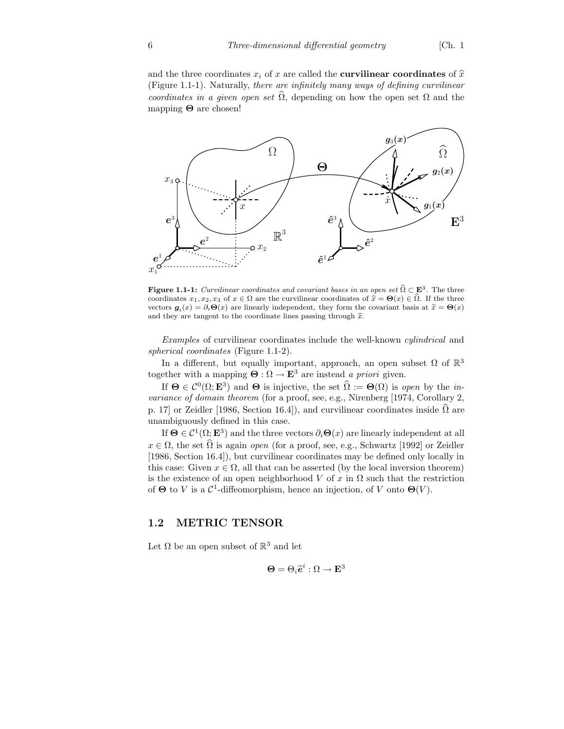and the three coordinates  $x_i$  of x are called the **curvilinear coordinates** of  $\hat{x}$ (Figure 1.1-1). Naturally, there are infinitely many ways of defining curvilinear coordinates in a given open set  $\hat{\Omega}$ , depending on how the open set  $\Omega$  and the mapping  $\Theta$  are chosen!



**Figure 1.1-1:** Curvilinear coordinates and covariant bases in an open set  $\widehat{\Omega} \subset \mathbf{E}^3$ . The three coordinates  $x_1, x_2, x_3$  of  $x \in \Omega$  are the curvilinear coordinates of  $\hat{x} = \Theta(x) \in \Omega$ . If the three vectors  $g_i(x) = \partial_i \Theta(x)$  are linearly independent, they form the covariant basis at  $\hat{x} = \Theta(x)$ and they are tangent to the coordinate lines passing through  $\hat{x}$ .

Examples of curvilinear coordinates include the well-known cylindrical and spherical coordinates (Figure 1.1-2).

In a different, but equally important, approach, an open subset  $\Omega$  of  $\mathbb{R}^3$ together with a mapping  $\Theta : \Omega \to \mathbf{E}^3$  are instead a priori given.

If  $\Theta \in \mathcal{C}^0(\Omega; \mathbf{E}^3)$  and  $\Theta$  is injective, the set  $\widehat{\Omega} := \Theta(\Omega)$  is open by the invariance of domain theorem (for a proof, see, e.g., Nirenberg [1974, Corollary 2, p. 17] or Zeidler [1986, Section 16.4]), and curvilinear coordinates inside  $\hat{\Omega}$  are unambiguously defined in this case.

If  $\Theta \in C^1(\Omega; \mathbf{E}^3)$  and the three vectors  $\partial_i \Theta(x)$  are linearly independent at all  $x \in \Omega$ , the set  $\widehat{\Omega}$  is again *open* (for a proof, see, e.g., Schwartz [1992] or Zeidler [1986, Section 16.4]), but curvilinear coordinates may be defined only locally in this case: Given  $x \in \Omega$ , all that can be asserted (by the local inversion theorem) is the existence of an open neighborhood V of x in  $\Omega$  such that the restriction of  $\Theta$  to V is a  $\mathcal{C}^1$ -diffeomorphism, hence an injection, of V onto  $\Theta(V)$ .

#### 1.2 METRIC TENSOR

Let  $\Omega$  be an open subset of  $\mathbb{R}^3$  and let

$$
\mathbf{\Theta} = \Theta_i \widehat{\mathbf{e}}^i : \Omega \to \mathbf{E}^3
$$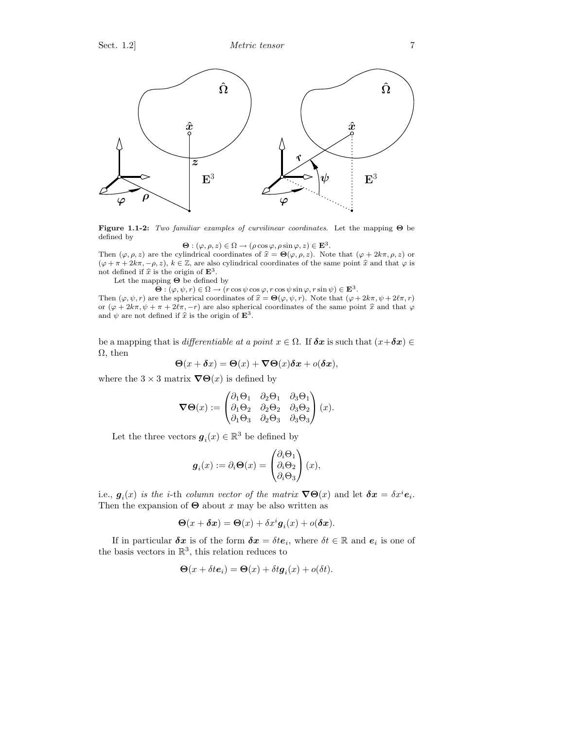

Figure 1.1-2: Two familiar examples of curvilinear coordinates. Let the mapping Θ be defined by

$$
\mathbf{\Theta} : (\varphi, \rho, z) \in \Omega \to (\rho \cos \varphi, \rho \sin \varphi, z) \in \mathbf{E}^3.
$$

Then  $(\varphi, \rho, z)$  are the cylindrical coordinates of  $\hat{x} = \Theta(\varphi, \rho, z)$ . Note that  $(\varphi + 2k\pi, \rho, z)$  or  $(\varphi + \pi + 2k\pi, -\rho, z), k \in \mathbb{Z}$ , are also cylindrical coordinates of the same point  $\hat{x}$  and that  $\varphi$  is not defined if  $\hat{x}$  is the origin of  $\mathbf{E}^3$ .

Let the mapping  $\boldsymbol{\Theta}$  be defined by

 $\Theta : (\varphi, \psi, r) \in \Omega \to (r \cos \psi \cos \varphi, r \cos \psi \sin \varphi, r \sin \psi) \in \mathbf{E}^{3}.$ 

Then  $(\varphi, \psi, r)$  are the spherical coordinates of  $\hat{x} = \Theta(\varphi, \psi, r)$ . Note that  $(\varphi + 2k\pi, \psi + 2\ell\pi, r)$ or  $(\varphi + 2k\pi, \psi + \pi + 2\ell\pi, -r)$  are also spherical coordinates of the same point  $\hat{x}$  and that  $\varphi$ and  $\psi$  are not defined if  $\hat{x}$  is the origin of  $\mathbf{E}^3$ .

be a mapping that is differentiable at a point  $x \in \Omega$ . If  $\delta x$  is such that  $(x+\delta x) \in$  $\Omega$ , then

$$
\Theta(x+\delta x) = \Theta(x) + \nabla \Theta(x)\delta x + o(\delta x),
$$

where the  $3 \times 3$  matrix  $\nabla \Theta(x)$  is defined by

$$
\nabla \Theta(x) := \begin{pmatrix} \partial_1 \Theta_1 & \partial_2 \Theta_1 & \partial_3 \Theta_1 \\ \partial_1 \Theta_2 & \partial_2 \Theta_2 & \partial_3 \Theta_2 \\ \partial_1 \Theta_3 & \partial_2 \Theta_3 & \partial_3 \Theta_3 \end{pmatrix} (x).
$$

Let the three vectors  $\boldsymbol{g}_i(x) \in \mathbb{R}^3$  be defined by

$$
\boldsymbol{g}_i(x) := \partial_i \boldsymbol{\Theta}(x) = \begin{pmatrix} \partial_i \Theta_1 \\ \partial_i \Theta_2 \\ \partial_i \Theta_3 \end{pmatrix} (x),
$$

i.e.,  $g_i(x)$  is the *i*-th column vector of the matrix  $\nabla \Theta(x)$  and let  $\delta x = \delta x^i e_i$ . Then the expansion of  $\Theta$  about x may be also written as

$$
\Theta(x+\delta x) = \Theta(x) + \delta x^{i} g_{i}(x) + o(\delta x).
$$

If in particular  $\delta x$  is of the form  $\delta x = \delta t e_i$ , where  $\delta t \in \mathbb{R}$  and  $e_i$  is one of the basis vectors in  $\mathbb{R}^3$ , this relation reduces to

$$
\Theta(x + \delta t e_i) = \Theta(x) + \delta t \mathbf{g}_i(x) + o(\delta t).
$$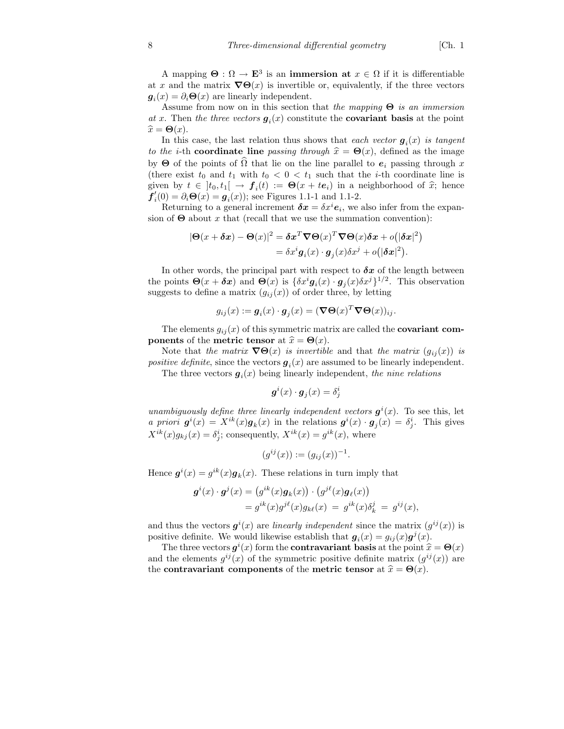A mapping  $\Theta : \Omega \to \mathbf{E}^3$  is an **immersion at**  $x \in \Omega$  if it is differentiable at x and the matrix  $\nabla \Theta(x)$  is invertible or, equivalently, if the three vectors  $g_i(x) = \partial_i \Theta(x)$  are linearly independent.

Assume from now on in this section that the mapping  $\Theta$  is an immersion at x. Then the three vectors  $g_i(x)$  constitute the **covariant basis** at the point  $\widehat{x} = \Theta(x)$ .

In this case, the last relation thus shows that each vector  $g_i(x)$  is tangent to the *i*-th coordinate line passing through  $\hat{x} = \Theta(x)$ , defined as the image by  $\Theta$  of the points of  $\Omega$  that lie on the line parallel to  $e_i$  passing through x (there exist  $t_0$  and  $t_1$  with  $t_0 < 0 < t_1$  such that the *i*-th coordinate line is given by  $t \in [t_0, t_1] \to f_i(t) := \Theta(x + te_i)$  in a neighborhood of  $\hat{x}$ ; hence  $f'_{i}(0) = \partial_{i} \Theta(x) = g_{i}(x)$ ; see Figures 1.1-1 and 1.1-2.

Returning to a general increment  $\delta x = \delta x^i e_i$ , we also infer from the expansion of  $\Theta$  about x that (recall that we use the summation convention):

$$
|\mathbf{\Theta}(x+\delta x)-\mathbf{\Theta}(x)|^2 = \delta x^T \nabla \mathbf{\Theta}(x)^T \nabla \mathbf{\Theta}(x) \delta x + o(|\delta x|^2)
$$
  
=  $\delta x^i \mathbf{g}_i(x) \cdot \mathbf{g}_j(x) \delta x^j + o(|\delta x|^2).$ 

In other words, the principal part with respect to  $\delta x$  of the length between the points  $\Theta(x+\delta x)$  and  $\Theta(x)$  is  $\{\delta x^i \mathbf{g}_i(x) \cdot \mathbf{g}_j(x) \delta x^j\}^{1/2}$ . This observation suggests to define a matrix  $(g_{ij}(x))$  of order three, by letting

$$
g_{ij}(x) := \mathbf{g}_i(x) \cdot \mathbf{g}_j(x) = (\nabla \Theta(x)^T \nabla \Theta(x))_{ij}.
$$

The elements  $g_{ij}(x)$  of this symmetric matrix are called the **covariant components** of the **metric tensor** at  $\hat{x} = \Theta(x)$ .

Note that the matrix  $\nabla\Theta(x)$  is invertible and that the matrix  $(g_{ij}(x))$  is *positive definite*, since the vectors  $g_i(x)$  are assumed to be linearly independent. The three vectors  $g_i(x)$  being linearly independent, the nine relations

$$
\boldsymbol{g}^i(x)\cdot \boldsymbol{g}_j(x)=\delta^i_j
$$

unambiguously define three linearly independent vectors  $g^{i}(x)$ . To see this, let a priori  $g^{i}(x) = X^{ik}(x)g_{k}(x)$  in the relations  $g^{i}(x) \cdot g_{j}(x) = \delta^{i}_{j}$ . This gives  $X^{ik}(x)g_{kj}(x) = \delta^i_j$ ; consequently,  $X^{ik}(x) = g^{ik}(x)$ , where

$$
(g^{ij}(x)) := (g_{ij}(x))^{-1}.
$$

Hence  $g^{i}(x) = g^{ik}(x)g_{k}(x)$ . These relations in turn imply that

$$
\begin{aligned} \boldsymbol{g}^i(x) \cdot \boldsymbol{g}^j(x) &= \left( g^{ik}(x) \boldsymbol{g}_k(x) \right) \cdot \left( g^{j\ell}(x) \boldsymbol{g}_\ell(x) \right) \\ &= g^{ik}(x) g^{j\ell}(x) g_{k\ell}(x) \ = \ g^{ik}(x) \delta^j_k \ = \ g^{ij}(x), \end{aligned}
$$

and thus the vectors  $g^{i}(x)$  are linearly independent since the matrix  $(g^{ij}(x))$  is positive definite. We would likewise establish that  $g_i(x) = g_{ij}(x)g^j(x)$ .

The three vectors  $g^{i}(x)$  form the **contravariant** basis at the point  $\hat{x} = \Theta(x)$ and the elements  $g^{ij}(x)$  of the symmetric positive definite matrix  $(g^{ij}(x))$  are the contravariant components of the metric tensor at  $\hat{x} = \Theta(x)$ .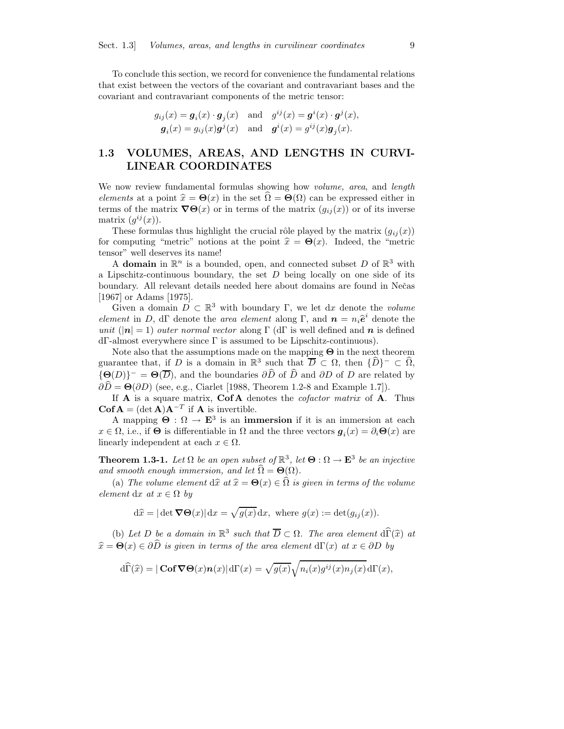To conclude this section, we record for convenience the fundamental relations that exist between the vectors of the covariant and contravariant bases and the covariant and contravariant components of the metric tensor:

$$
g_{ij}(x) = \mathbf{g}_i(x) \cdot \mathbf{g}_j(x) \quad \text{and} \quad g^{ij}(x) = \mathbf{g}^i(x) \cdot \mathbf{g}^j(x),
$$

$$
\mathbf{g}_i(x) = g_{ij}(x)\mathbf{g}^j(x) \quad \text{and} \quad \mathbf{g}^i(x) = g^{ij}(x)\mathbf{g}_j(x).
$$

## 1.3 VOLUMES, AREAS, AND LENGTHS IN CURVI-LINEAR COORDINATES

We now review fundamental formulas showing how *volume*, area, and *length* elements at a point  $\hat{x} = \Theta(x)$  in the set  $\Omega = \Theta(\Omega)$  can be expressed either in terms of the matrix  $\nabla\Theta(x)$  or in terms of the matrix  $(g_{ij}(x))$  or of its inverse matrix  $(g^{ij}(x))$ .

These formulas thus highlight the crucial rôle played by the matrix  $(g_{ij}(x))$ for computing "metric" notions at the point  $\hat{x} = \Theta(x)$ . Indeed, the "metric tensor" well deserves its name!

A domain in  $\mathbb{R}^n$  is a bounded, open, and connected subset D of  $\mathbb{R}^3$  with a Lipschitz-continuous boundary, the set  $D$  being locally on one side of its boundary. All relevant details needed here about domains are found in Neˇcas [1967] or Adams [1975].

Given a domain  $D \subset \mathbb{R}^3$  with boundary  $\Gamma$ , we let dx denote the volume element in D, dΓ denote the area element along Γ, and  $\boldsymbol{n} = n_i \hat{\boldsymbol{e}}^i$  denote the unit ( $|n| = 1$ ) outer normal vector along Γ (dΓ is well defined and n is defined dΓ-almost everywhere since Γ is assumed to be Lipschitz-continuous).

Note also that the assumptions made on the mapping  $\Theta$  in the next theorem guarantee that, if D is a domain in  $\mathbb{R}^3$  such that  $\overline{D} \subset \Omega$ , then  $\{\widehat{D}\}^- \subset \widehat{\Omega}$ ,  $\{\Theta(D)\}^- = \Theta(\overline{D})$ , and the boundaries  $\partial \widehat{D}$  of  $\widehat{D}$  and  $\partial D$  of D are related by  $\partial \widehat{D} = \Theta(\partial D)$  (see, e.g., Ciarlet [1988, Theorem 1.2-8 and Example 1.7]).

If  $\bf{A}$  is a square matrix,  $\bf{Cof A}$  denotes the *cofactor matrix* of  $\bf{A}$ . Thus  $\mathbf{Cof A} = (\det \mathbf{A})\mathbf{A}^{-T}$  if **A** is invertible.

A mapping  $\Theta : \Omega \to \mathbf{E}^3$  is an **immersion** if it is an immersion at each  $x \in \Omega$ , i.e., if  $\Theta$  is differentiable in  $\Omega$  and the three vectors  $g_i(x) = \partial_i \Theta(x)$  are linearly independent at each  $x \in \Omega$ .

**Theorem 1.3-1.** Let  $\Omega$  be an open subset of  $\mathbb{R}^3$ , let  $\Theta : \Omega \to \mathbf{E}^3$  be an injective and smooth enough immersion, and let  $\widehat{\Omega} = \Theta(\Omega)$ .

(a) The volume element  $d\hat{x}$  at  $\hat{x} = \Theta(x) \in \hat{\Omega}$  is given in terms of the volume element dx at  $x \in \Omega$  by

$$
d\hat{x} = |\det \nabla \Theta(x)| dx = \sqrt{g(x)} dx
$$
, where  $g(x) := \det(g_{ij}(x))$ .

(b) Let D be a domain in  $\mathbb{R}^3$  such that  $\overline{D} \subset \Omega$ . The area element d $\widehat{\Gamma}(\widehat{x})$  at  $\widehat{x} = \Theta(x) \in \partial \widehat{D}$  is given in terms of the area element dΓ(x) at  $x \in \partial D$  by

$$
\widehat{\mathrm{d}\Gamma}(\widehat{x}) = |\mathbf{Cof}\,\boldsymbol{\nabla}\Theta(x)\boldsymbol{n}(x)|\,\mathrm{d}\Gamma(x) = \sqrt{g(x)}\sqrt{n_i(x)g^{ij}(x)n_j(x)}\,\mathrm{d}\Gamma(x),
$$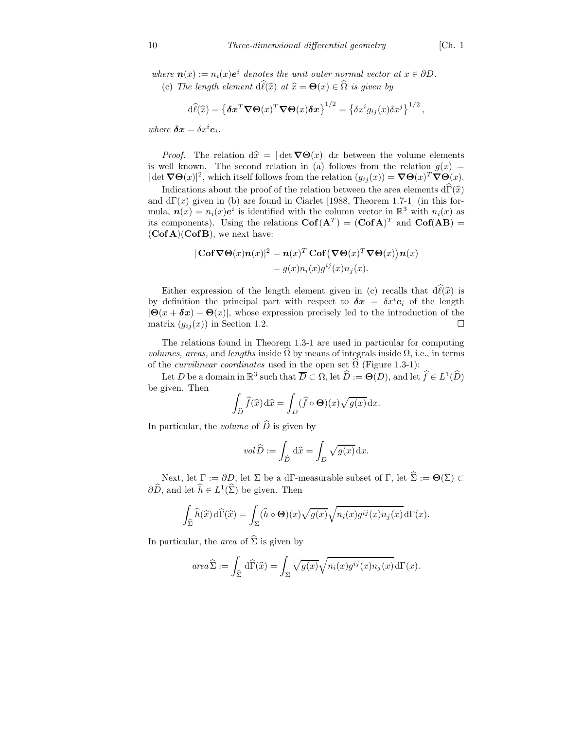where  $\mathbf{n}(x) := n_i(x)e^i$  denotes the unit outer normal vector at  $x \in \partial D$ . (c) The length element  $d\hat{\ell}(\hat{x})$  at  $\hat{x} = \Theta(x) \in \hat{\Omega}$  is given by

$$
\mathrm{d}\widehat{\ell}(\widehat{x}) = \left\{\delta \mathbf{x}^T \nabla \Theta(x)^T \nabla \Theta(x) \delta \mathbf{x}\right\}^{1/2} = \left\{\delta x^i g_{ij}(x) \delta x^j\right\}^{1/2},
$$

where  $\delta x = \delta x^i e_i$ .

*Proof.* The relation  $d\hat{x} = |\det \nabla \Theta(x)| dx$  between the volume elements is well known. The second relation in (a) follows from the relation  $g(x)$  =  $|\det \nabla \Theta(x)|^2$ , which itself follows from the relation  $(g_{ij}(x)) = \nabla \Theta(x)^T \nabla \Theta(x)$ .

Indications about the proof of the relation between the area elements  $d\hat{\Gamma}(\hat{x})$ and  $d\Gamma(x)$  given in (b) are found in Ciarlet [1988, Theorem 1.7-1] (in this formula,  $n(x) = n_i(x)e^{i}$  is identified with the column vector in  $\mathbb{R}^3$  with  $n_i(x)$  as its components). Using the relations  $\text{Cof}(A^T) = (\text{Cof } A)^T$  and  $\text{Cof}(AB) =$  $(Cof A)(Cof B)$ , we next have:

$$
|\operatorname{Cof} \nabla \Theta(x) n(x)|^2 = n(x)^T \operatorname{Cof} (\nabla \Theta(x)^T \nabla \Theta(x)) n(x)
$$
  
=  $g(x) n_i(x) g^{ij}(x) n_j(x).$ 

Either expression of the length element given in (c) recalls that  $d\hat{\ell}(\hat{x})$  is by definition the principal part with respect to  $\delta x = \delta x^{i} e_{i}$  of the length  $|\Theta(x + \delta x) - \Theta(x)|$ , whose expression precisely led to the introduction of the matrix  $(a_{ij}(x))$  in Section 1.2 matrix  $(g_{ij}(x))$  in Section 1.2.

The relations found in Theorem 1.3-1 are used in particular for computing *volumes, areas,* and *lengths* inside  $\Omega$  by means of integrals inside  $\Omega$ , i.e., in terms of the *curvilinear coordinates* used in the open set  $\Omega$  (Figure 1.3-1):

Let D be a domain in  $\mathbb{R}^3$  such that  $\overline{D} \subset \Omega$ , let  $\widehat{D} := \Theta(D)$ , and let  $\widehat{f} \in L^1(\widehat{D})$ be given. Then

$$
\int_{\widehat{D}} \widehat{f}(\widehat{x}) d\widehat{x} = \int_{D} (\widehat{f} \circ \Theta)(x) \sqrt{g(x)} dx.
$$

In particular, the *volume* of  $\widehat{D}$  is given by

$$
vol\,\widehat{D}:=\int_{\widehat{D}}\,\mathrm{d}\widehat{x}=\int_D\sqrt{g(x)}\,\mathrm{d} x.
$$

Next, let  $\Gamma := \partial D$ , let  $\Sigma$  be a dΓ-measurable subset of  $\Gamma$ , let  $\widehat{\Sigma} := \Theta(\Sigma) \subset$  $\partial \widehat{D}$ , and let  $\widehat{h} \in L^1(\widehat{\Sigma})$  be given. Then

$$
\int_{\widehat{\Sigma}} \widehat{h}(\widehat{x}) d\widehat{\Gamma}(\widehat{x}) = \int_{\Sigma} (\widehat{h} \circ \Theta)(x) \sqrt{g(x)} \sqrt{n_i(x)g^{ij}(x)n_j(x)} d\Gamma(x).
$$

In particular, the *area* of  $\hat{\Sigma}$  is given by

$$
\operatorname{area} \widehat{\Sigma} := \int_{\widehat{\Sigma}} \,\mathrm{d} \widehat{\Gamma}(\widehat{x}) = \int_{\Sigma} \sqrt{g(x)} \sqrt{n_i(x) g^{ij}(x) n_j(x)} \,\mathrm{d} \Gamma(x).
$$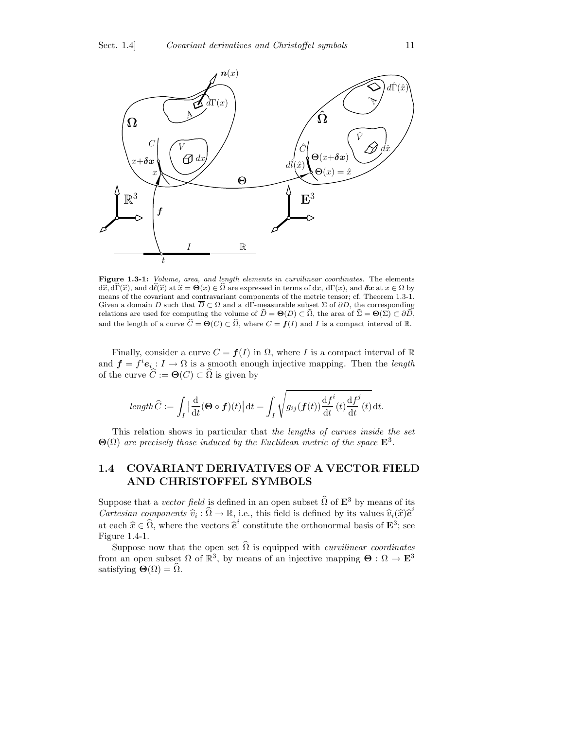

Figure 1.3-1: Volume, area, and length elements in curvilinear coordinates. The elements  $d\hat{x}, d\hat{\Gamma}(\hat{x})$ , and  $d\hat{\ell}(\hat{x})$  at  $\hat{x} = \Theta(x) \in \hat{\Omega}$  are expressed in terms of dx,  $d\Gamma(x)$ , and  $\delta x$  at  $x \in \Omega$  by means of the covariant and contravariant components of the metric tensor; cf. Theorem 1.3-1. Given a domain D such that  $\overline{D} \subset \Omega$  and a dΓ-measurable subset  $\Sigma$  of  $\partial D$ , the corresponding relations are used for computing the volume of  $\widehat{D} = \Theta(D) \subset \widehat{\Omega}$ , the area of  $\widehat{\Sigma} = \Theta(\Sigma) \subset \partial \widehat{D}$ , and the length of a curve  $\widehat{C} = \Theta(C) \subset \widehat{\Omega}$ , where  $C = f(I)$  and I is a compact interval of R.

Finally, consider a curve  $C = f(I)$  in  $\Omega$ , where I is a compact interval of R and  $f = f^i e_i : I \to \Omega$  is a smooth enough injective mapping. Then the length of the curve  $\widehat{C} := \Theta(C) \subset \widehat{\Omega}$  is given by

$$
length \widehat{C} := \int_I \left| \frac{\mathrm{d}}{\mathrm{d}t} (\mathbf{\Theta} \circ \mathbf{f})(t) \right| \mathrm{d}t = \int_I \sqrt{g_{ij}(\mathbf{f}(t)) \frac{\mathrm{d}f^i}{\mathrm{d}t}(t) \frac{\mathrm{d}f^j}{\mathrm{d}t}(t)} \mathrm{d}t.
$$

This relation shows in particular that the lengths of curves inside the set  $\Theta(\Omega)$  are precisely those induced by the Euclidean metric of the space  $\mathbf{E}^3$ .

## 1.4 COVARIANT DERIVATIVES OF A VECTOR FIELD AND CHRISTOFFEL SYMBOLS

Suppose that a vector field is defined in an open subset  $\widehat{\Omega}$  of  $\mathbf{E}^3$  by means of its *Cartesian components*  $\widehat{v}_i : \widehat{\Omega} \to \mathbb{R}$ , i.e., this field is defined by its values  $\widehat{v}_i(\widehat{x})\widehat{e}^i$ at each  $\hat{x} \in \hat{\Omega}$ , where the vectors  $\hat{e}^i$  constitute the orthonormal basis of  $\mathbf{E}^3$ ; see Figure 1.4-1.

Suppose now that the open set  $\widehat{\Omega}$  is equipped with *curvilinear coordinates* from an open subset  $\Omega$  of  $\mathbb{R}^3$ , by means of an injective mapping  $\mathbf{\Theta}: \Omega \to \mathbf{E}^3$ satisfying  $\Theta(\Omega) = \widehat{\Omega}$ .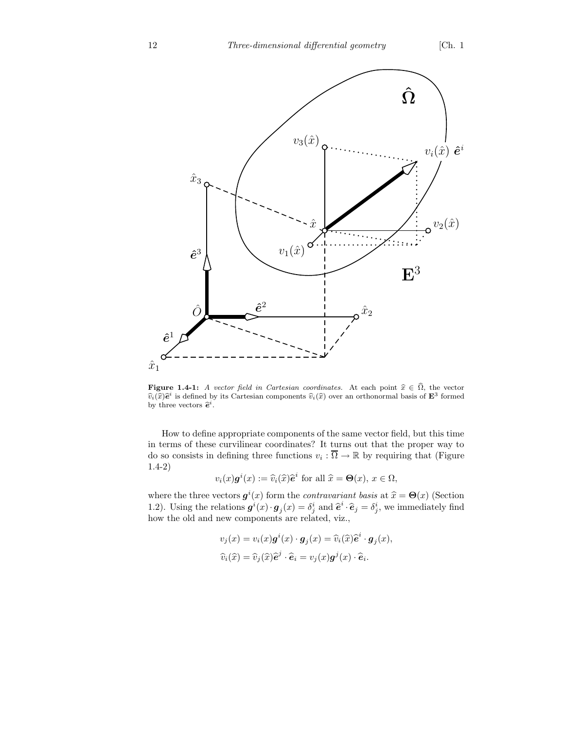

**Figure 1.4-1:** A vector field in Cartesian coordinates. At each point  $\hat{x} \in \hat{\Omega}$ , the vector  $\hat{v}_i(\hat{x})\hat{e}^i$  is defined by its Cartesian components  $\hat{v}_i(\hat{x})$  over an orthonormal basis of  $\mathbf{E}^3$  formed by three vectors  $\hat{\mathbf{e}}^i$ .

How to define appropriate components of the same vector field, but this time in terms of these curvilinear coordinates? It turns out that the proper way to do so consists in defining three functions  $v_i : \overline{\Omega} \to \mathbb{R}$  by requiring that (Figure 1.4-2)

$$
v_i(x)\mathbf{g}^i(x) := \widehat{v}_i(\widehat{x})\widehat{e}^i \text{ for all } \widehat{x} = \Theta(x), x \in \Omega,
$$

where the three vectors  $g^{i}(x)$  form the *contravariant basis* at  $\hat{x} = \Theta(x)$  (Section 1.2). Using the relations  $g^i(x) \cdot g_j(x) = \delta^i_j$  and  $\hat{e}^i \cdot \hat{e}_j = \delta^i_j$ , we immediately find how the old and new components are related, viz.,

$$
v_j(x) = v_i(x)\boldsymbol{g}^i(x) \cdot \boldsymbol{g}_j(x) = \widehat{v}_i(\widehat{x})\widehat{\boldsymbol{e}}^i \cdot \boldsymbol{g}_j(x),
$$
  

$$
\widehat{v}_i(\widehat{x}) = \widehat{v}_j(\widehat{x})\widehat{\boldsymbol{e}}^j \cdot \widehat{\boldsymbol{e}}_i = v_j(x)\boldsymbol{g}^j(x) \cdot \widehat{\boldsymbol{e}}_i.
$$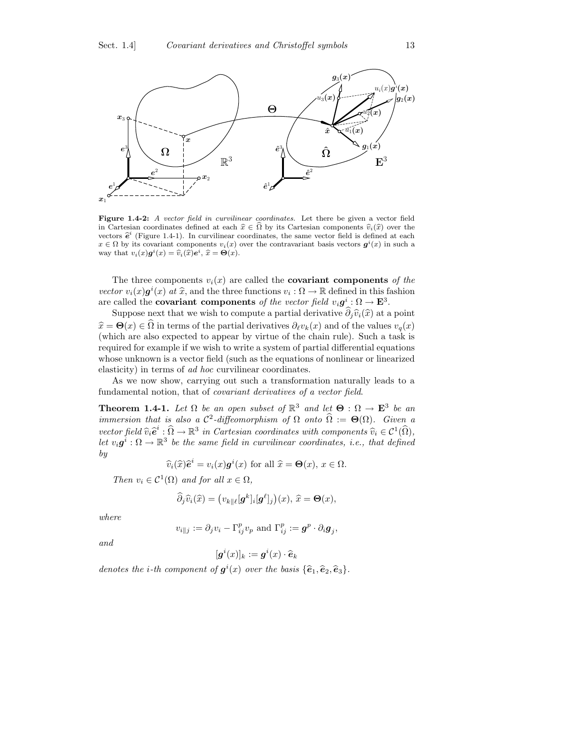

Figure 1.4-2: A vector field in curvilinear coordinates. Let there be given a vector field in Cartesian coordinates defined at each  $\hat{x} \in \hat{\Omega}$  by its Cartesian components  $\hat{v}_i(\hat{x})$  over the vectors  $\hat{\mathbf{e}}^i$  (Figure 1.4-1). In curvilinear coordinates, the same vector field is defined at each  $x \in \Omega$  by its covariant components  $v_i(x)$  over the contravariant basis vectors  $g^i(x)$  in such a way that  $v_i(x)\boldsymbol{g}^i(x) = \widehat{v}_i(\widehat{x})\boldsymbol{e}^i$ ,  $\widehat{x} = \boldsymbol{\Theta}(x)$ .

The three components  $v_i(x)$  are called the **covariant components** of the vector  $v_i(x) \mathbf{g}^i(x)$  at  $\hat{x}$ , and the three functions  $v_i : \Omega \to \mathbb{R}$  defined in this fashion are called the **covariant components** of the vector field  $v_i \mathbf{g}^i : \Omega \to \mathbf{E}^3$ .

Suppose next that we wish to compute a partial derivative  $\hat{\partial}_j \hat{v}_i(\hat{x})$  at a point  $\hat{x} = \Theta(x) \in \hat{\Omega}$  in terms of the partial derivatives  $\partial_\ell v_k(x)$  and of the values  $v_q(x)$ (which are also expected to appear by virtue of the chain rule). Such a task is required for example if we wish to write a system of partial differential equations whose unknown is a vector field (such as the equations of nonlinear or linearized elasticity) in terms of ad hoc curvilinear coordinates.

As we now show, carrying out such a transformation naturally leads to a fundamental notion, that of covariant derivatives of a vector field.

**Theorem 1.4-1.** Let  $\Omega$  be an open subset of  $\mathbb{R}^3$  and let  $\Theta : \Omega \to \mathbb{E}^3$  be an immersion that is also a  $\mathcal{C}^2$ -diffeomorphism of  $\Omega$  onto  $\widehat{\Omega} := \Theta(\Omega)$ . Given a vector field  $\widehat{v}_i \widehat{e}^i : \widehat{\Omega} \to \mathbb{R}^3$  in Cartesian coordinates with components  $\widehat{v}_i \in C^1(\widehat{\Omega})$ , Let  $v_i \mathbf{g}^i : \Omega \to \mathbb{R}^3$  be the same field in curvilinear coordinates, i.e., that defined by

$$
\widehat{v}_i(\widehat{x})\widehat{e}^i = v_i(x)\mathbf{g}^i(x) \text{ for all } \widehat{x} = \Theta(x), x \in \Omega.
$$

Then  $v_i \in C^1(\Omega)$  and for all  $x \in \Omega$ ,

$$
\widehat{\partial}_j \widehat{v}_i(\widehat{x}) = \left(v_{k\| \ell} [\boldsymbol{g}^k]_i [\boldsymbol{g}^{\ell}]_j\right)(x), \ \widehat{x} = \boldsymbol{\Theta}(x),
$$

where

$$
v_{i\parallel j}:=\partial_j v_i-\Gamma_{ij}^p v_p\,\text{ and }\Gamma_{ij}^p:=\boldsymbol{g}^p\cdot\partial_i \boldsymbol{g}_j,
$$

and

$$
[\boldsymbol{g}^i(x)]_k := \boldsymbol{g}^i(x) \cdot \widehat{\boldsymbol{e}}_k
$$

denotes the *i*-th component of  $g^{i}(x)$  over the basis  $\{\hat{\mathbf{e}}_1, \hat{\mathbf{e}}_2, \hat{\mathbf{e}}_3\}.$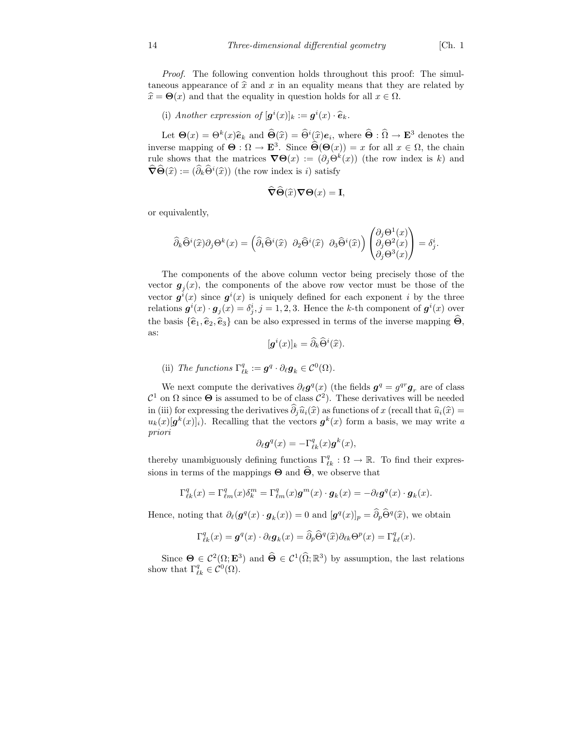Proof. The following convention holds throughout this proof: The simultaneous appearance of  $\hat{x}$  and x in an equality means that they are related by  $\hat{x} = \Theta(x)$  and that the equality in question holds for all  $x \in \Omega$ .

(i) Another expression of  $[g^i(x)]_k := g^i(x) \cdot \hat{e}_k$ .

Let  $\Theta(x) = \Theta^k(x)\hat{e}_k$  and  $\hat{\Theta}(\hat{x}) = \hat{\Theta}^i(\hat{x})e_i$ , where  $\hat{\Theta} : \hat{\Omega} \to \mathbf{E}^3$  denotes the inverse mapping of  $\Theta : \Omega \to \mathbf{E}^3$ . Since  $\Theta(\Theta(x)) = x$  for all  $x \in \Omega$ , the chain rule shows that the matrices  $\nabla \Theta(x) := (\partial_j \Theta^k(x))$  (the row index is k) and  $\widehat{\nabla}\widehat{\Theta}(\widehat{x}) := (\widehat{\partial}_k \widehat{\Theta}^i(\widehat{x}))$  (the row index is *i*) satisfy

$$
\widehat{\boldsymbol{\nabla}}\widehat{\boldsymbol{\Theta}}(\widehat{x})\boldsymbol{\nabla}\boldsymbol{\Theta}(x)=\mathbf{I},
$$

or equivalently,

$$
\widehat{\partial}_k\widehat{\Theta}^i(\widehat{x})\partial_j\Theta^k(x)=\left(\widehat{\partial}_1\widehat{\Theta}^i(\widehat{x})\;\;\partial_2\widehat{\Theta}^i(\widehat{x})\;\;\partial_3\widehat{\Theta}^i(\widehat{x})\right)\begin{pmatrix}\partial_j\Theta^1(x)\\ \partial_j\Theta^2(x)\\ \partial_j\Theta^3(x)\end{pmatrix}=\delta^i_j.
$$

The components of the above column vector being precisely those of the vector  $g_j(x)$ , the components of the above row vector must be those of the vector  $g^{i}(x)$  since  $g^{i}(x)$  is uniquely defined for each exponent i by the three relations  $g^{i}(x) \cdot g_{j}(x) = \delta^{i}_{j}, j = 1, 2, 3$ . Hence the k-th component of  $g^{i}(x)$  over the basis  $\{\hat{e}_1, \hat{e}_2, \hat{e}_3\}$  can be also expressed in terms of the inverse mapping  $\Theta$ , as:

$$
[\boldsymbol{g}^i(x)]_k = \widehat{\partial}_k \widehat{\Theta}^i(\widehat{x}).
$$

(ii) The functions  $\Gamma_{\ell k}^q := \mathbf{g}^q \cdot \partial_{\ell} \mathbf{g}_k \in \mathcal{C}^0(\Omega)$ .

We next compute the derivatives  $\partial_{\ell} \mathbf{g}^{q}(x)$  (the fields  $\mathbf{g}^{q} = g^{qr} \mathbf{g}_r$  are of class  $\mathcal{C}^1$  on  $\Omega$  since  $\Theta$  is assumed to be of class  $\mathcal{C}^2$ ). These derivatives will be needed in (iii) for expressing the derivatives  $\hat{\partial}_i \hat{u}_i(\hat{x})$  as functions of x (recall that  $\hat{u}_i(\hat{x}) =$  $u_k(x)[g^k(x)]_i$ ). Recalling that the vectors  $g^k(x)$  form a basis, we may write a priori

$$
\partial_{\ell} \mathbf{g}^{q}(x) = -\Gamma_{\ell k}^{q}(x) \mathbf{g}^{k}(x),
$$

thereby unambiguously defining functions  $\Gamma_{\ell k}^q : \Omega \to \mathbb{R}$ . To find their expressions in terms of the mappings  $\Theta$  and  $\widehat{\Theta}$ , we observe that

$$
\Gamma^q_{\ell k}(x) = \Gamma^q_{\ell m}(x) \delta^m_k = \Gamma^q_{\ell m}(x) \mathbf{g}^m(x) \cdot \mathbf{g}_k(x) = -\partial_{\ell} \mathbf{g}^q(x) \cdot \mathbf{g}_k(x).
$$

Hence, noting that  $\partial_{\ell}(\mathbf{g}^q(x) \cdot \mathbf{g}_k(x)) = 0$  and  $[\mathbf{g}^q(x)]_p = \partial_p \hat{\Theta}^q(\hat{x})$ , we obtain

$$
\Gamma_{\ell k}^q(x) = \mathbf{g}^q(x) \cdot \partial_{\ell} \mathbf{g}_k(x) = \widehat{\partial}_p \widehat{\Theta}^q(\widehat{x}) \partial_{\ell k} \Theta^p(x) = \Gamma_{k\ell}^q(x).
$$

Since  $\mathbf{\Theta} \in C^2(\Omega; \mathbf{E}^3)$  and  $\widehat{\mathbf{\Theta}} \in C^1(\widehat{\Omega}; \mathbb{R}^3)$  by assumption, the last relations show that  $\Gamma_{\ell k}^q \in \mathcal{C}^0(\Omega)$ .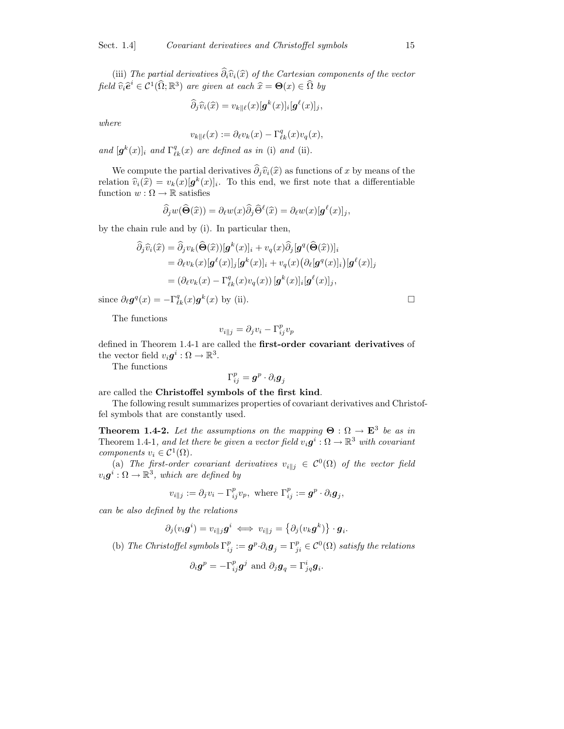(iii) The partial derivatives  $\widehat{\partial}_i \widehat{v}_i(\widehat{x})$  of the Cartesian components of the vector field  $\widehat{v}_i \widehat{e}^i \in \mathcal{C}^1(\widehat{\Omega}; \mathbb{R}^3)$  are given at each  $\widehat{x} = \Theta(x) \in \widehat{\Omega}$  by

$$
\widehat{\partial}_j \widehat{v}_i(\widehat{x}) = v_{k\| \ell}(x) [\boldsymbol{g}^k(x)]_i [\boldsymbol{g}^\ell(x)]_j,
$$

where

$$
v_{k\parallel \ell}(x):=\partial_\ell v_k(x)-\Gamma_{\ell k}^q(x)v_q(x),
$$

and  $[g^k(x)]_i$  and  $\Gamma^q_{\ell k}(x)$  are defined as in (i) and (ii).

We compute the partial derivatives  $\widehat{\partial}_i\widehat{v}_i(\widehat{x})$  as functions of x by means of the relation  $\hat{v}_i(\hat{x}) = v_k(x)[g^k(x)]_i$ . To this end, we first note that a differentiable function  $w : \Omega \to \mathbb{R}$  satisfies

$$
\widehat{\partial}_j w(\widehat{\Theta}(\widehat{x})) = \partial_\ell w(x) \widehat{\partial}_j \widehat{\Theta}^{\ell}(\widehat{x}) = \partial_\ell w(x) [\mathbf{g}^{\ell}(x)]_j,
$$

by the chain rule and by (i). In particular then,

$$
\begin{aligned}\n\widehat{\partial}_j \widehat{v}_i(\widehat{x}) &= \widehat{\partial}_j v_k(\widehat{\Theta}(\widehat{x})) [\mathbf{g}^k(x)]_i + v_q(x) \widehat{\partial}_j [\mathbf{g}^q(\widehat{\Theta}(\widehat{x}))]_i \\
&= \partial_\ell v_k(x) [\mathbf{g}^\ell(x)]_j [\mathbf{g}^k(x)]_i + v_q(x) (\partial_\ell [\mathbf{g}^q(x)]_i) [\mathbf{g}^\ell(x)]_j \\
&= (\partial_\ell v_k(x) - \Gamma_{\ell k}^q(x) v_q(x)) [\mathbf{g}^k(x)]_i [\mathbf{g}^\ell(x)]_j,\n\end{aligned}
$$

since  $\partial_{\ell} \mathbf{g}^{q}(x) = -\Gamma_{\ell k}^{q}(x) \mathbf{g}^{k}(x)$  by (ii).

The functions

$$
v_{i\parallel j} = \partial_j v_i - \Gamma_{ij}^p v_p
$$

defined in Theorem 1.4-1 are called the first-order covariant derivatives of the vector field  $v_i \mathbf{g}^i : \Omega \to \mathbb{R}^3$ .

The functions

$$
\Gamma_{ij}^p = \boldsymbol{g}^p \cdot \partial_i \boldsymbol{g}_j
$$

are called the Christoffel symbols of the first kind.

The following result summarizes properties of covariant derivatives and Christoffel symbols that are constantly used.

**Theorem 1.4-2.** Let the assumptions on the mapping  $\Theta : \Omega \to \mathbf{E}^3$  be as in Theorem 1.4-1, and let there be given a vector field  $v_i \mathbf{g}^i : \Omega \to \mathbb{R}^3$  with covariant components  $v_i \in C^1(\Omega)$ .

(a) The first-order covariant derivatives  $v_{i||j} \in C^{0}(\Omega)$  of the vector field  $v_i \boldsymbol{g}^i : \Omega \to \mathbb{R}^3$ , which are defined by

$$
v_{i\parallel j} := \partial_j v_i - \Gamma_{ij}^p v_p, \text{ where } \Gamma_{ij}^p := \boldsymbol{g}^p \cdot \partial_i \boldsymbol{g}_j,
$$

can be also defined by the relations

$$
\partial_j(v_i\boldsymbol{g}^i)=v_{i\parallel j}\boldsymbol{g}^i \iff v_{i\parallel j}=\left\{\partial_j(v_k\boldsymbol{g}^k)\right\}\cdot\boldsymbol{g}_i.
$$

(b) The Christoffel symbols  $\Gamma_{ij}^p := \mathbf{g}^p \cdot \partial_i \mathbf{g}_j = \Gamma_{ji}^p \in \mathcal{C}^0(\Omega)$  satisfy the relations

$$
\partial_i \boldsymbol{g}^p = -\Gamma_{ij}^p \boldsymbol{g}^j \text{ and } \partial_j \boldsymbol{g}_q = \Gamma_{jq}^i \boldsymbol{g}_i.
$$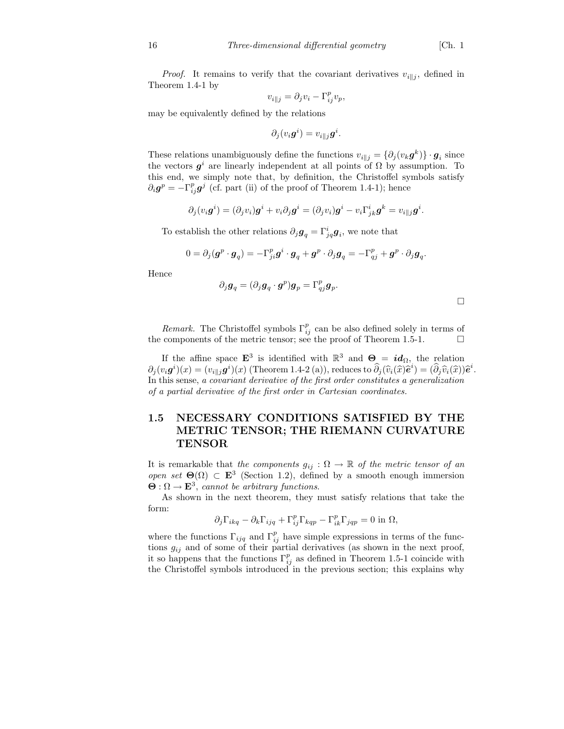*Proof.* It remains to verify that the covariant derivatives  $v_{i||j}$ , defined in Theorem 1.4-1 by

$$
v_{i||j} = \partial_j v_i - \Gamma_{ij}^p v_p,
$$

may be equivalently defined by the relations

$$
\partial_j(v_i\boldsymbol{g}^i)=v_{i\parallel j}\boldsymbol{g}^i
$$

These relations unambiguously define the functions  $v_{i||j} = \{\partial_j(v_k g^k)\} \cdot g_i$  since the vectors  $g^i$  are linearly independent at all points of  $\Omega$  by assumption. To this end, we simply note that, by definition, the Christoffel symbols satisfy  $\partial_i \mathbf{g}^p = -\Gamma_{ij}^p \mathbf{g}^j$  (cf. part (ii) of the proof of Theorem 1.4-1); hence

$$
\partial_j(v_i\boldsymbol{g}^i) = (\partial_j v_i)\boldsymbol{g}^i + v_i\partial_j\boldsymbol{g}^i = (\partial_j v_i)\boldsymbol{g}^i - v_i\Gamma^i_{jk}\boldsymbol{g}^k = v_{i||j}\boldsymbol{g}^i.
$$

To establish the other relations  $\partial_j \mathbf{g}_q = \Gamma^i_{jq} \mathbf{g}_i$ , we note that

$$
0 = \partial_j (\boldsymbol{g}^p \cdot \boldsymbol{g}_q) = -\Gamma_{ji}^p \boldsymbol{g}^i \cdot \boldsymbol{g}_q + \boldsymbol{g}^p \cdot \partial_j \boldsymbol{g}_q = -\Gamma_{qj}^p + \boldsymbol{g}^p \cdot \partial_j \boldsymbol{g}_q.
$$

Hence

$$
\partial_j \boldsymbol{g}_q = (\partial_j \boldsymbol{g}_q \cdot \boldsymbol{g}^p) \boldsymbol{g}_p = \Gamma_{qj}^p \boldsymbol{g}_p.
$$

.

*Remark*. The Christoffel symbols  $\Gamma_{ij}^p$  can be also defined solely in terms of the components of the metric tensor; see the proof of Theorem 1.5-1.

If the affine space  $\mathbf{E}^3$  is identified with  $\mathbb{R}^3$  and  $\mathbf{\Theta}_{\mathbb{R}} = id_{\Omega}$ , the relation  $\partial_j(v_i \mathbf{g}^i)(x) = (v_{i||j}\mathbf{g}^i)(x)$  (Theorem 1.4-2 (a)), reduces to  $\widehat{\partial}_j(\widehat{v}_i(\widehat{x})\widehat{e}^i) = (\widehat{\partial}_j\widehat{v}_i(\widehat{x}))\widehat{e}^i$ . In this sense, a covariant derivative of the first order constitutes a generalization of a partial derivative of the first order in Cartesian coordinates.

### 1.5 NECESSARY CONDITIONS SATISFIED BY THE METRIC TENSOR; THE RIEMANN CURVATURE TENSOR

It is remarkable that the components  $g_{ij}$  :  $\Omega \to \mathbb{R}$  of the metric tensor of an open set  $\Theta(\Omega) \subset \mathbf{E}^3$  (Section 1.2), defined by a smooth enough immersion  $\Theta : \Omega \to \mathbf{E}^3$ , cannot be arbitrary functions.

As shown in the next theorem, they must satisfy relations that take the form:

$$
\partial_j \Gamma_{ikq} - \partial_k \Gamma_{ijq} + \Gamma_{ij}^p \Gamma_{kqp} - \Gamma_{ik}^p \Gamma_{jqp} = 0 \text{ in } \Omega,
$$

where the functions  $\Gamma_{ijq}$  and  $\Gamma_{ij}^p$  have simple expressions in terms of the functions  $g_{ij}$  and of some of their partial derivatives (as shown in the next proof, it so happens that the functions  $\Gamma_{ij}^p$  as defined in Theorem 1.5-1 coincide with the Christoffel symbols introduced in the previous section; this explains why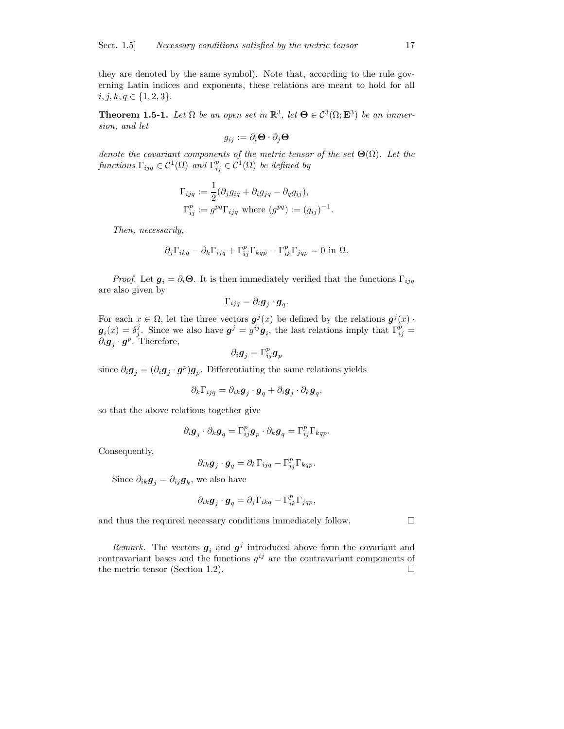they are denoted by the same symbol). Note that, according to the rule governing Latin indices and exponents, these relations are meant to hold for all  $i, j, k, q \in \{1, 2, 3\}.$ 

**Theorem 1.5-1.** Let  $\Omega$  be an open set in  $\mathbb{R}^3$ , let  $\Theta \in C^3(\Omega; \mathbf{E}^3)$  be an immersion, and let

$$
g_{ij}:=\partial_i\mathbf{\Theta}\cdot\partial_j\mathbf{\Theta}
$$

denote the covariant components of the metric tensor of the set  $\Theta(\Omega)$ . Let the functions  $\Gamma_{ijq} \in \mathcal{C}^1(\Omega)$  and  $\Gamma^p_{ij} \in \mathcal{C}^1(\Omega)$  be defined by

$$
\Gamma_{ijq} := \frac{1}{2} (\partial_j g_{iq} + \partial_i g_{jq} - \partial_q g_{ij}),
$$
  
\n
$$
\Gamma_{ij}^p := g^{pq} \Gamma_{ijq} \text{ where } (g^{pq}) := (g_{ij})^{-1}.
$$

Then, necessarily,

$$
\partial_j \Gamma_{ikq} - \partial_k \Gamma_{ijq} + \Gamma_{ij}^p \Gamma_{kqp} - \Gamma_{ik}^p \Gamma_{jqp} = 0 \text{ in } \Omega.
$$

*Proof.* Let  $g_i = \partial_i \Theta$ . It is then immediately verified that the functions  $\Gamma_{ijq}$ are also given by

$$
\Gamma_{ijq}=\partial_i \boldsymbol g_j\cdot \boldsymbol g_q.
$$

For each  $x \in \Omega$ , let the three vectors  $g^j(x)$  be defined by the relations  $g^j(x)$ .  $g_i(x) = \delta_j^j$ . Since we also have  $g^j = g^{ij}g_i$ , the last relations imply that  $\Gamma_{ij}^p =$  $\partial_i \mathbf{g}_j \cdot \mathbf{g}^p$ . Therefore,

$$
\partial_i \boldsymbol g_j = \Gamma_{ij}^p \boldsymbol g_p
$$

since  $\partial_i \mathbf{g}_j = (\partial_i \mathbf{g}_j \cdot \mathbf{g}^p) \mathbf{g}_p$ . Differentiating the same relations yields

$$
\partial_k \Gamma_{ijq} = \partial_{ik}\boldsymbol g_j \cdot \boldsymbol g_q + \partial_i \boldsymbol g_j \cdot \partial_k \boldsymbol g_q,
$$

so that the above relations together give

$$
\partial_i \boldsymbol{g}_j \cdot \partial_k \boldsymbol{g}_q = \Gamma_{ij}^p \boldsymbol{g}_p \cdot \partial_k \boldsymbol{g}_q = \Gamma_{ij}^p \Gamma_{kqp}.
$$

Consequently,

$$
\partial_{ik}\boldsymbol{g}_j\cdot\boldsymbol{g}_q=\partial_k\Gamma_{ijq}-\Gamma_{ij}^p\Gamma_{kqp}.
$$

Since  $\partial_{ik} \boldsymbol{g}_j = \partial_{ij} \boldsymbol{g}_k$ , we also have

$$
\partial_{ik}\boldsymbol{g}_j\cdot\boldsymbol{g}_q=\partial_j\Gamma_{ikq}-\Gamma_{ik}^p\Gamma_{jqp},
$$

and thus the required necessary conditions immediately follow.  $\Box$ 

Remark. The vectors  $g_i$  and  $g^j$  introduced above form the covariant and contravariant bases and the functions  $g^{ij}$  are the contravariant components of the metric tensor (Section 1.2).  $\Box$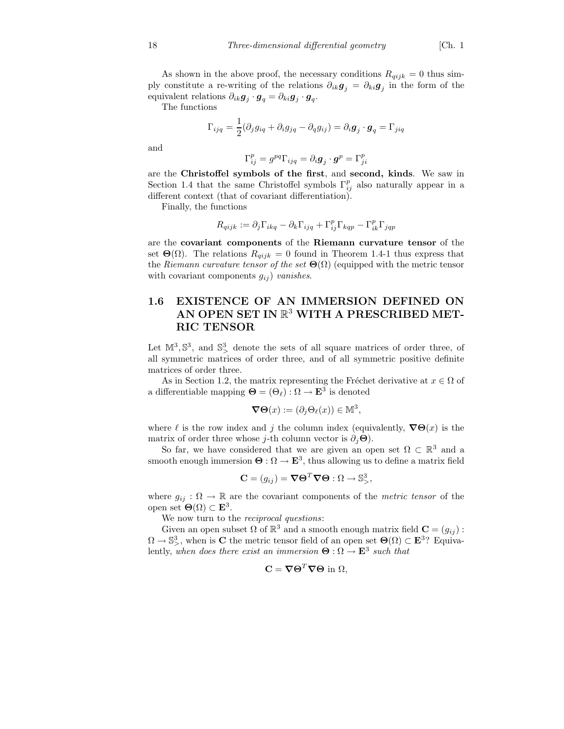As shown in the above proof, the necessary conditions  $R_{qijk} = 0$  thus simply constitute a re-writing of the relations  $\partial_{ik}g_j = \partial_{ki}g_j$  in the form of the equivalent relations  $\partial_{ik}\mathbf{g}_j \cdot \mathbf{g}_q = \partial_{ki}\mathbf{g}_j \cdot \mathbf{g}_q$ .

The functions

$$
\Gamma_{ijq} = \frac{1}{2} (\partial_j g_{iq} + \partial_i g_{jq} - \partial_q g_{ij}) = \partial_i \mathbf{g}_j \cdot \mathbf{g}_q = \Gamma_{jiq}
$$

and

$$
\Gamma_{ij}^p = g^{pq} \Gamma_{ijq} = \partial_i \boldsymbol{g}_j \cdot \boldsymbol{g}^p = \Gamma_{ji}^p
$$

are the Christoffel symbols of the first, and second, kinds. We saw in Section 1.4 that the same Christoffel symbols  $\Gamma_{ij}^p$  also naturally appear in a different context (that of covariant differentiation).

Finally, the functions

$$
R_{qijk} := \partial_j \Gamma_{ikq} - \partial_k \Gamma_{ijq} + \Gamma_{ij}^p \Gamma_{kqp} - \Gamma_{ik}^p \Gamma_{jqp}
$$

are the covariant components of the Riemann curvature tensor of the set  $\Theta(\Omega)$ . The relations  $R_{aijk} = 0$  found in Theorem 1.4-1 thus express that the Riemann curvature tensor of the set  $\Theta(\Omega)$  (equipped with the metric tensor with covariant components  $g_{ij}$  *vanishes.* 

## 1.6 EXISTENCE OF AN IMMERSION DEFINED ON AN OPEN SET IN  $\mathbb{R}^3$  with a prescribed met-RIC TENSOR

Let  $\mathbb{M}^3$ ,  $\mathbb{S}^3$ , and  $\mathbb{S}^3$ , denote the sets of all square matrices of order three, of all symmetric matrices of order three, and of all symmetric positive definite matrices of order three.

As in Section 1.2, the matrix representing the Fréchet derivative at  $x \in \Omega$  of a differentiable mapping  $\mathbf{\Theta} = (\Theta_{\ell}) : \Omega \to \mathbf{E}^3$  is denoted

$$
\nabla \Theta(x) := (\partial_j \Theta_\ell(x)) \in \mathbb{M}^3,
$$

where  $\ell$  is the row index and j the column index (equivalently,  $\nabla \Theta(x)$  is the matrix of order three whose j-th column vector is  $\partial_i \Theta$ ).

So far, we have considered that we are given an open set  $\Omega \subset \mathbb{R}^3$  and a smooth enough immersion  $\Theta : \Omega \to \mathbf{E}^3$ , thus allowing us to define a matrix field

$$
\mathbf{C} = (g_{ij}) = \nabla \Theta^T \nabla \Theta : \Omega \to \mathbb{S}^3_>,
$$

where  $g_{ij}: \Omega \to \mathbb{R}$  are the covariant components of the *metric tensor* of the open set  $Θ(Ω) ⊂ E^3$ .

We now turn to the *reciprocal questions*:

Given an open subset  $\Omega$  of  $\mathbb{R}^3$  and a smooth enough matrix field  $\mathbf{C} = (g_{ij})$ :  $\Omega \to \mathbb{S}^3$ , when is C the metric tensor field of an open set  $\Theta(\Omega) \subset \mathbf{E}^3$ ? Equivalently, when does there exist an immersion  $\Theta : \Omega \to \mathbf{E}^3$  such that

$$
\mathbf{C} = \nabla \Theta^T \nabla \Theta \text{ in } \Omega,
$$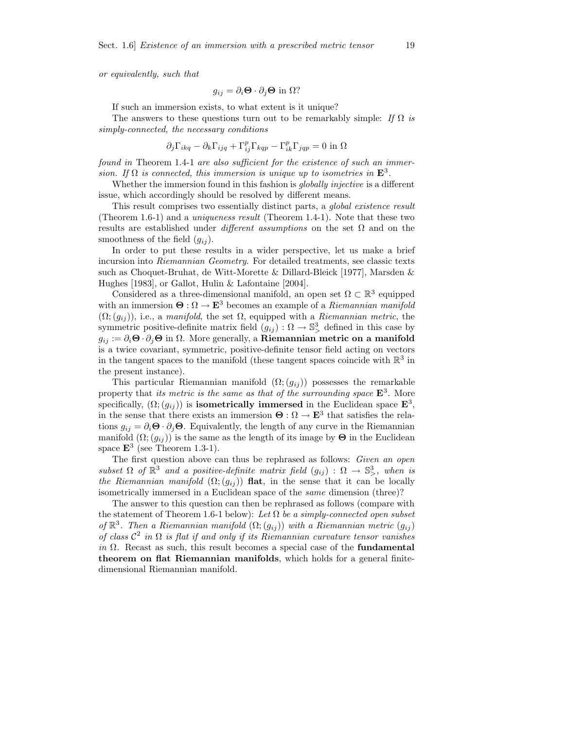or equivalently, such that

$$
g_{ij} = \partial_i \mathbf{\Theta} \cdot \partial_j \mathbf{\Theta} \text{ in } \Omega?
$$

If such an immersion exists, to what extent is it unique?

The answers to these questions turn out to be remarkably simple: If  $\Omega$  is simply-connected, the necessary conditions

$$
\partial_j \Gamma_{ikq} - \partial_k \Gamma_{ijq} + \Gamma_{ij}^p \Gamma_{kqp} - \Gamma_{ik}^p \Gamma_{jqp} = 0 \text{ in } \Omega
$$

found in Theorem 1.4-1 are also sufficient for the existence of such an immersion. If  $\Omega$  is connected, this immersion is unique up to isometries in  $\mathbf{E}^3$ .

Whether the immersion found in this fashion is *globally injective* is a different issue, which accordingly should be resolved by different means.

This result comprises two essentially distinct parts, a global existence result (Theorem 1.6-1) and a uniqueness result (Theorem 1.4-1). Note that these two results are established under *different assumptions* on the set  $\Omega$  and on the smoothness of the field  $(q_{ij})$ .

In order to put these results in a wider perspective, let us make a brief incursion into Riemannian Geometry. For detailed treatments, see classic texts such as Choquet-Bruhat, de Witt-Morette & Dillard-Bleick [1977], Marsden & Hughes [1983], or Gallot, Hulin & Lafontaine [2004].

Considered as a three-dimensional manifold, an open set  $\Omega \subset \mathbb{R}^3$  equipped with an immersion  $\mathbf{\Theta}: \Omega \to \mathbf{E}^3$  becomes an example of a *Riemannian manifold*  $(\Omega; (g_{ij}))$ , i.e., a manifold, the set  $\Omega$ , equipped with a Riemannian metric, the symmetric positive-definite matrix field  $(g_{ij}) : \Omega \to \mathbb{S}^3$  defined in this case by  $g_{ij} := \partial_i \Theta \cdot \partial_j \Theta$  in  $\Omega$ . More generally, a **Riemannian metric on a manifold** is a twice covariant, symmetric, positive-definite tensor field acting on vectors in the tangent spaces to the manifold (these tangent spaces coincide with  $\mathbb{R}^3$  in the present instance).

This particular Riemannian manifold  $(\Omega; (g_{ij}))$  possesses the remarkable property that *its metric is the same as that of the surrounding space*  $\mathbf{E}^3$ . More specifically,  $(\Omega; (g_{ij}))$  is isometrically immersed in the Euclidean space  $\mathbf{E}^3$ , in the sense that there exists an immersion  $\Theta : \Omega \to \mathbf{E}^3$  that satisfies the relations  $g_{ij} = \partial_i \Theta \cdot \partial_j \Theta$ . Equivalently, the length of any curve in the Riemannian manifold  $(\Omega; (g_{ij}))$  is the same as the length of its image by  $\Theta$  in the Euclidean space  $\mathbf{E}^3$  (see Theorem 1.3-1).

The first question above can thus be rephrased as follows: Given an open subset  $\Omega$  of  $\mathbb{R}^3$  and a positive-definite matrix field  $(g_{ij}) : \Omega \to \mathbb{S}^3$ , when is the Riemannian manifold  $(\Omega; (g_{ij}))$  flat, in the sense that it can be locally isometrically immersed in a Euclidean space of the same dimension (three)?

The answer to this question can then be rephrased as follows (compare with the statement of Theorem 1.6-1 below): Let  $\Omega$  be a simply-connected open subset of  $\mathbb{R}^3$ . Then a Riemannian manifold  $(\Omega; (g_{ij}))$  with a Riemannian metric  $(g_{ij})$ of class  $\mathcal{C}^2$  in  $\Omega$  is flat if and only if its Riemannian curvature tensor vanishes in  $\Omega$ . Recast as such, this result becomes a special case of the **fundamental** theorem on flat Riemannian manifolds, which holds for a general finitedimensional Riemannian manifold.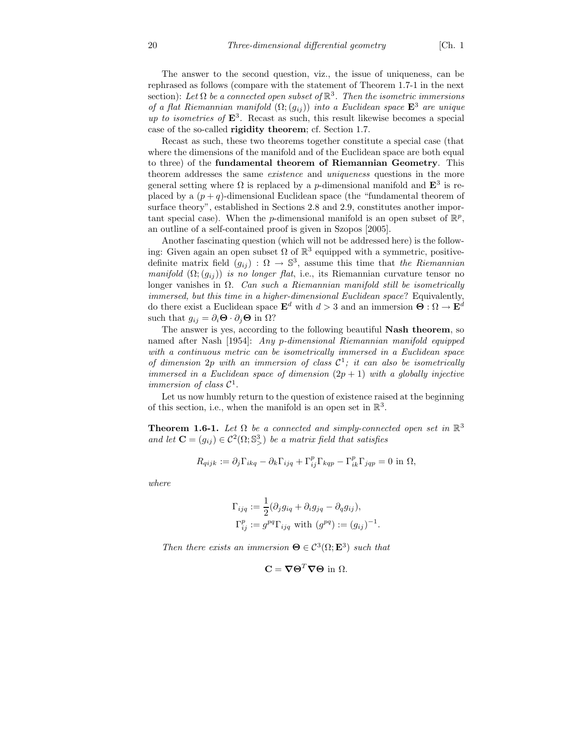The answer to the second question, viz., the issue of uniqueness, can be rephrased as follows (compare with the statement of Theorem 1.7-1 in the next section): Let  $\Omega$  be a connected open subset of  $\mathbb{R}^3$ . Then the isometric immersions of a flat Riemannian manifold  $(\Omega; (g_{ij}))$  into a Euclidean space  $\mathbf{E}^3$  are unique up to isometries of  $\mathbf{E}^3$ . Recast as such, this result likewise becomes a special case of the so-called rigidity theorem; cf. Section 1.7.

Recast as such, these two theorems together constitute a special case (that where the dimensions of the manifold and of the Euclidean space are both equal to three) of the fundamental theorem of Riemannian Geometry. This theorem addresses the same existence and uniqueness questions in the more general setting where  $\Omega$  is replaced by a *p*-dimensional manifold and  $\mathbf{E}^3$  is replaced by a  $(p+q)$ -dimensional Euclidean space (the "fundamental theorem of surface theory", established in Sections 2.8 and 2.9, constitutes another important special case). When the *p*-dimensional manifold is an open subset of  $\mathbb{R}^p$ , an outline of a self-contained proof is given in Szopos [2005].

Another fascinating question (which will not be addressed here) is the following: Given again an open subset  $\Omega$  of  $\mathbb{R}^3$  equipped with a symmetric, positivedefinite matrix field  $(g_{ij})$ :  $\Omega \to \mathbb{S}^3$ , assume this time that the Riemannian manifold  $(\Omega; (g_{ij}))$  is no longer flat, i.e., its Riemannian curvature tensor no longer vanishes in  $\Omega$ . Can such a Riemannian manifold still be isometrically immersed, but this time in a higher-dimensional Euclidean space? Equivalently, do there exist a Euclidean space  $\mathbf{E}^d$  with  $d > 3$  and an immersion  $\mathbf{\Theta}: \Omega \to \mathbf{E}^d$ such that  $g_{ij} = \partial_i \mathbf{\Theta} \cdot \partial_j \mathbf{\Theta}$  in  $\Omega$ ?

The answer is yes, according to the following beautiful Nash theorem, so named after Nash [1954]: Any p-dimensional Riemannian manifold equipped with a continuous metric can be isometrically immersed in a Euclidean space of dimension  $2p$  with an immersion of class  $C^1$ ; it can also be isometrically immersed in a Euclidean space of dimension  $(2p + 1)$  with a globally injective immersion of class  $C^1$ .

Let us now humbly return to the question of existence raised at the beginning of this section, i.e., when the manifold is an open set in  $\mathbb{R}^3$ .

**Theorem 1.6-1.** Let  $\Omega$  be a connected and simply-connected open set in  $\mathbb{R}^3$ and let  $\mathbf{C} = (g_{ij}) \in \mathcal{C}^2(\Omega; \mathbb{S}^3)$  be a matrix field that satisfies

$$
R_{qijk} := \partial_j \Gamma_{ikq} - \partial_k \Gamma_{ijq} + \Gamma_{ij}^p \Gamma_{kqp} - \Gamma_{ik}^p \Gamma_{jqp} = 0 \text{ in } \Omega,
$$

where

$$
\Gamma_{ijq} := \frac{1}{2} (\partial_j g_{iq} + \partial_i g_{jq} - \partial_q g_{ij}),
$$
  
\n
$$
\Gamma_{ij}^p := g^{pq} \Gamma_{ijq} \text{ with } (g^{pq}) := (g_{ij})^{-1}.
$$

Then there exists an immersion  $\mathbf{\Theta} \in \mathcal{C}^3(\Omega; \mathbf{E}^3)$  such that

$$
\mathbf{C} = \nabla \Theta^T \nabla \Theta \text{ in } \Omega.
$$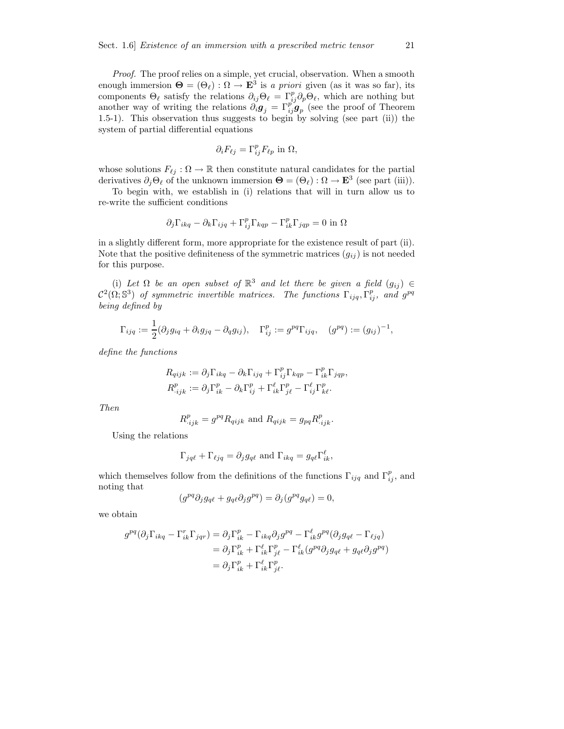Proof. The proof relies on a simple, yet crucial, observation. When a smooth enough immersion  $\mathbf{\Theta} = (\Theta_\ell) : \Omega \to \mathbf{E}^3$  is a priori given (as it was so far), its components  $\Theta_\ell$  satisfy the relations  $\partial_{ij}\Theta_\ell = \Gamma^p_{ij}\partial_p\Theta_\ell$ , which are nothing but another way of writing the relations  $\partial_i \mathbf{g}_j = \Gamma_{ij}^{p'} \mathbf{g}_p$  (see the proof of Theorem 1.5-1). This observation thus suggests to begin by solving (see part (ii)) the system of partial differential equations

$$
\partial_i F_{\ell j} = \Gamma_{ij}^p F_{\ell p} \text{ in } \Omega,
$$

whose solutions  $F_{\ell j} : \Omega \to \mathbb{R}$  then constitute natural candidates for the partial derivatives  $\partial_j \Theta_\ell$  of the unknown immersion  $\Theta = (\Theta_\ell) : \Omega \to \mathbf{E}^3$  (see part (iii)).

To begin with, we establish in (i) relations that will in turn allow us to re-write the sufficient conditions

$$
\partial_j \Gamma_{ikq} - \partial_k \Gamma_{ijq} + \Gamma_{ij}^p \Gamma_{kqp} - \Gamma_{ik}^p \Gamma_{jqp} = 0 \text{ in } \Omega
$$

in a slightly different form, more appropriate for the existence result of part (ii). Note that the positive definiteness of the symmetric matrices  $(g_{ij})$  is not needed for this purpose.

(i) Let  $\Omega$  be an open subset of  $\mathbb{R}^3$  and let there be given a field  $(g_{ij}) \in \mathbb{R}^3$  $\mathcal{C}^2(\Omega;\mathbb{S}^3)$  of symmetric invertible matrices. The functions  $\Gamma_{ijq}, \Gamma_{ij}^p$ , and  $g^{pq}$ being defined by

$$
\Gamma_{ijq} := \frac{1}{2}(\partial_j g_{iq} + \partial_i g_{jq} - \partial_q g_{ij}), \quad \Gamma^p_{ij} := g^{pq} \Gamma_{ijq}, \quad (g^{pq}) := (g_{ij})^{-1},
$$

define the functions

$$
R_{qijk} := \partial_j \Gamma_{ikq} - \partial_k \Gamma_{ijq} + \Gamma_{ij}^p \Gamma_{kqp} - \Gamma_{ik}^p \Gamma_{jqp},
$$
  

$$
R_{ijk}^p := \partial_j \Gamma_{ik}^p - \partial_k \Gamma_{ij}^p + \Gamma_{ik}^\ell \Gamma_{j\ell}^p - \Gamma_{ij}^\ell \Gamma_{k\ell}^p.
$$

Then

$$
R^p_{\cdot ijk} = g^{pq} R_{qijk} \text{ and } R_{qijk} = g_{pq} R^p_{\cdot ijk}.
$$

Using the relations

$$
\Gamma_{jq\ell} + \Gamma_{\ell jq} = \partial_j g_{q\ell}
$$
 and  $\Gamma_{ikq} = g_{q\ell} \Gamma_{ik}^{\ell}$ ,

which themselves follow from the definitions of the functions  $\Gamma_{ijq}$  and  $\Gamma_{ij}^p$ , and noting that

$$
(g^{pq}\partial_j g_{q\ell} + g_{q\ell}\partial_j g^{pq}) = \partial_j (g^{pq}g_{q\ell}) = 0,
$$

we obtain

$$
g^{pq}(\partial_j \Gamma_{ikq} - \Gamma_{ik}^r \Gamma_{jqr}) = \partial_j \Gamma_{ik}^p - \Gamma_{ikq} \partial_j g^{pq} - \Gamma_{ik}^\ell g^{pq} (\partial_j g_{q\ell} - \Gamma_{\ell jq})
$$
  

$$
= \partial_j \Gamma_{ik}^p + \Gamma_{ik}^\ell \Gamma_{j\ell}^p - \Gamma_{ik}^\ell (g^{pq} \partial_j g_{q\ell} + g_{q\ell} \partial_j g^{pq})
$$
  

$$
= \partial_j \Gamma_{ik}^p + \Gamma_{ik}^\ell \Gamma_{j\ell}^p.
$$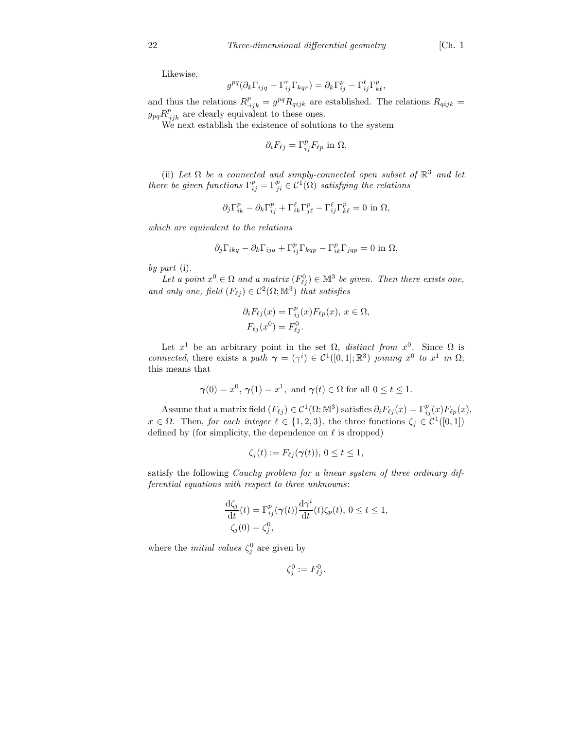Likewise,

$$
g^{pq}(\partial_k \Gamma_{ijq} - \Gamma_{ij}^r \Gamma_{kqr}) = \partial_k \Gamma_{ij}^p - \Gamma_{ij}^\ell \Gamma_{k\ell}^p,
$$

and thus the relations  $R_{ijk}^p = g^{pq} R_{qijk}$  are established. The relations  $R_{qijk} =$  $g_{pq}R^{p}_{ijk}$  are clearly equivalent to these ones.

We next establish the existence of solutions to the system

$$
\partial_i F_{\ell j} = \Gamma_{ij}^p F_{\ell p} \text{ in } \Omega.
$$

(ii) Let  $\Omega$  be a connected and simply-connected open subset of  $\mathbb{R}^3$  and let there be given functions  $\Gamma_{ij}^p = \Gamma_{ji}^p \in C^1(\overline{\Omega})$  satisfying the relations

$$
\partial_j \Gamma^p_{ik} - \partial_k \Gamma^p_{ij} + \Gamma^{\ell}_{ik} \Gamma^p_{j\ell} - \Gamma^{\ell}_{ij} \Gamma^p_{k\ell} = 0 \text{ in } \Omega,
$$

which are equivalent to the relations

$$
\partial_j \Gamma_{ikq} - \partial_k \Gamma_{ijq} + \Gamma_{ij}^p \Gamma_{kqp} - \Gamma_{ik}^p \Gamma_{jqp} = 0 \text{ in } \Omega,
$$

by part (i).

Let a point  $x^0 \in \Omega$  and a matrix  $(F_{\ell j}^0) \in \mathbb{M}^3$  be given. Then there exists one, and only one, field  $(F_{\ell j}) \in C^2(\Omega; \mathbb{M}^3)$  that satisfies

$$
\partial_i F_{\ell j}(x) = \Gamma_{ij}^p(x) F_{\ell p}(x), \ x \in \Omega,
$$
  

$$
F_{\ell j}(x^0) = F_{\ell j}^0.
$$

Let  $x^1$  be an arbitrary point in the set  $\Omega$ , *distinct from*  $x^0$ . Since  $\Omega$  is connected, there exists a path  $\gamma = (\gamma^i) \in C^1([0,1];\mathbb{R}^3)$  joining  $x^0$  to  $x^1$  in  $\Omega$ ; this means that

$$
\gamma(0) = x^0, \gamma(1) = x^1, \text{ and } \gamma(t) \in \Omega \text{ for all } 0 \le t \le 1.
$$

Assume that a matrix field  $(F_{\ell j}) \in C^1(\Omega; \mathbb{M}^3)$  satisfies  $\partial_i F_{\ell j}(x) = \Gamma_{ij}^p(x) F_{\ell p}(x)$ ,  $x \in \Omega$ . Then, for each integer  $\ell \in \{1, 2, 3\}$ , the three functions  $\zeta_j \in C^1([0, 1])$ defined by (for simplicity, the dependence on  $\ell$  is dropped)

$$
\zeta_j(t) := F_{\ell j}(\gamma(t)), \ 0 \le t \le 1,
$$

satisfy the following Cauchy problem for a linear system of three ordinary differential equations with respect to three unknowns:

$$
\frac{\mathrm{d}\zeta_j}{\mathrm{d}t}(t) = \Gamma_{ij}^p(\boldsymbol{\gamma}(t)) \frac{\mathrm{d}\boldsymbol{\gamma}^i}{\mathrm{d}t}(t) \zeta_p(t), 0 \le t \le 1, \zeta_j(0) = \zeta_j^0,
$$

where the *initial values*  $\zeta_j^0$  are given by

$$
\zeta_j^0 := F_{\ell j}^0.
$$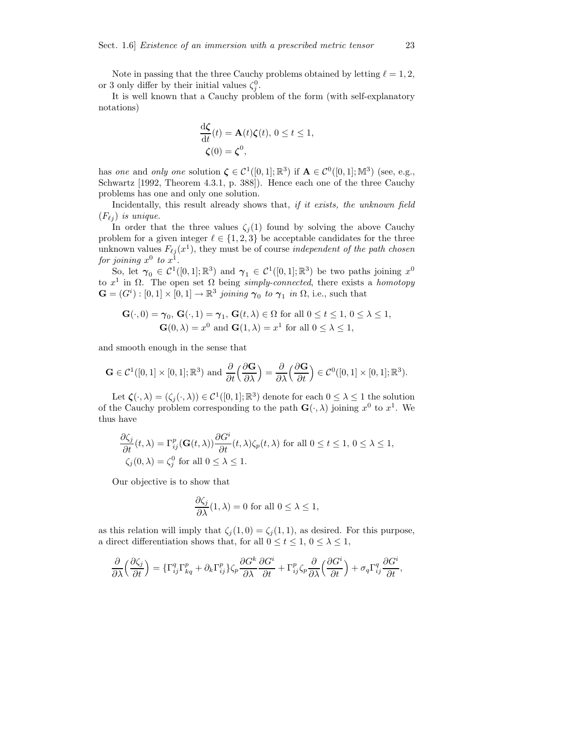Note in passing that the three Cauchy problems obtained by letting  $\ell = 1, 2$ , or 3 only differ by their initial values  $\zeta_j^0$ .

It is well known that a Cauchy problem of the form (with self-explanatory notations)

$$
\frac{\mathrm{d}\zeta}{\mathrm{d}t}(t) = \mathbf{A}(t)\zeta(t), \ 0 \le t \le 1,
$$
  

$$
\zeta(0) = \zeta^0,
$$

has one and only one solution  $\zeta \in C^1([0,1];\mathbb{R}^3)$  if  $\mathbf{A} \in C^0([0,1];\mathbb{M}^3)$  (see, e.g., Schwartz [1992, Theorem 4.3.1, p. 388]). Hence each one of the three Cauchy problems has one and only one solution.

Incidentally, this result already shows that, if it exists, the unknown field  $(F_{\ell i})$  is unique.

In order that the three values  $\zeta_i(1)$  found by solving the above Cauchy problem for a given integer  $\ell \in \{1, 2, 3\}$  be acceptable candidates for the three unknown values  $F_{\ell j} (x^1)$ , they must be of course *independent of the path chosen* for joining  $x^0$  to  $x^1$ .

So, let  $\gamma_0 \in C^1([0,1];\mathbb{R}^3)$  and  $\gamma_1 \in C^1([0,1];\mathbb{R}^3)$  be two paths joining  $x^0$ to  $x^1$  in  $\Omega$ . The open set  $\Omega$  being simply-connected, there exists a homotopy  $\mathbf{G} = (G^i) : [0,1] \times [0,1] \to \mathbb{R}^3$  joining  $\gamma_0$  to  $\gamma_1$  in  $\Omega$ , i.e., such that

$$
\mathbf{G}(\cdot,0) = \gamma_0, \mathbf{G}(\cdot,1) = \gamma_1, \mathbf{G}(t,\lambda) \in \Omega \text{ for all } 0 \le t \le 1, 0 \le \lambda \le 1,
$$
  

$$
\mathbf{G}(0,\lambda) = x^0 \text{ and } \mathbf{G}(1,\lambda) = x^1 \text{ for all } 0 \le \lambda \le 1,
$$

and smooth enough in the sense that

$$
\mathbf{G}\in\mathcal{C}^1([0,1]\times[0,1];\mathbb{R}^3)\text{ and }\frac{\partial}{\partial t}\left(\frac{\partial\mathbf{G}}{\partial\lambda}\right)=\frac{\partial}{\partial\lambda}\left(\frac{\partial\mathbf{G}}{\partial t}\right)\in\mathcal{C}^0([0,1]\times[0,1];\mathbb{R}^3).
$$

Let  $\zeta(\cdot, \lambda) = (\zeta_j(\cdot, \lambda)) \in C^1([0, 1]; \mathbb{R}^3)$  denote for each  $0 \leq \lambda \leq 1$  the solution of the Cauchy problem corresponding to the path  $\mathbf{G}(\cdot,\lambda)$  joining  $x^0$  to  $x^1$ . We thus have

$$
\frac{\partial \zeta_j}{\partial t}(t,\lambda) = \Gamma_{ij}^p(\mathbf{G}(t,\lambda)) \frac{\partial G^i}{\partial t}(t,\lambda)\zeta_p(t,\lambda) \text{ for all } 0 \le t \le 1, 0 \le \lambda \le 1,
$$
  

$$
\zeta_j(0,\lambda) = \zeta_j^0 \text{ for all } 0 \le \lambda \le 1.
$$

Our objective is to show that

$$
\frac{\partial \zeta_j}{\partial \lambda}(1,\lambda) = 0 \text{ for all } 0 \le \lambda \le 1,
$$

as this relation will imply that  $\zeta_j(1,0) = \zeta_j(1,1)$ , as desired. For this purpose, a direct differentiation shows that, for all  $0 \le t \le 1$ ,  $0 \le \lambda \le 1$ ,

$$
\frac{\partial}{\partial \lambda} \left( \frac{\partial \zeta_j}{\partial t} \right) = \{ \Gamma_{ij}^q \Gamma_{kq}^p + \partial_k \Gamma_{ij}^p \} \zeta_p \frac{\partial G^k}{\partial \lambda} \frac{\partial G^i}{\partial t} + \Gamma_{ij}^p \zeta_p \frac{\partial}{\partial \lambda} \left( \frac{\partial G^i}{\partial t} \right) + \sigma_q \Gamma_{ij}^q \frac{\partial G^i}{\partial t},
$$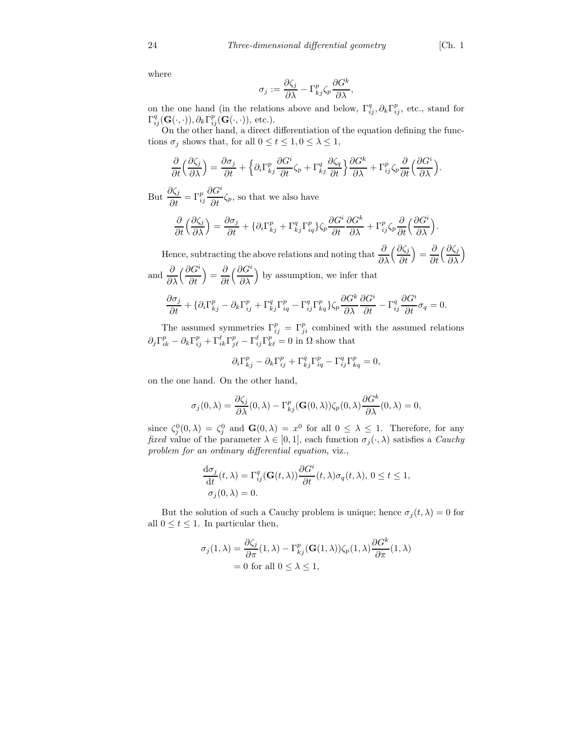where

$$
\sigma_j := \frac{\partial \zeta_j}{\partial \lambda} - \Gamma^p_{kj} \zeta_p \frac{\partial G^k}{\partial \lambda},
$$

on the one hand (in the relations above and below,  $\Gamma_{ij}^q, \partial_k \Gamma_{ij}^p$ , etc., stand for  $\Gamma_{ij}^q(\mathbf{G}(\cdot,\cdot)),\partial_k\Gamma_{ij}^p(\mathbf{G}(\cdot,\cdot)),$  etc.).

On the other hand, a direct differentiation of the equation defining the functions  $\sigma_j$  shows that, for all  $0 \le t \le 1, 0 \le \lambda \le 1$ ,

$$
\frac{\partial}{\partial t} \left( \frac{\partial \zeta_j}{\partial \lambda} \right) = \frac{\partial \sigma_j}{\partial t} + \left\{ \partial_i \Gamma^p_{kj} \frac{\partial G^i}{\partial t} \zeta_p + \Gamma^q_{kj} \frac{\partial \zeta_q}{\partial t} \right\} \frac{\partial G^k}{\partial \lambda} + \Gamma^p_{ij} \zeta_p \frac{\partial}{\partial t} \left( \frac{\partial G^i}{\partial \lambda} \right).
$$

But  $\frac{\partial \zeta_j}{\partial t}$  $\frac{\partial \zeta_j}{\partial t} = \Gamma_{ij}^p$  $\partial G^i$  $\frac{\partial}{\partial t} \zeta_p$ , so that we also have

$$
\frac{\partial}{\partial t} \left( \frac{\partial \zeta_j}{\partial \lambda} \right) = \frac{\partial \sigma_j}{\partial t} + \{ \partial_i \Gamma^p_{kj} + \Gamma^q_{kj} \Gamma^p_{iq} \} \zeta_p \frac{\partial G^i}{\partial t} \frac{\partial G^k}{\partial \lambda} + \Gamma^p_{ij} \zeta_p \frac{\partial}{\partial t} \left( \frac{\partial G^i}{\partial \lambda} \right).
$$

Hence, subtracting the above relations and noting that  $\frac{\partial}{\partial \lambda}$  $\int$   $\partial \zeta_j$ ∂t  $=\frac{\partial}{\partial}$ ∂t  $\int$   $\partial \zeta_j$ ∂λ  $\overline{ }$ 

and 
$$
\frac{\partial}{\partial \lambda} \left( \frac{\partial G^i}{\partial t} \right) = \frac{\partial}{\partial t} \left( \frac{\partial G^i}{\partial \lambda} \right)
$$
 by assumption, we infer that

$$
\frac{\partial \sigma_j}{\partial t} + \{ \partial_i \Gamma^p_{kj} - \partial_k \Gamma^p_{ij} + \Gamma^q_{kj} \Gamma^p_{iq} - \Gamma^q_{ij} \Gamma^p_{kq} \} \zeta_p \frac{\partial G^k}{\partial \lambda} \frac{\partial G^i}{\partial t} - \Gamma^q_{ij} \frac{\partial G^i}{\partial t} \sigma_q = 0.
$$

The assumed symmetries  $\Gamma_{ij}^p = \Gamma_{ji}^p$  combined with the assumed relations  $\partial_j \Gamma^p_{ik} - \partial_k \Gamma^p_{ij} + \Gamma^{\ell}_{ik} \Gamma^p_{j\ell} - \Gamma^{\ell}_{ij} \Gamma^p_{k\ell} = 0$  in  $\Omega$  show that

$$
\partial_i \Gamma^p_{kj} - \partial_k \Gamma^p_{ij} + \Gamma^q_{kj} \Gamma^p_{iq} - \Gamma^q_{ij} \Gamma^p_{kq} = 0,
$$

on the one hand. On the other hand,

$$
\sigma_j(0,\lambda)=\frac{\partial \zeta_j}{\partial \lambda}(0,\lambda)-\Gamma_{kj}^p(\mathbf{G}(0,\lambda))\zeta_p(0,\lambda)\frac{\partial G^k}{\partial \lambda}(0,\lambda)=0,
$$

since  $\zeta_j^0(0,\lambda) = \zeta_j^0$  and  $\mathbf{G}(0,\lambda) = x^0$  for all  $0 \leq \lambda \leq 1$ . Therefore, for any fixed value of the parameter  $\lambda \in [0, 1]$ , each function  $\sigma_j(\cdot, \lambda)$  satisfies a *Cauchy* problem for an ordinary differential equation, viz.,

$$
\frac{d\sigma_j}{dt}(t,\lambda) = \Gamma_{ij}^q(\mathbf{G}(t,\lambda)) \frac{\partial G^i}{\partial t}(t,\lambda)\sigma_q(t,\lambda), 0 \le t \le 1,
$$
  

$$
\sigma_j(0,\lambda) = 0.
$$

But the solution of such a Cauchy problem is unique; hence  $\sigma_j(t, \lambda) = 0$  for all  $0 \le t \le 1$ . In particular then,

$$
\sigma_j(1,\lambda) = \frac{\partial \zeta_j}{\partial \pi}(1,\lambda) - \Gamma^p_{kj}(\mathbf{G}(1,\lambda))\zeta_p(1,\lambda)\frac{\partial G^k}{\partial \pi}(1,\lambda)
$$
  
= 0 for all  $0 \le \lambda \le 1$ ,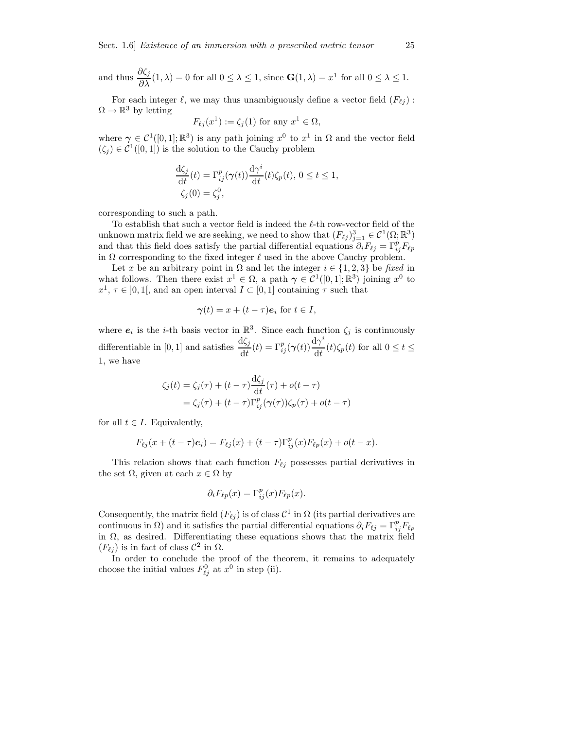and thus 
$$
\frac{\partial \zeta_j}{\partial \lambda}(1,\lambda) = 0
$$
 for all  $0 \le \lambda \le 1$ , since  $\mathbf{G}(1,\lambda) = x^1$  for all  $0 \le \lambda \le 1$ .

For each integer  $\ell$ , we may thus unambiguously define a vector field  $(F_{\ell i})$ :  $\Omega \to \mathbb{R}^3$  by letting

$$
F_{\ell j}(x^1) := \zeta_j(1) \text{ for any } x^1 \in \Omega,
$$

where  $\gamma \in C^1([0,1];\mathbb{R}^3)$  is any path joining  $x^0$  to  $x^1$  in  $\Omega$  and the vector field  $(\zeta_j) \in C^1([0,1])$  is the solution to the Cauchy problem

$$
\frac{\mathrm{d}\zeta_j}{\mathrm{d}t}(t) = \Gamma_{ij}^p(\boldsymbol{\gamma}(t)) \frac{\mathrm{d}\gamma^i}{\mathrm{d}t}(t) \zeta_p(t), 0 \le t \le 1, \zeta_j(0) = \zeta_j^0,
$$

corresponding to such a path.

To establish that such a vector field is indeed the  $\ell$ -th row-vector field of the unknown matrix field we are seeking, we need to show that  $(F_{\ell j})_{j=1}^3 \in C^1(\Omega;\mathbb{R}^3)$ and that this field does satisfy the partial differential equations  $\partial_i F_{\ell j} = \Gamma_{ij}^p F_{\ell p}$ in  $\Omega$  corresponding to the fixed integer  $\ell$  used in the above Cauchy problem.

Let x be an arbitrary point in  $\Omega$  and let the integer  $i \in \{1,2,3\}$  be fixed in what follows. Then there exist  $x^1 \in \Omega$ , a path  $\gamma \in C^1([0,1];\mathbb{R}^3)$  joining  $x^0$  to  $x^1, \tau \in ]0,1[$ , and an open interval  $I \subset [0,1]$  containing  $\tau$  such that

$$
\gamma(t) = x + (t - \tau)e_i \text{ for } t \in I,
$$

where  $e_i$  is the *i*-th basis vector in  $\mathbb{R}^3$ . Since each function  $\zeta_j$  is continuously differentiable in [0, 1] and satisfies  $\frac{d\zeta_j}{dt}(t) = \Gamma_{ij}^p(\gamma(t)) \frac{d\gamma^i}{dt}$  $\frac{d}{dt}(t)\zeta_p(t)$  for all  $0 \le t \le$ 1, we have

$$
\zeta_j(t) = \zeta_j(\tau) + (t - \tau) \frac{\mathrm{d}\zeta_j}{\mathrm{d}t}(\tau) + o(t - \tau)
$$
  
=  $\zeta_j(\tau) + (t - \tau) \Gamma_{ij}^p(\gamma(\tau)) \zeta_p(\tau) + o(t - \tau)$ 

for all  $t \in I$ . Equivalently,

$$
F_{\ell j}(x + (t - \tau)\mathbf{e}_i) = F_{\ell j}(x) + (t - \tau)\Gamma_{ij}^p(x)F_{\ell p}(x) + o(t - x).
$$

This relation shows that each function  $F_{\ell j}$  possesses partial derivatives in the set  $\Omega$ , given at each  $x \in \Omega$  by

$$
\partial_i F_{\ell p}(x) = \Gamma_{ij}^p(x) F_{\ell p}(x).
$$

Consequently, the matrix field  $(F_{\ell j})$  is of class  $\mathcal{C}^1$  in  $\Omega$  (its partial derivatives are continuous in  $\Omega$ ) and it satisfies the partial differential equations  $\partial_i F_{\ell j} = \Gamma_{ij}^p F_{\ell p}$ in  $\Omega$ , as desired. Differentiating these equations shows that the matrix field  $(F_{\ell j})$  is in fact of class  $\mathcal{C}^2$  in  $\Omega$ .

In order to conclude the proof of the theorem, it remains to adequately choose the initial values  $F_{\ell j}^0$  at  $x^0$  in step (ii).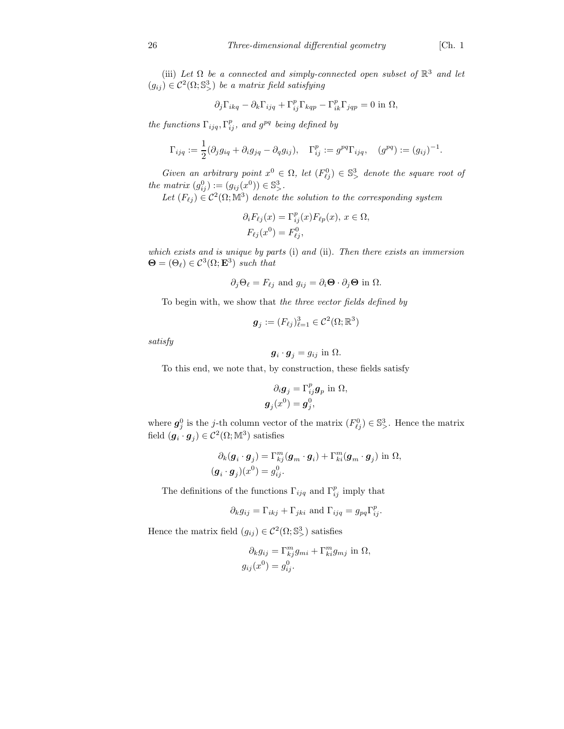(iii) Let  $\Omega$  be a connected and simply-connected open subset of  $\mathbb{R}^3$  and let  $(g_{ij}) \in \mathcal{C}^2(\Omega; \mathbb{S}^3)$  be a matrix field satisfying

$$
\partial_j \Gamma_{ikq} - \partial_k \Gamma_{ijq} + \Gamma^p_{ij} \Gamma_{kqp} - \Gamma^p_{ik} \Gamma_{jqp} = 0 \text{ in } \Omega,
$$

the functions  $\Gamma_{ijq}, \Gamma_{ij}^p$ , and  $g^{pq}$  being defined by

$$
\Gamma_{ijq} := \frac{1}{2}(\partial_j g_{iq} + \partial_i g_{jq} - \partial_q g_{ij}), \quad \Gamma^p_{ij} := g^{pq} \Gamma_{ijq}, \quad (g^{pq}) := (g_{ij})^{-1}.
$$

Given an arbitrary point  $x^0 \in \Omega$ , let  $(F_{\ell j}^0) \in \mathbb{S}^3$  denote the square root of the matrix  $(g_{ij}^0) := (g_{ij}(x^0)) \in \mathbb{S}^3_{>}$ .

Let  $(F_{\ell j}) \in C^2(\Omega; \mathbb{M}^3)$  denote the solution to the corresponding system

$$
\partial_i F_{\ell j}(x) = \Gamma_{ij}^p(x) F_{\ell p}(x), \ x \in \Omega,
$$
  

$$
F_{\ell j}(x^0) = F_{\ell j}^0,
$$

which exists and is unique by parts (i) and (ii). Then there exists an immersion  $\mathbf{\Theta} = (\Theta_{\ell}) \in \mathcal{C}^3(\Omega; \mathbf{E}^3)$  such that

$$
\partial_j \Theta_\ell = F_{\ell j}
$$
 and  $g_{ij} = \partial_i \Theta \cdot \partial_j \Theta$  in  $\Omega$ .

To begin with, we show that the three vector fields defined by

$$
\boldsymbol{g}_j := (F_{\ell j})_{\ell=1}^3 \in \mathcal{C}^2(\Omega;\mathbb{R}^3)
$$

satisfy

$$
\boldsymbol{g}_i \cdot \boldsymbol{g}_j = g_{ij} \text{ in } \Omega.
$$

To this end, we note that, by construction, these fields satisfy

$$
\partial_i \mathbf{g}_j = \Gamma_{ij}^p \mathbf{g}_p \text{ in } \Omega,
$$
  

$$
\mathbf{g}_j(x^0) = \mathbf{g}_j^0,
$$

where  $g_j^0$  is the j-th column vector of the matrix  $(F_{\ell j}^0) \in \mathbb{S}^3$ . Hence the matrix field  $(\boldsymbol{g}_i \cdot \boldsymbol{g}_j) \in \mathcal{C}^2(\Omega;\mathbb{M}^3)$  satisfies

$$
\partial_k(\mathbf{g}_i \cdot \mathbf{g}_j) = \Gamma_{kj}^m(\mathbf{g}_m \cdot \mathbf{g}_i) + \Gamma_{ki}^m(\mathbf{g}_m \cdot \mathbf{g}_j) \text{ in } \Omega,
$$
  

$$
(\mathbf{g}_i \cdot \mathbf{g}_j)(x^0) = g_{ij}^0.
$$

The definitions of the functions  $\Gamma_{ijq}$  and  $\Gamma_{ij}^p$  imply that

$$
\partial_k g_{ij} = \Gamma_{ikj} + \Gamma_{jki}
$$
 and  $\Gamma_{ijq} = g_{pq} \Gamma_{ij}^p$ .

Hence the matrix field  $(g_{ij}) \in C^2(\Omega; \mathbb{S}^3)$  satisfies

$$
\partial_k g_{ij} = \Gamma_{kj}^m g_{mi} + \Gamma_{ki}^m g_{mj} \text{ in } \Omega,
$$
  

$$
g_{ij}(x^0) = g_{ij}^0.
$$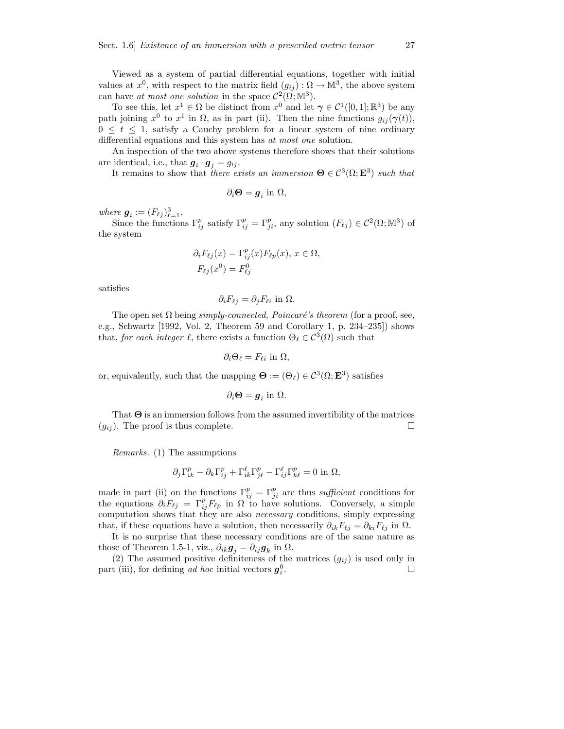Viewed as a system of partial differential equations, together with initial values at  $x^0$ , with respect to the matrix field  $(g_{ij}) : \Omega \to \mathbb{M}^3$ , the above system can have at most one solution in the space  $\mathcal{C}^2(\Omega;\mathbb{M}^3)$ .

To see this, let  $x^1 \in \Omega$  be distinct from  $x^0$  and let  $\gamma \in C^1([0,1]; \mathbb{R}^3)$  be any path joining  $x^0$  to  $x^1$  in  $\Omega$ , as in part (ii). Then the nine functions  $g_{ij}(\gamma(t))$ ,  $0 \leq t \leq 1$ , satisfy a Cauchy problem for a linear system of nine ordinary differential equations and this system has at most one solution.

An inspection of the two above systems therefore shows that their solutions are identical, i.e., that  $g_i \cdot g_j = g_{ij}$ .

It remains to show that there exists an immersion  $\mathbf{\Theta} \in C^3(\Omega; \mathbf{E}^3)$  such that

$$
\partial_i \mathbf{\Theta} = \boldsymbol{g}_i \text{ in } \Omega,
$$

where  $g_i := (F_{\ell j})_{\ell=1}^3$ .

Since the functions  $\Gamma_{ij}^p$  satisfy  $\Gamma_{ij}^p = \Gamma_{ji}^p$ , any solution  $(F_{\ell j}) \in C^2(\Omega;\mathbb{M}^3)$  of the system

$$
\partial_i F_{\ell j}(x) = \Gamma_{ij}^p(x) F_{\ell p}(x), \, x \in \Omega,
$$
  

$$
F_{\ell j}(x^0) = F_{\ell j}^0
$$

satisfies

$$
\partial_i F_{\ell j} = \partial_j F_{\ell i} \text{ in } \Omega.
$$

The open set  $\Omega$  being simply-connected, Poincaré's theorem (for a proof, see, e.g., Schwartz [1992, Vol. 2, Theorem 59 and Corollary 1, p. 234–235]) shows that, for each integer  $\ell$ , there exists a function  $\Theta_{\ell} \in C^3(\Omega)$  such that

$$
\partial_i \Theta_\ell = F_{\ell i} \text{ in } \Omega,
$$

or, equivalently, such that the mapping  $\Theta := (\Theta_\ell) \in C^3(\Omega; \mathbf{E}^3)$  satisfies

$$
\partial_i \mathbf{\Theta} = \boldsymbol{g}_i \text{ in } \Omega.
$$

That  $\Theta$  is an immersion follows from the assumed invertibility of the matrices  $(g_{ij})$ . The proof is thus complete.

Remarks. (1) The assumptions

$$
\partial_j \Gamma_{ik}^p - \partial_k \Gamma_{ij}^p + \Gamma_{ik}^\ell \Gamma_{j\ell}^p - \Gamma_{ij}^\ell \Gamma_{k\ell}^p = 0 \text{ in } \Omega,
$$

made in part (ii) on the functions  $\Gamma_{ij}^p = \Gamma_{ji}^p$  are thus *sufficient* conditions for the equations  $\partial_i F_{\ell j} = \Gamma_{ij}^p F_{\ell p}$  in  $\Omega$  to have solutions. Conversely, a simple computation shows that they are also *necessary* conditions, simply expressing that, if these equations have a solution, then necessarily  $\partial_{ik}F_{\ell i} = \partial_{ki}F_{\ell i}$  in  $\Omega$ .

It is no surprise that these necessary conditions are of the same nature as those of Theorem 1.5-1, viz.,  $\partial_{ik}g_j = \partial_{ij}g_k$  in  $\Omega$ .

(2) The assumed positive definiteness of the matrices  $(g_{ij})$  is used only in part (iii), for defining ad hoc initial vectors  $g_i^0$ .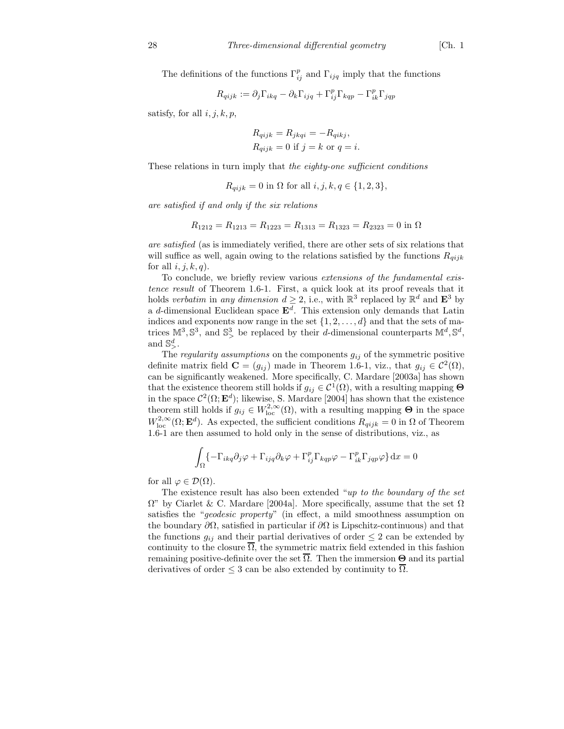The definitions of the functions  $\Gamma_{ij}^p$  and  $\Gamma_{ijq}$  imply that the functions

$$
R_{qijk} := \partial_j \Gamma_{ikq} - \partial_k \Gamma_{ijq} + \Gamma_{ij}^p \Gamma_{kqp} - \Gamma_{ik}^p \Gamma_{jqp}
$$

satisfy, for all  $i, j, k, p$ ,

$$
R_{qijk} = R_{jkqi} = -R_{qikj},
$$
  
\n
$$
R_{qijk} = 0
$$
 if  $j = k$  or  $q = i$ .

These relations in turn imply that the eighty-one sufficient conditions

$$
R_{qijk} = 0
$$
 in  $\Omega$  for all  $i, j, k, q \in \{1, 2, 3\},\$ 

are satisfied if and only if the six relations

$$
R_{1212} = R_{1213} = R_{1223} = R_{1313} = R_{1323} = R_{2323} = 0
$$
in  $\Omega$ 

are satisfied (as is immediately verified, there are other sets of six relations that will suffice as well, again owing to the relations satisfied by the functions  $R_{qijk}$ for all  $i, j, k, q$ .

To conclude, we briefly review various extensions of the fundamental existence result of Theorem 1.6-1. First, a quick look at its proof reveals that it holds verbatim in any dimension  $d \geq 2$ , i.e., with  $\mathbb{R}^3$  replaced by  $\mathbb{R}^d$  and  $\mathbf{E}^3$  by a d-dimensional Euclidean space  $\mathbf{E}^{d}$ . This extension only demands that Latin indices and exponents now range in the set  $\{1, 2, \ldots, d\}$  and that the sets of matrices  $\mathbb{M}^3$ ,  $\mathbb{S}^3$ , and  $\mathbb{S}^3$ , be replaced by their *d*-dimensional counterparts  $\mathbb{M}^d$ ,  $\mathbb{S}^d$ , and  $\mathbb{S}^d_{>}$ .

The regularity assumptions on the components  $g_{ij}$  of the symmetric positive definite matrix field  $\mathbf{C} = (g_{ij})$  made in Theorem 1.6-1, viz., that  $g_{ij} \in C^2(\Omega)$ , can be significantly weakened. More specifically, C. Mardare [2003a] has shown that the existence theorem still holds if  $g_{ij} \in C^1(\Omega)$ , with a resulting mapping  $\Theta$ in the space  $\mathcal{C}^2(\Omega; \mathbf{E}^d)$ ; likewise, S. Mardare [2004] has shown that the existence theorem still holds if  $g_{ij} \in W^{2,\infty}_{loc}(\Omega)$ , with a resulting mapping  $\Theta$  in the space  $W^{2,\infty}_{\text{loc}}(\Omega; \mathbf{E}^d)$ . As expected, the sufficient conditions  $R_{qijk} = 0$  in  $\Omega$  of Theorem 1.6-1 are then assumed to hold only in the sense of distributions, viz., as

$$
\int_{\Omega} \left\{ -\Gamma_{ikq} \partial_j \varphi + \Gamma_{ijq} \partial_k \varphi + \Gamma_{ij}^p \Gamma_{kqp} \varphi - \Gamma_{ik}^p \Gamma_{jqp} \varphi \right\} dx = 0
$$

for all  $\varphi \in \mathcal{D}(\Omega)$ .

The existence result has also been extended "up to the boundary of the set  $\Omega$ " by Ciarlet & C. Mardare [2004a]. More specifically, assume that the set  $\Omega$ satisfies the "geodesic property" (in effect, a mild smoothness assumption on the boundary  $\partial\Omega$ , satisfied in particular if  $\partial\Omega$  is Lipschitz-continuous) and that the functions  $g_{ij}$  and their partial derivatives of order  $\leq 2$  can be extended by continuity to the closure  $\overline{\Omega}$ , the symmetric matrix field extended in this fashion remaining positive-definite over the set  $\overline{\Omega}$ . Then the immersion **Θ** and its partial derivatives of order  $\leq$  3 can be also extended by continuity to  $\overline{\Omega}$ .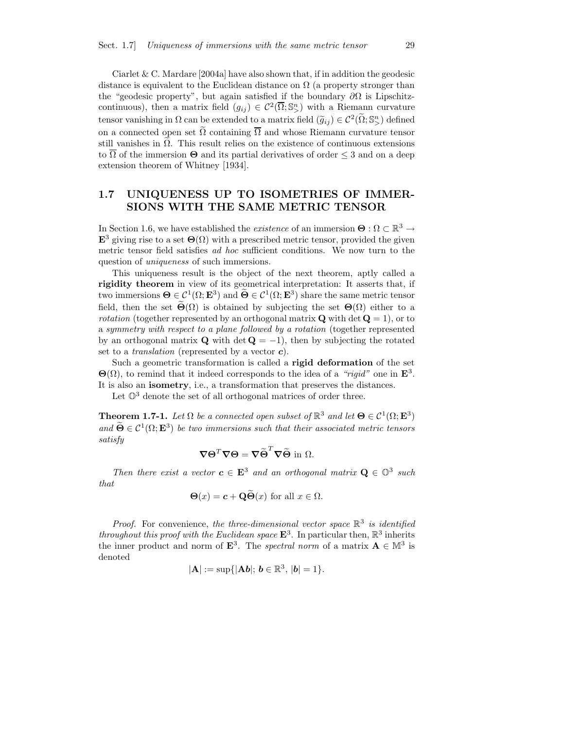Ciarlet  $&$  C. Mardare [2004a] have also shown that, if in addition the geodesic distance is equivalent to the Euclidean distance on  $\Omega$  (a property stronger than the "geodesic property", but again satisfied if the boundary  $\partial\Omega$  is Lipschitzcontinuous), then a matrix field  $(g_{ij}) \in C^2(\overline{\Omega}; \mathbb{S}^n)$  with a Riemann curvature tensor vanishing in  $\Omega$  can be extended to a matrix field  $(\widetilde{g}_{ij}) \in C^2(\widetilde{\Omega}; \mathbb{S}^n)$  defined on a connected open set  $\tilde{\Omega}$  containing  $\overline{\Omega}$  and whose Riemann curvature tensor still vanishes in  $\Omega$ . This result relies on the existence of continuous extensions to  $\overline{\Omega}$  of the immersion  $\Theta$  and its partial derivatives of order  $\leq$  3 and on a deep extension theorem of Whitney [1934].

#### 1.7 UNIQUENESS UP TO ISOMETRIES OF IMMER-SIONS WITH THE SAME METRIC TENSOR

In Section 1.6, we have established the *existence* of an immersion  $\Theta : \Omega \subset \mathbb{R}^3 \to$  $\mathbf{E}^3$  giving rise to a set  $\Theta(\Omega)$  with a prescribed metric tensor, provided the given metric tensor field satisfies ad hoc sufficient conditions. We now turn to the question of uniqueness of such immersions.

This uniqueness result is the object of the next theorem, aptly called a rigidity theorem in view of its geometrical interpretation: It asserts that, if two immersions  $\Theta \in \mathcal{C}^1(\Omega; \mathbf{E}^3)$  and  $\Theta \in \mathcal{C}^1(\Omega; \mathbf{E}^3)$  share the same metric tensor field, then the set  $\Theta(\Omega)$  is obtained by subjecting the set  $\Theta(\Omega)$  either to a *rotation* (together represented by an orthogonal matrix  $Q$  with det  $Q = 1$ ), or to a symmetry with respect to a plane followed by a rotation (together represented by an orthogonal matrix **Q** with det  $Q = -1$ , then by subjecting the rotated set to a *translation* (represented by a vector  $c$ ).

Such a geometric transformation is called a rigid deformation of the set  $\Theta(\Omega)$ , to remind that it indeed corresponds to the idea of a "rigid" one in  $\mathbf{E}^3$ . It is also an isometry, i.e., a transformation that preserves the distances.

Let  $\mathbb{O}^3$  denote the set of all orthogonal matrices of order three.

**Theorem 1.7-1.** Let  $\Omega$  be a connected open subset of  $\mathbb{R}^3$  and let  $\Theta \in C^1(\Omega; \mathbf{E}^3)$ and  $\Theta \in \mathcal{C}^1(\Omega; \mathbf{E}^3)$  be two immersions such that their associated metric tensors satisfy

$$
\nabla \Theta^T \nabla \Theta = \nabla \widetilde{\Theta}^T \nabla \widetilde{\Theta} \text{ in } \Omega.
$$

Then there exist a vector  $\mathbf{c} \in \mathbf{E}^3$  and an orthogonal matrix  $\mathbf{Q} \in \mathbb{O}^3$  such that

$$
\Theta(x) = \mathbf{c} + \mathbf{Q}\Theta(x)
$$
 for all  $x \in \Omega$ .

*Proof.* For convenience, the three-dimensional vector space  $\mathbb{R}^3$  is identified throughout this proof with the Euclidean space  $\mathbf{E}^3$ . In particular then,  $\mathbb{R}^3$  inherits the inner product and norm of  $\mathbf{E}^3$ . The spectral norm of a matrix  $\mathbf{A} \in \mathbb{M}^3$  is denoted

$$
|\mathbf{A}|:=\sup\{|\mathbf{A}\mathbf{b}|; \, \mathbf{b}\in\mathbb{R}^3, \, |\mathbf{b}|=1\}.
$$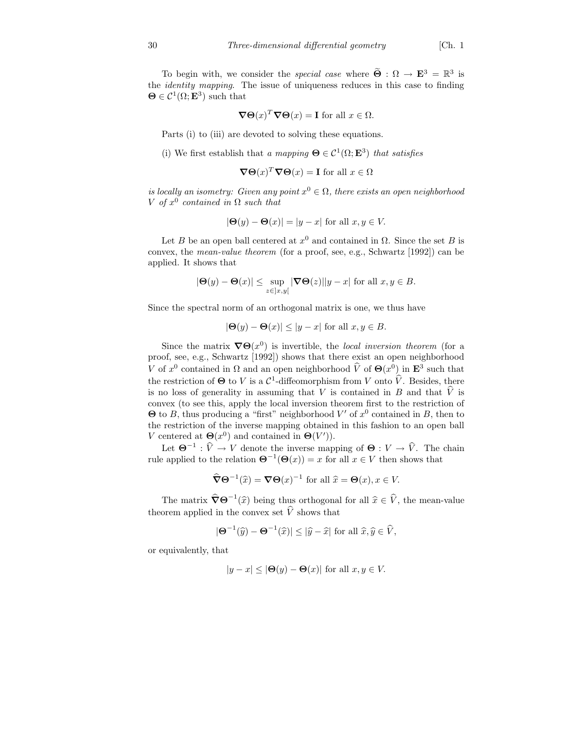To begin with, we consider the *special case* where  $\widetilde{\Theta} : \Omega \to \mathbf{E}^3 = \mathbb{R}^3$  is the identity mapping. The issue of uniqueness reduces in this case to finding  $\mathbf{\Theta} \in \mathcal{C}^1(\Omega; \mathbf{E}^3)$  such that

$$
\nabla \Theta(x)^T \nabla \Theta(x) = \mathbf{I} \text{ for all } x \in \Omega.
$$

Parts (i) to (iii) are devoted to solving these equations.

(i) We first establish that a mapping  $\mathbf{\Theta} \in \mathcal{C}^1(\Omega; \mathbf{E}^3)$  that satisfies

$$
\nabla \Theta(x)^T \nabla \Theta(x) = \mathbf{I} \text{ for all } x \in \Omega
$$

is locally an isometry: Given any point  $x^0 \in \Omega$ , there exists an open neighborhood V of  $x^0$  contained in  $\Omega$  such that

$$
|\Theta(y) - \Theta(x)| = |y - x| \text{ for all } x, y \in V.
$$

Let B be an open ball centered at  $x^0$  and contained in  $\Omega$ . Since the set B is convex, the mean-value theorem (for a proof, see, e.g., Schwartz [1992]) can be applied. It shows that

$$
|\mathbf{\Theta}(y) - \mathbf{\Theta}(x)| \le \sup_{z \in ]x, y[} |\nabla \mathbf{\Theta}(z)||y - x| \text{ for all } x, y \in B.
$$

Since the spectral norm of an orthogonal matrix is one, we thus have

$$
|\Theta(y) - \Theta(x)| \le |y - x| \text{ for all } x, y \in B.
$$

Since the matrix  $\nabla \Theta(x^0)$  is invertible, the local inversion theorem (for a proof, see, e.g., Schwartz [1992]) shows that there exist an open neighborhood V of  $x^0$  contained in  $\Omega$  and an open neighborhood  $\hat{V}$  of  $\Theta(x^0)$  in  $\mathbf{E}^3$  such that the restriction of  $\Theta$  to V is a  $\mathcal{C}^1$ -diffeomorphism from V onto  $\hat{V}$ . Besides, there is no loss of generality in assuming that V is contained in B and that  $\hat{V}$  is convex (to see this, apply the local inversion theorem first to the restriction of  $\Theta$  to B, thus producing a "first" neighborhood V' of  $x^0$  contained in B, then to the restriction of the inverse mapping obtained in this fashion to an open ball V centered at  $\Theta(x^0)$  and contained in  $\Theta(V')$ .

Let  $\Theta^{-1} : \widehat{V} \to V$  denote the inverse mapping of  $\Theta : V \to \widehat{V}$ . The chain rule applied to the relation  $\mathbf{\Theta}^{-1}(\mathbf{\Theta}(x)) = x$  for all  $x \in V$  then shows that

$$
\widehat{\nabla} \Theta^{-1}(\widehat{x}) = \nabla \Theta(x)^{-1} \text{ for all } \widehat{x} = \Theta(x), x \in V.
$$

The matrix  $\widehat{\nabla} \Theta^{-1}(\widehat{x})$  being thus orthogonal for all  $\widehat{x} \in \widehat{V}$ , the mean-value theorem applied in the convex set  $\hat{V}$  shows that

$$
|\mathbf{\Theta}^{-1}(\widehat{y}) - \mathbf{\Theta}^{-1}(\widehat{x})| \le |\widehat{y} - \widehat{x}| \text{ for all } \widehat{x}, \widehat{y} \in \widehat{V},
$$

or equivalently, that

$$
|y - x| \le |\Theta(y) - \Theta(x)| \text{ for all } x, y \in V.
$$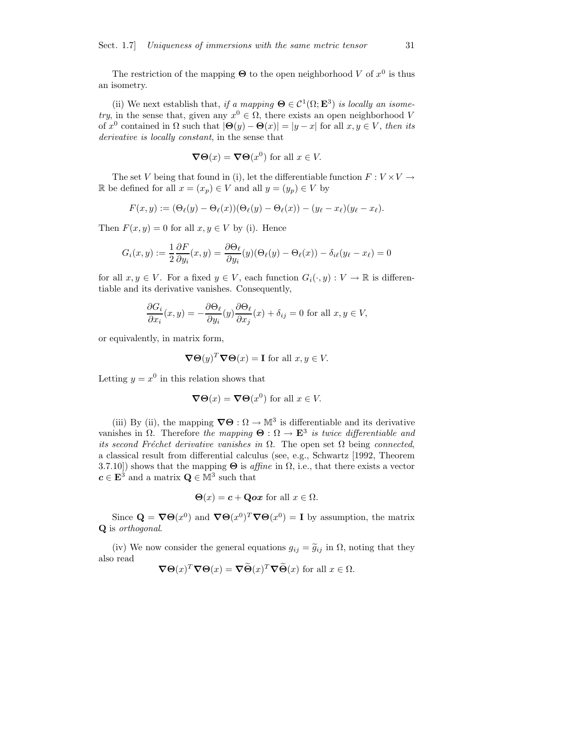The restriction of the mapping  $\Theta$  to the open neighborhood V of  $x^0$  is thus an isometry.

(ii) We next establish that, if a mapping  $\mathbf{\Theta} \in \mathcal{C}^1(\Omega; \mathbf{E}^3)$  is locally an isometry, in the sense that, given any  $x^0 \in \Omega$ , there exists an open neighborhood V of  $x^0$  contained in  $\Omega$  such that  $|\Theta(y) - \Theta(x)| = |y - x|$  for all  $x, y \in V$ , then its derivative is locally constant, in the sense that

$$
\nabla \Theta(x) = \nabla \Theta(x^0) \text{ for all } x \in V.
$$

The set V being that found in (i), let the differentiable function  $F: V \times V \rightarrow$ R be defined for all  $x = (x_p) \in V$  and all  $y = (y_p) \in V$  by

$$
F(x,y):=(\Theta_{\ell}(y)-\Theta_{\ell}(x))(\Theta_{\ell}(y)-\Theta_{\ell}(x))-(y_{\ell}-x_{\ell})(y_{\ell}-x_{\ell}).
$$

Then  $F(x, y) = 0$  for all  $x, y \in V$  by (i). Hence

$$
G_i(x,y) := \frac{1}{2} \frac{\partial F}{\partial y_i}(x,y) = \frac{\partial \Theta_\ell}{\partial y_i}(y)(\Theta_\ell(y) - \Theta_\ell(x)) - \delta_{i\ell}(y_\ell - x_\ell) = 0
$$

for all  $x, y \in V$ . For a fixed  $y \in V$ , each function  $G_i(\cdot, y) : V \to \mathbb{R}$  is differentiable and its derivative vanishes. Consequently,

$$
\frac{\partial G_i}{\partial x_i}(x,y) = -\frac{\partial \Theta_\ell}{\partial y_i}(y)\frac{\partial \Theta_\ell}{\partial x_j}(x) + \delta_{ij} = 0 \text{ for all } x, y \in V,
$$

or equivalently, in matrix form,

$$
\nabla \Theta(y)^T \nabla \Theta(x) = \mathbf{I} \text{ for all } x, y \in V.
$$

Letting  $y = x^0$  in this relation shows that

$$
\nabla \Theta(x) = \nabla \Theta(x^0) \text{ for all } x \in V.
$$

(iii) By (ii), the mapping  $\nabla\Theta : \Omega \to \mathbb{M}^3$  is differentiable and its derivative vanishes in  $\Omega$ . Therefore the mapping  $\Theta : \Omega \to \mathbf{E}^3$  is twice differentiable and its second Fréchet derivative vanishes in  $\Omega$ . The open set  $\Omega$  being connected, a classical result from differential calculus (see, e.g., Schwartz [1992, Theorem 3.7.10]) shows that the mapping  $\Theta$  is *affine* in  $\Omega$ , i.e., that there exists a vector  $c \in \mathbf{E}^3$  and a matrix  $\mathbf{Q} \in \mathbb{M}^3$  such that

$$
\Theta(x) = \mathbf{c} + \mathbf{Q}\mathbf{o}x \text{ for all } x \in \Omega.
$$

Since  $\mathbf{Q} = \nabla \Theta(x^0)$  and  $\nabla \Theta(x^0)^\text{T} \nabla \Theta(x^0) = \mathbf{I}$  by assumption, the matrix Q is orthogonal.

(iv) We now consider the general equations  $g_{ij} = \tilde{g}_{ij}$  in  $\Omega$ , noting that they also read

$$
\nabla \Theta(x)^T \nabla \Theta(x) = \nabla \widetilde{\Theta}(x)^T \nabla \widetilde{\Theta}(x)
$$
 for all  $x \in \Omega$ .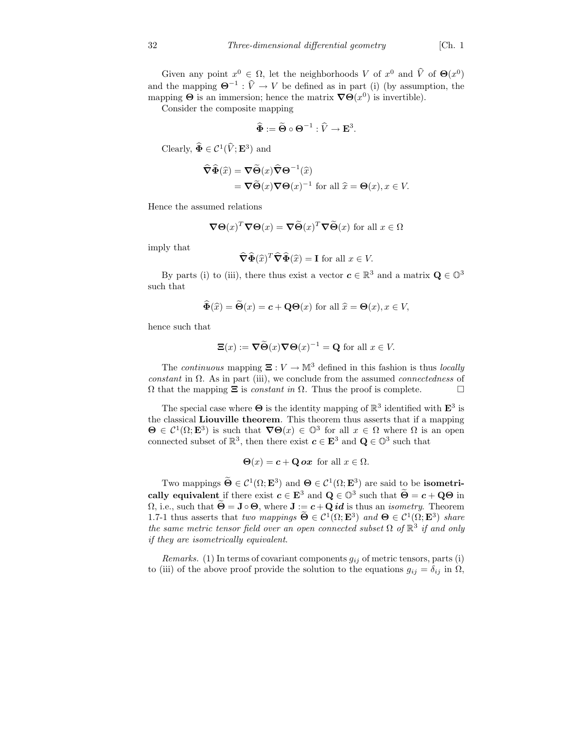Given any point  $x^0 \in \Omega$ , let the neighborhoods V of  $x^0$  and  $\hat{V}$  of  $\Theta(x^0)$ and the mapping  $\mathbf{\Theta}^{-1} : \widehat{V} \to V$  be defined as in part (i) (by assumption, the mapping  $\Theta$  is an immersion; hence the matrix  $\nabla \Theta(x^0)$  is invertible).

Consider the composite mapping

$$
\widehat{\Phi} := \widetilde{\Theta} \circ \Theta^{-1} : \widehat{V} \to \mathbf{E}^3.
$$

Clearly,  $\widehat{\Phi} \in \mathcal{C}^1(\widehat{V}; \mathbf{E}^3)$  and

$$
\widehat{\nabla}\widehat{\Phi}(\widehat{x}) = \nabla\widetilde{\Theta}(x)\widehat{\nabla}\Theta^{-1}(\widehat{x})
$$
  
= 
$$
\nabla\widetilde{\Theta}(x)\nabla\Theta(x)^{-1} \text{ for all } \widehat{x} = \Theta(x), x \in V.
$$

Hence the assumed relations

$$
\nabla \Theta(x)^T \nabla \Theta(x) = \nabla \widetilde{\Theta}(x)^T \nabla \widetilde{\Theta}(x)
$$
 for all  $x \in \Omega$ 

imply that

$$
\widehat{\nabla}\widehat{\Phi}(\widehat{x})^T \widehat{\nabla}\widehat{\Phi}(\widehat{x}) = \mathbf{I} \text{ for all } x \in V.
$$

By parts (i) to (iii), there thus exist a vector  $c \in \mathbb{R}^3$  and a matrix  $\mathbf{Q} \in \mathbb{O}^3$ such that

$$
\widehat{\Phi}(\widehat{x}) = \widehat{\Theta}(x) = \mathbf{c} + \mathbf{Q}\Theta(x) \text{ for all } \widehat{x} = \Theta(x), x \in V,
$$

hence such that

$$
\Xi(x) := \nabla \widetilde{\Theta}(x) \nabla \Theta(x)^{-1} = \mathbf{Q} \text{ for all } x \in V.
$$

The *continuous* mapping  $\Xi: V \to \mathbb{M}^3$  defined in this fashion is thus *locally* constant in  $\Omega$ . As in part (iii), we conclude from the assumed *connectedness* of  $Ω$  that the mapping  $\Xi$  is *constant in*  $Ω$ . Thus the proof is complete.  $\Box$ 

The special case where  $\Theta$  is the identity mapping of  $\mathbb{R}^3$  identified with  $\mathbf{E}^3$  is the classical Liouville theorem. This theorem thus asserts that if a mapping  $\Theta \in C^1(\Omega; \mathbf{E}^3)$  is such that  $\nabla \Theta(x) \in \mathbb{O}^3$  for all  $x \in \Omega$  where  $\Omega$  is an open connected subset of  $\mathbb{R}^3$ , then there exist  $c \in \mathbf{E}^3$  and  $\mathbf{Q} \in \mathbb{O}^3$  such that

$$
\Theta(x) = c + \mathbf{Q} \, \mathbf{O} x \, \text{ for all } x \in \Omega.
$$

Two mappings  $\Theta \in C^1(\Omega; \mathbf{E}^3)$  and  $\Theta \in C^1(\Omega; \mathbf{E}^3)$  are said to be **isometri**cally equivalent if there exist  $c \in \mathbf{E}^3$  and  $\mathbf{Q} \in \mathbb{O}^3$  such that  $\widetilde{\Theta} = c + \mathbf{Q}\Theta$  in  $\Omega$ , i.e., such that  $\widetilde{\Theta} = \mathbf{J} \circ \Theta$ , where  $\mathbf{J} := \mathbf{c} + \mathbf{Q} \mathbf{id}$  is thus an *isometry*. Theorem 1.7-1 thus asserts that two mappings  $\Theta \in C^1(\Omega; \mathbf{E}^3)$  and  $\Theta \in C^1(\Omega; \mathbf{E}^3)$  share the same metric tensor field over an open connected subset  $\Omega$  of  $\mathbb{R}^3$  if and only if they are isometrically equivalent.

Remarks. (1) In terms of covariant components  $g_{ij}$  of metric tensors, parts (i) to (iii) of the above proof provide the solution to the equations  $g_{ij} = \delta_{ij}$  in  $\Omega$ ,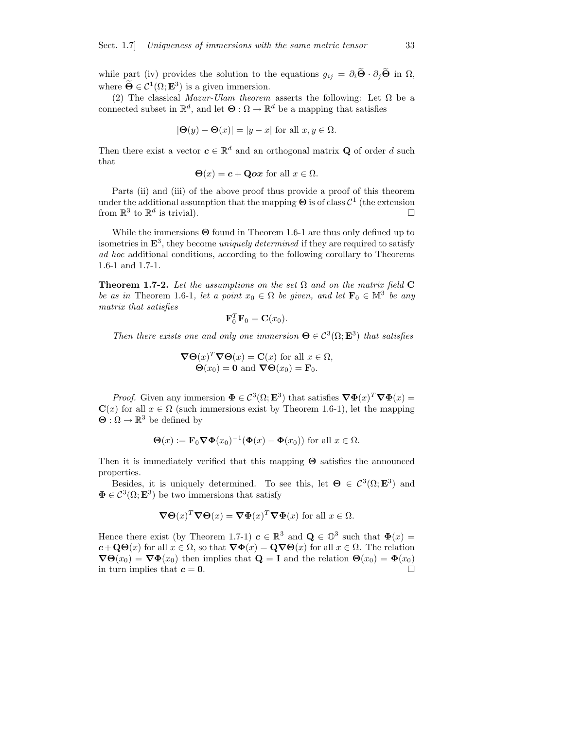while part (iv) provides the solution to the equations  $g_{ij} = \partial_i \widetilde{\Theta} \cdot \partial_j \widetilde{\Theta}$  in  $\Omega$ , where  $\mathbf{\Theta} \in \mathcal{C}^1(\Omega; \mathbf{E}^3)$  is a given immersion.

(2) The classical Mazur-Ulam theorem asserts the following: Let  $\Omega$  be a connected subset in  $\mathbb{R}^d$ , and let  $\Theta : \Omega \to \mathbb{R}^d$  be a mapping that satisfies

$$
|\Theta(y) - \Theta(x)| = |y - x| \text{ for all } x, y \in \Omega.
$$

Then there exist a vector  $c \in \mathbb{R}^d$  and an orthogonal matrix **Q** of order d such that

$$
\Theta(x) = c + \mathbf{Qox} \text{ for all } x \in \Omega.
$$

Parts (ii) and (iii) of the above proof thus provide a proof of this theorem under the additional assumption that the mapping  $\Theta$  is of class  $\mathcal{C}^1$  (the extension from  $\mathbb{R}^3$  to  $\mathbb{R}^d$  is trivial).

While the immersions  $\Theta$  found in Theorem 1.6-1 are thus only defined up to isometries in  $\mathbf{E}^3$ , they become uniquely determined if they are required to satisfy ad hoc additional conditions, according to the following corollary to Theorems 1.6-1 and 1.7-1.

**Theorem 1.7-2.** Let the assumptions on the set  $\Omega$  and on the matrix field C be as in Theorem 1.6-1, let a point  $x_0 \in \Omega$  be given, and let  $\mathbf{F}_0 \in \mathbb{M}^3$  be any matrix that satisfies

$$
\mathbf{F}_0^T \mathbf{F}_0 = \mathbf{C}(x_0).
$$

Then there exists one and only one immersion  $\Theta \in C^3(\Omega; \mathbf{E}^3)$  that satisfies

$$
\nabla \Theta(x)^T \nabla \Theta(x) = \mathbf{C}(x) \text{ for all } x \in \Omega,
$$
  
 
$$
\Theta(x_0) = \mathbf{0} \text{ and } \nabla \Theta(x_0) = \mathbf{F}_0.
$$

*Proof.* Given any immersion  $\Phi \in C^3(\Omega; \mathbf{E}^3)$  that satisfies  $\nabla \Phi(x)^T \nabla \Phi(x) =$  $C(x)$  for all  $x \in \Omega$  (such immersions exist by Theorem 1.6-1), let the mapping  $\Theta : \Omega \to \mathbb{R}^3$  be defined by

$$
\Theta(x) := \mathbf{F}_0 \nabla \Phi(x_0)^{-1} (\Phi(x) - \Phi(x_0))
$$
 for all  $x \in \Omega$ .

Then it is immediately verified that this mapping  $\Theta$  satisfies the announced properties.

Besides, it is uniquely determined. To see this, let  $\mathbf{\Theta} \in C^3(\Omega; \mathbf{E}^3)$  and  $\mathbf{\Phi} \in \mathcal{C}^3(\Omega; \mathbf{E}^3)$  be two immersions that satisfy

$$
\nabla \Theta(x)^T \nabla \Theta(x) = \nabla \Phi(x)^T \nabla \Phi(x)
$$
 for all  $x \in \Omega$ .

Hence there exist (by Theorem 1.7-1)  $c \in \mathbb{R}^3$  and  $Q \in \mathbb{O}^3$  such that  $\Phi(x) =$  $c+\mathbf{Q}\Theta(x)$  for all  $x\in\Omega$ , so that  $\nabla\Phi(x)=\mathbf{Q}\nabla\Theta(x)$  for all  $x\in\Omega$ . The relation  $\nabla\Theta(x_0) = \nabla\Phi(x_0)$  then implies that  $\mathbf{Q} = \mathbf{I}$  and the relation  $\Theta(x_0) = \Phi(x_0)$ in turn implies that  $c = 0$ .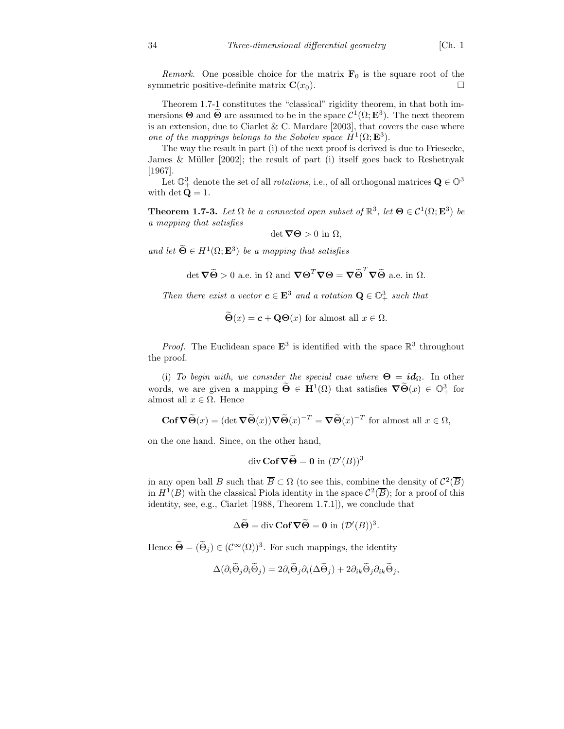Remark. One possible choice for the matrix  $\mathbf{F}_0$  is the square root of the symmetric positive-definite matrix  $\mathbf{C}(x_0)$ .

Theorem 1.7-1 constitutes the "classical" rigidity theorem, in that both immersions  $\Theta$  and  $\Theta$  are assumed to be in the space  $\mathcal{C}^1(\Omega; \mathbf{E}^3)$ . The next theorem is an extension, due to Ciarlet & C. Mardare  $[2003]$ , that covers the case where one of the mappings belongs to the Sobolev space  $H^1(\Omega; \mathbf{E}^3)$ .

The way the result in part (i) of the next proof is derived is due to Friesecke, James & Müller  $[2002]$ ; the result of part (i) itself goes back to Reshetnyak [1967].

Let  $\mathbb{O}^3_+$  denote the set of all *rotations*, i.e., of all orthogonal matrices  $\mathbf{Q} \in \mathbb{O}^3$ with det  $\mathbf{Q} = 1$ .

**Theorem 1.7-3.** Let  $\Omega$  be a connected open subset of  $\mathbb{R}^3$ , let  $\Theta \in C^1(\Omega; \mathbf{E}^3)$  be a mapping that satisfies

$$
\det \mathbf{\nabla} \Theta > 0 \text{ in } \Omega,
$$

and let  $\widetilde{\Theta} \in H^1(\Omega; \mathbf{E}^3)$  be a mapping that satisfies

$$
\det \nabla \widetilde{\Theta} > 0 \text{ a.e. in } \Omega \text{ and } \nabla \Theta^T \nabla \Theta = \nabla \widetilde{\Theta}^T \nabla \widetilde{\Theta} \text{ a.e. in } \Omega.
$$

Then there exist a vector  $c \in \mathbf{E}^3$  and a rotation  $\mathbf{Q} \in \mathbb{O}^3_+$  such that

 $\widetilde{\Theta}(x) = c + \mathbf{Q}\Theta(x)$  for almost all  $x \in \Omega$ .

*Proof.* The Euclidean space  $\mathbf{E}^3$  is identified with the space  $\mathbb{R}^3$  throughout the proof.

(i) To begin with, we consider the special case where  $\Theta = id_{\Omega}$ . In other words, we are given a mapping  $\widetilde{\Theta} \in H^1(\Omega)$  that satisfies  $\nabla \widetilde{\Theta}(x) \in \mathbb{O}^3_+$  for almost all  $x \in \Omega$ . Hence

$$
\mathbf{Cof}\,\nabla\widetilde{\Theta}(x) = (\det \nabla \widetilde{\Theta}(x))\nabla \widetilde{\Theta}(x)^{-T} = \nabla \widetilde{\Theta}(x)^{-T} \text{ for almost all } x \in \Omega,
$$

on the one hand. Since, on the other hand,

$$
\operatorname{div }\mathbf{Cof}\nabla \widetilde{\Theta} = \mathbf{0} \text{ in } (\mathcal{D}'(B))^3
$$

in any open ball B such that  $\overline{B} \subset \Omega$  (to see this, combine the density of  $\mathcal{C}^2(\overline{B})$ in  $H^1(B)$  with the classical Piola identity in the space  $\mathcal{C}^2(\overline{B})$ ; for a proof of this identity, see, e.g., Ciarlet [1988, Theorem 1.7.1]), we conclude that

$$
\Delta \widetilde{\Theta} = \operatorname{div} \mathbf{Cof} \nabla \widetilde{\Theta} = \mathbf{0} \text{ in } (\mathcal{D}'(B))^3.
$$

Hence  $\hat{\Theta} = (\hat{\Theta}_j) \in (\mathcal{C}^{\infty}(\Omega))^3$ . For such mappings, the identity

$$
\Delta(\partial_i \widetilde{\Theta}_j \partial_i \widetilde{\Theta}_j) = 2 \partial_i \widetilde{\Theta}_j \partial_i (\Delta \widetilde{\Theta}_j) + 2 \partial_{ik} \widetilde{\Theta}_j \partial_{ik} \widetilde{\Theta}_j,
$$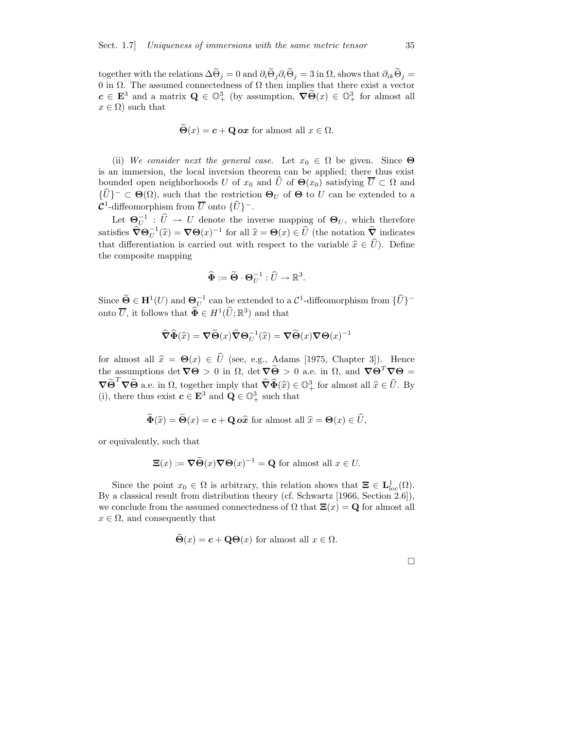together with the relations  $\Delta \Theta_i = 0$  and  $\partial_i \Theta_i \partial_i \Theta_j = 3$  in  $\Omega$ , shows that  $\partial_{ik} \Theta_j =$ 0 in  $\Omega$ . The assumed connectedness of  $\Omega$  then implies that there exist a vector  $c \in \mathbf{E}^3$  and a matrix  $\mathbf{Q} \in \mathbb{O}^3_+$  (by assumption,  $\nabla \widetilde{\Theta}(x) \in \mathbb{O}^3_+$  for almost all  $x \in \Omega$  such that

$$
\ddot{\Theta}(x) = c + \mathbf{Q} \, \mathbf{ox} \text{ for almost all } x \in \Omega.
$$

(ii) We consider next the general case. Let  $x_0 \in \Omega$  be given. Since  $\Theta$ is an immersion, the local inversion theorem can be applied; there thus exist bounded open neighborhoods U of  $x_0$  and  $\hat{U}$  of  $\Theta(x_0)$  satisfying  $\overline{U} \subset \Omega$  and  $\{U\}^- \subset \Theta(\Omega)$ , such that the restriction  $\Theta_U$  of  $\Theta$  to U can be extended to a  $\mathcal{C}^1$ -diffeomorphism from  $\overline{U}$  onto  $\{\widehat{U}\}^-$ .

Let  $\mathbf{\Theta}_{U}^{-1}$ :  $\hat{U} \to U$  denote the inverse mapping of  $\mathbf{\Theta}_{U}$ , which therefore satisfies  $\widehat{\nabla} \Theta_U^{-1}(\widehat{x}) = \nabla \Theta(x)^{-1}$  for all  $\widehat{x} = \Theta(x) \in \widehat{U}$  (the notation  $\widehat{\nabla}$  indicates that differentiation is carried out with respect to the variable  $\hat{x} \in \hat{U}$ ). Define the composite mapping

$$
\widehat{\mathbf{\Phi}} := \widetilde{\mathbf{\Theta}} \cdot \mathbf{\Theta}_U^{-1} : \widehat{U} \to \mathbb{R}^3.
$$

Since  $\widetilde{\Theta} \in \mathbf{H}^1(U)$  and  $\Theta_U^{-1}$  can be extended to a  $\mathcal{C}^1$ -diffeomorphism from  $\{\widehat{U}\}^$ onto  $\overline{U}$ , it follows that  $\widehat{\Phi} \in H^1(\widehat{U}; \mathbb{R}^3)$  and that

$$
\widehat{\nabla}\widehat{\Phi}(\widehat{x}) = \nabla\widetilde{\Theta}(x)\widehat{\nabla}\Theta_U^{-1}(\widehat{x}) = \nabla\widetilde{\Theta}(x)\nabla\Theta(x)^{-1}
$$

for almost all  $\hat{x} = \Theta(x) \in \hat{U}$  (see, e.g., Adams [1975, Chapter 3]). Hence the assumptions det  $\nabla\Theta > 0$  in  $\Omega$ , det  $\nabla\widetilde{\Theta} > 0$  a.e. in  $\Omega$ , and  $\nabla\Theta^T\nabla\Theta =$  $\nabla \widetilde{\Theta}^T \nabla \widetilde{\Theta}$  a.e. in  $\Omega$ , together imply that  $\widehat{\nabla} \widehat{\Phi}(\widehat{x}) \in \mathbb{O}^3_+$  for almost all  $\widehat{x} \in \widehat{U}$ . By (i), there thus exist  $c \in \mathbf{E}^3$  and  $\mathbf{Q} \in \mathbb{O}^3_+$  such that

$$
\widehat{\Phi}(\widehat{x}) = \widehat{\Theta}(x) = \mathbf{c} + \mathbf{Q} \, \mathbf{o} \widehat{x} \text{ for almost all } \widehat{x} = \Theta(x) \in \widehat{U},
$$

or equivalently, such that

$$
\Xi(x) := \nabla \widetilde{\Theta}(x) \nabla \Theta(x)^{-1} = \mathbf{Q} \text{ for almost all } x \in U.
$$

Since the point  $x_0 \in \Omega$  is arbitrary, this relation shows that  $\Xi \in L^1_{loc}(\Omega)$ . By a classical result from distribution theory (cf. Schwartz [1966, Section 2.6]), we conclude from the assumed connectedness of  $\Omega$  that  $\Xi(x) = \mathbf{Q}$  for almost all  $x \in \Omega$ , and consequently that

$$
\tilde{\Theta}(x) = c + \mathbf{Q}\Theta(x)
$$
 for almost all  $x \in \Omega$ .

 $\Box$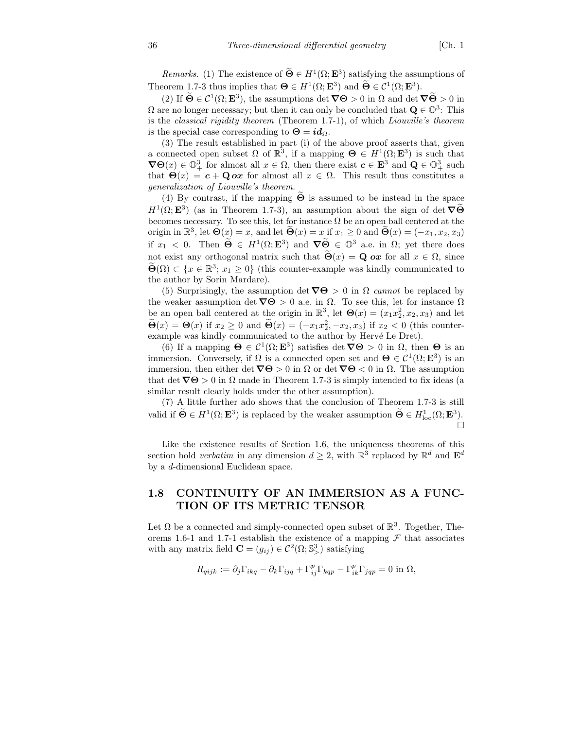*Remarks.* (1) The existence of  $\Theta \in H^1(\Omega; \mathbf{E}^3)$  satisfying the assumptions of Theorem 1.7-3 thus implies that  $\Theta \in H^1(\Omega; \mathbf{E}^3)$  and  $\Theta \in C^1(\Omega; \mathbf{E}^3)$ .

(2) If  $\widetilde{\Theta} \in \mathcal{C}^1(\Omega; \mathbf{E}^3)$ , the assumptions det  $\nabla \Theta > 0$  in  $\Omega$  and det  $\nabla \widetilde{\Theta} > 0$  in  $\Omega$  are no longer necessary; but then it can only be concluded that  $\mathbf{Q} \in \mathbb{O}^3$ : This is the classical rigidity theorem (Theorem 1.7-1), of which Liouville's theorem is the special case corresponding to  $\Theta = id_{\Omega}$ .

(3) The result established in part (i) of the above proof asserts that, given a connected open subset  $\Omega$  of  $\mathbb{R}^3$ , if a mapping  $\Theta \in H^1(\Omega; \mathbf{E}^3)$  is such that  $\nabla\Theta(x) \in \mathbb{O}^3_+$  for almost all  $x \in \Omega$ , then there exist  $c \in \mathbf{E}^3$  and  $\mathbf{Q} \in \mathbb{O}^3_+$  such that  $\Theta(x) = c + \mathbf{Q} \alpha x$  for almost all  $x \in \Omega$ . This result thus constitutes a generalization of Liouville's theorem.

(4) By contrast, if the mapping  $\tilde{\Theta}$  is assumed to be instead in the space  $H^1(\Omega; \mathbf{E}^3)$  (as in Theorem 1.7-3), an assumption about the sign of det  $\nabla \widetilde{\Theta}$ becomes necessary. To see this, let for instance  $\Omega$  be an open ball centered at the origin in  $\mathbb{R}^3$ , let  $\Theta(x) = x$ , and let  $\widetilde{\Theta}(x) = x$  if  $x_1 \ge 0$  and  $\widetilde{\Theta}(x) = (-x_1, x_2, x_3)$ if  $x_1 < 0$ . Then  $\widetilde{\Theta} \in H^1(\Omega; \mathbf{E}^3)$  and  $\nabla \widetilde{\Theta} \in \mathbb{O}^3$  a.e. in  $\Omega$ ; yet there does not exist any orthogonal matrix such that  $\Theta(x) = \mathbf{Q}$  ox for all  $x \in \Omega$ , since  $\widetilde{\Theta}(\Omega) \subset \{x \in \mathbb{R}^3; x_1 \geq 0\}$  (this counter-example was kindly communicated to the author by Sorin Mardare).

(5) Surprisingly, the assumption det  $\nabla\Theta > 0$  in  $\Omega$  cannot be replaced by the weaker assumption det  $\nabla \Theta > 0$  a.e. in  $\Omega$ . To see this, let for instance  $\Omega$ be an open ball centered at the origin in  $\mathbb{R}^3$ , let  $\Theta(x) = (x_1 x_2^2, x_2, x_3)$  and let  $\widetilde{\Theta}(x) = \Theta(x)$  if  $x_2 \ge 0$  and  $\widetilde{\Theta}(x) = (-x_1x_2^2, -x_2, x_3)$  if  $x_2 < 0$  (this counterexample was kindly communicated to the author by Hervé Le Dret).

(6) If a mapping  $\mathbf{\Theta} \in \mathcal{C}^1(\Omega; \mathbf{E}^3)$  satisfies det  $\nabla \mathbf{\Theta} > 0$  in  $\Omega$ , then  $\mathbf{\Theta}$  is an immersion. Conversely, if  $\Omega$  is a connected open set and  $\Theta \in C^1(\Omega; \mathbf{E}^3)$  is an immersion, then either det  $\nabla\Theta > 0$  in  $\Omega$  or det  $\nabla\Theta < 0$  in  $\Omega$ . The assumption that det  $\nabla\Theta > 0$  in  $\Omega$  made in Theorem 1.7-3 is simply intended to fix ideas (a similar result clearly holds under the other assumption).

(7) A little further ado shows that the conclusion of Theorem 1.7-3 is still valid if  $\mathbf{\Theta} \in H^1(\Omega; \mathbf{E}^3)$  is replaced by the weaker assumption  $\mathbf{\Theta} \in H^1_{loc}(\Omega; \mathbf{E}^3)$ .  $\Box$ 

Like the existence results of Section 1.6, the uniqueness theorems of this section hold *verbatim* in any dimension  $d \geq 2$ , with  $\mathbb{R}^3$  replaced by  $\mathbb{R}^d$  and  $\mathbf{E}^d$ by a d-dimensional Euclidean space.

## 1.8 CONTINUITY OF AN IMMERSION AS A FUNC-TION OF ITS METRIC TENSOR

Let  $\Omega$  be a connected and simply-connected open subset of  $\mathbb{R}^3$ . Together, Theorems 1.6-1 and 1.7-1 establish the existence of a mapping  $\mathcal F$  that associates with any matrix field  $\mathbf{C} = (g_{ij}) \in \mathcal{C}^2(\Omega; \mathbb{S}^3)$  satisfying

$$
R_{qijk} := \partial_j \Gamma_{ikq} - \partial_k \Gamma_{ijq} + \Gamma_{ij}^p \Gamma_{kqp} - \Gamma_{ik}^p \Gamma_{jqp} = 0 \text{ in } \Omega,
$$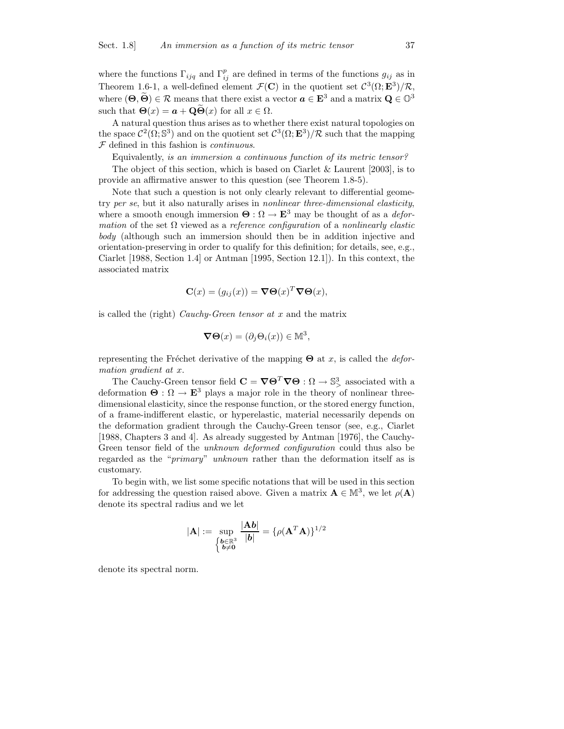where the functions  $\Gamma_{ijq}$  and  $\Gamma_{ij}^p$  are defined in terms of the functions  $g_{ij}$  as in Theorem 1.6-1, a well-defined element  $\mathcal{F}(\mathbf{C})$  in the quotient set  $\mathcal{C}^3(\Omega; \mathbf{E}^3)/\mathcal{R}$ , where  $(\Theta, \widetilde{\Theta}) \in \mathcal{R}$  means that there exist a vector  $\mathbf{a} \in \mathbf{E}^3$  and a matrix  $\mathbf{Q} \in \mathbb{O}^3$ such that  $\Theta(x) = a + \mathbf{Q}\widetilde{\Theta}(x)$  for all  $x \in \Omega$ .

A natural question thus arises as to whether there exist natural topologies on the space  $\mathcal{C}^2(\Omega; \mathbb{S}^3)$  and on the quotient set  $\mathcal{C}^3(\Omega; \mathbf{E}^3)/\mathcal{R}$  such that the mapping  $F$  defined in this fashion is *continuous*.

Equivalently, is an immersion a continuous function of its metric tensor?

The object of this section, which is based on Ciarlet  $&$  Laurent [2003], is to provide an affirmative answer to this question (see Theorem 1.8-5).

Note that such a question is not only clearly relevant to differential geometry per se, but it also naturally arises in nonlinear three-dimensional elasticity, where a smooth enough immersion  $\Theta : \Omega \to \mathbf{E}^3$  may be thought of as a *defor*mation of the set  $\Omega$  viewed as a reference configuration of a nonlinearly elastic body (although such an immersion should then be in addition injective and orientation-preserving in order to qualify for this definition; for details, see, e.g., Ciarlet [1988, Section 1.4] or Antman [1995, Section 12.1]). In this context, the associated matrix

$$
\mathbf{C}(x) = (g_{ij}(x)) = \nabla \Theta(x)^T \nabla \Theta(x),
$$

is called the (right) Cauchy-Green tensor at  $x$  and the matrix

$$
\nabla \Theta(x) = (\partial_j \Theta_i(x)) \in \mathbb{M}^3,
$$

representing the Fréchet derivative of the mapping  $\Theta$  at x, is called the *defor*mation gradient at x.

The Cauchy-Green tensor field  $\mathbf{C} = \nabla \Theta^T \nabla \Theta : \Omega \to \mathbb{S}^3$  associated with a deformation  $\Theta : \Omega \to \mathbb{E}^3$  plays a major role in the theory of nonlinear threedimensional elasticity, since the response function, or the stored energy function, of a frame-indifferent elastic, or hyperelastic, material necessarily depends on the deformation gradient through the Cauchy-Green tensor (see, e.g., Ciarlet [1988, Chapters 3 and 4]. As already suggested by Antman [1976], the Cauchy-Green tensor field of the unknown deformed configuration could thus also be regarded as the "primary" unknown rather than the deformation itself as is customary.

To begin with, we list some specific notations that will be used in this section for addressing the question raised above. Given a matrix  $\mathbf{A} \in \mathbb{M}^3$ , we let  $\rho(\mathbf{A})$ denote its spectral radius and we let

$$
|\mathbf{A}| := \sup_{\begin{cases} \mathbf{b} \in \mathbb{R}^3 \\ \mathbf{b} \neq \mathbf{0} \end{cases}} \frac{|\mathbf{A}\mathbf{b}|}{|\mathbf{b}|} = {\rho(\mathbf{A}^T\mathbf{A})}\}^{1/2}
$$

denote its spectral norm.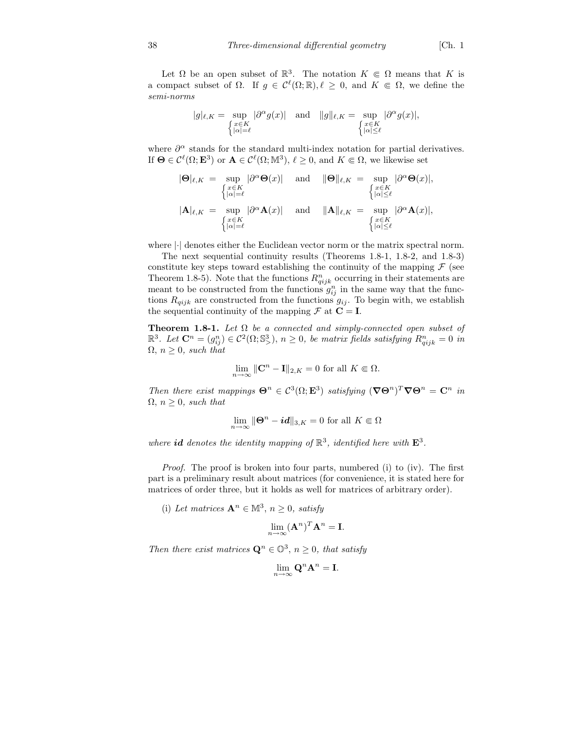Let  $\Omega$  be an open subset of  $\mathbb{R}^3$ . The notation  $K \in \Omega$  means that K is a compact subset of  $\Omega$ . If  $g \in \mathcal{C}^{\ell}(\Omega;\mathbb{R}), \ell \geq 0$ , and  $K \in \Omega$ , we define the semi-norms

$$
|g|_{\ell,K} = \sup_{\substack{\left\{x \in K \atop |\alpha| = \ell\right\}}} |\partial^{\alpha} g(x)| \quad \text{and} \quad ||g||_{\ell,K} = \sup_{\substack{x \in K \atop |\alpha| \le \ell}} |\partial^{\alpha} g(x)|,
$$

where  $\partial^{\alpha}$  stands for the standard multi-index notation for partial derivatives. If  $\Theta \in \mathcal{C}^{\ell}(\Omega; \mathbf{E}^3)$  or  $\mathbf{A} \in \mathcal{C}^{\ell}(\Omega; \mathbb{M}^3), \ell \geq 0$ , and  $K \Subset \Omega$ , we likewise set

$$
|\mathbf{\Theta}|_{\ell,K} = \sup_{\begin{cases} x \in K \\ |\alpha| = \ell \end{cases}} |\partial^{\alpha} \mathbf{\Theta}(x)| \quad \text{ and } \quad \|\mathbf{\Theta}\|_{\ell,K} = \sup_{\begin{cases} x \in K \\ |\alpha| \le \ell \end{cases}} |\partial^{\alpha} \mathbf{\Theta}(x)|, \n|\mathbf{A}|_{\ell,K} = \sup_{\begin{cases} x \in K \\ |\alpha| \le \ell \end{cases}} |\partial^{\alpha} \mathbf{A}(x)| \quad \text{ and } \quad \|\mathbf{A}\|_{\ell,K} = \sup_{\begin{cases} x \in K \\ |\alpha| \le \ell \end{cases}} |\partial^{\alpha} \mathbf{A}(x)|, \n\int_{\alpha \in K} |\partial^{\alpha} \mathbf{A}(x)| d^{\alpha} \mathbf{\Theta}(x) d^{\alpha} \mathbf{\Theta}(x) d^{\alpha} \mathbf{\Theta}(x) d^{\alpha} \mathbf{\Theta}(x) d^{\alpha} \mathbf{\Theta}(x) d^{\alpha} \mathbf{\Theta}(x) d^{\alpha} \mathbf{\Theta}(x) d^{\alpha} \mathbf{\Theta}(x) d^{\alpha} \mathbf{\Theta}(x) d^{\alpha} \mathbf{\Theta}(x) d^{\alpha} \mathbf{\Theta}(x) d^{\alpha} \mathbf{\Theta}(x) d^{\alpha} \mathbf{\Theta}(x) d^{\alpha} \mathbf{\Theta}(x) d^{\alpha} \mathbf{\Theta}(x) d^{\alpha} \mathbf{\Theta}(x) d^{\alpha} \mathbf{\Theta}(x) d^{\alpha} \mathbf{\Theta}(x) d^{\alpha} \mathbf{\Theta}(x) d^{\alpha} \mathbf{\Theta}(x) d^{\alpha} \mathbf{\Theta}(x) d^{\alpha} \mathbf{\Theta}(x) d^{\alpha} \mathbf{\Theta}(x) d^{\alpha} \mathbf{\Theta}(x) d^{\alpha} \mathbf{\Theta}(x) d^{\alpha} \mathbf{\Theta}(x) d^{\alpha} \mathbf{\Theta}(x) d^{\alpha} \mathbf{\Theta}(x) d^{\alpha} \mathbf{\Theta}(x) d^{\alpha} \mathbf{\Theta}(x) d^{\alpha} \mathbf{\Theta}(x) d^{\alpha} \mathbf{\Theta}(x) d^{\alpha} \mathbf{\Theta}(x) d^{\alpha} \mathbf{\Theta}(x) d^{\alpha} \mathbf{\Theta}(x) d^{\alpha} \mathbf{\Theta}(x) d^{\alpha} \mathbf{\Theta}(x) d^{\alpha} \mathbf{\Theta}(x) d^{\alpha} \math
$$

where |·| denotes either the Euclidean vector norm or the matrix spectral norm.

The next sequential continuity results (Theorems 1.8-1, 1.8-2, and 1.8-3) constitute key steps toward establishing the continuity of the mapping  $\mathcal F$  (see Theorem 1.8-5). Note that the functions  $R_{qijk}^n$  occurring in their statements are meant to be constructed from the functions  $g_{ij}^n$  in the same way that the functions  $R_{qijk}$  are constructed from the functions  $g_{ij}$ . To begin with, we establish the sequential continuity of the mapping  $\mathcal F$  at  $\mathbf C = \mathbf I$ .

Theorem 1.8-1. Let  $\Omega$  be a connected and simply-connected open subset of  $\mathbb{R}^3$ . Let  $\mathbf{C}^n = (g_{ij}^n) \in \mathcal{C}^2(\Omega; \mathbb{S}^3)$ ,  $n \geq 0$ , be matrix fields satisfying  $R_{qijk}^n = 0$  in  $\Omega$ ,  $n \geq 0$ , such that

$$
\lim_{n \to \infty} \|\mathbf{C}^n - \mathbf{I}\|_{2,K} = 0 \text{ for all } K \Subset \Omega.
$$

Then there exist mappings  $\mathbf{\Theta}^n \in C^3(\Omega; \mathbf{E}^3)$  satisfying  $(\nabla \mathbf{\Theta}^n)^T \nabla \mathbf{\Theta}^n = \mathbf{C}^n$  in  $\Omega$ ,  $n \geq 0$ , such that

$$
\lim_{n \to \infty} \|\mathbf{\Theta}^n - \mathbf{i}\mathbf{d}\|_{3,K} = 0 \text{ for all } K \Subset \Omega
$$

where id denotes the identity mapping of  $\mathbb{R}^3$ , identified here with  $\mathbf{E}^3$ .

Proof. The proof is broken into four parts, numbered (i) to (iv). The first part is a preliminary result about matrices (for convenience, it is stated here for matrices of order three, but it holds as well for matrices of arbitrary order).

(i) Let matrices  $\mathbf{A}^n \in \mathbb{M}^3$ ,  $n \geq 0$ , satisfy

$$
\lim_{n\to\infty} (\mathbf{A}^n)^T \mathbf{A}^n = \mathbf{I}.
$$

Then there exist matrices  $\mathbf{Q}^n \in \mathbb{O}^3$ ,  $n \geq 0$ , that satisfy

$$
\lim_{n\to\infty} \mathbf{Q}^n \mathbf{A}^n = \mathbf{I}.
$$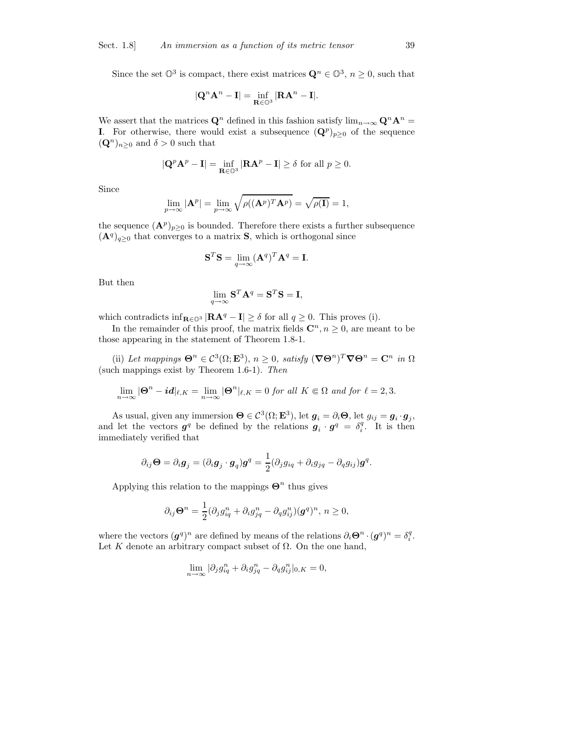Since the set  $\mathbb{O}^3$  is compact, there exist matrices  $\mathbf{Q}^n \in \mathbb{O}^3$ ,  $n \geq 0$ , such that

$$
|\mathbf{Q}^n \mathbf{A}^n - \mathbf{I}| = \inf_{\mathbf{R} \in \mathbb{O}^3} |\mathbf{R} \mathbf{A}^n - \mathbf{I}|.
$$

We assert that the matrices  $\mathbf{Q}^n$  defined in this fashion satisfy  $\lim_{n\to\infty} \mathbf{Q}^n \mathbf{A}^n =$ **I**. For otherwise, there would exist a subsequence  $(\mathbf{Q}^p)_{p\geq 0}$  of the sequence  $({\bf Q}^n)_{n\geq 0}$  and  $\delta > 0$  such that

$$
|\mathbf{Q}^p \mathbf{A}^p - \mathbf{I}| = \inf_{\mathbf{R} \in \mathbb{O}^3} |\mathbf{R} \mathbf{A}^p - \mathbf{I}| \ge \delta \text{ for all } p \ge 0.
$$

Since

$$
\lim_{p \to \infty} |\mathbf{A}^p| = \lim_{p \to \infty} \sqrt{\rho((\mathbf{A}^p)^T \mathbf{A}^p)} = \sqrt{\rho(\mathbf{I})} = 1,
$$

the sequence  $(\mathbf{A}^p)_{p\geq 0}$  is bounded. Therefore there exists a further subsequence  $(\mathbf{A}^q)_{q\geq 0}$  that converges to a matrix **S**, which is orthogonal since

$$
\mathbf{S}^T \mathbf{S} = \lim_{q \to \infty} (\mathbf{A}^q)^T \mathbf{A}^q = \mathbf{I}.
$$

But then

$$
\lim_{q \to \infty} \mathbf{S}^T \mathbf{A}^q = \mathbf{S}^T \mathbf{S} = \mathbf{I},
$$

which contradicts inf<sub>R∈ $\mathbb{Q}^3$ </sub> |RA<sup>q</sup> – I| ≥  $\delta$  for all  $q \geq 0$ . This proves (i).

In the remainder of this proof, the matrix fields  $\mathbb{C}^n, n \geq 0$ , are meant to be those appearing in the statement of Theorem 1.8-1.

(ii) Let mappings  $\mathbf{\Theta}^n \in \mathcal{C}^3(\Omega; \mathbf{E}^3)$ ,  $n \geq 0$ , satisfy  $(\nabla \mathbf{\Theta}^n)^T \nabla \mathbf{\Theta}^n = \mathbf{C}^n$  in  $\Omega$ (such mappings exist by Theorem 1.6-1). Then

$$
\lim_{n\to\infty} |\Theta^n - id|_{\ell,K} = \lim_{n\to\infty} |\Theta^n|_{\ell,K} = 0 \text{ for all } K \in \Omega \text{ and for } \ell=2,3.
$$

As usual, given any immersion  $\mathbf{\Theta} \in \mathcal{C}^3(\Omega; \mathbf{E}^3)$ , let  $\mathbf{g}_i = \partial_i \mathbf{\Theta}$ , let  $g_{ij} = \mathbf{g}_i \cdot \mathbf{g}_j$ , and let the vectors  $g^q$  be defined by the relations  $g_i \cdot g^q = \delta_i^q$ . It is then immediately verified that

$$
\partial_{ij}\mathbf{\Theta}=\partial_i\mathbf{g}_j=(\partial_i\mathbf{g}_j\cdot\mathbf{g}_q)\mathbf{g}^q=\frac{1}{2}(\partial_jg_{iq}+\partial_ig_{jq}-\partial_qg_{ij})\mathbf{g}^q.
$$

Applying this relation to the mappings  $\mathbf{\Theta}^n$  thus gives

$$
\partial_{ij}\mathbf{\Theta}^n = \frac{1}{2}(\partial_j g_{iq}^n + \partial_i g_{jq}^n - \partial_q g_{ij}^n)(\mathbf{g}^q)^n, n \ge 0,
$$

where the vectors  $(g^q)^n$  are defined by means of the relations  $\partial_i \Theta^n \cdot (g^q)^n = \delta_i^q$ . Let K denote an arbitrary compact subset of  $\Omega$ . On the one hand,

$$
\lim_{n \to \infty} |\partial_j g_{iq}^n + \partial_i g_{jq}^n - \partial_q g_{ij}^n |_{0,K} = 0,
$$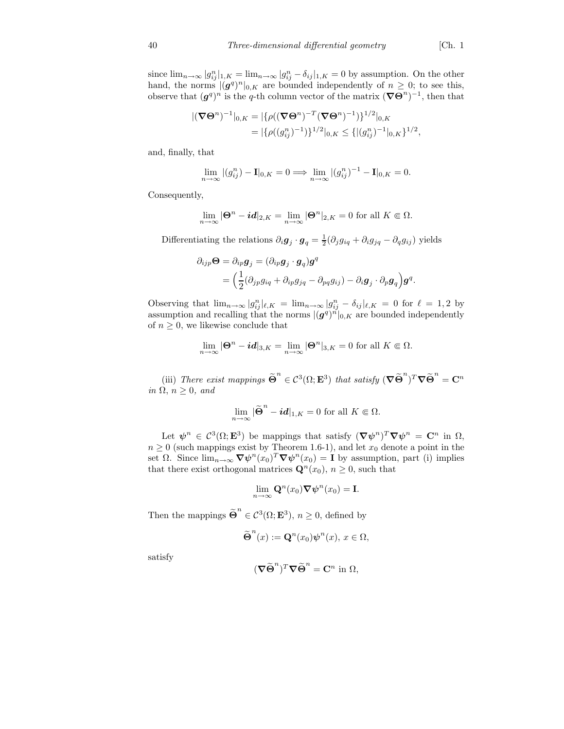since  $\lim_{n\to\infty} |g_{ij}^n|_{1,K} = \lim_{n\to\infty} |g_{ij}^n - \delta_{ij}|_{1,K} = 0$  by assumption. On the other hand, the norms  $|(\mathbf{g}^q)^n|_{0,K}$  are bounded independently of  $n \geq 0$ ; to see this, observe that  $(g^q)^n$  is the q-th column vector of the matrix  $(\nabla\Theta^n)^{-1}$ , then that

$$
\begin{aligned} |(\nabla \Theta^n)^{-1}|_{0,K} &= |\{\rho((\nabla \Theta^n)^{-T}(\nabla \Theta^n)^{-1})\}^{1/2}|_{0,K} \\ &= |\{\rho((g_{ij}^n)^{-1})\}^{1/2}|_{0,K} \le \{ |(g_{ij}^n)^{-1}|_{0,K} \}^{1/2}, \end{aligned}
$$

and, finally, that

$$
\lim_{n \to \infty} |(g_{ij}^n) - \mathbf{I}|_{0,K} = 0 \Longrightarrow \lim_{n \to \infty} |(g_{ij}^n)^{-1} - \mathbf{I}|_{0,K} = 0.
$$

Consequently,

$$
\lim_{n \to \infty} |\mathbf{\Theta}^n - \mathbf{i} \mathbf{d}|_{2,K} = \lim_{n \to \infty} |\mathbf{\Theta}^n|_{2,K} = 0 \text{ for all } K \in \Omega.
$$

Differentiating the relations  $\partial_i \mathbf{g}_j \cdot \mathbf{g}_q = \frac{1}{2} (\partial_j g_{iq} + \partial_i g_{jq} - \partial_q g_{ij})$  yields

$$
\partial_{ijp}\mathbf{\Theta} = \partial_{ip}\mathbf{g}_j = (\partial_{ip}\mathbf{g}_j \cdot \mathbf{g}_q)\mathbf{g}^q
$$
  
= 
$$
\Big(\frac{1}{2}(\partial_{jp}g_{iq} + \partial_{ip}g_{jq} - \partial_{pq}g_{ij}) - \partial_i\mathbf{g}_j \cdot \partial_p\mathbf{g}_q\Big)\mathbf{g}^q.
$$

Observing that  $\lim_{n\to\infty} |g_{ij}^n|_{\ell,K} = \lim_{n\to\infty} |g_{ij}^n - \delta_{ij}|_{\ell,K} = 0$  for  $\ell = 1,2$  by assumption and recalling that the norms  $|(\boldsymbol{g}^q)^n|_{0,K}$  are bounded independently of  $n \geq 0$ , we likewise conclude that

$$
\lim_{n\to\infty} |\mathbf{\Theta}^n - \mathbf{i} \mathbf{d}|_{3,K} = \lim_{n\to\infty} |\mathbf{\Theta}^n|_{3,K} = 0 \text{ for all } K \Subset \Omega.
$$

(iii) There exist mappings  $\widetilde{\Theta}^n$  $\in \mathcal{C}^3(\Omega; \mathbf{E}^3)$  that satisfy  $(\nabla \widetilde{\Theta}^n)^T \nabla \widetilde{\Theta}^n = \mathbf{C}^n$ in  $\Omega$ ,  $n \geq 0$ , and

$$
\lim_{n\to\infty} |\widetilde{\Theta}^n - id|_{1,K} = 0 \text{ for all } K \in \Omega.
$$

Let  $\psi^n \in C^3(\Omega; \mathbf{E}^3)$  be mappings that satisfy  $(\nabla \psi^n)^T \nabla \psi^n = \mathbf{C}^n$  in  $\Omega$ ,  $n \geq 0$  (such mappings exist by Theorem 1.6-1), and let  $x_0$  denote a point in the set  $\Omega$ . Since  $\lim_{n\to\infty} \nabla \psi^n(x_0)^T \nabla \psi^n(x_0) = \mathbf{I}$  by assumption, part (i) implies that there exist orthogonal matrices  $\mathbf{Q}^n(x_0), n \geq 0$ , such that

$$
\lim_{n \to \infty} \mathbf{Q}^n(x_0) \nabla \boldsymbol{\psi}^n(x_0) = \mathbf{I}.
$$

Then the mappings  $\widetilde{\Theta}^n$  $\in \mathcal{C}^3(\Omega; \mathbf{E}^3)$ ,  $n \geq 0$ , defined by

$$
\widetilde{\Theta}^n(x) := \mathbf{Q}^n(x_0) \psi^n(x), \ x \in \Omega,
$$

satisfy

$$
(\boldsymbol{\nabla}\widetilde{\boldsymbol{\Theta}}^n)^T\boldsymbol{\nabla}\widetilde{\boldsymbol{\Theta}}^n = \mathbf{C}^n \text{ in } \Omega,
$$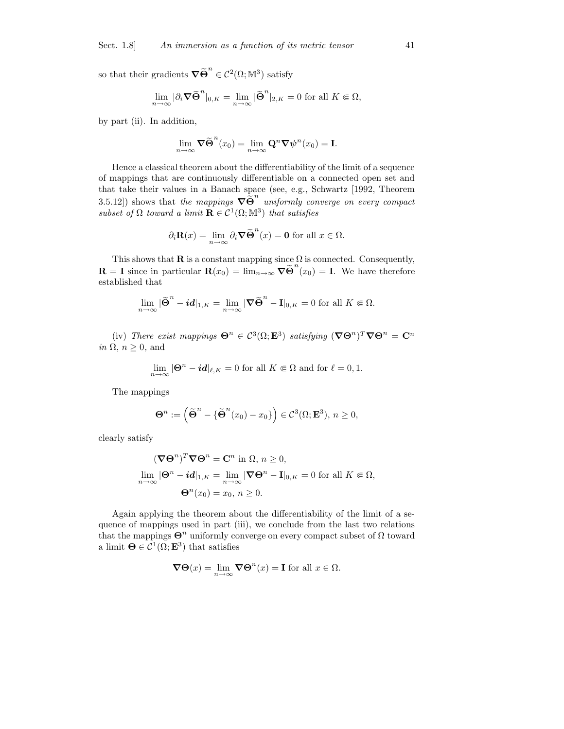so that their gradients  $\nabla \widetilde{\Theta}^n$  $\in \mathcal{C}^2(\Omega;\mathbb{M}^3)$  satisfy

$$
\lim_{n \to \infty} |\partial_i \nabla \widetilde{\Theta}^n|_{0,K} = \lim_{n \to \infty} |\widetilde{\Theta}^n|_{2,K} = 0 \text{ for all } K \in \Omega,
$$

by part (ii). In addition,

$$
\lim_{n\to\infty}\boldsymbol{\nabla}\widetilde{\boldsymbol{\Theta}}^n(x_0)=\lim_{n\to\infty}\mathbf{Q}^n\boldsymbol{\nabla}\psi^n(x_0)=\mathbf{I}.
$$

Hence a classical theorem about the differentiability of the limit of a sequence of mappings that are continuously differentiable on a connected open set and that take their values in a Banach space (see, e.g., Schwartz [1992, Theorem 3.5.12]) shows that the mappings  $\nabla \tilde{\Theta}^n$  uniformly converge on every compact subset of  $\Omega$  toward a limit  $\mathbf{R} \in \mathcal{C}^1(\Omega;\mathbb{M}^3)$  that satisfies

$$
\partial_i \mathbf{R}(x) = \lim_{n \to \infty} \partial_i \nabla \widetilde{\Theta}^n(x) = \mathbf{0}
$$
 for all  $x \in \Omega$ .

This shows that  $\mathbf R$  is a constant mapping since  $\Omega$  is connected. Consequently,  $\mathbf{R} = \mathbf{I}$  since in particular  $\mathbf{R}(x_0) = \lim_{n \to \infty} \nabla \widetilde{\Theta}^n(x_0) = \mathbf{I}$ . We have therefore established that

$$
\lim_{n\to\infty} |\widetilde{\Theta}^n - id|_{1,K} = \lim_{n\to\infty} |\nabla \widetilde{\Theta}^n - \mathbf{I}|_{0,K} = 0 \text{ for all } K \in \Omega.
$$

(iv) There exist mappings  $\mathbf{\Theta}^n \in \mathcal{C}^3(\Omega; \mathbf{E}^3)$  satisfying  $(\nabla \mathbf{\Theta}^n)^T \nabla \mathbf{\Theta}^n = \mathbf{C}^n$ in  $\Omega$ ,  $n \geq 0$ , and

$$
\lim_{n \to \infty} |\mathbf{\Theta}^n - \mathbf{i} \mathbf{d}|_{\ell, K} = 0 \text{ for all } K \Subset \Omega \text{ and for } \ell = 0, 1.
$$

The mappings

$$
\Theta^n := \left( \widetilde{\Theta}^n - \{ \widetilde{\Theta}^n(x_0) - x_0 \} \right) \in \mathcal{C}^3(\Omega; \mathbf{E}^3), n \ge 0,
$$

clearly satisfy

$$
(\nabla \Theta^n)^T \nabla \Theta^n = \mathbf{C}^n \text{ in } \Omega, n \ge 0,
$$
  

$$
\lim_{n \to \infty} |\Theta^n - id|_{1,K} = \lim_{n \to \infty} |\nabla \Theta^n - \mathbf{I}|_{0,K} = 0 \text{ for all } K \in \Omega,
$$
  

$$
\Theta^n(x_0) = x_0, n \ge 0.
$$

Again applying the theorem about the differentiability of the limit of a sequence of mappings used in part (iii), we conclude from the last two relations that the mappings  $\Theta^n$  uniformly converge on every compact subset of  $\Omega$  toward a limit  $\mathbf{\Theta} \in \mathcal{C}^1(\Omega; \mathbf{E}^3)$  that satisfies

$$
\nabla \Theta(x) = \lim_{n \to \infty} \nabla \Theta^n(x) = \mathbf{I} \text{ for all } x \in \Omega.
$$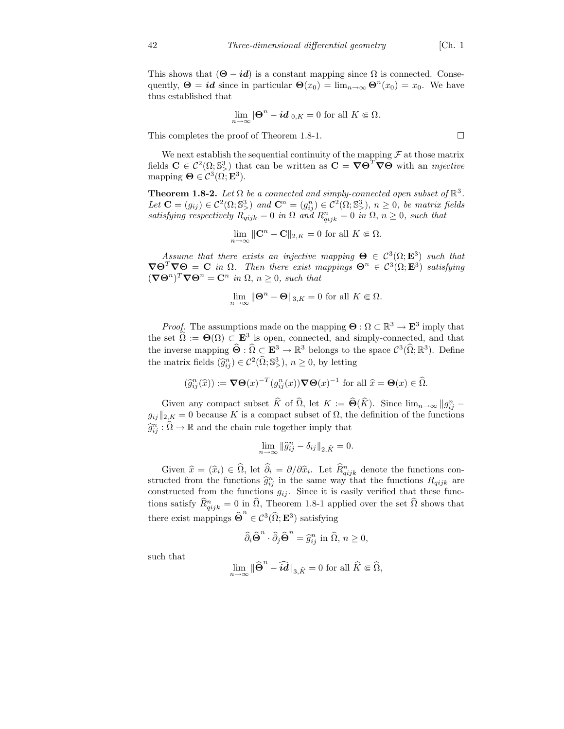This shows that  $(\mathbf{\Theta} - id)$  is a constant mapping since  $\Omega$  is connected. Consequently,  $\Theta = id$  since in particular  $\Theta(x_0) = \lim_{n \to \infty} \Theta^n(x_0) = x_0$ . We have thus established that

$$
\lim_{n\to\infty} |\mathbf{\Theta}^n - \mathbf{i} \mathbf{d}|_{0,K} = 0 \text{ for all } K \in \Omega.
$$

This completes the proof of Theorem 1.8-1.

We next establish the sequential continuity of the mapping  $\mathcal F$  at those matrix fields  $\mathbf{C} \in \mathcal{C}^2(\Omega; \mathbb{S}^3)$  that can be written as  $\mathbf{C} = \nabla \Theta^T \nabla \Theta$  with an *injective* mapping  $\mathbf{\Theta} \in \mathcal{C}^3(\Omega; \mathbf{E}^3)$ .

**Theorem 1.8-2.** Let  $\Omega$  be a connected and simply-connected open subset of  $\mathbb{R}^3$ . Let  $\mathbf{C} = (g_{ij}) \in \mathcal{C}^2(\Omega; \mathbb{S}^3)$  and  $\mathbf{C}^n = (g_{ij}^n) \in \mathcal{C}^2(\Omega; \mathbb{S}^3)$ ,  $n \geq 0$ , be matrix fields satisfying respectively  $R_{qijk} = 0$  in  $\Omega$  and  $R_{qijk}^n = 0$  in  $\Omega$ ,  $n \geq 0$ , such that

$$
\lim_{n \to \infty} \|\mathbf{C}^n - \mathbf{C}\|_{2,K} = 0 \text{ for all } K \in \Omega.
$$

Assume that there exists an injective mapping  $\Theta \in C^3(\Omega; \mathbf{E}^3)$  such that  $\nabla \Theta^T \nabla \Theta = \mathbf{C}$  in  $\Omega$ . Then there exist mappings  $\Theta^n \in C^3(\Omega; \mathbf{E}^3)$  satisfying  $(\nabla \Theta^n)^T \nabla \Theta^n = \mathbf{C}^n$  in  $\Omega, n \geq 0$ , such that

$$
\lim_{n \to \infty} \|\Theta^n - \Theta\|_{3,K} = 0 \text{ for all } K \Subset \Omega.
$$

*Proof.* The assumptions made on the mapping  $\mathbf{\Theta} : \Omega \subset \mathbb{R}^3 \to \mathbf{E}^3$  imply that the set  $\hat{\Omega} := \Theta(\Omega) \subset \mathbb{E}^3$  is open, connected, and simply-connected, and that the inverse mapping  $\widehat{\Theta} : \widehat{\Omega} \subset \mathbb{E}^3 \to \mathbb{R}^3$  belongs to the space  $\mathcal{C}^3(\widehat{\Omega}; \mathbb{R}^3)$ . Define the matrix fields  $(\widehat{g}_{ij}^n) \in C^2(\widehat{\Omega}; \mathbb{S}^3)$ ,  $n \geq 0$ , by letting

$$
(\widehat{g}_{ij}^n(\widehat{x})) := \nabla \Theta(x)^{-T} (g_{ij}^n(x)) \nabla \Theta(x)^{-1} \text{ for all } \widehat{x} = \Theta(x) \in \widehat{\Omega}.
$$

Given any compact subset  $\widehat{K}$  of  $\widehat{\Omega}$ , let  $K := \widehat{\Theta}(\widehat{K})$ . Since  $\lim_{n\to\infty} ||g_{ij}^n$  $g_{ij}\|_{2,K} = 0$  because K is a compact subset of  $\Omega$ , the definition of the functions  $\widehat{g}_{ij}^n : \widehat{\Omega} \to \mathbb{R}$  and the chain rule together imply that

$$
\lim_{n\to\infty}\left\|\widehat g_{ij}^n-\delta_{ij}\right\|_{2,\widehat K}=0.
$$

Given  $\hat{x} = (\hat{x}_i) \in \Omega$ , let  $\hat{\partial}_i = \partial/\partial \hat{x}_i$ . Let  $\hat{R}_{qijk}^n$  denote the functions constructed from the functions  $\hat{g}_{ij}^n$  in the same way that the functions  $R_{qijk}$  are constructed from the functions  $g_{ij}$ . Since it is easily verified that these functions satisfy  $\widehat{R}_{qijk}^n = 0$  in  $\widehat{\Omega}$ , Theorem 1.8-1 applied over the set  $\widehat{\Omega}$  shows that there exist mappings  $\widehat{\Theta}^n$  $\in \mathcal{C}^3(\Omega; \mathbf{E}^3)$  satisfying

$$
\widehat{\partial}_i \widehat{\Theta}^n \cdot \widehat{\partial}_j \widehat{\Theta}^n = \widehat{g}_{ij}^n \text{ in } \widehat{\Omega}, n \ge 0,
$$

such that

$$
\lim_{n\rightarrow\infty}\big\|\widehat{\boldsymbol{\Theta}}^n-\widehat{\boldsymbol{id}}\big\|_{3,\widehat{K}}=0\text{ for all }\widehat{K}\Subset\widehat{\Omega},
$$

$$
\Box
$$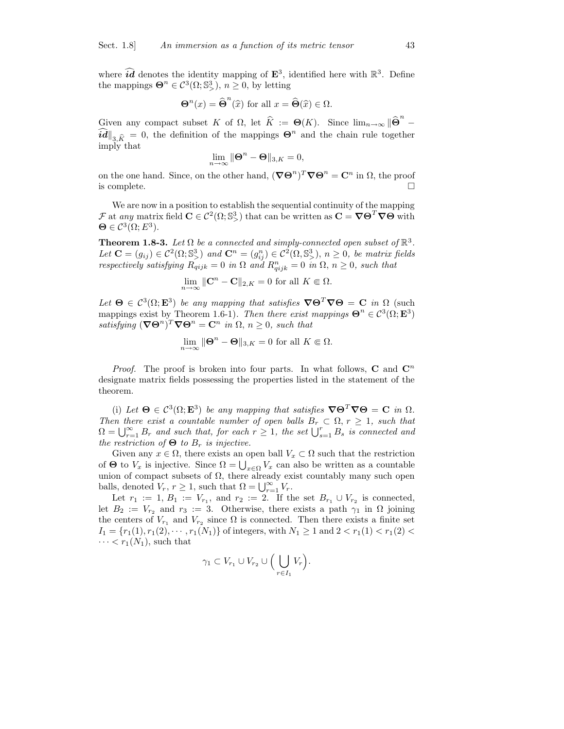where  $\hat{i}\hat{d}$  denotes the identity mapping of  $\mathbf{E}^3$ , identified here with  $\mathbb{R}^3$ . Define the mappings  $\mathbf{\Theta}^n \in \mathcal{C}^3(\Omega; \mathbb{S}^3)$ ,  $n \geq 0$ , by letting

$$
\Theta^{n}(x) = \widehat{\Theta}^{n}(\widehat{x}) \text{ for all } x = \widehat{\Theta}(\widehat{x}) \in \Omega.
$$

Given any compact subset K of  $\Omega$ , let  $\widehat{K} := \Theta(K)$ . Since  $\lim_{n\to\infty} \|\widehat{\Theta}^n\|$ −  $\widehat{\mathbf{id}}|_{3,\widehat{K}} = 0$ , the definition of the mappings  $\Theta^n$  and the chain rule together imply that

$$
\lim_{n\to\infty}\|\mathbf{\Theta}^n-\mathbf{\Theta}\|_{3,K}=0,
$$

on the one hand. Since, on the other hand,  $(\nabla \Theta^n)^T \nabla \Theta^n = \mathbb{C}^n$  in  $\Omega$ , the proof is complete.

We are now in a position to establish the sequential continuity of the mapping  $\mathcal F$  at any matrix field  $\mathbf{C} \in \mathcal C^2(\Omega;\mathbb{S}^3)$  that can be written as  $\mathbf{C} = \nabla \mathbf{\Theta}^T \nabla \mathbf{\Theta}$  with  $\mathbf{\Theta} \in \mathcal{C}^3(\Omega; E^3).$ 

**Theorem 1.8-3.** Let  $\Omega$  be a connected and simply-connected open subset of  $\mathbb{R}^3$ . Let  $\mathbf{C} = (g_{ij}) \in C^2(\Omega; \mathbb{S}^3)$  and  $\mathbf{C}^n = (g_{ij}^n) \in C^2(\Omega, \mathbb{S}^3)$ ,  $n \geq 0$ , be matrix fields respectively satisfying  $R_{qijk} = 0$  in  $\Omega$  and  $R_{qijk}^n = 0$  in  $\Omega$ ,  $n \geq 0$ , such that

$$
\lim_{n \to \infty} \|\mathbf{C}^n - \mathbf{C}\|_{2,K} = 0
$$
 for all  $K \in \Omega$ .

Let  $\Theta \in C^3(\Omega; \mathbf{E}^3)$  be any mapping that satisfies  $\nabla \Theta^T \nabla \Theta = \mathbf{C}$  in  $\Omega$  (such mappings exist by Theorem 1.6-1). Then there exist mappings  $\mathbf{\Theta}^n \in C^3(\Omega; \mathbf{E}^3)$ satisfying  $(\nabla \Theta^n)^T \nabla \Theta^n = \mathbf{C}^n$  in  $\Omega$ ,  $n \geq 0$ , such that

$$
\lim_{n \to \infty} \|\Theta^n - \Theta\|_{3,K} = 0 \text{ for all } K \in \Omega.
$$

*Proof.* The proof is broken into four parts. In what follows,  $C$  and  $C<sup>n</sup>$ designate matrix fields possessing the properties listed in the statement of the theorem.

(i) Let  $\mathbf{\Theta} \in \mathcal{C}^3(\Omega; \mathbf{E}^3)$  be any mapping that satisfies  $\nabla \mathbf{\Theta}^T \nabla \mathbf{\Theta} = \mathbf{C}$  in  $\Omega$ . Then there exist a countable number of open balls  $B_r \subset \Omega$ ,  $r \geq 1$ , such that  $\Omega = \bigcup_{r=1}^{\infty} B_r$  and such that, for each  $r \geq 1$ , the set  $\bigcup_{s=1}^{r} B_s$  is connected and the restriction of  $\Theta$  to  $B_r$  is injective.

Given any  $x \in \Omega$ , there exists an open ball  $V_x \subset \Omega$  such that the restriction of  $\Theta$  to  $V_x$  is injective. Since  $\Omega = \bigcup_{x \in \Omega} V_x$  can also be written as a countable union of compact subsets of  $\Omega,$  there already exist countably many such open balls, denoted  $V_r$ ,  $r \geq 1$ , such that  $\Omega = \bigcup_{r=1}^{\infty} V_r$ .

Let  $r_1 := 1, B_1 := V_{r_1}$ , and  $r_2 := 2$ . If the set  $B_{r_1} \cup V_{r_2}$  is connected, let  $B_2 := V_{r_2}$  and  $r_3 := 3$ . Otherwise, there exists a path  $\gamma_1$  in  $\Omega$  joining the centers of  $V_{r_1}$  and  $V_{r_2}$  since  $\Omega$  is connected. Then there exists a finite set  $I_1 = \{r_1(1), r_1(2), \cdots, r_1(N_1)\}\$  of integers, with  $N_1 \geq 1$  and  $2 < r_1(1) < r_1(2) <$  $\cdots < r_1(N_1)$ , such that

$$
\gamma_1 \subset V_{r_1} \cup V_{r_2} \cup \Big(\bigcup_{r \in I_1} V_r\Big).
$$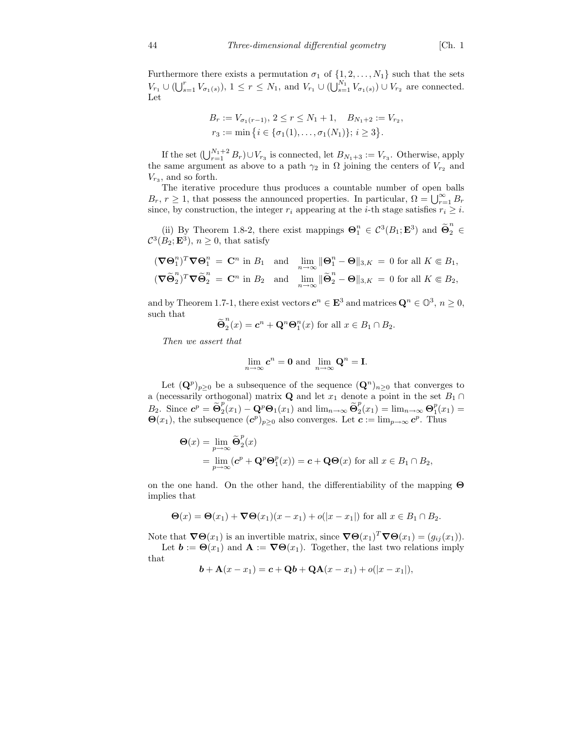Furthermore there exists a permutation  $\sigma_1$  of  $\{1, 2, \ldots, N_1\}$  such that the sets  $V_{r_1} \cup (\bigcup_{s=1}^r V_{\sigma_1(s)})$ ,  $1 \leq r \leq N_1$ , and  $V_{r_1} \cup (\bigcup_{s=1}^{N_1} V_{\sigma_1(s)}) \cup V_{r_2}$  are connected. Let

$$
B_r := V_{\sigma_1(r-1)}, \ 2 \leq r \leq N_1 + 1, \quad B_{N_1+2} := V_{r_2},
$$
  

$$
r_3 := \min \{ i \in \{ \sigma_1(1), \ldots, \sigma_1(N_1) \}; \ i \geq 3 \}.
$$

If the set  $(\bigcup_{r=1}^{N_1+2} B_r) \cup V_{r_3}$  is connected, let  $B_{N_1+3} := V_{r_3}$ . Otherwise, apply the same argument as above to a path  $\gamma_2$  in  $\Omega$  joining the centers of  $V_{r_2}$  and  $V_{r_3}$ , and so forth.

The iterative procedure thus produces a countable number of open balls  $B_r$ ,  $r \geq 1$ , that possess the announced properties. In particular,  $\Omega = \bigcup_{r=1}^{\infty} B_r$ since, by construction, the integer  $r_i$  appearing at the *i*-th stage satisfies  $r_i \geq i$ .

(ii) By Theorem 1.8-2, there exist mappings  $\mathbf{\Theta}_1^n \in \mathcal{C}^3(B_1; \mathbf{E}^3)$  and  $\widetilde{\mathbf{\Theta}}_2^n$ 2 ∈  $\mathcal{C}^3(B_2; \mathbf{E}^3)$ ,  $n \geq 0$ , that satisfy

$$
(\nabla \Theta_1^n)^T \nabla \Theta_1^n = \mathbf{C}^n \text{ in } B_1 \text{ and } \lim_{n \to \infty} \|\Theta_1^n - \Theta\|_{3,K} = 0 \text{ for all } K \in B_1,
$$
  

$$
(\nabla \widetilde{\Theta}_2^n)^T \nabla \widetilde{\Theta}_2^n = \mathbf{C}^n \text{ in } B_2 \text{ and } \lim_{n \to \infty} \|\widetilde{\Theta}_2^n - \Theta\|_{3,K} = 0 \text{ for all } K \in B_2,
$$

and by Theorem 1.7-1, there exist vectors  $c^n \in \mathbf{E}^3$  and matrices  $\mathbf{Q}^n \in \mathbb{O}^3$ ,  $n \geq 0$ , such that

$$
\widetilde{\Theta}_2^n(x) = \mathbf{c}^n + \mathbf{Q}^n \mathbf{\Theta}_1^n(x) \text{ for all } x \in B_1 \cap B_2.
$$

Then we assert that

$$
\lim_{n\to\infty} c^n = 0 \text{ and } \lim_{n\to\infty} \mathbf{Q}^n = \mathbf{I}.
$$

Let  $(\mathbf{Q}^p)_{p\geq 0}$  be a subsequence of the sequence  $(\mathbf{Q}^n)_{n\geq 0}$  that converges to a (necessarily orthogonal) matrix **Q** and let  $x_1$  denote a point in the set  $B_1 \cap$  $B_2$ . Since  $\mathbf{c}^p = \widetilde{\mathbf{\Theta}}_2^p$  $\sum_{2}^{p} (x_1) - \mathbf{Q}^p \mathbf{\Theta}_1(x_1)$  and  $\lim_{n \to \infty} \widetilde{\mathbf{\Theta}}_2^p$  $2^{p}_{2}(x_{1}) = \lim_{n \to \infty} \Theta_{1}^{p}(x_{1}) =$  $\Theta(x_1)$ , the subsequence  $(\mathbf{c}^p)_{p\geq 0}$  also converges. Let  $\mathbf{c} := \lim_{p\to\infty} \mathbf{c}^p$ . Thus

$$
\begin{aligned} \mathbf{\Theta}(x) &= \lim_{p \to \infty} \widetilde{\mathbf{\Theta}}_2^p(x) \\ &= \lim_{p \to \infty} (\mathbf{c}^p + \mathbf{Q}^p \mathbf{\Theta}_1^p(x)) = \mathbf{c} + \mathbf{Q} \mathbf{\Theta}(x) \text{ for all } x \in B_1 \cap B_2, \end{aligned}
$$

on the one hand. On the other hand, the differentiability of the mapping Θ implies that

$$
\Theta(x) = \Theta(x_1) + \nabla \Theta(x_1)(x - x_1) + o(|x - x_1|)
$$
 for all  $x \in B_1 \cap B_2$ .

Note that  $\nabla \Theta(x_1)$  is an invertible matrix, since  $\nabla \Theta(x_1)^T \nabla \Theta(x_1) = (g_{ij}(x_1)).$ Let  $\mathbf{b} := \mathbf{\Theta}(x_1)$  and  $\mathbf{A} := \mathbf{\nabla} \mathbf{\Theta}(x_1)$ . Together, the last two relations imply

$$
_{\rm that}
$$

 $$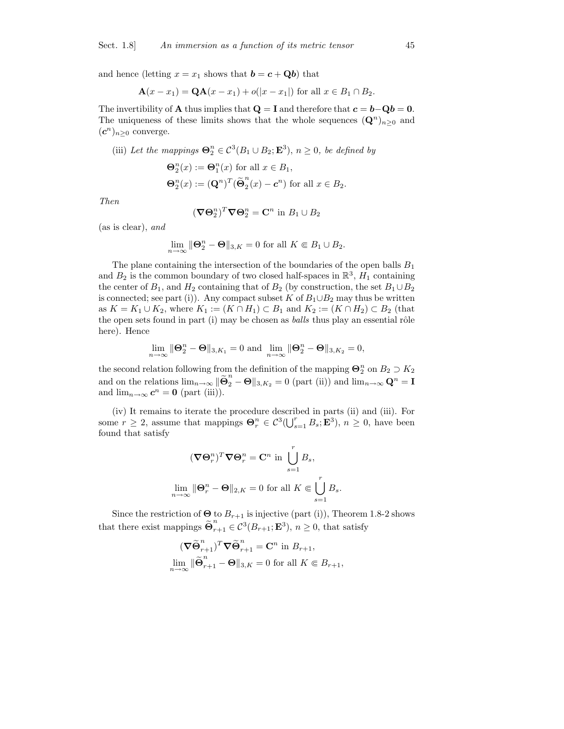and hence (letting  $x = x_1$  shows that  $\mathbf{b} = \mathbf{c} + \mathbf{Q}\mathbf{b}$ ) that

$$
\mathbf{A}(x - x_1) = \mathbf{Q}\mathbf{A}(x - x_1) + o(|x - x_1|) \text{ for all } x \in B_1 \cap B_2.
$$

The invertibility of **A** thus implies that  $Q = I$  and therefore that  $c = b - Qb = 0$ . The uniqueness of these limits shows that the whole sequences  $(\mathbf{Q}^n)_{n\geq 0}$  and  $(c^n)_{n\geq 0}$  converge.

(iii) Let the mappings 
$$
\mathbf{\Theta}_{2}^{n} \in C^{3}(B_{1} \cup B_{2}; \mathbf{E}^{3}), n \ge 0
$$
, be defined by  
\n
$$
\mathbf{\Theta}_{2}^{n}(x) := \mathbf{\Theta}_{1}^{n}(x) \text{ for all } x \in B_{1},
$$
\n
$$
\mathbf{\Theta}_{2}^{n}(x) := (\mathbf{Q}^{n})^{T}(\tilde{\mathbf{\Theta}}_{2}^{n}(x) - \mathbf{c}^{n}) \text{ for all } x \in B_{2}.
$$

Then

$$
(\nabla \Theta_2^n)^T \nabla \Theta_2^n = \mathbf{C}^n \text{ in } B_1 \cup B_2
$$

(as is clear), and

$$
\lim_{n \to \infty} \|\Theta_2^n - \Theta\|_{3,K} = 0 \text{ for all } K \Subset B_1 \cup B_2.
$$

The plane containing the intersection of the boundaries of the open balls  $B_1$ and  $B_2$  is the common boundary of two closed half-spaces in  $\mathbb{R}^3$ ,  $H_1$  containing the center of  $B_1$ , and  $H_2$  containing that of  $B_2$  (by construction, the set  $B_1 \cup B_2$ is connected; see part (i)). Any compact subset K of  $B_1 \cup B_2$  may thus be written as  $K = K_1 \cup K_2$ , where  $K_1 := (K \cap H_1) \subset B_1$  and  $K_2 := (K \cap H_2) \subset B_2$  (that the open sets found in part  $(i)$  may be chosen as *balls* thus play an essential rôle here). Hence

$$
\lim_{n\to\infty}\|\boldsymbol{\Theta}_2^n-\boldsymbol{\Theta}\|_{3,K_1}=0\text{ and }\lim_{n\to\infty}\|\boldsymbol{\Theta}_2^n-\boldsymbol{\Theta}\|_{3,K_2}=0,
$$

the second relation following from the definition of the mapping  $\Theta_2^n$  on  $B_2 \supset K_2$ and on the relations  $\lim_{n\to\infty} \|\widetilde{\Theta}_2^n - \Theta\|_{3,K_2} = 0$  (part (ii)) and  $\lim_{n\to\infty} \mathbf{Q}^n = \mathbf{I}$ and  $\lim_{n\to\infty} c^n = 0$  (part (iii)).

(iv) It remains to iterate the procedure described in parts (ii) and (iii). For some  $r \geq 2$ , assume that mappings  $\mathbf{\Theta}_r^n \in C^3(\bigcup_{s=1}^r B_s; \mathbf{E}^3)$ ,  $n \geq 0$ , have been found that satisfy

$$
(\nabla \Theta_r^n)^T \nabla \Theta_r^n = \mathbf{C}^n \text{ in } \bigcup_{s=1}^r B_s,
$$
  

$$
\lim_{n \to \infty} \|\Theta_r^n - \Theta\|_{2,K} = 0 \text{ for all } K \Subset \bigcup_{s=1}^r B_s.
$$

Since the restriction of  $\Theta$  to  $B_{r+1}$  is injective (part (i)), Theorem 1.8-2 shows that there exist mappings  $\widetilde{\Theta}_{r}^{n}$  $r_{r+1}^{\prime} \in \mathcal{C}^3(B_{r+1}; \mathbf{E}^3), n \geq 0$ , that satisfy

$$
(\nabla \widetilde{\Theta}_{r+1}^n)^T \nabla \widetilde{\Theta}_{r+1}^n = \mathbf{C}^n \text{ in } B_{r+1},
$$
  

$$
\lim_{n \to \infty} \|\widetilde{\Theta}_{r+1}^n - \Theta\|_{3,K} = 0 \text{ for all } K \in B_{r+1},
$$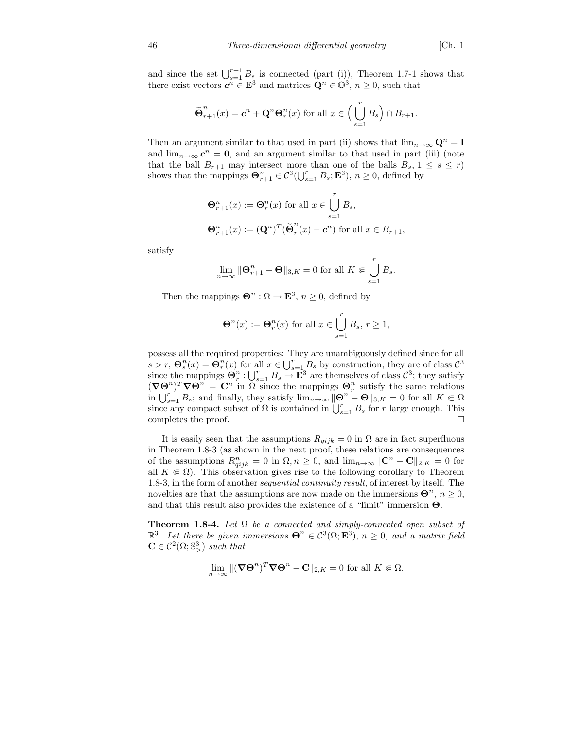and since the set  $\bigcup_{s=1}^{r+1} B_s$  is connected (part (i)), Theorem 1.7-1 shows that there exist vectors  $c^n \in \mathbf{E}^3$  and matrices  $\mathbf{Q}^n \in \mathbb{O}^3$ ,  $n \geq 0$ , such that

$$
\widetilde{\Theta}_{r+1}^n(x) = \mathbf{c}^n + \mathbf{Q}^n \Theta_r^n(x) \text{ for all } x \in \left(\bigcup_{s=1}^r B_s\right) \cap B_{r+1}.
$$

Then an argument similar to that used in part (ii) shows that  $\lim_{n\to\infty} \mathbf{Q}^n = \mathbf{I}$ and  $\lim_{n\to\infty} c^n = 0$ , and an argument similar to that used in part (iii) (note that the ball  $B_{r+1}$  may intersect more than one of the balls  $B_s$ ,  $1 \leq s \leq r$ ) shows that the mappings  $\mathbf{\Theta}_{r+1}^n \in C^3(\bigcup_{s=1}^r B_s; \mathbf{E}^3), n \geq 0$ , defined by

$$
\begin{aligned} \mathbf{\Theta}_{r+1}^n(x) &:= \mathbf{\Theta}_r^n(x) \text{ for all } x \in \bigcup_{s=1}^r B_s, \\ \mathbf{\Theta}_{r+1}^n(x) &:= (\mathbf{Q}^n)^T (\widetilde{\mathbf{\Theta}}_r^n(x) - \mathbf{c}^n) \text{ for all } x \in B_{r+1}, \end{aligned}
$$

satisfy

$$
\lim_{n \to \infty} \|\mathbf{\Theta}_{r+1}^n - \mathbf{\Theta}\|_{3,K} = 0 \text{ for all } K \Subset \bigcup_{s=1}^r B_s.
$$

Then the mappings  $\mathbf{\Theta}^n : \Omega \to \mathbf{E}^3$ ,  $n \geq 0$ , defined by

$$
\Theta^n(x) := \Theta_r^n(x) \text{ for all } x \in \bigcup_{s=1}^r B_s, r \ge 1,
$$

possess all the required properties: They are unambiguously defined since for all  $s > r$ ,  $\mathbf{\Theta}_s^n(x) = \mathbf{\Theta}_r^n(x)$  for all  $x \in \bigcup_{s=1}^r B_s$  by construction; they are of class  $\mathcal{C}^3$ since the mappings  $\Theta_r^n : \bigcup_{s=1}^r B_s \to \mathbf{E}^3$  are themselves of class  $\mathcal{C}^3$ ; they satisfy  $(\nabla\Theta^n)^T\nabla\Theta^n = \mathbf{C}^n$  in  $\Omega$  since the mappings  $\Theta_r^n$  satisfy the same relations in  $\bigcup_{s=1}^r B_s$ ; and finally, they satisfy  $\lim_{n\to\infty} ||\mathbf{\Theta}^n - \mathbf{\Theta}||_{3,K} = 0$  for all  $K \Subset \Omega$ since any compact subset of  $\Omega$  is contained in  $\bigcup_{s=1}^r B_s$  for r large enough. This completes the proof.  $\Box$ 

It is easily seen that the assumptions  $R_{qijk} = 0$  in  $\Omega$  are in fact superfluous in Theorem 1.8-3 (as shown in the next proof, these relations are consequences of the assumptions  $R_{qijk}^n = 0$  in  $\Omega, n \geq 0$ , and  $\lim_{n \to \infty} ||\mathbf{C}^n - \mathbf{C}||_{2,K} = 0$  for all  $K \in \Omega$ ). This observation gives rise to the following corollary to Theorem 1.8-3, in the form of another sequential continuity result, of interest by itself. The novelties are that the assumptions are now made on the immersions  $\Theta^n$ ,  $n \geq 0$ , and that this result also provides the existence of a "limit" immersion Θ.

**Theorem 1.8-4.** Let  $\Omega$  be a connected and simply-connected open subset of  $\mathbb{R}^3$ . Let there be given immersions  $\mathbf{\Theta}^n \in \mathcal{C}^3(\Omega; \mathbf{E}^3)$ ,  $n \geq 0$ , and a matrix field  $\mathbf{C} \in \mathcal{C}^2(\Omega; \mathbb{S}^3)$  such that

$$
\lim_{n \to \infty} \|(\boldsymbol{\nabla}\Theta^n)^T \boldsymbol{\nabla}\Theta^n - \mathbf{C} \|_{2,K} = 0 \text{ for all } K \in \Omega.
$$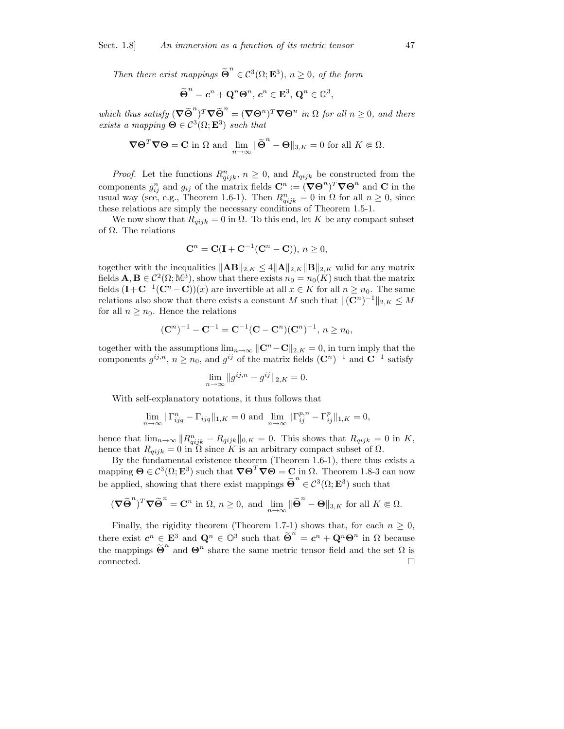Then there exist mappings  $\widetilde{\Theta}^n$  $\in \mathcal{C}^3(\Omega; \mathbf{E}^3), n \geq 0, \text{ of the form}$ 

$$
\widetilde{\Theta}^n = \boldsymbol{c}^n + \mathbf{Q}^n \Theta^n, \, \boldsymbol{c}^n \in \mathbf{E}^3, \, \mathbf{Q}^n \in \mathbb{O}^3,
$$

which thus satisfy  $(\nabla \widetilde{\Theta}^n)^T \nabla \widetilde{\Theta}^n = (\nabla \Theta^n)^T \nabla \Theta^n$  in  $\Omega$  for all  $n \geq 0$ , and there exists a mapping  $\mathbf{\Theta} \in \mathcal{C}^3(\Omega; \mathbf{E}^3)$  such that

$$
\nabla \Theta^T \nabla \Theta = \mathbf{C} \text{ in } \Omega \text{ and } \lim_{n \to \infty} \|\widetilde{\Theta}^n - \Theta\|_{3,K} = 0 \text{ for all } K \in \Omega.
$$

*Proof.* Let the functions  $R_{qijk}^n$ ,  $n \geq 0$ , and  $R_{qijk}$  be constructed from the components  $g_{ij}^n$  and  $g_{ij}$  of the matrix fields  $\mathbf{C}^n := (\nabla \Theta^n)^T \nabla \Theta^n$  and  $\mathbf{C}$  in the usual way (see, e.g., Theorem 1.6-1). Then  $R_{qijk}^n = 0$  in  $\Omega$  for all  $n \geq 0$ , since these relations are simply the necessary conditions of Theorem 1.5-1.

We now show that  $R_{qijk} = 0$  in  $\Omega$ . To this end, let K be any compact subset of Ω. The relations

$$
\mathbf{C}^n = \mathbf{C}(\mathbf{I} + \mathbf{C}^{-1}(\mathbf{C}^n - \mathbf{C})), n \ge 0,
$$

together with the inequalities  $\|\mathbf{AB}\|_{2,K} \leq 4\|\mathbf{A}\|_{2,K} \|\mathbf{B}\|_{2,K}$  valid for any matrix fields  $\mathbf{A}, \mathbf{B} \in C^2(\Omega; \mathbb{M}^3)$ , show that there exists  $n_0 = n_0(K)$  such that the matrix fields  $(I + C^{-1}(C^n - C))(x)$  are invertible at all  $x \in K$  for all  $n \geq n_0$ . The same relations also show that there exists a constant M such that  $\|(C^n)^{-1}\|_{2,K} \leq M$ for all  $n \geq n_0$ . Hence the relations

$$
(\mathbf{C}^n)^{-1} - \mathbf{C}^{-1} = \mathbf{C}^{-1}(\mathbf{C} - \mathbf{C}^n)(\mathbf{C}^n)^{-1}, n \ge n_0,
$$

together with the assumptions  $\lim_{n\to\infty} ||\mathbf{C}^n-\mathbf{C}||_{2,K} = 0$ , in turn imply that the components  $g^{ij,n}$ ,  $n \ge n_0$ , and  $g^{ij}$  of the matrix fields  $(\mathbb{C}^n)^{-1}$  and  $\mathbb{C}^{-1}$  satisfy

$$
\lim_{n \to \infty} \|g^{ij,n} - g^{ij}\|_{2,K} = 0.
$$

With self-explanatory notations, it thus follows that

$$
\lim_{n\to\infty}\|\Gamma_{ijq}^n-\Gamma_{ijq}\|_{1,K}=0\text{ and }\lim_{n\to\infty}\|\Gamma_{ij}^{p,n}-\Gamma_{ij}^p\|_{1,K}=0,
$$

hence that  $\lim_{n\to\infty} ||R_{qijk}^n - R_{qijk}||_{0,K} = 0$ . This shows that  $R_{qijk} = 0$  in K, hence that  $R_{qijk} = 0$  in  $\Omega$  since K is an arbitrary compact subset of  $\Omega$ .

By the fundamental existence theorem (Theorem 1.6-1), there thus exists a mapping  $\mathbf{\Theta} \in \mathcal{C}^3(\Omega; \mathbf{E}^3)$  such that  $\nabla \mathbf{\Theta}^T \nabla \mathbf{\Theta} = \mathbf{C}$  in  $\Omega$ . Theorem 1.8-3 can now be applied, showing that there exist mappings  $\widetilde{\Theta}^n$  $\in \mathcal{C}^3(\Omega; \mathbf{E}^3)$  such that

$$
(\nabla \widetilde{\Theta}^n)^T \nabla \widetilde{\Theta}^n = \mathbf{C}^n \text{ in } \Omega, n \ge 0, \text{ and } \lim_{n \to \infty} \|\widetilde{\Theta}^n - \Theta\|_{3,K} \text{ for all } K \in \Omega.
$$

Finally, the rigidity theorem (Theorem 1.7-1) shows that, for each  $n \geq 0$ , there exist  $c^n \in \mathbf{E}^3$  and  $\mathbf{Q}^n \in \mathbb{O}^3$  such that  $\widetilde{\Theta}^n = c^n + \mathbf{Q}^n \Theta^n$  in  $\Omega$  because the mappings  $\widetilde{\Theta}^n$  and  $\Theta^n$  share the same metric tensor field and the set  $\Omega$  is connected.  $\hfill\Box$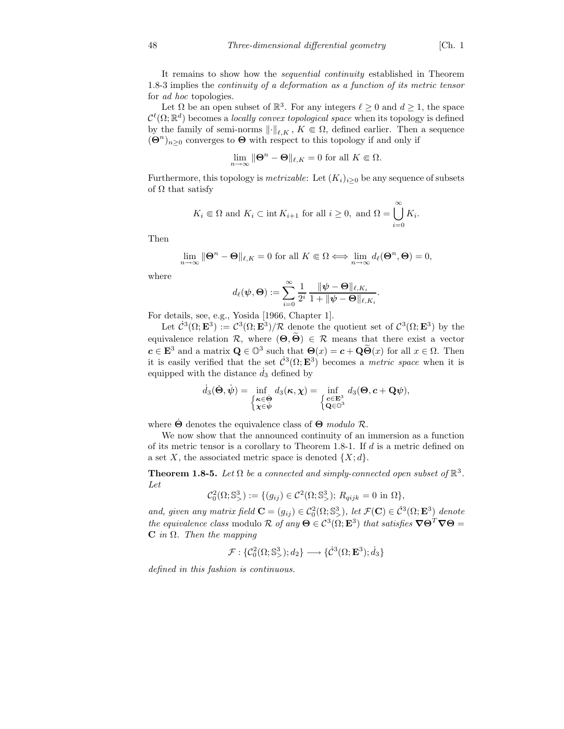It remains to show how the sequential continuity established in Theorem 1.8-3 implies the continuity of a deformation as a function of its metric tensor for ad hoc topologies.

Let  $\Omega$  be an open subset of  $\mathbb{R}^3$ . For any integers  $\ell \geq 0$  and  $d \geq 1$ , the space  $\mathcal{C}^{\ell}(\Omega;\mathbb{R}^d)$  becomes a locally convex topological space when its topology is defined by the family of semi-norms  $\lVert \cdot \rVert_{\ell,K}, K \in \Omega$ , defined earlier. Then a sequence  $(\mathbf{\Theta}^n)_{n\geq 0}$  converges to  $\mathbf{\Theta}$  with respect to this topology if and only if

$$
\lim_{n \to \infty} \|\Theta^n - \Theta\|_{\ell,K} = 0 \text{ for all } K \Subset \Omega.
$$

Furthermore, this topology is *metrizable*: Let  $(K_i)_{i\geq 0}$  be any sequence of subsets of  $\Omega$  that satisfy

$$
K_i \in \Omega
$$
 and  $K_i \subset \text{int } K_{i+1}$  for all  $i \ge 0$ , and  $\Omega = \bigcup_{i=0}^{\infty} K_i$ .

Then

$$
\lim_{n \to \infty} \|\mathbf{\Theta}^n - \mathbf{\Theta}\|_{\ell,K} = 0 \text{ for all } K \Subset \Omega \Longleftrightarrow \lim_{n \to \infty} d_{\ell}(\mathbf{\Theta}^n, \mathbf{\Theta}) = 0,
$$

where

$$
d_\ell(\boldsymbol{\psi}, \boldsymbol{\Theta}) := \sum_{i=0}^\infty \frac{1}{2^i} \, \frac{\|\boldsymbol{\psi} - \boldsymbol{\Theta}\|_{\ell, K_i}}{1 + \|\boldsymbol{\psi} - \boldsymbol{\Theta}\|_{\ell, K_i}}
$$

.

For details, see, e.g., Yosida [1966, Chapter 1].

Let  $\mathcal{C}^3(\Omega; \mathbf{E}^3) := \mathcal{C}^3(\Omega; \mathbf{E}^3)/\mathcal{R}$  denote the quotient set of  $\mathcal{C}^3(\Omega; \mathbf{E}^3)$  by the equivalence relation  $\mathcal{R}$ , where  $(\Theta, \widetilde{\Theta}) \in \mathcal{R}$  means that there exist a vector  $c \in \mathbf{E}^3$  and a matrix  $\mathbf{Q} \in \mathbb{O}^3$  such that  $\mathbf{\Theta}(x) = c + \mathbf{Q} \widetilde{\mathbf{\Theta}}(x)$  for all  $x \in \Omega$ . Then it is easily verified that the set  $\mathcal{C}^3(\Omega; \mathbf{E}^3)$  becomes a *metric space* when it is equipped with the distance  $d_3$  defined by

$$
\dot{d}_3(\dot{\Theta}, \dot{\psi}) = \inf_{\substack{\kappa \in \dot{\Theta} \\ \chi \in \dot{\psi}}} d_3(\kappa, \chi) = \inf_{\substack{\mathbf{c} \in \mathbf{E}^3 \\ \mathbf{Q} \in \mathbb{O}^3}} d_3(\Theta, \mathbf{c} + \mathbf{Q}\psi),
$$

where  $\dot{\Theta}$  denotes the equivalence class of  $\Theta$  modulo  $\mathcal{R}$ .

We now show that the announced continuity of an immersion as a function of its metric tensor is a corollary to Theorem 1.8-1. If d is a metric defined on a set X, the associated metric space is denoted  $\{X; d\}.$ 

**Theorem 1.8-5.** Let  $\Omega$  be a connected and simply-connected open subset of  $\mathbb{R}^3$ . Let

$$
\mathcal{C}_0^2(\Omega; \mathbb{S}^3) := \{ (g_{ij}) \in \mathcal{C}^2(\Omega; \mathbb{S}^3) ; R_{qijk} = 0 \text{ in } \Omega \},
$$

and, given any matrix field  $\mathbf{C} = (g_{ij}) \in \mathcal{C}_0^2(\Omega; \mathbb{S}_>^3)$ , let  $\mathcal{F}(\mathbf{C}) \in \dot{\mathcal{C}}^3(\Omega; \mathbf{E}^3)$  denote the equivalence class modulo R of any  $\Theta \in C^3(\Omega; \mathbf{E}^3)$  that satisfies  $\nabla \Theta^T \nabla \Theta =$  $C$  in  $\Omega$ . Then the mapping

$$
\mathcal{F}: \{\mathcal{C}_0^2(\Omega; \mathbb{S}^3_{>}); d_2\} \longrightarrow \{\dot{\mathcal{C}}^3(\Omega; \mathbf{E}^3); \dot{d}_3\}
$$

defined in this fashion is continuous.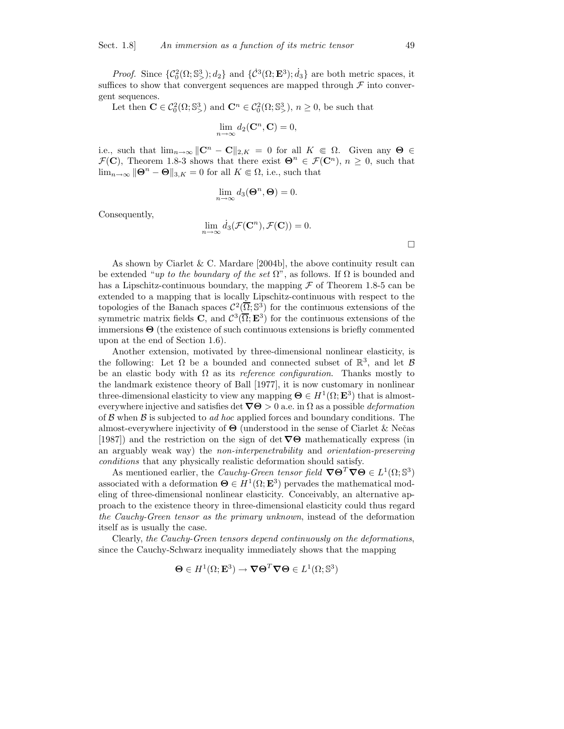*Proof.* Since  $\{\mathcal{C}_0^2(\Omega; \mathbb{S}^3)$ ;  $d_2\}$  and  $\{\dot{\mathcal{C}}^3(\Omega; \mathbf{E}^3)$ ;  $\dot{d}_3\}$  are both metric spaces, it suffices to show that convergent sequences are mapped through  ${\mathcal F}$  into convergent sequences.

Let then  $\mathbf{C} \in C_0^2(\Omega; \mathbb{S}^3)$  and  $\mathbf{C}^n \in C_0^2(\Omega; \mathbb{S}^3)$ ,  $n \ge 0$ , be such that

$$
\lim_{n \to \infty} d_2(\mathbf{C}^n, \mathbf{C}) = 0,
$$

i.e., such that  $\lim_{n\to\infty} ||\mathbf{C}^n - \mathbf{C}||_{2,K} = 0$  for all  $K \in \Omega$ . Given any  $\Theta \in$  $\mathcal{F}(\mathbf{C})$ , Theorem 1.8-3 shows that there exist  $\mathbf{\Theta}^n \in \mathcal{F}(\mathbf{C}^n)$ ,  $n \geq 0$ , such that  $\lim_{n\to\infty} \|\mathbf{\Theta}^n - \mathbf{\Theta}\|_{3,K} = 0$  for all  $K \in \Omega$ , i.e., such that

$$
\lim_{n \to \infty} d_3(\mathbf{\Theta}^n, \mathbf{\Theta}) = 0.
$$

Consequently,

$$
\lim_{n \to \infty} \dot{d}_3(\mathcal{F}(\mathbf{C}^n), \mathcal{F}(\mathbf{C})) = 0.
$$

 $\Box$ 

As shown by Ciarlet & C. Mardare  $[2004b]$ , the above continuity result can be extended "up to the boundary of the set  $\Omega$ ", as follows. If  $\Omega$  is bounded and has a Lipschitz-continuous boundary, the mapping  $\mathcal F$  of Theorem 1.8-5 can be extended to a mapping that is locally Lipschitz-continuous with respect to the topologies of the Banach spaces  $\mathcal{C}^2(\overline{\Omega}; \mathbb{S}^3)$  for the continuous extensions of the symmetric matrix fields **C**, and  $C^3(\overline{\Omega}; \mathbf{E}^3)$  for the continuous extensions of the immersions  $\Theta$  (the existence of such continuous extensions is briefly commented upon at the end of Section 1.6).

Another extension, motivated by three-dimensional nonlinear elasticity, is the following: Let  $\Omega$  be a bounded and connected subset of  $\mathbb{R}^3$ , and let  $\mathcal{B}$ be an elastic body with  $\Omega$  as its *reference configuration*. Thanks mostly to the landmark existence theory of Ball [1977], it is now customary in nonlinear three-dimensional elasticity to view any mapping  $\mathbf{\Theta} \in H^1(\Omega; \mathbf{E}^3)$  that is almosteverywhere injective and satisfies det  $\nabla\Theta > 0$  a.e. in  $\Omega$  as a possible *deformation* of  $\beta$  when  $\beta$  is subjected to *ad hoc* applied forces and boundary conditions. The almost-everywhere injectivity of  $\Theta$  (understood in the sense of Ciarlet & Nečas [1987]) and the restriction on the sign of det  $\nabla\Theta$  mathematically express (in an arguably weak way) the non-interpenetrability and orientation-preserving conditions that any physically realistic deformation should satisfy.

As mentioned earlier, the Cauchy-Green tensor field  $\nabla \Theta^T \nabla \Theta \in L^1(\Omega; \mathbb{S}^3)$ associated with a deformation  $\Theta \in H^1(\Omega; \mathbf{E}^3)$  pervades the mathematical modeling of three-dimensional nonlinear elasticity. Conceivably, an alternative approach to the existence theory in three-dimensional elasticity could thus regard the Cauchy-Green tensor as the primary unknown, instead of the deformation itself as is usually the case.

Clearly, the Cauchy-Green tensors depend continuously on the deformations, since the Cauchy-Schwarz inequality immediately shows that the mapping

$$
\mathbf{\Theta} \in H^1(\Omega; \mathbf{E}^3) \to \nabla \mathbf{\Theta}^T \nabla \mathbf{\Theta} \in L^1(\Omega; \mathbb{S}^3)
$$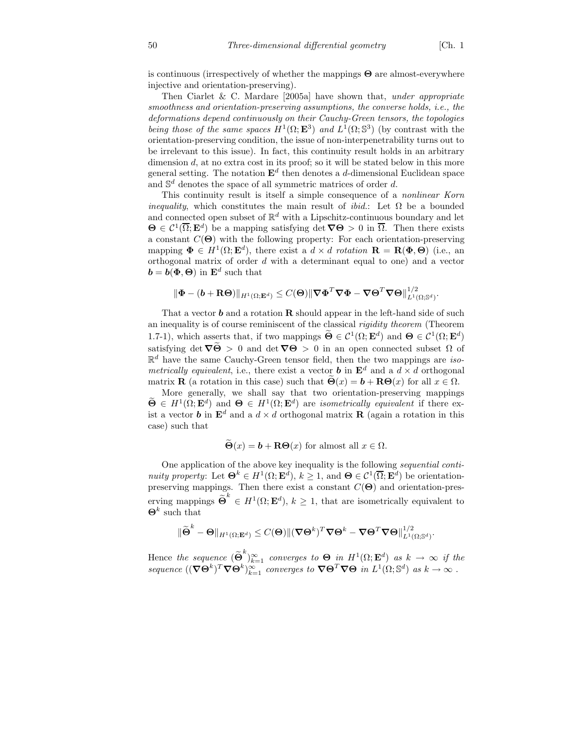.

is continuous (irrespectively of whether the mappings  $\Theta$  are almost-everywhere injective and orientation-preserving).

Then Ciarlet & C. Mardare  $[2005a]$  have shown that, under appropriate smoothness and orientation-preserving assumptions, the converse holds, i.e., the deformations depend continuously on their Cauchy-Green tensors, the topologies being those of the same spaces  $H^1(\Omega; \mathbf{E}^3)$  and  $L^1(\Omega; \mathbb{S}^3)$  (by contrast with the orientation-preserving condition, the issue of non-interpenetrability turns out to be irrelevant to this issue). In fact, this continuity result holds in an arbitrary dimension  $d$ , at no extra cost in its proof; so it will be stated below in this more general setting. The notation  $\mathbf{E}^d$  then denotes a *d*-dimensional Euclidean space and  $\mathbb{S}^d$  denotes the space of all symmetric matrices of order d.

This continuity result is itself a simple consequence of a nonlinear Korn *inequality*, which constitutes the main result of *ibid.*: Let  $\Omega$  be a bounded and connected open subset of  $\mathbb{R}^d$  with a Lipschitz-continuous boundary and let  $\Theta \in C^1(\overline{\Omega}; \mathbf{E}^d)$  be a mapping satisfying det  $\nabla \Theta > 0$  in  $\overline{\Omega}$ . Then there exists a constant  $C(\Theta)$  with the following property: For each orientation-preserving mapping  $\mathbf{\Phi} \in H^1(\Omega; \mathbf{E}^d)$ , there exist a  $d \times d$  rotation  $\mathbf{R} = \mathbf{R}(\mathbf{\Phi}, \mathbf{\Theta})$  (i.e., an orthogonal matrix of order d with a determinant equal to one) and a vector  $\mathbf{b} = \mathbf{b}(\mathbf{\Phi}, \mathbf{\Theta})$  in  $\mathbf{E}^d$  such that

$$
\|\bm{\Phi}-(\bm{b}+\mathbf{R}\bm{\Theta})\|_{H^1(\Omega;\mathbf{E}^d)}\leq C(\bm{\Theta})\|\bm{\nabla}\bm{\Phi}^T\bm{\nabla}\bm{\Phi}-\bm{\nabla}\bm{\Theta}^T\bm{\nabla}\bm{\Theta}\|_{L^1(\Omega;\mathbb{S}^d)}^{1/2}.
$$

That a vector  $\boldsymbol{b}$  and a rotation **R** should appear in the left-hand side of such an inequality is of course reminiscent of the classical rigidity theorem (Theorem 1.7-1), which asserts that, if two mappings  $\tilde{\Theta} \in C^1(\Omega; \mathbf{E}^d)$  and  $\Theta \in C^1(\Omega; \mathbf{E}^d)$ satisfying det  $\nabla \tilde{\Theta} > 0$  and det  $\nabla \Theta > 0$  in an open connected subset  $\Omega$  of  $\mathbb{R}^d$  have the same Cauchy-Green tensor field, then the two mappings are *iso*metrically equivalent, i.e., there exist a vector **b** in  $\mathbf{E}^d$  and a  $d \times d$  orthogonal matrix **R** (a rotation in this case) such that  $\Theta(x) = b + \textbf{R}\Theta(x)$  for all  $x \in \Omega$ .

More generally, we shall say that two orientation-preserving mappings  $\widetilde{\Theta} \in H^1(\Omega; \mathbf{E}^d)$  and  $\Theta \in H^1(\Omega; \mathbf{E}^d)$  are *isometrically equivalent* if there exist a vector **b** in  $\mathbf{E}^d$  and a  $d \times d$  orthogonal matrix **R** (again a rotation in this case) such that

$$
\dot{\Theta}(x) = \mathbf{b} + \mathbf{R}\Theta(x)
$$
 for almost all  $x \in \Omega$ .

One application of the above key inequality is the following sequential continuity property: Let  $\mathbf{\Theta}^k \in H^1(\Omega; \mathbf{E}^d)$ ,  $k \geq 1$ , and  $\mathbf{\Theta} \in C^1(\overline{\Omega}; \mathbf{E}^d)$  be orientationpreserving mappings. Then there exist a constant  $C(\Theta)$  and orientation-preserving mappings  $\widetilde{\Theta}^k \in H^1(\Omega; \mathbf{E}^d), k \geq 1$ , that are isometrically equivalent to  $\mathbf{\Theta}^k$  such that

$$
\|\widetilde{\Theta}^k - \Theta\|_{H^1(\Omega; \mathbf{E}^d)} \leq C(\Theta) \|(\nabla \Theta^k)^T \nabla \Theta^k - \nabla \Theta^T \nabla \Theta\|_{L^1(\Omega; \mathbb{S}^d)}^{1/2}
$$

Hence the sequence  $\left(\widetilde{\Theta}^k\right)_{k=1}^{\infty}$  converges to  $\Theta$  in  $H^1(\Omega; \mathbf{E}^d)$  as  $k \to \infty$  if the sequence  $((\nabla \Theta^k)^T \nabla \Theta^k)_{k=1}^{\infty}$  converges to  $\nabla \Theta^T \nabla \Theta$  in  $L^1(\Omega; \mathbb{S}^d)$  as  $k \to \infty$ .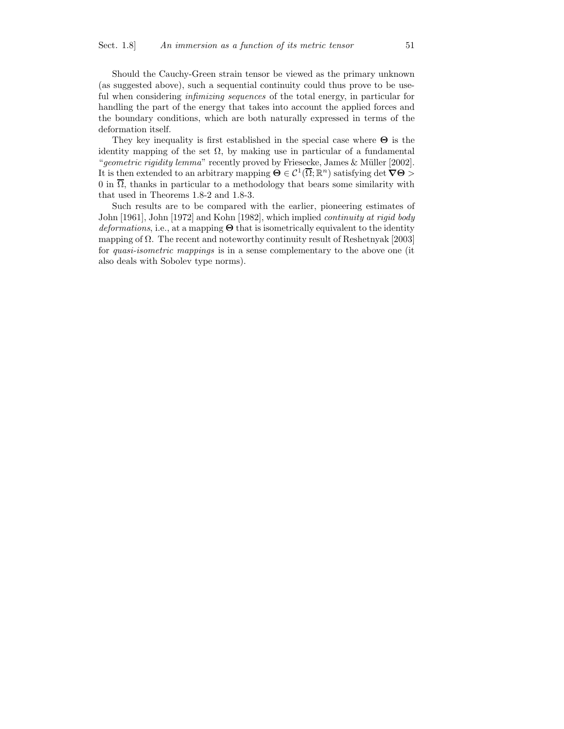#### Should the Cauchy-Green strain tensor be viewed as the primary unknown (as suggested above), such a sequential continuity could thus prove to be useful when considering infimizing sequences of the total energy, in particular for handling the part of the energy that takes into account the applied forces and the boundary conditions, which are both naturally expressed in terms of the deformation itself.

They key inequality is first established in the special case where  $\Theta$  is the identity mapping of the set  $\Omega$ , by making use in particular of a fundamental "geometric rigidity lemma" recently proved by Friesecke, James & Müller  $[2002]$ . It is then extended to an arbitrary mapping  $\Theta \in \mathcal{C}^1(\overline{\Omega}; \mathbb{R}^n)$  satisfying det  $\nabla \Theta >$  $0$  in  $\Omega$ , thanks in particular to a methodology that bears some similarity with that used in Theorems 1.8-2 and 1.8-3.

Such results are to be compared with the earlier, pioneering estimates of John [1961], John [1972] and Kohn [1982], which implied continuity at rigid body  $deformations$ , i.e., at a mapping  $\Theta$  that is isometrically equivalent to the identity mapping of  $\Omega$ . The recent and noteworthy continuity result of Reshetnyak [2003] for quasi-isometric mappings is in a sense complementary to the above one (it also deals with Sobolev type norms).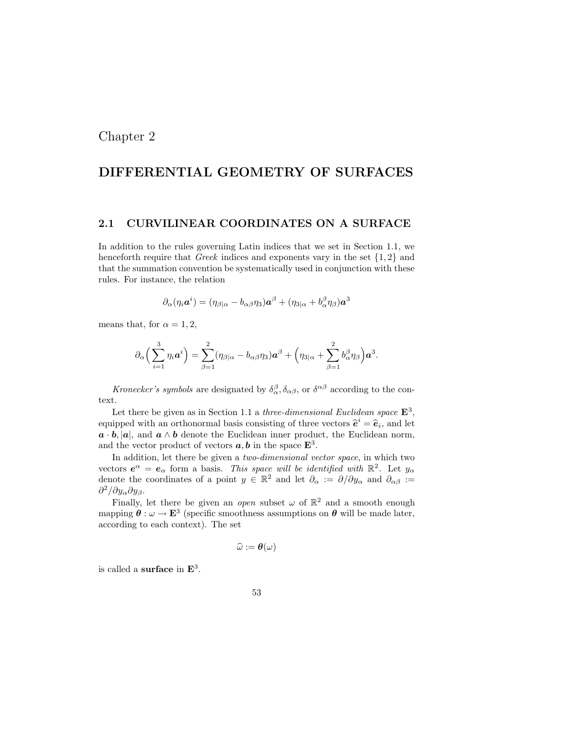# Chapter 2

# DIFFERENTIAL GEOMETRY OF SURFACES

#### 2.1 CURVILINEAR COORDINATES ON A SURFACE

In addition to the rules governing Latin indices that we set in Section 1.1, we henceforth require that Greek indices and exponents vary in the set  $\{1, 2\}$  and that the summation convention be systematically used in conjunction with these rules. For instance, the relation

$$
\partial_{\alpha}(\eta_i \boldsymbol{a}^i) = (\eta_{\beta|\alpha} - b_{\alpha\beta}\eta_3)\boldsymbol{a}^{\beta} + (\eta_{3|\alpha} + b_{\alpha}^{\beta}\eta_{\beta})\boldsymbol{a}^3
$$

means that, for  $\alpha = 1, 2$ ,

$$
\partial_\alpha \Big(\sum_{i=1}^3 \eta_i {\boldsymbol a}^i \Big) = \sum_{\beta=1}^2 (\eta_{\beta | \alpha} - b_{\alpha \beta} \eta_3) {\boldsymbol a}^{\beta} + \Big( \eta_{3 | \alpha} + \sum_{\beta=1}^2 b_{\alpha}^{\beta} \eta_{\beta} \Big) {\boldsymbol a}^3.
$$

Kronecker's symbols are designated by  $\delta_{\alpha}^{\beta}, \delta_{\alpha\beta}$ , or  $\delta^{\alpha\beta}$  according to the context.

Let there be given as in Section 1.1 a three-dimensional Euclidean space  $\mathbf{E}^3$ , equipped with an orthonormal basis consisting of three vectors  $\hat{\mathbf{e}}^i = \hat{\mathbf{e}}_i$ , and let  $a \cdot b$ , |a|, and  $a \wedge b$  denote the Euclidean inner product, the Euclidean norm, and the vector product of vectors  $a, b$  in the space  $\mathbf{E}^3$ .

In addition, let there be given a *two-dimensional vector space*, in which two vectors  $e^{\alpha} = e_{\alpha}$  form a basis. This space will be identified with  $\mathbb{R}^2$ . Let  $y_{\alpha}$ denote the coordinates of a point  $y \in \mathbb{R}^2$  and let  $\partial_{\alpha} := \partial/\partial y_{\alpha}$  and  $\partial_{\alpha\beta} :=$  $\partial^2/\partial y_\alpha \partial y_\beta.$ 

Finally, let there be given an *open* subset  $\omega$  of  $\mathbb{R}^2$  and a smooth enough mapping  $\theta : \omega \to \mathbf{E}^3$  (specific smoothness assumptions on  $\theta$  will be made later, according to each context). The set

$$
\widehat{\omega}:=\boldsymbol{\theta}(\omega)
$$

is called a **surface** in  $\mathbf{E}^3$ .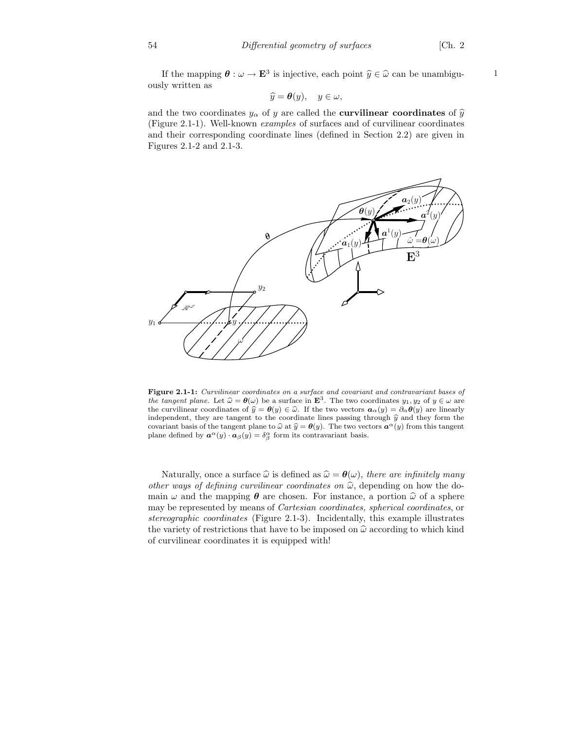If the mapping  $\boldsymbol{\theta} : \omega \to \mathbf{E}^3$  is injective, each point  $\widehat{y} \in \widehat{\omega}$  can be unambiguously written as

$$
\widehat{y} = \boldsymbol{\theta}(y), \quad y \in \omega,
$$

and the two coordinates  $y_{\alpha}$  of y are called the **curvilinear coordinates** of  $\hat{y}$ (Figure 2.1-1). Well-known examples of surfaces and of curvilinear coordinates and their corresponding coordinate lines (defined in Section 2.2) are given in Figures 2.1-2 and 2.1-3.



Figure 2.1-1: Curvilinear coordinates on a surface and covariant and contravariant bases of the tangent plane. Let  $\hat{\omega} = \theta(\omega)$  be a surface in  $\mathbf{E}^3$ . The two coordinates  $y_1, y_2$  of  $y \in \omega$  are the curvilinear coordinates of  $\hat{y} = \theta(y) \in \hat{\omega}$ . If the two vectors  $\boldsymbol{a}_{\alpha}(y) = \partial_{\alpha} \theta(y)$  are linearly independent, they are tangent to the coordinate lines passing through  $\hat{y}$  and they form the covariant basis of the tangent plane to  $\hat{\omega}$  at  $\hat{y} = \theta(y)$ . The two vectors  $\alpha^{\alpha}(y)$  from this tangent plane defined by  $\mathbf{a}^{\alpha}(y) \cdot \mathbf{a}_{\beta}(y) = \delta^{\alpha}_{\beta}$  form its contravariant basis.

Naturally, once a surface  $\hat{\omega}$  is defined as  $\hat{\omega} = \theta(\omega)$ , there are infinitely many other ways of defining curvilinear coordinates on  $\hat{\omega}$ , depending on how the domain  $\omega$  and the mapping  $\theta$  are chosen. For instance, a portion  $\hat{\omega}$  of a sphere may be represented by means of Cartesian coordinates, spherical coordinates, or stereographic coordinates (Figure 2.1-3). Incidentally, this example illustrates the variety of restrictions that have to be imposed on  $\hat{\omega}$  according to which kind of curvilinear coordinates it is equipped with!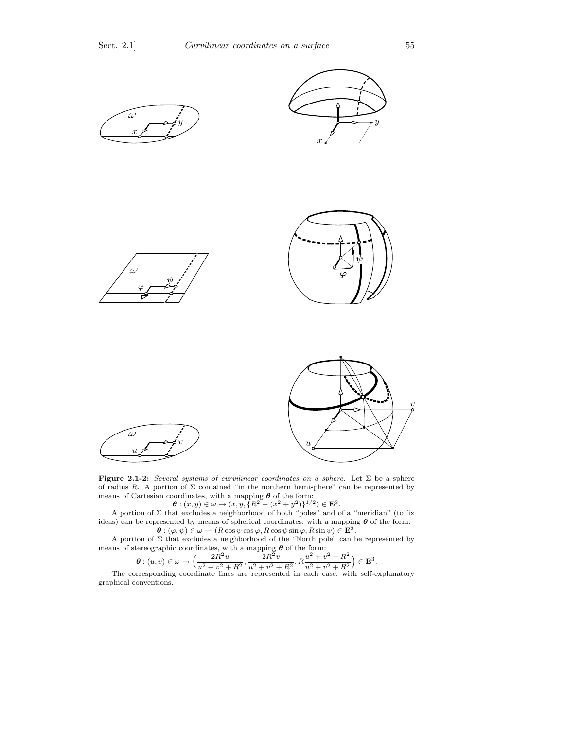

Figure 2.1-2: Several systems of curvilinear coordinates on a sphere. Let  $\Sigma$  be a sphere of radius R. A portion of  $\Sigma$  contained "in the northern hemisphere" can be represented by means of Cartesian coordinates, with a mapping  $\theta$  of the form:<br>  $\theta: (x, y) \in \omega \to (x, y, \{R^2 - (x^2 + y^2)\}^{1/2}) \in \mathbf{E}^3$ .

A portion of  $\Sigma$  that excludes a neighborhood of both "poles" and of a "meridian" (to fix ideas) can be represented by means of spherical coordinates, with a mapping  $\theta$  of the form:  $\boldsymbol{\theta} : (\varphi, \psi) \in \omega \to (R \cos \psi \cos \varphi, R \cos \psi \sin \varphi, R \sin \psi) \in \mathbf{E}^3.$ 

A portion of Σ that excludes a neighborhood of the "North pole" can be represented by means of stereographic coordinates, with a mapping  $\theta$  of the form:

$$
\theta: (u, v) \in \omega \to \left(\frac{2R^2u}{u^2 + v^2 + R^2}, \frac{2R^2v}{u^2 + v^2 + R^2}, R\frac{u^2 + v^2 - R^2}{u^2 + v^2 + R^2}\right) \in \mathbf{E}^3.
$$
  
The corresponding coordinate lines are represented in each case, with self-explanatory

graphical conventions.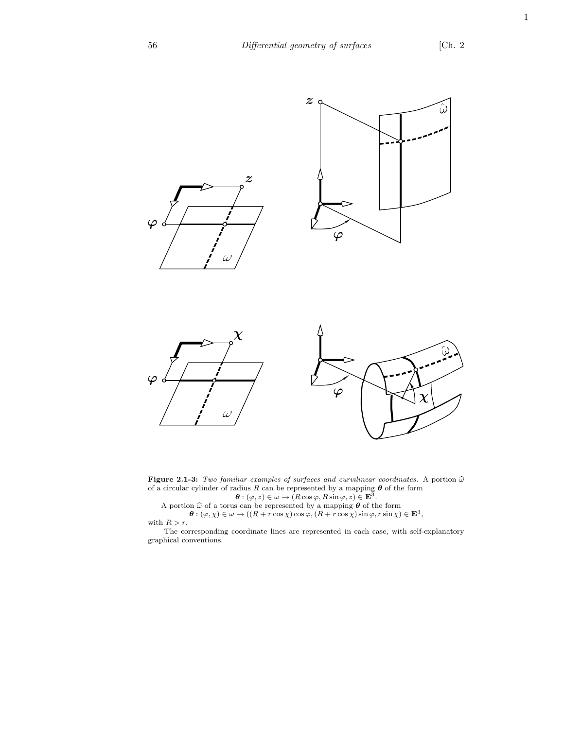1



Figure 2.1-3: Two familiar examples of surfaces and curvilinear coordinates. A portion  $\widehat{\omega}$ of a circular cylinder of radius R can be represented by a mapping  $\theta$  of the form  $\theta : (\varphi, z) \in \omega \to (R \cos \varphi, R \sin \varphi, z) \in \mathbf{E}^3$ .

A portion  $\widehat{\omega}$  of a torus can be represented by a mapping  $\theta$  of the form  $\theta : (\varphi, \chi) \in \omega \to ((R + r \cos \chi) \cos \varphi, (R + r \cos \chi) \sin \varphi, r \sin \chi) \in \mathbf{E}^3$ , with  $R > r$ .

The corresponding coordinate lines are represented in each case, with self-explanatory graphical conventions.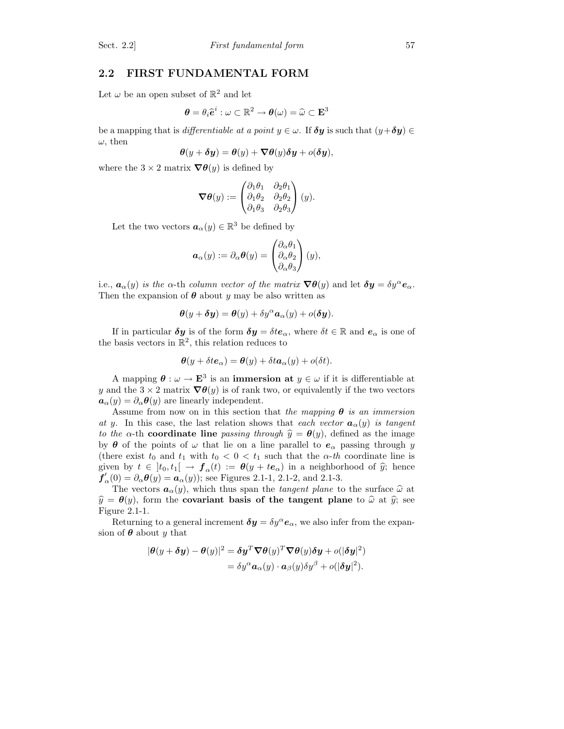## 2.2 FIRST FUNDAMENTAL FORM

Let  $\omega$  be an open subset of  $\mathbb{R}^2$  and let

$$
\boldsymbol{\theta} = \theta_i \widehat{\boldsymbol{e}}^i : \omega \subset \mathbb{R}^2 \to \boldsymbol{\theta}(\omega) = \widehat{\omega} \subset \mathbf{E}^3
$$

be a mapping that is differentiable at a point  $y \in \omega$ . If  $\delta y$  is such that  $(y + \delta y) \in$  $\omega$ , then

$$
\boldsymbol{\theta}(y+\boldsymbol{\delta}y)=\boldsymbol{\theta}(y)+\boldsymbol{\nabla}\boldsymbol{\theta}(y)\boldsymbol{\delta}y+o(\boldsymbol{\delta}y),
$$

where the  $3 \times 2$  matrix  $\nabla \theta(y)$  is defined by

$$
\boldsymbol{\nabla\theta}(y):=\begin{pmatrix}\partial_1\theta_1&\partial_2\theta_1\\\partial_1\theta_2&\partial_2\theta_2\\\partial_1\theta_3&\partial_2\theta_3\end{pmatrix}(y).
$$

Let the two vectors  $\boldsymbol{a}_{\alpha}(y) \in \mathbb{R}^3$  be defined by

$$
\boldsymbol{a}_{\alpha}(y) := \partial_{\alpha} \boldsymbol{\theta}(y) = \begin{pmatrix} \partial_{\alpha} \theta_1 \\ \partial_{\alpha} \theta_2 \\ \partial_{\alpha} \theta_3 \end{pmatrix}(y),
$$

i.e.,  $a_{\alpha}(y)$  is the  $\alpha$ -th column vector of the matrix  $\nabla \theta(y)$  and let  $\delta y = \delta y^{\alpha} e_{\alpha}$ . Then the expansion of  $\theta$  about y may be also written as

$$
\boldsymbol{\theta}(y+\boldsymbol{\delta}y)=\boldsymbol{\theta}(y)+\delta y^{\alpha}\boldsymbol{a}_{\alpha}(y)+o(\boldsymbol{\delta}y).
$$

If in particular  $\delta y$  is of the form  $\delta y = \delta t e_\alpha$ , where  $\delta t \in \mathbb{R}$  and  $e_\alpha$  is one of the basis vectors in  $\mathbb{R}^2$ , this relation reduces to

$$
\boldsymbol{\theta}(y + \delta t \boldsymbol{e}_{\alpha}) = \boldsymbol{\theta}(y) + \delta t \boldsymbol{a}_{\alpha}(y) + o(\delta t).
$$

A mapping  $\boldsymbol{\theta} : \omega \to \mathbf{E}^3$  is an **immersion at**  $y \in \omega$  if it is differentiable at y and the  $3 \times 2$  matrix  $\nabla \theta(y)$  is of rank two, or equivalently if the two vectors  $a_{\alpha}(y) = \partial_{\alpha} \theta(y)$  are linearly independent.

Assume from now on in this section that the mapping  $\theta$  is an immersion at y. In this case, the last relation shows that each vector  $\mathbf{a}_{\alpha}(y)$  is tangent to the  $\alpha$ -th coordinate line passing through  $\hat{y} = \theta(y)$ , defined as the image by  $\theta$  of the points of  $\omega$  that lie on a line parallel to  $e_{\alpha}$  passing through y (there exist  $t_0$  and  $t_1$  with  $t_0 < 0 < t_1$  such that the  $\alpha$ -th coordinate line is given by  $t \in \left] t_0, t_1 \right[ \rightarrow f_\alpha(t) := \theta(y + te_\alpha)$  in a neighborhood of  $\hat{y}$ ; hence  $f'_{\alpha}(0) = \partial_{\alpha}\theta(y) = a_{\alpha}(y)$ ; see Figures 2.1-1, 2.1-2, and 2.1-3.

The vectors  $a_{\alpha}(y)$ , which thus span the *tangent plane* to the surface  $\hat{\omega}$  at  $\hat{y} = \theta(y)$ , form the covariant basis of the tangent plane to  $\hat{\omega}$  at  $\hat{y}$ ; see Figure 2.1-1.

Returning to a general increment  $\delta y = \delta y^{\alpha} e_{\alpha}$ , we also infer from the expansion of  $\theta$  about y that

$$
|\theta(y + \delta y) - \theta(y)|^2 = \delta y^T \nabla \theta(y)^T \nabla \theta(y) \delta y + o(|\delta y|^2)
$$
  
=  $\delta y^{\alpha} a_{\alpha}(y) \cdot a_{\beta}(y) \delta y^{\beta} + o(|\delta y|^2).$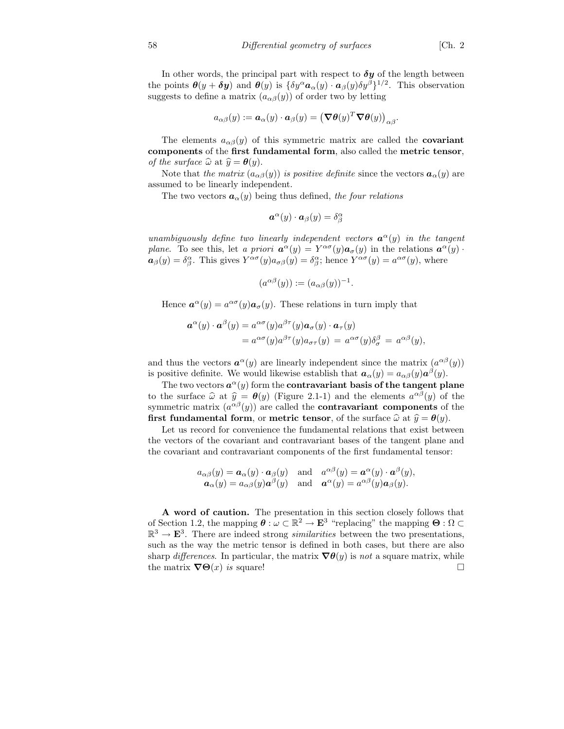In other words, the principal part with respect to  $\delta y$  of the length between the points  $\boldsymbol{\theta}(y+\boldsymbol{\delta y})$  and  $\boldsymbol{\theta}(y)$  is  $\{\delta y^{\alpha} \boldsymbol{a}_{\alpha}(y) \cdot \boldsymbol{a}_{\beta}(y) \delta y^{\beta}\}^{1/2}$ . This observation

suggests to define a matrix  $(a_{\alpha\beta}(y))$  of order two by letting

$$
a_{\alpha\beta}(y) := \boldsymbol{a}_{\alpha}(y) \cdot \boldsymbol{a}_{\beta}(y) = \left(\boldsymbol{\nabla}\boldsymbol{\theta}(y)^T\boldsymbol{\nabla}\boldsymbol{\theta}(y)\right)_{\alpha\beta}.
$$

The elements  $a_{\alpha\beta}(y)$  of this symmetric matrix are called the **covariant** components of the first fundamental form, also called the metric tensor, of the surface  $\widehat{\omega}$  at  $\widehat{y} = \theta(y)$ .

Note that the matrix  $(a_{\alpha\beta}(y))$  is positive definite since the vectors  $a_{\alpha}(y)$  are assumed to be linearly independent.

The two vectors  $a_{\alpha}(y)$  being thus defined, the four relations

$$
\boldsymbol{a}^{\alpha}(y)\cdot \boldsymbol{a}_{\beta}(y)=\delta^{\alpha}_{\beta}
$$

unambiguously define two linearly independent vectors  $\mathbf{a}^{\alpha}(y)$  in the tangent plane. To see this, let a priori  $\mathbf{a}^{\alpha}(y) = Y^{\alpha\sigma}(y)\mathbf{a}_{\sigma}(y)$  in the relations  $\mathbf{a}^{\alpha}(y)$ .  $a_{\beta}(y) = \delta^{\alpha}_{\beta}$ . This gives  $Y^{\alpha\sigma}(y)a_{\sigma\beta}(y) = \delta^{\alpha}_{\beta}$ ; hence  $Y^{\alpha\sigma}(y) = a^{\alpha\sigma}(y)$ , where

$$
(a^{\alpha\beta}(y)) := (a_{\alpha\beta}(y))^{-1}.
$$

Hence  $\mathbf{a}^{\alpha}(y) = a^{\alpha\sigma}(y)\mathbf{a}_{\sigma}(y)$ . These relations in turn imply that

$$
\mathbf{a}^{\alpha}(y) \cdot \mathbf{a}^{\beta}(y) = a^{\alpha\sigma}(y) a^{\beta\tau}(y) \mathbf{a}_{\sigma}(y) \cdot \mathbf{a}_{\tau}(y)
$$
  
=  $a^{\alpha\sigma}(y) a^{\beta\tau}(y) a_{\sigma\tau}(y) = a^{\alpha\sigma}(y) \delta^{\beta}_{\sigma} = a^{\alpha\beta}(y),$ 

and thus the vectors  $a^{\alpha}(y)$  are linearly independent since the matrix  $(a^{\alpha\beta}(y))$ is positive definite. We would likewise establish that  $a_{\alpha}(y) = a_{\alpha\beta}(y)a^{\beta}(y)$ .

The two vectors  $a^{\alpha}(y)$  form the **contravariant** basis of the tangent plane to the surface  $\hat{\omega}$  at  $\hat{y} = \theta(y)$  (Figure 2.1-1) and the elements  $a^{\alpha\beta}(y)$  of the symmetric matrix  $(a^{\alpha\beta}(y))$  are called the **contravariant components** of the first fundamental form, or metric tensor, of the surface  $\hat{\omega}$  at  $\hat{y} = \theta(y)$ .

Let us record for convenience the fundamental relations that exist between the vectors of the covariant and contravariant bases of the tangent plane and the covariant and contravariant components of the first fundamental tensor:

$$
a_{\alpha\beta}(y) = a_{\alpha}(y) \cdot a_{\beta}(y)
$$
 and  $a^{\alpha\beta}(y) = a^{\alpha}(y) \cdot a^{\beta}(y)$ ,  
\n $a_{\alpha}(y) = a_{\alpha\beta}(y)a^{\beta}(y)$  and  $a^{\alpha}(y) = a^{\alpha\beta}(y)a_{\beta}(y)$ .

A word of caution. The presentation in this section closely follows that of Section 1.2, the mapping  $\boldsymbol{\theta} : \omega \subset \mathbb{R}^2 \to \mathbf{E}^3$  "replacing" the mapping  $\boldsymbol{\Theta} : \Omega \subset \mathbb{R}^3$  $\mathbb{R}^3 \to \mathbf{E}^3$ . There are indeed strong *similarities* between the two presentations, such as the way the metric tensor is defined in both cases, but there are also sharp differences. In particular, the matrix  $\nabla \theta(y)$  is not a square matrix, while the matrix  $\nabla\Theta(x)$  is square!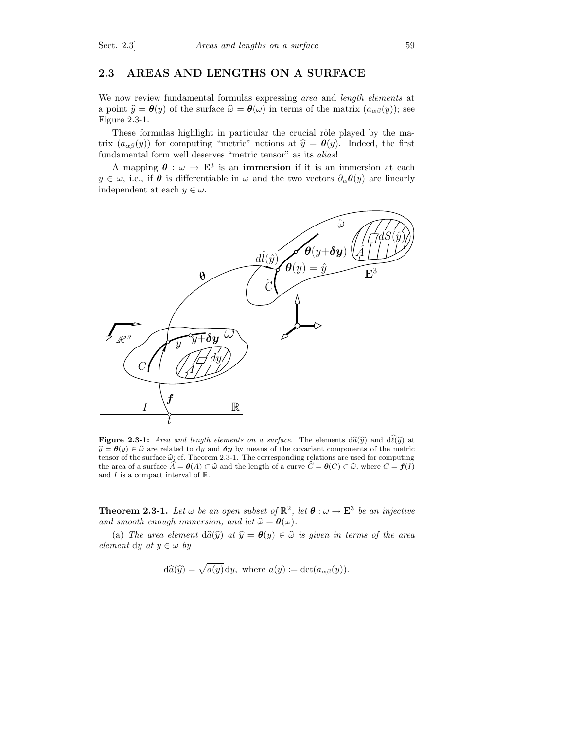## 2.3 AREAS AND LENGTHS ON A SURFACE

We now review fundamental formulas expressing *area* and *length elements* at a point  $\hat{y} = \theta(y)$  of the surface  $\hat{\omega} = \theta(\omega)$  in terms of the matrix  $(a_{\alpha\beta}(y))$ ; see Figure 2.3-1.

These formulas highlight in particular the crucial rôle played by the matrix  $(a_{\alpha\beta}(y))$  for computing "metric" notions at  $\hat{y} = \theta(y)$ . Indeed, the first fundamental form well deserves "metric tensor" as its alias!

A mapping  $\theta : \omega \to \mathbf{E}^3$  is an **immersion** if it is an immersion at each  $y \in \omega$ , i.e., if  $\theta$  is differentiable in  $\omega$  and the two vectors  $\partial_{\alpha} \theta(y)$  are linearly independent at each  $y \in \omega$ .



**Figure 2.3-1:** Area and length elements on a surface. The elements  $d\hat{a}(\hat{y})$  and  $d\hat{\ell}(\hat{y})$  at  $\hat{y} = \theta(y) \in \hat{\omega}$  are related to dy and  $\delta y$  by means of the covariant components of the metric tensor of the surface  $\hat{\omega}$ ; cf. Theorem 2.3-1. The corresponding relations are used for computing the area of a surface  $\hat{A} = \theta(A) \subset \hat{\omega}$  and the length of a curve  $\hat{C} = \theta(C) \subset \hat{\omega}$ , where  $C = f(I)$ and  $I$  is a compact interval of  $\mathbb R.$ 

**Theorem 2.3-1.** Let  $\omega$  be an open subset of  $\mathbb{R}^2$ , let  $\boldsymbol{\theta} : \omega \to \mathbf{E}^3$  be an injective and smooth enough immersion, and let  $\widehat{\omega} = \theta(\omega)$ .

(a) The area element  $d\hat{a}(\hat{y})$  at  $\hat{y} = \theta(y) \in \hat{\omega}$  is given in terms of the area element dy at  $y \in \omega$  by

$$
d\hat{a}(\hat{y}) = \sqrt{a(y)} dy
$$
, where  $a(y) := det(a_{\alpha\beta}(y))$ .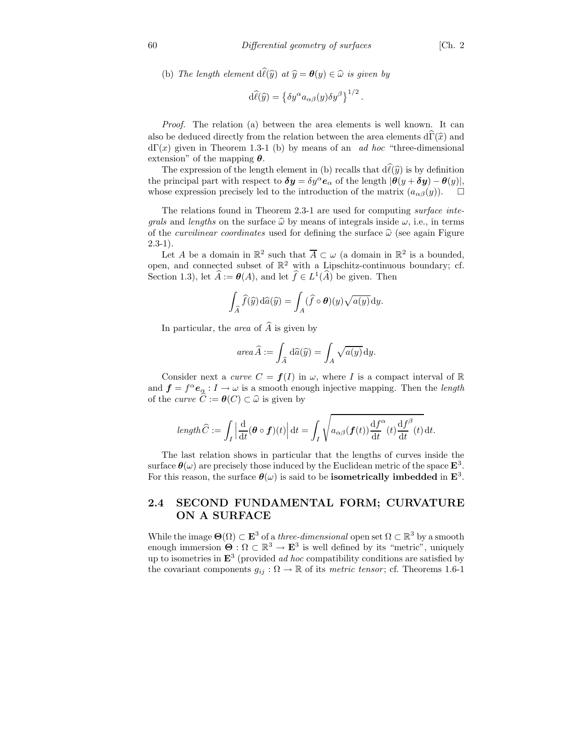(b) The length element  $d\widehat{l}(\widehat{y})$  at  $\widehat{y} = \theta(y) \in \widehat{\omega}$  is given by

$$
\mathrm{d}\widehat{\ell}(\widehat{y}) = \left\{\delta y^{\alpha} a_{\alpha\beta}(y) \delta y^{\beta}\right\}^{1/2}.
$$

Proof. The relation (a) between the area elements is well known. It can also be deduced directly from the relation between the area elements  $d\Gamma(\hat{x})$  and  $d\Gamma(x)$  given in Theorem 1.3-1 (b) by means of an *ad hoc* "three-dimensional" extension" of the mapping  $\theta$ .

The expression of the length element in (b) recalls that  $d\hat{\ell}(\hat{y})$  is by definition the principal part with respect to  $\delta y = \delta y^{\alpha} e_{\alpha}$  of the length  $|\theta(y + \delta y) - \theta(y)|$ , whose expression precisely led to the introduction of the matrix  $(a_{\alpha\beta}(y))$ .  $\Box$ 

The relations found in Theorem 2.3-1 are used for computing surface inte*grals* and *lengths* on the surface  $\hat{\omega}$  by means of integrals inside  $\omega$ , i.e., in terms of the *curvilinear coordinates* used for defining the surface  $\hat{\omega}$  (see again Figure  $2.3 - 1$ ).

Let A be a domain in  $\mathbb{R}^2$  such that  $\overline{A} \subset \omega$  (a domain in  $\mathbb{R}^2$  is a bounded, open, and connected subset of  $\mathbb{R}^2$  with a Lipschitz-continuous boundary; cf. Section 1.3), let  $\hat{A} := \theta(A)$ , and let  $\hat{f} \in L^1(\hat{A})$  be given. Then

$$
\int_{\widehat{A}} \widehat{f}(\widehat{y}) \, \mathrm{d}\widehat{a}(\widehat{y}) = \int_{A} (\widehat{f} \circ \boldsymbol{\theta})(y) \sqrt{a(y)} \, \mathrm{d}y.
$$

In particular, the *area* of  $\widehat{A}$  is given by

area 
$$
\widehat{A} := \int_{\widehat{A}} d\widehat{a}(\widehat{y}) = \int_{A} \sqrt{a(y)} dy.
$$

Consider next a *curve*  $C = f(I)$  in  $\omega$ , where I is a compact interval of R and  $f = f^{\alpha} e_{\alpha} : I \to \omega$  is a smooth enough injective mapping. Then the *length* of the *curve*  $\widehat{C} := \boldsymbol{\theta}(C) \subset \widehat{\omega}$  is given by

$$
\operatorname{length} \widehat{C} := \int_I \left| \frac{\mathrm{d}}{\mathrm{d}t} (\boldsymbol{\theta} \circ \boldsymbol{f})(t) \right| \mathrm{d}t = \int_I \sqrt{a_{\alpha\beta}(\boldsymbol{f}(t)) \frac{\mathrm{d}f^{\alpha}}{\mathrm{d}t}(t) \frac{\mathrm{d}f^{\beta}}{\mathrm{d}t}(t)} \mathrm{d}t.
$$

The last relation shows in particular that the lengths of curves inside the surface  $\theta(\omega)$  are precisely those induced by the Euclidean metric of the space  $\mathbf{E}^3$ . For this reason, the surface  $\theta(\omega)$  is said to be **isometrically imbedded** in  $\mathbf{E}^3$ .

## 2.4 SECOND FUNDAMENTAL FORM; CURVATURE ON A SURFACE

While the image  $\Theta(\Omega) \subset \mathbf{E}^3$  of a *three-dimensional* open set  $\Omega \subset \mathbb{R}^3$  by a smooth enough immersion  $\Theta : \Omega \subset \mathbb{R}^3 \to \mathbf{E}^3$  is well defined by its "metric", uniquely up to isometries in  $\mathbf{E}^3$  (provided *ad hoc* compatibility conditions are satisfied by the covariant components  $g_{ij}: \Omega \to \mathbb{R}$  of its metric tensor; cf. Theorems 1.6-1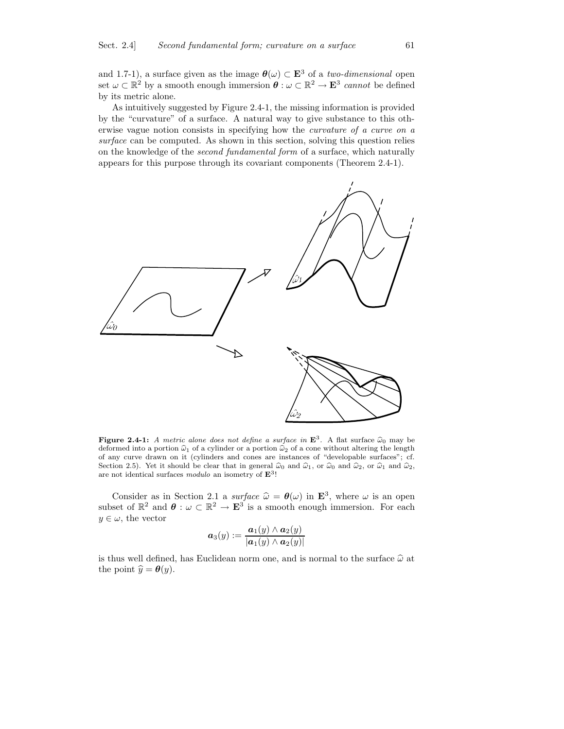and 1.7-1), a surface given as the image  $\theta(\omega) \subset \mathbf{E}^3$  of a two-dimensional open set  $\omega \subset \mathbb{R}^2$  by a smooth enough immersion  $\theta : \omega \subset \mathbb{R}^2 \to \mathbf{E}^3$  cannot be defined by its metric alone.

As intuitively suggested by Figure 2.4-1, the missing information is provided by the "curvature" of a surface. A natural way to give substance to this otherwise vague notion consists in specifying how the curvature of a curve on a surface can be computed. As shown in this section, solving this question relies on the knowledge of the second fundamental form of a surface, which naturally appears for this purpose through its covariant components (Theorem 2.4-1).



Figure 2.4-1: A metric alone does not define a surface in  $\mathbf{E}^3$ . A flat surface  $\hat{\omega}_0$  may be deformed into a portion  $\hat{\omega}_1$  of a cylinder or a portion  $\hat{\omega}_2$  of a cone without altering the length of any curve drawn on it (cylinders and cones are instances of "developable surfaces"; cf. Section 2.5). Yet it should be clear that in general  $\hat{\omega}_0$  and  $\hat{\omega}_1$ , or  $\hat{\omega}_0$  and  $\hat{\omega}_2$ , or  $\hat{\omega}_1$  and  $\hat{\omega}_2$ , are not identical surfaces modulo an isometry of  $\mathbf{E}^{3}!$ 

Consider as in Section 2.1 a surface  $\hat{\omega} = \theta(\omega)$  in  $\mathbf{E}^3$ , where  $\omega$  is an open subset of  $\mathbb{R}^2$  and  $\theta : \omega \subset \mathbb{R}^2 \to \mathbf{E}^3$  is a smooth enough immersion. For each  $y \in \omega$ , the vector

$$
\boldsymbol{a}_3(y):=\frac{\boldsymbol{a}_1(y)\wedge \boldsymbol{a}_2(y)}{|\boldsymbol{a}_1(y)\wedge \boldsymbol{a}_2(y)|}
$$

is thus well defined, has Euclidean norm one, and is normal to the surface  $\hat{\omega}$  at the point  $\hat{y} = \theta(y)$ .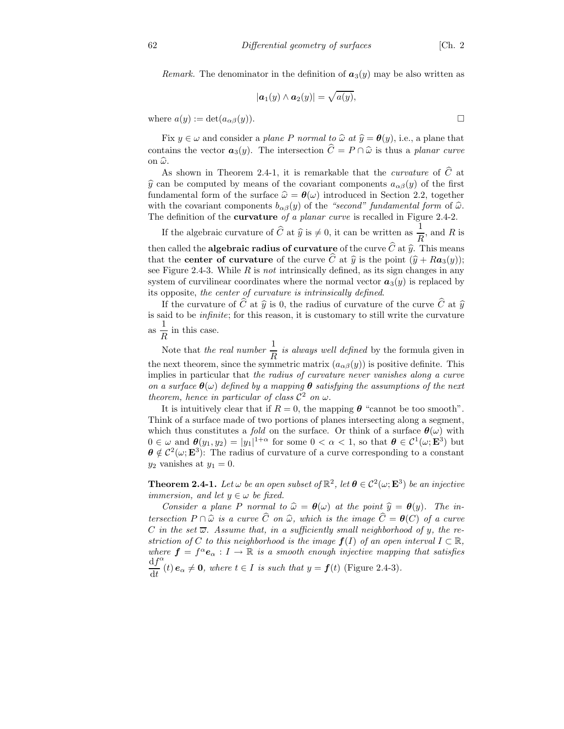Remark. The denominator in the definition of  $a_3(y)$  may be also written as

$$
|\boldsymbol{a}_1(y)\wedge \boldsymbol{a}_2(y)|=\sqrt{a(y)},
$$

where  $a(y) := \det(a_{\alpha\beta}(y)).$ 

Fix  $y \in \omega$  and consider a plane P normal to  $\hat{\omega}$  at  $\hat{y} = \theta(y)$ , i.e., a plane that contains the vector  $a_3(y)$ . The intersection  $\hat{C} = P \cap \hat{\omega}$  is thus a planar curve on  $\widehat{\omega}$ .

As shown in Theorem 2.4-1, it is remarkable that the *curvature* of  $\hat{C}$  at  $\hat{y}$  can be computed by means of the covariant components  $a_{\alpha\beta}(y)$  of the first fundamental form of the surface  $\hat{\omega} = \theta(\omega)$  introduced in Section 2.2, together with the covariant components  $b_{\alpha\beta}(y)$  of the "second" fundamental form of  $\widehat{\omega}$ . The definition of the **curvature** of a planar curve is recalled in Figure 2.4-2.

If the algebraic curvature of  $\widehat{C}$  at  $\widehat{y}$  is  $\neq 0$ , it can be written as  $\frac{1}{R}$  $\frac{1}{R}$ , and R is then called the **algebraic radius of curvature** of the curve  $\widehat{C}$  at  $\widehat{y}$ . This means that the **center of curvature** of the curve  $\hat{C}$  at  $\hat{y}$  is the point  $(\hat{y} + Ra_3(y))$ ; see Figure 2.4-3. While  $R$  is *not* intrinsically defined, as its sign changes in any system of curvilinear coordinates where the normal vector  $a_3(y)$  is replaced by its opposite, the center of curvature is intrinsically defined.

If the curvature of  $\hat{C}$  at  $\hat{y}$  is 0, the radius of curvature of the curve  $\hat{C}$  at  $\hat{y}$ is said to be infinite; for this reason, it is customary to still write the curvature as  $\frac{1}{\tau}$  $\frac{1}{R}$  in this case.

Note that the real number  $\frac{1}{5}$  $\frac{1}{R}$  is always well defined by the formula given in the next theorem, since the symmetric matrix  $(a_{\alpha\beta}(y))$  is positive definite. This implies in particular that the radius of curvature never vanishes along a curve on a surface  $\theta(\omega)$  defined by a mapping  $\theta$  satisfying the assumptions of the next theorem, hence in particular of class  $\mathcal{C}^2$  on  $\omega$ .

It is intuitively clear that if  $R = 0$ , the mapping  $\theta$  "cannot be too smooth". Think of a surface made of two portions of planes intersecting along a segment, which thus constitutes a fold on the surface. Or think of a surface  $\theta(\omega)$  with  $0 \in \omega$  and  $\boldsymbol{\theta}(y_1, y_2) = |y_1|^{1+\alpha}$  for some  $0 < \alpha < 1$ , so that  $\boldsymbol{\theta} \in C^1(\omega; \mathbf{E}^3)$  but  $\theta \notin C^2(\omega; \mathbf{E}^3)$ : The radius of curvature of a curve corresponding to a constant  $y_2$  vanishes at  $y_1 = 0$ .

**Theorem 2.4-1.** Let  $\omega$  be an open subset of  $\mathbb{R}^2$ , let  $\theta \in C^2(\omega; \mathbf{E}^3)$  be an injective *immersion, and let*  $y \in \omega$  *be fixed.* 

Consider a plane P normal to  $\hat{\omega} = \theta(\omega)$  at the point  $\hat{y} = \theta(y)$ . The intersection  $P \cap \hat{\omega}$  is a curve  $\widehat{C}$  on  $\widehat{\omega}$ , which is the image  $\widehat{C} = \boldsymbol{\theta}(C)$  of a curve C in the set  $\overline{\omega}$ . Assume that, in a sufficiently small neighborhood of y, the restriction of C to this neighborhood is the image  $f(I)$  of an open interval  $I \subset \mathbb{R}$ , where  $\mathbf{f} = f^{\alpha} \mathbf{e}_{\alpha} : I \to \mathbb{R}$  is a smooth enough injective mapping that satisfies  $\mathrm{d}f$ dt α (t)  $e_{\alpha} \neq 0$ , where  $t \in I$  is such that  $y = f(t)$  (Figure 2.4-3).

$$
\overline{}
$$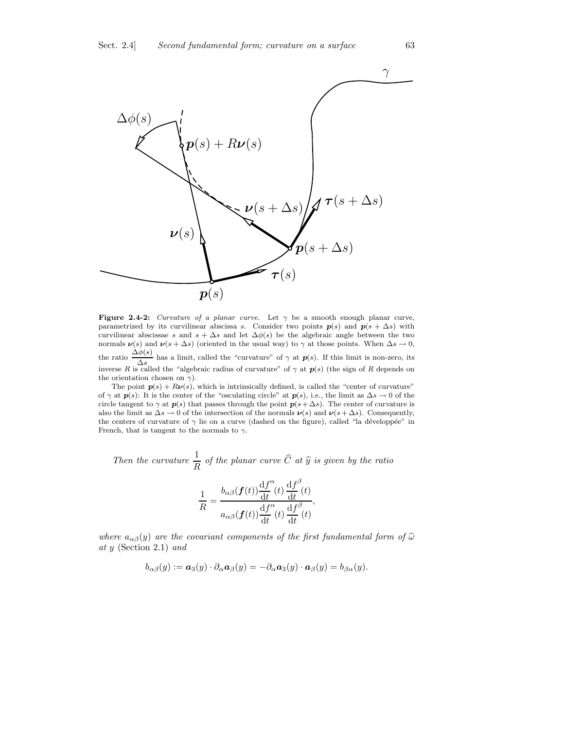

Figure 2.4-2: Curvature of a planar curve. Let  $\gamma$  be a smooth enough planar curve, parametrized by its curvilinear abscissa s. Consider two points  $p(s)$  and  $p(s + \Delta s)$  with curvilinear abscissae s and  $s + \Delta s$  and let  $\Delta \phi(s)$  be the algebraic angle between the two normals  $\nu(s)$  and  $\nu(s + \Delta s)$  (oriented in the usual way) to  $\gamma$  at those points. When  $\Delta s \to 0$ , the ratio  $\frac{\Delta \phi(s)}{s}$  has a limit, called the "curvature" of  $\gamma$  at  $p(s)$ . If this limit is non-zero, its  $\Delta s$ <br>inverse R is called the "algebraic radius of curvature" of  $\gamma$  at  $p(s)$  (the sign of R depends on the orientation chosen on  $\gamma$ ).

The point  $p(s) + R\nu(s)$ , which is intrinsically defined, is called the "center of curvature" of  $\gamma$  at  $p(s)$ : It is the center of the "osculating circle" at  $p(s)$ , i.e., the limit as  $\Delta s \to 0$  of the circle tangent to  $\gamma$  at  $p(s)$  that passes through the point  $p(s + \Delta s)$ . The center of curvature is also the limit as  $\Delta s \to 0$  of the intersection of the normals  $\nu(s)$  and  $\nu(s + \Delta s)$ . Consequently, the centers of curvature of  $\gamma$  lie on a curve (dashed on the figure), called "la développée" in French, that is tangent to the normals to  $\gamma$ .

Then the curvature 
$$
\frac{1}{R}
$$
 of the planar curve  $\hat{C}$  at  $\hat{y}$  is given by the ratio  

$$
\frac{1}{R} = \frac{b_{\alpha\beta}(\mathbf{f}(t))\frac{df^{\alpha}}{dt}(t)}{a_{\alpha\beta}(\mathbf{f}(t))\frac{df^{\beta}}{dt}(t)} \frac{df^{\beta}}{dt}(t),
$$

where  $a_{\alpha\beta}(y)$  are the covariant components of the first fundamental form of  $\widehat{\omega}$ at y (Section 2.1) and

$$
b_{\alpha\beta}(y) := \mathbf{a}_3(y) \cdot \partial_\alpha \mathbf{a}_\beta(y) = -\partial_\alpha \mathbf{a}_3(y) \cdot \mathbf{a}_\beta(y) = b_{\beta\alpha}(y).
$$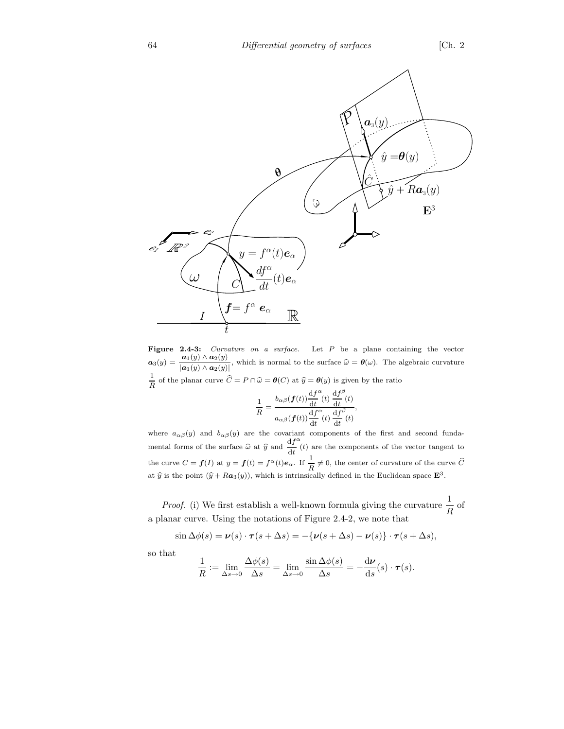

Figure 2.4-3: *Curvature on a surface*. Let P be a plane containing the vector  $a_3(y) = \frac{a_1(y) \wedge a_2(y)}{y}$  $\frac{a_1(y) \wedge a_2(y)}{|\mathbf{a}_1(y) \wedge \mathbf{a}_2(y)|}$ , which is normal to the surface  $\hat{\omega} = \theta(\omega)$ . The algebraic curvature 1  $\frac{1}{R}$  of the planar curve  $C = P \cap \hat{\omega} = \theta(C)$  at  $\hat{y} = \theta(y)$  is given by the ratio

$$
\frac{1}{R} = \frac{b_{\alpha\beta}(\boldsymbol{f}(t)) \frac{df^{\alpha}}{dt}(t) \frac{df^{\beta}}{dt}(t)}{a_{\alpha\beta}(\boldsymbol{f}(t)) \frac{df^{\alpha}}{dt}(t) \frac{df^{\beta}}{dt}(t)},
$$

where  $a_{\alpha\beta}(y)$  and  $b_{\alpha\beta}(y)$  are the covariant components of the first and second fundamental forms of the surface  $\hat{\omega}$  at  $\hat{y}$  and  $\frac{df}{dt}$ dt  $\alpha$  (*t*) are the components of the vector tangent to the curve  $C = f(I)$  at  $y = f(t) = f^{\alpha}(t)e_{\alpha}$ . If  $\frac{1}{R}$  $\frac{1}{R} \neq 0$ , the center of curvature of the curve C at  $\hat{y}$  is the point  $(\hat{y} + R\mathbf{a}_3(y))$ , which is intrinsically defined in the Euclidean space  $\mathbf{E}^3$ .

*Proof.* (i) We first establish a well-known formula giving the curvature  $\frac{1}{R}$  $\frac{1}{R}$  of a planar curve. Using the notations of Figure 2.4-2, we note that

$$
\sin \Delta \phi(s) = \nu(s) \cdot \tau(s + \Delta s) = -\{\nu(s + \Delta s) - \nu(s)\} \cdot \tau(s + \Delta s),
$$

so that

$$
\frac{1}{R} := \lim_{\Delta s \to 0} \frac{\Delta \phi(s)}{\Delta s} = \lim_{\Delta s \to 0} \frac{\sin \Delta \phi(s)}{\Delta s} = -\frac{\mathrm{d} \nu}{\mathrm{d} s}(s) \cdot \tau(s).
$$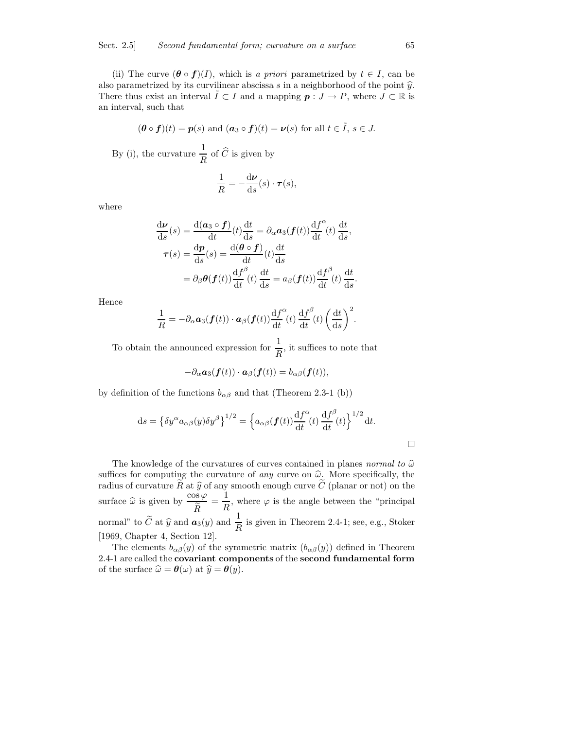(ii) The curve  $(\theta \circ f)(I)$ , which is a priori parametrized by  $t \in I$ , can be also parametrized by its curvilinear abscissa s in a neighborhood of the point  $\hat{y}$ . There thus exist an interval  $\tilde{I} \subset I$  and a mapping  $p : J \to P$ , where  $J \subset \mathbb{R}$  is an interval, such that

$$
(\theta \circ f)(t) = p(s)
$$
 and  $(a_3 \circ f)(t) = \nu(s)$  for all  $t \in \tilde{I}$ ,  $s \in J$ .

By (i), the curvature  $\frac{1}{R}$  $\frac{1}{R}$  of C is given by

$$
\frac{1}{R} = -\frac{\mathrm{d}\nu}{\mathrm{d}s}(s) \cdot \boldsymbol{\tau}(s),
$$

where

$$
\frac{d\mathbf{v}}{ds}(s) = \frac{d(a_3 \circ \mathbf{f})}{dt}(t)\frac{dt}{ds} = \partial_{\alpha}a_3(\mathbf{f}(t))\frac{df^{\alpha}}{dt}(t)\frac{dt}{ds},
$$

$$
\boldsymbol{\tau}(s) = \frac{d\mathbf{p}}{ds}(s) = \frac{d(\mathbf{\theta} \circ \mathbf{f})}{dt}(t)\frac{dt}{ds}
$$

$$
= \partial_{\beta}\boldsymbol{\theta}(\mathbf{f}(t))\frac{df^{\beta}}{dt}(t)\frac{dt}{ds} = a_{\beta}(\mathbf{f}(t))\frac{df^{\beta}}{dt}(t)\frac{dt}{ds}.
$$

Hence

$$
\frac{1}{R} = -\partial_{\alpha} \boldsymbol{a}_{3}(\boldsymbol{f}(t)) \cdot \boldsymbol{a}_{\beta}(\boldsymbol{f}(t)) \frac{\mathrm{d} f^{\alpha}}{\mathrm{d} t}(t) \frac{\mathrm{d} f^{\beta}}{\mathrm{d} t}(t) \left(\frac{\mathrm{d} t}{\mathrm{d} s}\right)^{2}.
$$

To obtain the announced expression for  $\frac{1}{R}$ , it suffices to note that

$$
-\partial_{\alpha} \mathbf{a}_3(\mathbf{f}(t)) \cdot \mathbf{a}_{\beta}(\mathbf{f}(t)) = b_{\alpha\beta}(\mathbf{f}(t)),
$$

by definition of the functions  $b_{\alpha\beta}$  and that (Theorem 2.3-1 (b))

$$
ds = \left\{ \delta y^{\alpha} a_{\alpha\beta}(y) \delta y^{\beta} \right\}^{1/2} = \left\{ a_{\alpha\beta}(\boldsymbol{f}(t)) \frac{df^{\alpha}}{dt}(t) \frac{df^{\beta}}{dt}(t) \right\}^{1/2} dt.
$$

The knowledge of the curvatures of curves contained in planes normal to  $\hat{\omega}$ suffices for computing the curvature of *any* curve on  $\hat{\omega}$ . More specifically, the radius of curvature  $\widetilde{R}$  at  $\widehat{y}$  of any smooth enough curve  $\widetilde{C}$  (planar or not) on the surface  $\widehat{\omega}$  is given by  $\frac{\cos \varphi}{\widetilde{R}}$  $\boldsymbol{R}$  $=\frac{1}{t}$  $\frac{1}{R}$ , where  $\varphi$  is the angle between the "principal" normal" to  $\tilde{C}$  at  $\hat{y}$  and  $\frac{1}{R}$  is given in Theorem 2.4-1; see, e.g., Stoker [1969, Chapter 4, Section 12].

The elements  $b_{\alpha\beta}(y)$  of the symmetric matrix  $(b_{\alpha\beta}(y))$  defined in Theorem 2.4-1 are called the covariant components of the second fundamental form of the surface  $\hat{\omega} = \theta(\omega)$  at  $\hat{y} = \theta(y)$ .

 $\Box$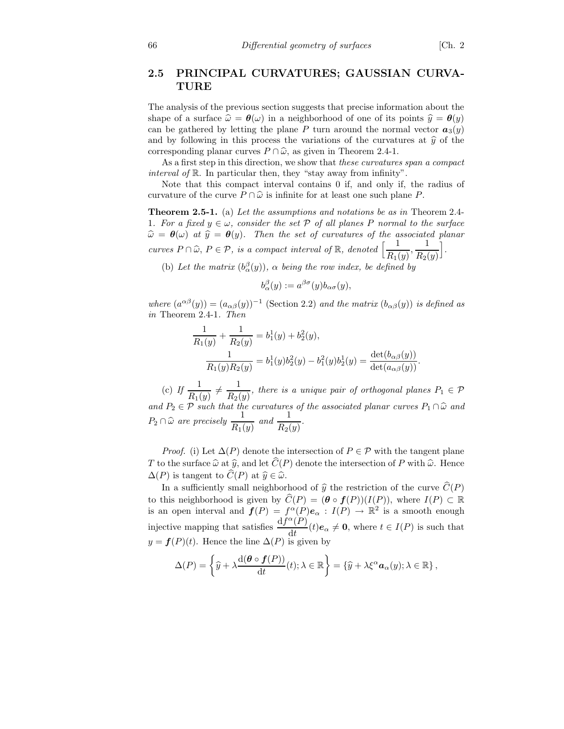## 2.5 PRINCIPAL CURVATURES; GAUSSIAN CURVA-TURE

The analysis of the previous section suggests that precise information about the shape of a surface  $\hat{\omega} = \theta(\omega)$  in a neighborhood of one of its points  $\hat{y} = \theta(y)$ can be gathered by letting the plane P turn around the normal vector  $a_3(y)$ and by following in this process the variations of the curvatures at  $\hat{y}$  of the corresponding planar curves  $P \cap \hat{\omega}$ , as given in Theorem 2.4-1.

As a first step in this direction, we show that these curvatures span a compact interval of R. In particular then, they "stay away from infinity".

Note that this compact interval contains 0 if, and only if, the radius of curvature of the curve  $P \cap \hat{\omega}$  is infinite for at least one such plane P.

Theorem 2.5-1. (a) Let the assumptions and notations be as in Theorem 2.4- 1. For a fixed  $y \in \omega$ , consider the set P of all planes P normal to the surface  $\hat{\omega} = \theta(\omega)$  at  $\hat{y} = \theta(y)$ . Then the set of curvatures of the associated planar curves  $P \cap \widehat{\omega}$ ,  $P \in \mathcal{P}$ , is a compact interval of  $\mathbb{R}$ , denoted  $\left[\frac{1}{R_1}\right]$  $\frac{1}{R_1(y)}, \frac{1}{R_2(y)}$  $R_2(y)$ i .

(b) Let the matrix  $(b_{\alpha}^{\beta}(y))$ ,  $\alpha$  being the row index, be defined by

$$
b_{\alpha}^{\beta}(y) := a^{\beta \sigma}(y) b_{\alpha \sigma}(y),
$$

where  $(a^{\alpha\beta}(y)) = (a_{\alpha\beta}(y))^{-1}$  (Section 2.2) and the matrix  $(b_{\alpha\beta}(y))$  is defined as in Theorem 2.4-1. Then

$$
\frac{1}{R_1(y)} + \frac{1}{R_2(y)} = b_1^1(y) + b_2^2(y),
$$
  

$$
\frac{1}{R_1(y)R_2(y)} = b_1^1(y)b_2^2(y) - b_1^2(y)b_2^1(y) = \frac{\det(b_{\alpha\beta}(y))}{\det(a_{\alpha\beta}(y))}.
$$

(c) If  $\frac{1}{R_1(y)} \neq \frac{1}{R_2(y)}$  $\frac{1}{R_2(y)}$ , there is a unique pair of orthogonal planes  $P_1 \in \mathcal{P}$ and  $P_2 \in \mathcal{P}$  such that the curvatures of the associated planar curves  $P_1 \cap \hat{\omega}$  and  $P_2 \cap \widehat{\omega}$  are precisely  $\frac{1}{R_1(y)}$  and  $\frac{1}{R_2(y)}$ .

*Proof.* (i) Let  $\Delta(P)$  denote the intersection of  $P \in \mathcal{P}$  with the tangent plane T to the surface  $\widehat{\omega}$  at  $\widehat{y}$ , and let  $\widehat{C}(P)$  denote the intersection of P with  $\widehat{\omega}$ . Hence  $\Delta(P)$  is tangent to  $\widehat{C}(P)$  at  $\widehat{y} \in \widehat{\omega}$ .

In a sufficiently small neighborhood of  $\hat{y}$  the restriction of the curve  $\hat{C}(P)$ to this neighborhood is given by  $\widehat{C}(P) = (\theta \circ f(P))(I(P))$ , where  $I(P) \subset \mathbb{R}$ is an open interval and  $f(P) = f^{\alpha}(P) e_{\alpha} : I(P) \to \mathbb{R}^2$  is a smooth enough injective mapping that satisfies  $\frac{\mathrm{d} f^{\alpha}(P)}{\mathrm{d} \mu}$  $\frac{d^{(1)}(t)e_{\alpha}}{dt}$   $\neq$  0, where  $t \in I(P)$  is such that  $y = f(P)(t)$ . Hence the line  $\Delta(P)$  is given by

$$
\Delta(P) = \left\{ \widehat{y} + \lambda \frac{\mathrm{d}(\boldsymbol{\theta} \circ \boldsymbol{f}(P))}{\mathrm{d}t}(t); \lambda \in \mathbb{R} \right\} = \left\{ \widehat{y} + \lambda \xi^{\alpha} \boldsymbol{a}_{\alpha}(y); \lambda \in \mathbb{R} \right\},\
$$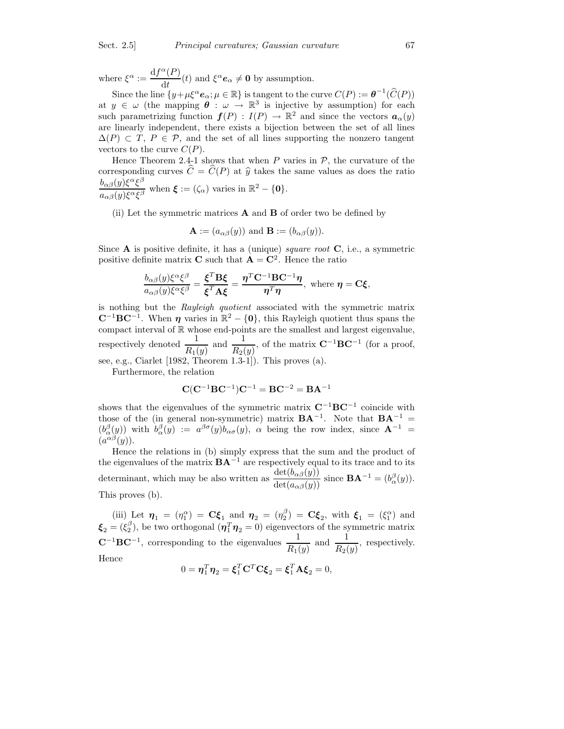where  $\xi^{\alpha} := \frac{\mathrm{d} f^{\alpha}(P)}{\mathrm{d} \iota}$  $\frac{d^{(1)}(t)}{dt}$  and  $\xi^{\alpha} e_{\alpha} \neq \mathbf{0}$  by assumption.

Since the line  $\{y+\mu \xi^{\alpha}e_{\alpha}; \mu \in \mathbb{R}\}$  is tangent to the curve  $C(P) := \theta^{-1}(\widehat{C}(P))$ at  $y \in \omega$  (the mapping  $\theta : \omega \to \mathbb{R}^3$  is injective by assumption) for each such parametrizing function  $f(P) : I(P) \to \mathbb{R}^2$  and since the vectors  $a_{\alpha}(y)$ are linearly independent, there exists a bijection between the set of all lines  $\Delta(P) \subset T$ ,  $P \in \mathcal{P}$ , and the set of all lines supporting the nonzero tangent vectors to the curve  $C(P)$ .

Hence Theorem 2.4-1 shows that when  $P$  varies in  $P$ , the curvature of the corresponding curves  $\hat{C} = \hat{C}(P)$  at  $\hat{y}$  takes the same values as does the ratio  $b_{\alpha\beta}(y) \xi^\alpha \xi^\beta$  $\frac{\partial \alpha \beta(y) \zeta(\zeta)}{\partial \alpha(\zeta)}$  when  $\boldsymbol{\xi} := (\zeta_{\alpha})$  varies in  $\mathbb{R}^2 - \{0\}.$ 

(ii) Let the symmetric matrices A and B of order two be defined by

$$
\mathbf{A} := (a_{\alpha\beta}(y)) \text{ and } \mathbf{B} := (b_{\alpha\beta}(y)).
$$

Since  $\bf{A}$  is positive definite, it has a (unique) square root  $\bf{C}$ , i.e., a symmetric positive definite matrix **C** such that  $A = C^2$ . Hence the ratio

$$
\frac{b_{\alpha\beta}(y)\xi^{\alpha}\xi^{\beta}}{a_{\alpha\beta}(y)\xi^{\alpha}\xi^{\beta}} = \frac{\xi^T \mathbf{B}\xi}{\xi^T \mathbf{A}\xi} = \frac{\eta^T \mathbf{C}^{-1} \mathbf{B} \mathbf{C}^{-1} \eta}{\eta^T \eta}, \text{ where } \eta = \mathbf{C}\xi,
$$

is nothing but the Rayleigh quotient associated with the symmetric matrix  $\mathbf{C}^{-1} \mathbf{B} \mathbf{C}^{-1}$ . When  $\boldsymbol{\eta}$  varies in  $\mathbb{R}^2 - \{0\}$ , this Rayleigh quotient thus spans the compact interval of  $\mathbb R$  whose end-points are the smallest and largest eigenvalue, respectively denoted  $\frac{1}{R_1(y)}$  and  $\frac{1}{R_2(y)}$ , of the matrix  $\mathbf{C}^{-1} \mathbf{B} \mathbf{C}^{-1}$  (for a proof, see, e.g., Ciarlet [1982, Theorem 1.3-1]). This proves (a).

Furthermore, the relation

$$
C(C^{-1}BC^{-1})C^{-1} = BC^{-2} = BA^{-1}
$$

shows that the eigenvalues of the symmetric matrix  $\mathbf{C}^{-1} \mathbf{B} \mathbf{C}^{-1}$  coincide with those of the (in general non-symmetric) matrix  $\mathbf{BA}^{-1}$ . Note that  $\mathbf{BA}^{-1}$  =  $(b_\alpha^{\beta}(y))$  with  $b_\alpha^{\beta}(y) := a^{\beta \sigma}(y) b_{\alpha \sigma}(y)$ ,  $\alpha$  being the row index, since  $A^{-1} =$  $(a^{\alpha\beta}(y)).$ 

Hence the relations in (b) simply express that the sum and the product of the eigenvalues of the matrix  $\mathbf{B} \mathbf{A}^{-1}$  are respectively equal to its trace and to its determinant, which may be also written as  $\frac{\det(b_{\alpha\beta}(y))}{\det(a_{\alpha\beta}(y))}$  since  $\mathbf{BA}^{-1} = (b_{\alpha}^{\beta}(y))$ . This proves (b).

(iii) Let  $\eta_1 = (\eta_1^{\alpha}) = \mathbf{C}\boldsymbol{\xi}_1$  and  $\eta_2 = (\eta_2^{\beta}) = \mathbf{C}\boldsymbol{\xi}_2$ , with  $\boldsymbol{\xi}_1 = (\xi_1^{\alpha})$  and  $\boldsymbol{\xi}_2=(\xi_2^\beta)$ , be two orthogonal  $(\boldsymbol{\eta}_1^T\boldsymbol{\eta}_2=0)$  eigenvectors of the symmetric matrix  $\mathbf{C}^{-1} \mathbf{B} \mathbf{C}^{-1}$ , corresponding to the eigenvalues  $\frac{1}{R_1(y)}$  and  $\frac{1}{R_2(y)}$ , respectively. Hence

$$
0 = \boldsymbol{\eta}_1^T \boldsymbol{\eta}_2 = \boldsymbol{\xi}_1^T \mathbf{C}^T \mathbf{C} \boldsymbol{\xi}_2 = \boldsymbol{\xi}_1^T \mathbf{A} \boldsymbol{\xi}_2 = 0,
$$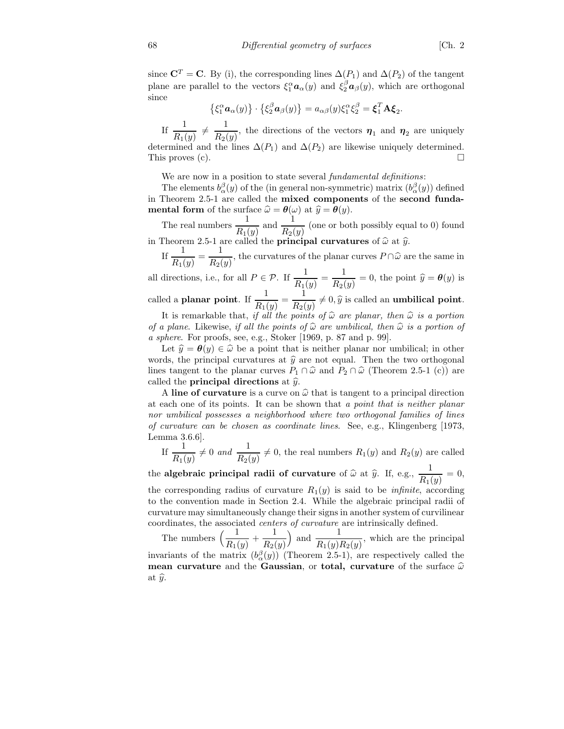since  $\mathbf{C}^T = \mathbf{C}$ . By (i), the corresponding lines  $\Delta(P_1)$  and  $\Delta(P_2)$  of the tangent plane are parallel to the vectors  $\xi_1^{\alpha} a_{\alpha}(y)$  and  $\xi_2^{\beta} a_{\beta}(y)$ , which are orthogonal since

$$
\{\xi_1^{\alpha}\mathbf{a}_{\alpha}(y)\}\cdot\{\xi_2^{\beta}\mathbf{a}_{\beta}(y)\}=a_{\alpha\beta}(y)\xi_1^{\alpha}\xi_2^{\beta}=\xi_1^T\mathbf{A}\xi_2.
$$

If  $\frac{1}{R_1(y)} \neq \frac{1}{R_2(y)}$  $\frac{1}{R_2(y)}$ , the directions of the vectors  $\eta_1$  and  $\eta_2$  are uniquely determined and the lines  $\Delta(P_1)$  and  $\Delta(P_2)$  are likewise uniquely determined. This proves (c).

We are now in a position to state several *fundamental definitions*:

The elements  $b_{\alpha}^{\beta}(y)$  of the (in general non-symmetric) matrix  $(b_{\alpha}^{\beta}(y))$  defined in Theorem 2.5-1 are called the mixed components of the second funda**mental form** of the surface  $\widehat{\omega} = \theta(\omega)$  at  $\widehat{y} = \theta(y)$ .

The real numbers  $\frac{1}{R}$  $\frac{1}{R_1(y)}$  and  $\frac{1}{R_2(y)}$  (one or both possibly equal to 0) found in Theorem 2.5-1 are called the **principal curvatures** of  $\hat{\omega}$  at  $\hat{y}$ .

If  $\frac{1}{R_1(y)} = \frac{1}{R_2(y)}$  $\frac{1}{R_2(y)}$ , the curvatures of the planar curves  $P \cap \hat{\omega}$  are the same in

all directions, i.e., for all  $P \in \mathcal{P}$ . If  $\frac{1}{R_1(y)} = \frac{1}{R_2(y)}$  $\frac{1}{R_2(y)} = 0$ , the point  $\hat{y} = \theta(y)$  is

called a **planar point**. If  $\frac{1}{R_1(y)} = \frac{1}{R_2(y)}$  $\frac{1}{R_2(y)} \neq 0, \hat{y}$  is called an **umbilical point**.

It is remarkable that, if all the points of  $\widehat{\omega}$  are planar, then  $\widehat{\omega}$  is a portion of a plane. Likewise, if all the points of  $\hat{\omega}$  are umbilical, then  $\hat{\omega}$  is a portion of a sphere. For proofs, see, e.g., Stoker [1969, p. 87 and p. 99].

Let  $\hat{y} = \theta(y) \in \hat{\omega}$  be a point that is neither planar nor umbilical; in other words, the principal curvatures at  $\hat{y}$  are not equal. Then the two orthogonal lines tangent to the planar curves  $P_1 \cap \hat{\omega}$  and  $P_2 \cap \hat{\omega}$  (Theorem 2.5-1 (c)) are called the **principal directions** at  $\hat{y}$ .

A line of curvature is a curve on  $\hat{\omega}$  that is tangent to a principal direction at each one of its points. It can be shown that a point that is neither planar nor umbilical possesses a neighborhood where two orthogonal families of lines of curvature can be chosen as coordinate lines. See, e.g., Klingenberg [1973, Lemma 3.6.6].

If  $\frac{1}{R_1(y)} \neq 0$  and  $\frac{1}{R_2(y)} \neq 0$ , the real numbers  $R_1(y)$  and  $R_2(y)$  are called

the algebraic principal radii of curvature of  $\widehat{\omega}$  at  $\widehat{y}$ . If, e.g.,  $\frac{1}{R_1(}$  $\frac{1}{R_1(y)} = 0,$ the corresponding radius of curvature  $R_1(y)$  is said to be *infinite*, according to the convention made in Section 2.4. While the algebraic principal radii of curvature may simultaneously change their signs in another system of curvilinear coordinates, the associated centers of curvature are intrinsically defined.

The numbers  $\left(\frac{1}{R_1(y)} + \frac{1}{R_2(y)}\right)$  $R_2(y)$ ) and  $\frac{1}{R_1(y)R_2(y)}$ , which are the principal invariants of the matrix  $(b_{\alpha}^{\beta}(y))$  (Theorem 2.5-1), are respectively called the mean curvature and the Gaussian, or total, curvature of the surface  $\hat{\omega}$ at  $\widehat{y}$ .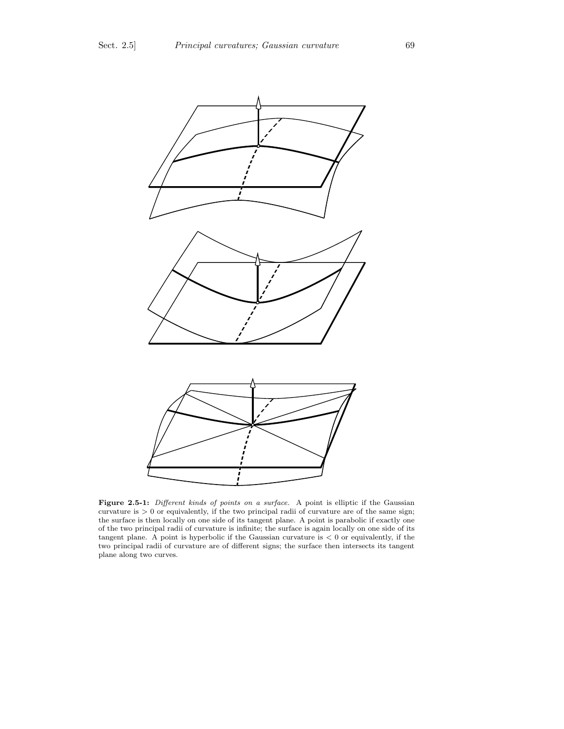

Figure 2.5-1: Different kinds of points on a surface. A point is elliptic if the Gaussian curvature is  $> 0$  or equivalently, if the two principal radii of curvature are of the same sign; the surface is then locally on one side of its tangent plane. A point is parabolic if exactly one of the two principal radii of curvature is infinite; the surface is again locally on one side of its tangent plane. A point is hyperbolic if the Gaussian curvature is  $< 0$  or equivalently, if the two principal radii of curvature are of different signs; the surface then intersects its tangent plane along two curves.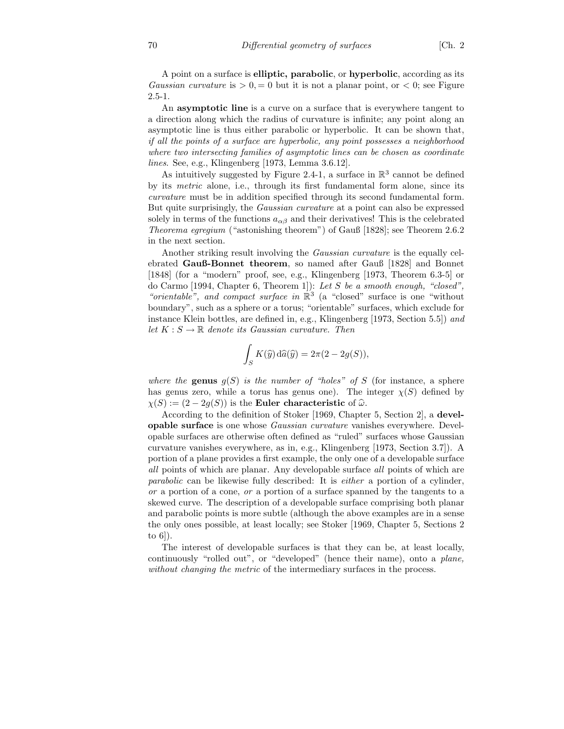A point on a surface is elliptic, parabolic, or hyperbolic, according as its Gaussian curvature is  $> 0, = 0$  but it is not a planar point, or  $< 0$ ; see Figure 2.5-1.

An **asymptotic line** is a curve on a surface that is everywhere tangent to a direction along which the radius of curvature is infinite; any point along an asymptotic line is thus either parabolic or hyperbolic. It can be shown that, if all the points of a surface are hyperbolic, any point possesses a neighborhood where two intersecting families of asymptotic lines can be chosen as coordinate lines. See, e.g., Klingenberg [1973, Lemma 3.6.12].

As intuitively suggested by Figure 2.4-1, a surface in  $\mathbb{R}^3$  cannot be defined by its metric alone, i.e., through its first fundamental form alone, since its curvature must be in addition specified through its second fundamental form. But quite surprisingly, the Gaussian curvature at a point can also be expressed solely in terms of the functions  $a_{\alpha\beta}$  and their derivatives! This is the celebrated Theorema egregium ("astonishing theorem") of Gauß [1828]; see Theorem 2.6.2 in the next section.

Another striking result involving the Gaussian curvature is the equally celebrated Gauß-Bonnet theorem, so named after Gauß [1828] and Bonnet [1848] (for a "modern" proof, see, e.g., Klingenberg [1973, Theorem 6.3-5] or do Carmo [1994, Chapter 6, Theorem 1]): Let S be a smooth enough, "closed", "orientable", and compact surface in  $\mathbb{R}^3$  (a "closed" surface is one "without boundary", such as a sphere or a torus; "orientable" surfaces, which exclude for instance Klein bottles, are defined in, e.g., Klingenberg [1973, Section 5.5]) and let  $K : S \to \mathbb{R}$  denote its Gaussian curvature. Then

$$
\int_{S} K(\hat{y}) d\hat{a}(\hat{y}) = 2\pi (2 - 2g(S)),
$$

where the genus  $q(S)$  is the number of "holes" of S (for instance, a sphere has genus zero, while a torus has genus one). The integer  $\chi(S)$  defined by  $\chi(S) := (2 - 2g(S))$  is the Euler characteristic of  $\hat{\omega}$ .

According to the definition of Stoker [1969, Chapter 5, Section 2], a developable surface is one whose Gaussian curvature vanishes everywhere. Developable surfaces are otherwise often defined as "ruled" surfaces whose Gaussian curvature vanishes everywhere, as in, e.g., Klingenberg [1973, Section 3.7]). A portion of a plane provides a first example, the only one of a developable surface all points of which are planar. Any developable surface all points of which are parabolic can be likewise fully described: It is either a portion of a cylinder,  $or$  a portion of a cone,  $or$  a portion of a surface spanned by the tangents to a skewed curve. The description of a developable surface comprising both planar and parabolic points is more subtle (although the above examples are in a sense the only ones possible, at least locally; see Stoker [1969, Chapter 5, Sections 2 to 6]).

The interest of developable surfaces is that they can be, at least locally, continuously "rolled out", or "developed" (hence their name), onto a plane, without changing the metric of the intermediary surfaces in the process.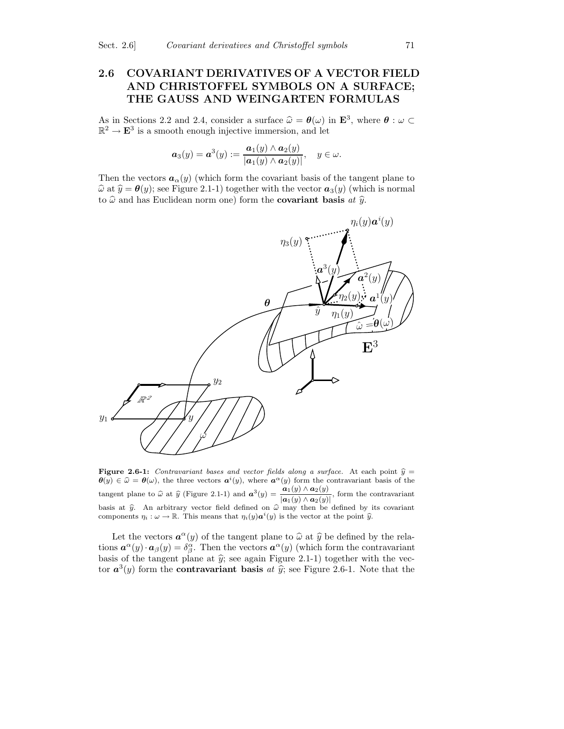### 2.6 COVARIANT DERIVATIVES OF A VECTOR FIELD AND CHRISTOFFEL SYMBOLS ON A SURFACE; THE GAUSS AND WEINGARTEN FORMULAS

As in Sections 2.2 and 2.4, consider a surface  $\hat{\omega} = \theta(\omega)$  in  $\mathbf{E}^3$ , where  $\theta : \omega \subset \mathbb{R}^3$  $\mathbb{R}^2 \to \mathbf{E}^3$  is a smooth enough injective immersion, and let

$$
\boldsymbol{a}_3(y)=\boldsymbol{a}^3(y):=\frac{\boldsymbol{a}_1(y)\wedge\boldsymbol{a}_2(y)}{|\boldsymbol{a}_1(y)\wedge\boldsymbol{a}_2(y)|},\quad y\in\omega.
$$

Then the vectors  $a_{\alpha}(y)$  (which form the covariant basis of the tangent plane to  $\hat{\omega}$  at  $\hat{y} = \theta(y)$ ; see Figure 2.1-1) together with the vector  $a_3(y)$  (which is normal to  $\hat{\omega}$  and has Euclidean norm one) form the **covariant basis** at  $\hat{y}$ .



Figure 2.6-1: Contravariant bases and vector fields along a surface. At each point  $\hat{y} =$  $\theta(y) \in \hat{\omega} = \theta(\omega)$ , the three vectors  $a^{i}(y)$ , where  $a^{\alpha}(y)$  form the contravariant basis of the tangent plane to  $\hat{\omega}$  at  $\hat{y}$  (Figure 2.1-1) and  $\mathbf{a}^{3}(y) = \frac{\mathbf{a}_{1}(y) \wedge \mathbf{a}_{2}(y)}{|\mathbf{a}_{1}(y) \wedge \mathbf{a}_{2}(y)|}$  $\frac{|\mathbf{a}_1(y)| \cdot |\mathbf{a}_2(y)|}{|\mathbf{a}_1(y) \wedge \mathbf{a}_2(y)|}$ , form the contravariant basis at  $\hat{y}$ . An arbitrary vector field defined on  $\hat{\omega}$  may then be defined by its covariant components  $\eta_i : \omega \to \mathbb{R}$ . This means that  $\eta_i(y) \mathbf{a}^i(y)$  is the vector at the point  $\hat{y}$ .

Let the vectors  $\mathbf{a}^{\alpha}(y)$  of the tangent plane to  $\widehat{\omega}$  at  $\widehat{y}$  be defined by the relations  $\mathbf{a}^{\alpha}(y) \cdot \mathbf{a}_{\beta}(y) = \delta^{\alpha}_{\beta}$ . Then the vectors  $\mathbf{a}^{\alpha}(y)$  (which form the contravariant basis of the tangent plane at  $\hat{y}$ ; see again Figure 2.1-1) together with the vector  $a^3(y)$  form the **contravariant basis** at  $\hat{y}$ ; see Figure 2.6-1. Note that the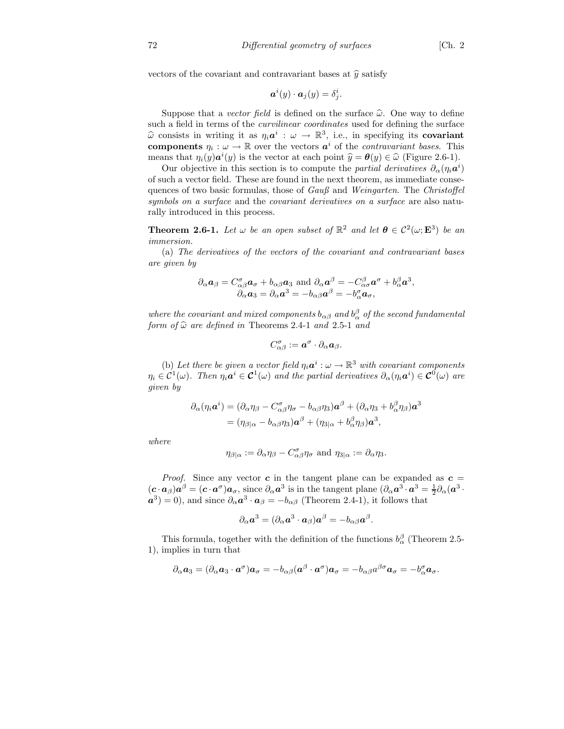vectors of the covariant and contravariant bases at  $\hat{y}$  satisfy

$$
\boldsymbol{a}^i(y)\cdot \boldsymbol{a}_j(y)=\delta^i_j.
$$

Suppose that a vector field is defined on the surface  $\hat{\omega}$ . One way to define such a field in terms of the curvilinear coordinates used for defining the surface  $\widehat{\omega}$  consists in writing it as  $\eta_i \mathbf{a}^i : \omega \to \mathbb{R}^3$ , i.e., in specifying its **covariant** components  $\eta_i : \omega \to \mathbb{R}$  over the vectors  $a^i$  of the *contravariant bases*. This means that  $\eta_i(y)\mathbf{a}^i(y)$  is the vector at each point  $\hat{y} = \theta(y) \in \hat{\omega}$  (Figure 2.6-1).

Our objective in this section is to compute the *partial derivatives*  $\partial_{\alpha}(\eta_i \mathbf{a}^i)$ of such a vector field. These are found in the next theorem, as immediate consequences of two basic formulas, those of Gauß and Weingarten. The Christoffel symbols on a surface and the covariant derivatives on a surface are also naturally introduced in this process.

**Theorem 2.6-1.** Let  $\omega$  be an open subset of  $\mathbb{R}^2$  and let  $\theta \in C^2(\omega; \mathbf{E}^3)$  be an immersion.

(a) The derivatives of the vectors of the covariant and contravariant bases are given by

$$
\partial_{\alpha} \mathbf{a}_{\beta} = C^{\sigma}_{\alpha\beta} \mathbf{a}_{\sigma} + b_{\alpha\beta} \mathbf{a}_{3} \text{ and } \partial_{\alpha} \mathbf{a}^{\beta} = -C^{\beta}_{\alpha\sigma} \mathbf{a}^{\sigma} + b^{\beta}_{\alpha} \mathbf{a}^{3},
$$
  

$$
\partial_{\alpha} \mathbf{a}_{3} = \partial_{\alpha} \mathbf{a}^{3} = -b_{\alpha\beta} \mathbf{a}^{\beta} = -b^{\sigma}_{\alpha} \mathbf{a}_{\sigma},
$$

where the covariant and mixed components  $b_{\alpha\beta}$  and  $b_{\alpha}^{\beta}$  of the second fundamental form of  $\hat{\omega}$  are defined in Theorems 2.4-1 and 2.5-1 and

$$
C_{\alpha\beta}^{\sigma}:=\boldsymbol{a}^{\sigma}\cdot\partial_{\alpha}\boldsymbol{a}_{\beta}.
$$

(b) Let there be given a vector field  $\eta_i \mathbf{a}^i : \omega \to \mathbb{R}^3$  with covariant components  $\eta_i \in C^1(\omega)$ . Then  $\eta_i \mathbf{a}^i \in C^1(\omega)$  and the partial derivatives  $\partial_\alpha(\eta_i \mathbf{a}^i) \in C^0(\omega)$  are given by

$$
\partial_{\alpha}(\eta_i \mathbf{a}^i) = (\partial_{\alpha} \eta_{\beta} - C^{\sigma}_{\alpha \beta} \eta_{\sigma} - b_{\alpha \beta} \eta_3) \mathbf{a}^{\beta} + (\partial_{\alpha} \eta_3 + b^{\beta}_{\alpha} \eta_{\beta}) \mathbf{a}^3
$$
  
=  $(\eta_{\beta|\alpha} - b_{\alpha \beta} \eta_3) \mathbf{a}^{\beta} + (\eta_{3|\alpha} + b^{\beta}_{\alpha} \eta_{\beta}) \mathbf{a}^3$ ,

where

$$
\eta_{\beta|\alpha} := \partial_{\alpha}\eta_{\beta} - C^{\sigma}_{\alpha\beta}\eta_{\sigma} \text{ and } \eta_{3|\alpha} := \partial_{\alpha}\eta_{3}.
$$

*Proof.* Since any vector c in the tangent plane can be expanded as  $c =$  $(c \cdot a_{\beta}) a^{\beta} = (c \cdot a^{\sigma}) a_{\sigma}$ , since  $\partial_{\alpha} a^3$  is in the tangent plane  $(\partial_{\alpha} a^3 \cdot a^3 = \frac{1}{2} \partial_{\alpha} (a^3 \cdot a^3))$  $(a^3) = 0$ , and since  $\partial_{\alpha} a^3 \cdot a_{\beta} = -b_{\alpha\beta}$  (Theorem 2.4-1), it follows that

$$
\partial_{\alpha} \mathbf{a}^3 = (\partial_{\alpha} \mathbf{a}^3 \cdot \mathbf{a}_{\beta}) \mathbf{a}^{\beta} = -b_{\alpha\beta} \mathbf{a}^{\beta}.
$$

This formula, together with the definition of the functions  $b^{\beta}_{\alpha}$  (Theorem 2.5-1), implies in turn that

$$
\partial_{\alpha} a_3 = (\partial_{\alpha} a_3 \cdot a^{\sigma}) a_{\sigma} = -b_{\alpha\beta} (a^{\beta} \cdot a^{\sigma}) a_{\sigma} = -b_{\alpha\beta} a^{\beta\sigma} a_{\sigma} = -b_{\alpha}^{\sigma} a_{\sigma}.
$$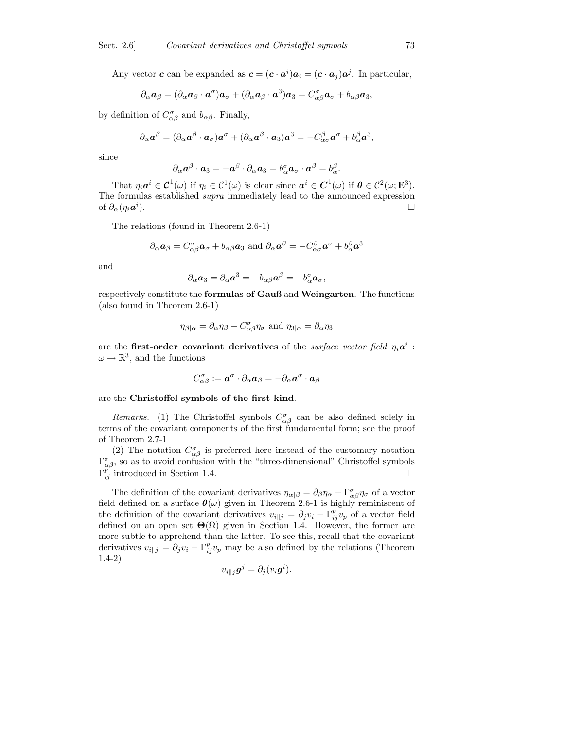Any vector **c** can be expanded as  $c = (c \cdot a^i)a_i = (c \cdot a_j)a^j$ . In particular,

$$
\partial_{\alpha} \mathbf{a}_{\beta} = (\partial_{\alpha} \mathbf{a}_{\beta} \cdot \mathbf{a}^{\sigma}) \mathbf{a}_{\sigma} + (\partial_{\alpha} \mathbf{a}_{\beta} \cdot \mathbf{a}^3) \mathbf{a}_{3} = C^{\sigma}_{\alpha \beta} \mathbf{a}_{\sigma} + b_{\alpha \beta} \mathbf{a}_{3},
$$

by definition of  $C^{\sigma}_{\alpha\beta}$  and  $b_{\alpha\beta}$ . Finally,

$$
\partial_{\alpha} \mathbf{a}^{\beta} = (\partial_{\alpha} \mathbf{a}^{\beta} \cdot \mathbf{a}_{\sigma}) \mathbf{a}^{\sigma} + (\partial_{\alpha} \mathbf{a}^{\beta} \cdot \mathbf{a}_{3}) \mathbf{a}^3 = -C^{\beta}_{\alpha \sigma} \mathbf{a}^{\sigma} + b^{\beta}_{\alpha} \mathbf{a}^3,
$$

since

$$
\partial_{\alpha} \mathbf{a}^{\beta} \cdot \mathbf{a}_3 = -\mathbf{a}^{\beta} \cdot \partial_{\alpha} \mathbf{a}_3 = b_{\alpha}^{\sigma} \mathbf{a}_{\sigma} \cdot \mathbf{a}^{\beta} = b_{\alpha}^{\beta}.
$$

That  $\eta_i \mathbf{a}^i \in \mathcal{C}^1(\omega)$  if  $\eta_i \in \mathcal{C}^1(\omega)$  is clear since  $\mathbf{a}^i \in \mathcal{C}^1(\omega)$  if  $\mathbf{\theta} \in \mathcal{C}^2(\omega; \mathbf{E}^3)$ . The formulas established supra immediately lead to the announced expression of  $\partial_\alpha(\eta_i \bm{a}^i)$ ).  $\Box$ 

The relations (found in Theorem 2.6-1)

$$
\partial_{\alpha} a_{\beta} = C^{\sigma}_{\alpha\beta} a_{\sigma} + b_{\alpha\beta} a_3
$$
 and  $\partial_{\alpha} a^{\beta} = -C^{\beta}_{\alpha\sigma} a^{\sigma} + b^{\beta}_{\alpha} a^3$ 

and

$$
\partial_{\alpha} a_3 = \partial_{\alpha} a^3 = -b_{\alpha\beta} a^{\beta} = -b_{\alpha}^{\sigma} a_{\sigma},
$$

respectively constitute the formulas of Gauß and Weingarten. The functions (also found in Theorem 2.6-1)

$$
\eta_{\beta|\alpha} = \partial_{\alpha}\eta_{\beta} - C^{\sigma}_{\alpha\beta}\eta_{\sigma}
$$
 and  $\eta_{3|\alpha} = \partial_{\alpha}\eta_{3}$ 

are the first-order covariant derivatives of the *surface vector field*  $\eta_i a^i$ :  $\omega \to \mathbb{R}^3$ , and the functions

$$
C_{\alpha\beta}^{\sigma}:=\bm{a}^{\sigma}\cdot\partial_{\alpha}\bm{a}_{\beta}=-\partial_{\alpha}\bm{a}^{\sigma}\cdot\bm{a}_{\beta}
$$

are the Christoffel symbols of the first kind.

Remarks. (1) The Christoffel symbols  $C^{\sigma}_{\alpha\beta}$  can be also defined solely in terms of the covariant components of the first fundamental form; see the proof of Theorem 2.7-1

(2) The notation  $C^{\sigma}_{\alpha\beta}$  is preferred here instead of the customary notation  $\Gamma^{\sigma}_{\alpha\beta}$ , so as to avoid confusion with the "three-dimensional" Christoffel symbols  $\Gamma_{ij}^{p'}$  introduced in Section 1.4.

The definition of the covariant derivatives  $\eta_{\alpha|\beta} = \partial_{\beta}\eta_{\alpha} - \Gamma^{\sigma}_{\alpha\beta}\eta_{\sigma}$  of a vector field defined on a surface  $\theta(\omega)$  given in Theorem 2.6-1 is highly reminiscent of the definition of the covariant derivatives  $v_{i||j} = \partial_j v_i - \Gamma_{ij}^p v_p$  of a vector field defined on an open set  $\Theta(\Omega)$  given in Section 1.4. However, the former are more subtle to apprehend than the latter. To see this, recall that the covariant derivatives  $v_{i||j} = \partial_j v_i - \Gamma_{ij}^p v_p$  may be also defined by the relations (Theorem 1.4-2)

$$
v_{i\parallel j}\boldsymbol{g}^j=\partial_j(v_i\boldsymbol{g}^i).
$$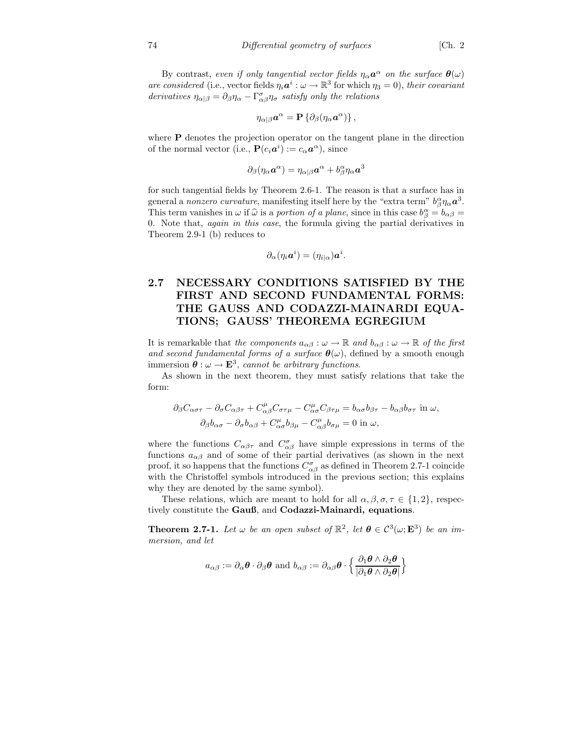By contrast, even if only tangential vector fields  $\eta_{\alpha} a^{\alpha}$  on the surface  $\theta(\omega)$ are considered (i.e., vector fields  $\eta_i \mathbf{a}^i : \omega \to \mathbb{R}^3$  for which  $\eta_3 = 0$ ), their covariant derivatives  $\eta_{\alpha|\beta} = \partial_{\beta}\eta_{\alpha} - \Gamma^{\sigma}_{\alpha\beta}\eta_{\sigma}$  satisfy only the relations

$$
\eta_{\alpha|\beta} \boldsymbol{a}^\alpha = \mathbf{P} \left\{ \partial_\beta (\eta_\alpha \boldsymbol{a}^\alpha) \right\},\,
$$

where **P** denotes the projection operator on the tangent plane in the direction of the normal vector (i.e.,  $P(c_i \boldsymbol{a}^i) := c_{\alpha} \boldsymbol{a}^{\alpha}$ ), since

$$
\partial_\beta(\eta_\alpha \bm a^\alpha) = \eta_{\alpha|\beta} \bm a^\alpha + b^\alpha_\beta \eta_\alpha \bm a^3
$$

for such tangential fields by Theorem 2.6-1. The reason is that a surface has in general a nonzero curvature, manifesting itself here by the "extra term"  $b^{\alpha}_{\beta}\eta_{\alpha}a^3$ . This term vanishes in  $\omega$  if  $\hat{\omega}$  is a portion of a plane, since in this case  $b^{\alpha}_{\beta} = b_{\alpha\beta} = 0$ . 0. Note that, again in this case, the formula giving the partial derivatives in Theorem 2.9-1 (b) reduces to

$$
\partial_{\alpha}(\eta_i \boldsymbol{a}^i) = (\eta_{i|\alpha}) \boldsymbol{a}^i.
$$

## 2.7 NECESSARY CONDITIONS SATISFIED BY THE FIRST AND SECOND FUNDAMENTAL FORMS: THE GAUSS AND CODAZZI-MAINARDI EQUA-TIONS; GAUSS' THEOREMA EGREGIUM

It is remarkable that the components  $a_{\alpha\beta} : \omega \to \mathbb{R}$  and  $b_{\alpha\beta} : \omega \to \mathbb{R}$  of the first and second fundamental forms of a surface  $\theta(\omega)$ , defined by a smooth enough immersion  $\boldsymbol{\theta} : \omega \to \mathbf{E}^3$ , cannot be arbitrary functions.

As shown in the next theorem, they must satisfy relations that take the form:

$$
\partial_{\beta}C_{\alpha\sigma\tau} - \partial_{\sigma}C_{\alpha\beta\tau} + C_{\alpha\beta}^{\mu}C_{\sigma\tau\mu} - C_{\alpha\sigma}^{\mu}C_{\beta\tau\mu} = b_{\alpha\sigma}b_{\beta\tau} - b_{\alpha\beta}b_{\sigma\tau}
$$
in  $\omega$ ,  

$$
\partial_{\beta}b_{\alpha\sigma} - \partial_{\sigma}b_{\alpha\beta} + C_{\alpha\sigma}^{\mu}b_{\beta\mu} - C_{\alpha\beta}^{\mu}b_{\sigma\mu} = 0
$$
in  $\omega$ ,

where the functions  $C_{\alpha\beta\tau}$  and  $C_{\alpha\beta}^{\sigma}$  have simple expressions in terms of the functions  $a_{\alpha\beta}$  and of some of their partial derivatives (as shown in the next proof, it so happens that the functions  $C^{\sigma}_{\alpha\beta}$  as defined in Theorem 2.7-1 coincide with the Christoffel symbols introduced in the previous section; this explains why they are denoted by the same symbol).

These relations, which are meant to hold for all  $\alpha, \beta, \sigma, \tau \in \{1, 2\}$ , respectively constitute the Gauß, and Codazzi-Mainardi, equations.

**Theorem 2.7-1.** Let  $\omega$  be an open subset of  $\mathbb{R}^2$ , let  $\theta \in C^3(\omega; \mathbf{E}^3)$  be an immersion, and let

$$
a_{\alpha\beta} := \partial_{\alpha} \boldsymbol{\theta} \cdot \partial_{\beta} \boldsymbol{\theta} \text{ and } b_{\alpha\beta} := \partial_{\alpha\beta} \boldsymbol{\theta} \cdot \left\{ \frac{\partial_1 \boldsymbol{\theta} \wedge \partial_2 \boldsymbol{\theta}}{|\partial_1 \boldsymbol{\theta} \wedge \partial_2 \boldsymbol{\theta}|} \right\}
$$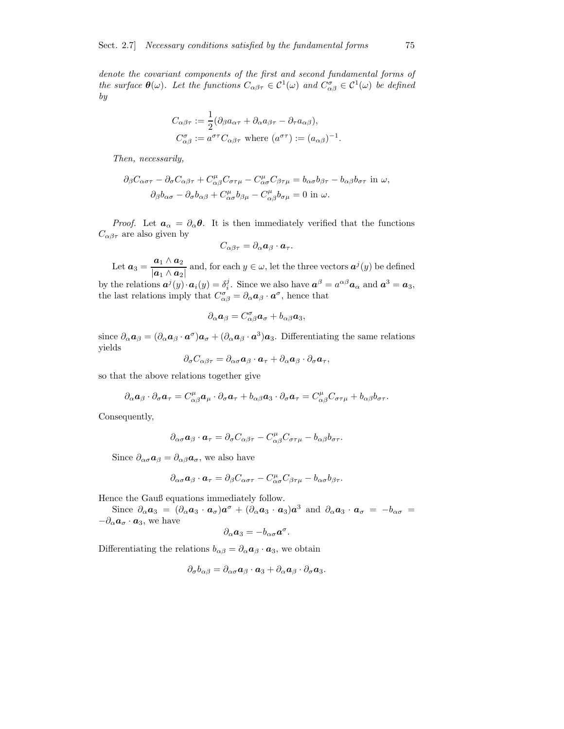denote the covariant components of the first and second fundamental forms of the surface  $\theta(\omega)$ . Let the functions  $C_{\alpha\beta\tau} \in C^1(\omega)$  and  $C_{\alpha\beta}^{\sigma} \in C^1(\omega)$  be defined by

$$
C_{\alpha\beta\tau} := \frac{1}{2} (\partial_{\beta} a_{\alpha\tau} + \partial_{\alpha} a_{\beta\tau} - \partial_{\tau} a_{\alpha\beta}),
$$
  
\n
$$
C_{\alpha\beta}^{\sigma} := a^{\sigma\tau} C_{\alpha\beta\tau} \text{ where } (a^{\sigma\tau}) := (a_{\alpha\beta})^{-1}.
$$

Then, necessarily,

$$
\partial_{\beta}C_{\alpha\sigma\tau} - \partial_{\sigma}C_{\alpha\beta\tau} + C_{\alpha\beta}^{\mu}C_{\sigma\tau\mu} - C_{\alpha\sigma}^{\mu}C_{\beta\tau\mu} = b_{\alpha\sigma}b_{\beta\tau} - b_{\alpha\beta}b_{\sigma\tau}
$$
in  $\omega$ ,  

$$
\partial_{\beta}b_{\alpha\sigma} - \partial_{\sigma}b_{\alpha\beta} + C_{\alpha\sigma}^{\mu}b_{\beta\mu} - C_{\alpha\beta}^{\mu}b_{\sigma\mu} = 0
$$
in  $\omega$ .

*Proof.* Let  $a_{\alpha} = \partial_{\alpha} \theta$ . It is then immediately verified that the functions  $C_{\alpha\beta\tau}$  are also given by

$$
C_{\alpha\beta\tau}=\partial_{\alpha}\mathbf{a}_{\beta}\cdot\mathbf{a}_{\tau}.
$$

Let  $\boldsymbol{a}_3 = \frac{\boldsymbol{a}_1 \wedge \boldsymbol{a}_2}{\| \boldsymbol{a}_3 \|_2}$  $\frac{a_1 \wedge a_2}{|a_1 \wedge a_2|}$  and, for each  $y \in \omega$ , let the three vectors  $a^j(y)$  be defined

by the relations  $\mathbf{a}^j(y) \cdot \mathbf{a}_i(y) = \delta_i^j$ . Since we also have  $\mathbf{a}^\beta = a^{\alpha \beta} \mathbf{a}_\alpha$  and  $\mathbf{a}^3 = \mathbf{a}_3$ , the last relations imply that  $C^{\sigma}_{\alpha\beta} = \partial_{\alpha} a_{\beta} \cdot a^{\sigma}$ , hence that

$$
\partial_{\alpha} \mathbf{a}_{\beta} = C^{\sigma}_{\alpha\beta} \mathbf{a}_{\sigma} + b_{\alpha\beta} \mathbf{a}_3,
$$

since  $\partial_{\alpha} a_{\beta} = (\partial_{\alpha} a_{\beta} \cdot a^{\sigma}) a_{\sigma} + (\partial_{\alpha} a_{\beta} \cdot a^3) a_3$ . Differentiating the same relations yields

$$
\partial_{\sigma} C_{\alpha\beta\tau} = \partial_{\alpha\sigma} a_{\beta} \cdot a_{\tau} + \partial_{\alpha} a_{\beta} \cdot \partial_{\sigma} a_{\tau},
$$

so that the above relations together give

$$
\partial_{\alpha} \mathbf{a}_{\beta} \cdot \partial_{\sigma} \mathbf{a}_{\tau} = C^{\mu}_{\alpha\beta} \mathbf{a}_{\mu} \cdot \partial_{\sigma} \mathbf{a}_{\tau} + b_{\alpha\beta} \mathbf{a}_{3} \cdot \partial_{\sigma} \mathbf{a}_{\tau} = C^{\mu}_{\alpha\beta} C_{\sigma\tau\mu} + b_{\alpha\beta} b_{\sigma\tau}.
$$

Consequently,

$$
\partial_{\alpha\sigma} a_{\beta} \cdot a_{\tau} = \partial_{\sigma} C_{\alpha\beta\tau} - C_{\alpha\beta}^{\mu} C_{\sigma\tau\mu} - b_{\alpha\beta} b_{\sigma\tau}.
$$

Since  $\partial_{\alpha\sigma}a_{\beta} = \partial_{\alpha\beta}a_{\sigma}$ , we also have

$$
\partial_{\alpha\sigma} \mathbf{a}_{\beta} \cdot \mathbf{a}_{\tau} = \partial_{\beta} C_{\alpha\sigma\tau} - C_{\alpha\sigma}^{\mu} C_{\beta\tau\mu} - b_{\alpha\sigma} b_{\beta\tau}.
$$

Hence the Gauß equations immediately follow.

Since  $\partial_{\alpha} a_3 = (\partial_{\alpha} a_3 \cdot a_{\sigma}) a^{\sigma} + (\partial_{\alpha} a_3 \cdot a_3) a^3$  and  $\partial_{\alpha} a_3 \cdot a_{\sigma} = -b_{\alpha \sigma}$  $-\partial_{\alpha}a_{\sigma}\cdot a_{3}$ , we have

$$
\partial_{\alpha}a_3=-b_{\alpha\sigma}a^{\sigma}.
$$

Differentiating the relations  $b_{\alpha\beta} = \partial_{\alpha} a_{\beta} \cdot a_3$ , we obtain

$$
\partial_{\sigma}b_{\alpha\beta}=\partial_{\alpha\sigma}\mathbf{a}_{\beta}\cdot\mathbf{a}_3+\partial_{\alpha}\mathbf{a}_{\beta}\cdot\partial_{\sigma}\mathbf{a}_3.
$$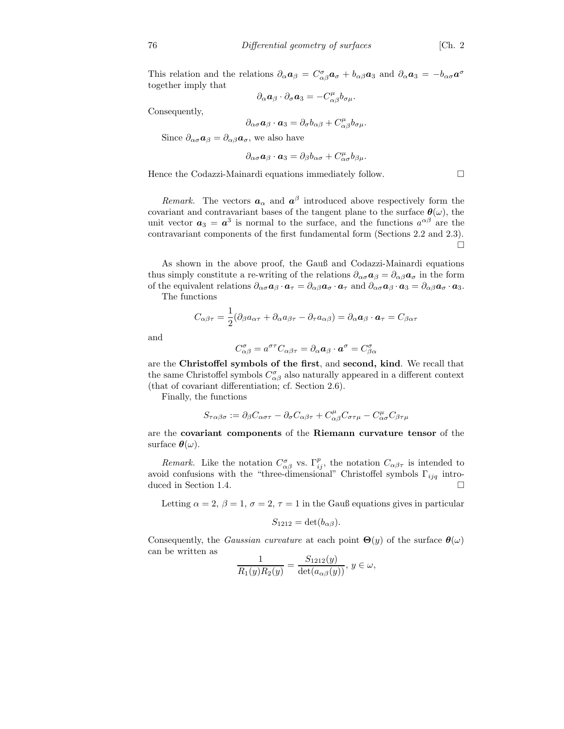This relation and the relations  $\partial_{\alpha} a_{\beta} = C^{\sigma}_{\alpha\beta} a_{\sigma} + b_{\alpha\beta} a_{3}$  and  $\partial_{\alpha} a_{3} = -b_{\alpha\sigma} a^{\sigma}$ together imply that

$$
\partial_{\alpha} \bm{a}_{\beta} \cdot \partial_{\sigma} \bm{a}_3 = - C^{\mu}_{\alpha \beta} b_{\sigma \mu}.
$$

Consequently,

$$
\partial_{\alpha\sigma} \mathbf{a}_{\beta} \cdot \mathbf{a}_3 = \partial_{\sigma} b_{\alpha\beta} + C^{\mu}_{\alpha\beta} b_{\sigma\mu}.
$$

Since  $\partial_{\alpha\sigma}a_{\beta}=\partial_{\alpha\beta}a_{\sigma}$ , we also have

$$
\partial_{\alpha\sigma} \mathbf{a}_{\beta} \cdot \mathbf{a}_3 = \partial_{\beta} b_{\alpha\sigma} + C^{\mu}_{\alpha\sigma} b_{\beta\mu}.
$$

Hence the Codazzi-Mainardi equations immediately follow.

*Remark*. The vectors  $a_{\alpha}$  and  $a^{\beta}$  introduced above respectively form the covariant and contravariant bases of the tangent plane to the surface  $\theta(\omega)$ , the unit vector  $a_3 = a^3$  is normal to the surface, and the functions  $a^{\alpha\beta}$  are the contravariant components of the first fundamental form (Sections 2.2 and 2.3). П

As shown in the above proof, the Gauß and Codazzi-Mainardi equations thus simply constitute a re-writing of the relations  $\partial_{\alpha\sigma} a_{\beta} = \partial_{\alpha\beta} a_{\sigma}$  in the form of the equivalent relations  $\partial_{\alpha\sigma}a_{\beta}\cdot a_{\tau} = \partial_{\alpha\beta}a_{\sigma}\cdot a_{\tau}$  and  $\partial_{\alpha\sigma}a_{\beta}\cdot a_{3} = \partial_{\alpha\beta}a_{\sigma}\cdot a_{3}$ .

The functions

$$
C_{\alpha\beta\tau} = \frac{1}{2}(\partial_{\beta}a_{\alpha\tau} + \partial_{\alpha}a_{\beta\tau} - \partial_{\tau}a_{\alpha\beta}) = \partial_{\alpha}a_{\beta} \cdot a_{\tau} = C_{\beta\alpha\tau}
$$

and

$$
C^{\sigma}_{\alpha\beta} = a^{\sigma\tau} C_{\alpha\beta\tau} = \partial_{\alpha} a_{\beta} \cdot a^{\sigma} = C^{\sigma}_{\beta\alpha}
$$

are the Christoffel symbols of the first, and second, kind. We recall that the same Christoffel symbols  $C^{\sigma}_{\alpha\beta}$  also naturally appeared in a different context (that of covariant differentiation; cf. Section 2.6).

Finally, the functions

$$
S_{\tau\alpha\beta\sigma}:=\partial_{\beta}C_{\alpha\sigma\tau}-\partial_{\sigma}C_{\alpha\beta\tau}+C_{\alpha\beta}^{\mu}C_{\sigma\tau\mu}-C_{\alpha\sigma}^{\mu}C_{\beta\tau\mu}
$$

are the covariant components of the Riemann curvature tensor of the surface  $\boldsymbol{\theta}(\omega)$ .

Remark. Like the notation  $C^{\sigma}_{\alpha\beta}$  vs.  $\Gamma^p_{ij}$ , the notation  $C_{\alpha\beta\tau}$  is intended to avoid confusions with the "three-dimensional" Christoffel symbols  $\Gamma_{ijq}$  introduced in Section 1.4.

Letting  $\alpha = 2$ ,  $\beta = 1$ ,  $\sigma = 2$ ,  $\tau = 1$  in the Gauß equations gives in particular

$$
S_{1212} = \det(b_{\alpha\beta}).
$$

Consequently, the *Gaussian curvature* at each point  $\Theta(y)$  of the surface  $\theta(\omega)$ can be written as  $\overline{a}$ 

$$
\frac{1}{R_1(y)R_2(y)} = \frac{S_{1212}(y)}{\det(a_{\alpha\beta}(y))}, y \in \omega,
$$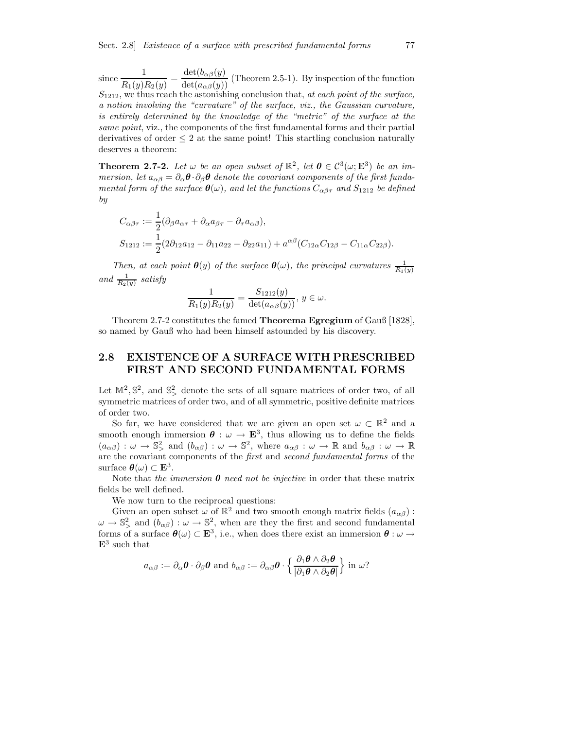since  $\frac{1}{R}$  $\frac{1}{R_1(y)R_2(y)} = \frac{\det(b_{\alpha\beta}(y))}{\det(a_{\alpha\beta}(y))}$  (Theorem 2.5-1). By inspection of the function  $S<sub>1212</sub>$ , we thus reach the astonishing conclusion that, at each point of the surface, a notion involving the "curvature" of the surface, viz., the Gaussian curvature, is entirely determined by the knowledge of the "metric" of the surface at the same point, viz., the components of the first fundamental forms and their partial derivatives of order  $\leq 2$  at the same point! This startling conclusion naturally deserves a theorem:

**Theorem 2.7-2.** Let  $\omega$  be an open subset of  $\mathbb{R}^2$ , let  $\boldsymbol{\theta} \in C^3(\omega; \mathbf{E}^3)$  be an immersion, let  $a_{\alpha\beta} = \partial_{\alpha}\theta \cdot \partial_{\beta}\theta$  denote the covariant components of the first fundamental form of the surface  $\theta(\omega)$ , and let the functions  $C_{\alpha\beta\tau}$  and  $S_{1212}$  be defined by

$$
C_{\alpha\beta\tau} := \frac{1}{2} (\partial_{\beta} a_{\alpha\tau} + \partial_{\alpha} a_{\beta\tau} - \partial_{\tau} a_{\alpha\beta}),
$$
  
\n
$$
S_{1212} := \frac{1}{2} (2\partial_{12} a_{12} - \partial_{11} a_{22} - \partial_{22} a_{11}) + a^{\alpha\beta} (C_{12\alpha} C_{12\beta} - C_{11\alpha} C_{22\beta}).
$$

Then, at each point  $\theta(y)$  of the surface  $\theta(\omega)$ , the principal curvatures  $\frac{1}{R_1(y)}$ and  $\frac{1}{R_2(y)}$  satisfy

$$
\frac{1}{R_1(y)R_2(y)} = \frac{S_{1212}(y)}{\det(a_{\alpha\beta}(y))}, y \in \omega.
$$

Theorem 2.7-2 constitutes the famed Theorema Egregium of Gauß [1828], so named by Gauß who had been himself astounded by his discovery.

#### 2.8 EXISTENCE OF A SURFACE WITH PRESCRIBED FIRST AND SECOND FUNDAMENTAL FORMS

Let  $\mathbb{M}^2$ ,  $\mathbb{S}^2$ , and  $\mathbb{S}^2$ , denote the sets of all square matrices of order two, of all symmetric matrices of order two, and of all symmetric, positive definite matrices of order two.

So far, we have considered that we are given an open set  $\omega \subset \mathbb{R}^2$  and a smooth enough immersion  $\boldsymbol{\theta} : \omega \to \mathbf{E}^3$ , thus allowing us to define the fields  $(a_{\alpha\beta}) : \omega \to \mathbb{S}^2$  and  $(b_{\alpha\beta}) : \omega \to \mathbb{S}^2$ , where  $a_{\alpha\beta} : \omega \to \mathbb{R}$  and  $b_{\alpha\beta} : \omega \to \mathbb{R}$ are the covariant components of the *first* and *second fundamental forms* of the surface  $\boldsymbol{\theta}(\omega) \subset \mathbf{E}^3$ .

Note that the immersion  $\theta$  need not be injective in order that these matrix fields be well defined.

We now turn to the reciprocal questions:

Given an open subset  $\omega$  of  $\mathbb{R}^2$  and two smooth enough matrix fields  $(a_{\alpha\beta})$ :  $\omega \to \mathbb{S}^2$  and  $(b_{\alpha\beta}) : \omega \to \mathbb{S}^2$ , when are they the first and second fundamental forms of a surface  $\theta(\omega) \subset \mathbf{E}^3$ , i.e., when does there exist an immersion  $\theta : \omega \to$  $\mathbf{E}^3$  such that

$$
a_{\alpha\beta} := \partial_{\alpha}\boldsymbol{\theta} \cdot \partial_{\beta}\boldsymbol{\theta} \text{ and } b_{\alpha\beta} := \partial_{\alpha\beta}\boldsymbol{\theta} \cdot \left\{ \frac{\partial_1\boldsymbol{\theta} \wedge \partial_2\boldsymbol{\theta}}{|\partial_1\boldsymbol{\theta} \wedge \partial_2\boldsymbol{\theta}|} \right\} \text{ in } \omega?
$$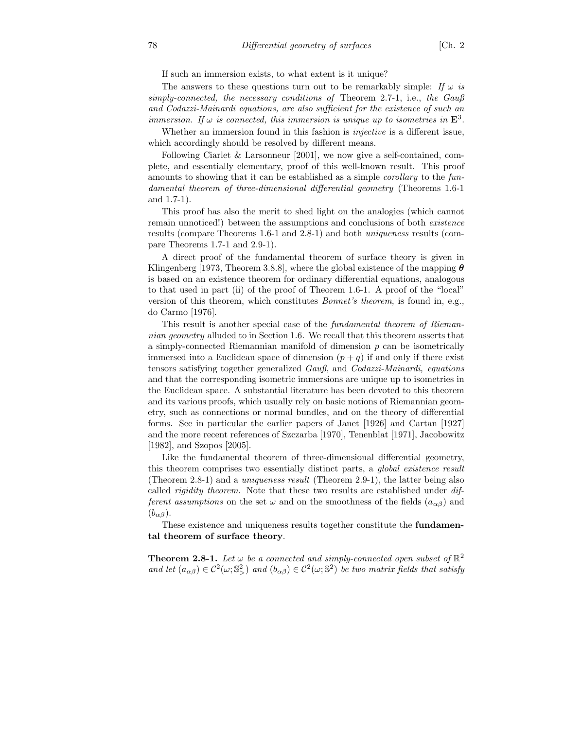If such an immersion exists, to what extent is it unique?

The answers to these questions turn out to be remarkably simple: If  $\omega$  is simply-connected, the necessary conditions of Theorem 2.7-1, i.e., the Gauß and Codazzi-Mainardi equations, are also sufficient for the existence of such an immersion. If  $\omega$  is connected, this immersion is unique up to isometries in  $\mathbf{E}^3$ .

Whether an immersion found in this fashion is injective is a different issue, which accordingly should be resolved by different means.

Following Ciarlet & Larsonneur [2001], we now give a self-contained, complete, and essentially elementary, proof of this well-known result. This proof amounts to showing that it can be established as a simple corollary to the fundamental theorem of three-dimensional differential geometry (Theorems 1.6-1 and 1.7-1).

This proof has also the merit to shed light on the analogies (which cannot remain unnoticed!) between the assumptions and conclusions of both existence results (compare Theorems 1.6-1 and 2.8-1) and both uniqueness results (compare Theorems 1.7-1 and 2.9-1).

A direct proof of the fundamental theorem of surface theory is given in Klingenberg [1973, Theorem 3.8.8], where the global existence of the mapping  $\theta$ is based on an existence theorem for ordinary differential equations, analogous to that used in part (ii) of the proof of Theorem 1.6-1. A proof of the "local" version of this theorem, which constitutes Bonnet's theorem, is found in, e.g., do Carmo [1976].

This result is another special case of the fundamental theorem of Riemannian geometry alluded to in Section 1.6. We recall that this theorem asserts that a simply-connected Riemannian manifold of dimension  $p$  can be isometrically immersed into a Euclidean space of dimension  $(p+q)$  if and only if there exist tensors satisfying together generalized Gauß, and Codazzi-Mainardi, equations and that the corresponding isometric immersions are unique up to isometries in the Euclidean space. A substantial literature has been devoted to this theorem and its various proofs, which usually rely on basic notions of Riemannian geometry, such as connections or normal bundles, and on the theory of differential forms. See in particular the earlier papers of Janet [1926] and Cartan [1927] and the more recent references of Szczarba [1970], Tenenblat [1971], Jacobowitz [1982], and Szopos [2005].

Like the fundamental theorem of three-dimensional differential geometry, this theorem comprises two essentially distinct parts, a *global existence result* (Theorem 2.8-1) and a uniqueness result (Theorem 2.9-1), the latter being also called rigidity theorem. Note that these two results are established under different assumptions on the set  $\omega$  and on the smoothness of the fields  $(a_{\alpha\beta})$  and  $(b_{\alpha\beta})$ .

These existence and uniqueness results together constitute the fundamental theorem of surface theory.

**Theorem 2.8-1.** Let  $\omega$  be a connected and simply-connected open subset of  $\mathbb{R}^2$ and let  $(a_{\alpha\beta}) \in C^2(\omega; \mathbb{S}^2)$  and  $(b_{\alpha\beta}) \in C^2(\omega; \mathbb{S}^2)$  be two matrix fields that satisfy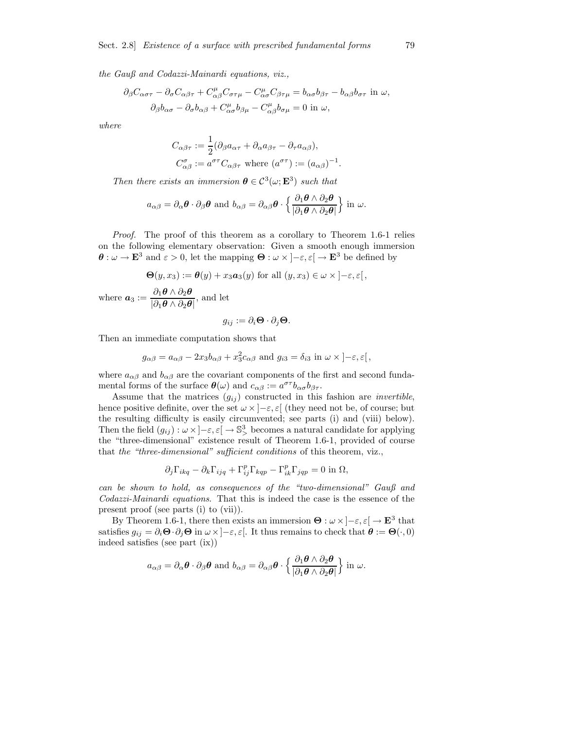the Gauß and Codazzi-Mainardi equations, viz.,

$$
\partial_{\beta}C_{\alpha\sigma\tau} - \partial_{\sigma}C_{\alpha\beta\tau} + C_{\alpha\beta}^{\mu}C_{\sigma\tau\mu} - C_{\alpha\sigma}^{\mu}C_{\beta\tau\mu} = b_{\alpha\sigma}b_{\beta\tau} - b_{\alpha\beta}b_{\sigma\tau}
$$
in  $\omega$ ,  

$$
\partial_{\beta}b_{\alpha\sigma} - \partial_{\sigma}b_{\alpha\beta} + C_{\alpha\sigma}^{\mu}b_{\beta\mu} - C_{\alpha\beta}^{\mu}b_{\sigma\mu} = 0
$$
in  $\omega$ ,

where

$$
C_{\alpha\beta\tau} := \frac{1}{2} (\partial_{\beta} a_{\alpha\tau} + \partial_{\alpha} a_{\beta\tau} - \partial_{\tau} a_{\alpha\beta}),
$$
  

$$
C_{\alpha\beta}^{\sigma} := a^{\sigma\tau} C_{\alpha\beta\tau} \text{ where } (a^{\sigma\tau}) := (a_{\alpha\beta})^{-1}
$$

.

Then there exists an immersion  $\boldsymbol{\theta} \in C^3(\omega; \mathbf{E}^3)$  such that

$$
a_{\alpha\beta} = \partial_{\alpha}\boldsymbol{\theta} \cdot \partial_{\beta}\boldsymbol{\theta}
$$
 and  $b_{\alpha\beta} = \partial_{\alpha\beta}\boldsymbol{\theta} \cdot \left\{ \frac{\partial_1 \boldsymbol{\theta} \wedge \partial_2 \boldsymbol{\theta}}{|\partial_1 \boldsymbol{\theta} \wedge \partial_2 \boldsymbol{\theta}|} \right\}$  in  $\omega$ .

Proof. The proof of this theorem as a corollary to Theorem 1.6-1 relies on the following elementary observation: Given a smooth enough immersion  $\theta$  :  $\omega \to \mathbf{E}^3$  and  $\varepsilon > 0$ , let the mapping  $\Theta : \omega \times [-\varepsilon, \varepsilon] \to \mathbf{E}^3$  be defined by

$$
\Theta(y, x_3) := \theta(y) + x_3 a_3(y) \text{ for all } (y, x_3) \in \omega \times ]-\varepsilon, \varepsilon[,
$$

where  $a_3 := \frac{\partial_1 \theta \wedge \partial_2 \theta}{\partial_1 \theta \wedge \partial_2 \theta}$  $\frac{\partial_1 \mathcal{O} \wedge \partial_2 \mathcal{O}}{\partial_1 \mathcal{O} \wedge \partial_2 \mathcal{O}},$  and let

$$
g_{ij}:=\partial_i\mathbf{\Theta}\cdot\partial_j\mathbf{\Theta}.
$$

Then an immediate computation shows that

$$
g_{\alpha\beta} = a_{\alpha\beta} - 2x_3 b_{\alpha\beta} + x_3^2 c_{\alpha\beta} \text{ and } g_{i3} = \delta_{i3} \text{ in } \omega \times ]-\varepsilon, \varepsilon[,
$$

where  $a_{\alpha\beta}$  and  $b_{\alpha\beta}$  are the covariant components of the first and second fundamental forms of the surface  $\boldsymbol{\theta}(\omega)$  and  $c_{\alpha\beta} := a^{\sigma\tau}b_{\alpha\sigma}b_{\beta\tau}$ .

Assume that the matrices  $(g_{ij})$  constructed in this fashion are *invertible*, hence positive definite, over the set  $\omega \times ]-\varepsilon, \varepsilon[$  (they need not be, of course; but the resulting difficulty is easily circumvented; see parts (i) and (viii) below). Then the field  $(g_{ij}) : \omega \times ]-\varepsilon, \varepsilon[ \rightarrow \mathbb{S}^3]$  becomes a natural candidate for applying the "three-dimensional" existence result of Theorem 1.6-1, provided of course that the "three-dimensional" sufficient conditions of this theorem, viz.,

$$
\partial_j \Gamma_{ikq} - \partial_k \Gamma_{ijq} + \Gamma_{ij}^p \Gamma_{kqp} - \Gamma_{ik}^p \Gamma_{jqp} = 0 \text{ in } \Omega,
$$

can be shown to hold, as consequences of the "two-dimensional" Gauß and Codazzi-Mainardi equations. That this is indeed the case is the essence of the present proof (see parts (i) to (vii)).

By Theorem 1.6-1, there then exists an immersion  $\Theta : \omega \times ]-\varepsilon, \varepsilon[ \rightarrow \mathbf{E}^3$  that satisfies  $g_{ij} = \partial_i \mathbf{\Theta} \cdot \partial_j \mathbf{\Theta}$  in  $\omega \times ]-\varepsilon, \varepsilon[$ . It thus remains to check that  $\mathbf{\theta} := \mathbf{\Theta}(\cdot, 0)$ indeed satisfies (see part (ix))

$$
a_{\alpha\beta} = \partial_{\alpha} \boldsymbol{\theta} \cdot \partial_{\beta} \boldsymbol{\theta} \text{ and } b_{\alpha\beta} = \partial_{\alpha\beta} \boldsymbol{\theta} \cdot \left\{ \frac{\partial_1 \boldsymbol{\theta} \wedge \partial_2 \boldsymbol{\theta}}{|\partial_1 \boldsymbol{\theta} \wedge \partial_2 \boldsymbol{\theta}|} \right\} \text{ in } \omega.
$$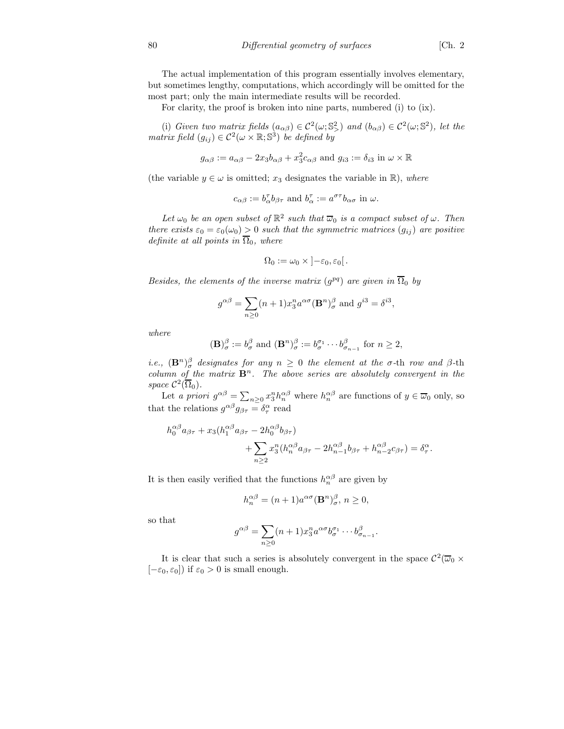The actual implementation of this program essentially involves elementary, but sometimes lengthy, computations, which accordingly will be omitted for the most part; only the main intermediate results will be recorded.

For clarity, the proof is broken into nine parts, numbered (i) to (ix).

(i) Given two matrix fields  $(a_{\alpha\beta}) \in C^2(\omega; \mathbb{S}^2)$  and  $(b_{\alpha\beta}) \in C^2(\omega; \mathbb{S}^2)$ , let the matrix field  $(g_{ij}) \in C^2(\omega \times \mathbb{R}; \mathbb{S}^3)$  be defined by

$$
g_{\alpha\beta} := a_{\alpha\beta} - 2x_3b_{\alpha\beta} + x_3^2c_{\alpha\beta}
$$
 and  $g_{i3} := \delta_{i3}$  in  $\omega \times \mathbb{R}$ 

(the variable  $y \in \omega$  is omitted;  $x_3$  designates the variable in  $\mathbb{R}$ ), where

$$
c_{\alpha\beta}:=b_\alpha^\tau b_{\beta\tau} \text{ and } b_\alpha^\tau:=a^{\sigma\tau}b_{\alpha\sigma} \text{ in }\omega.
$$

Let  $\omega_0$  be an open subset of  $\mathbb{R}^2$  such that  $\overline{\omega}_0$  is a compact subset of  $\omega$ . Then there exists  $\varepsilon_0 = \varepsilon_0(\omega_0) > 0$  such that the symmetric matrices  $(g_{ij})$  are positive definite at all points in  $\overline{\Omega}_0$ , where

$$
\Omega_0:=\omega_0\times\left]-\varepsilon_0,\varepsilon_0\right[.
$$

Besides, the elements of the inverse matrix  $(g^{pq})$  are given in  $\overline{\Omega}_0$  by

$$
g^{\alpha\beta} = \sum_{n\geq 0} (n+1)x_3^n a^{\alpha\sigma} (\mathbf{B}^n)_\sigma^\beta \text{ and } g^{i3} = \delta^{i3},
$$

where

$$
(\mathbf{B})^{\beta}_{\sigma} := b^{\beta}_{\sigma} \text{ and } (\mathbf{B}^{n})^{\beta}_{\sigma} := b^{\sigma_{1}}_{\sigma} \cdots b^{\beta}_{\sigma_{n-1}} \text{ for } n \geq 2,
$$

*i.e.*,  $(\mathbf{B}^n)_\sigma^{\beta}$  designates for any  $n \geq 0$  the element at the  $\sigma$ -th row and  $\beta$ -th column of the matrix  $\mathbf{B}^n$ . The above series are absolutely convergent in the space  $\mathcal{C}^2(\overline{\Omega}_0)$ .

Let a priori  $g^{\alpha\beta} = \sum_{n\geq 0} x_3^n h_n^{\alpha\beta}$  where  $h_n^{\alpha\beta}$  are functions of  $y \in \overline{\omega}_0$  only, so that the relations  $g^{\alpha\beta}g_{\beta\tau} = \delta^{\alpha}_{\tau}$  read

$$
h_0^{\alpha\beta} a_{\beta\tau} + x_3 (h_1^{\alpha\beta} a_{\beta\tau} - 2h_0^{\alpha\beta} b_{\beta\tau})
$$
  
+ 
$$
\sum_{n\geq 2} x_3^n (h_n^{\alpha\beta} a_{\beta\tau} - 2h_{n-1}^{\alpha\beta} b_{\beta\tau} + h_{n-2}^{\alpha\beta} c_{\beta\tau}) = \delta_\tau^\alpha.
$$

It is then easily verified that the functions  $h_n^{\alpha\beta}$  are given by

$$
h_n^{\alpha\beta} = (n+1)a^{\alpha\sigma}(\mathbf{B}^n)_{\sigma}^{\beta}, n \ge 0,
$$

so that

$$
g^{\alpha\beta} = \sum_{n\geq 0} (n+1)x_3^n a^{\alpha\sigma} b_\sigma^{\sigma_1} \cdots b_{\sigma_{n-1}}^{\beta}.
$$

It is clear that such a series is absolutely convergent in the space  $C^2(\overline{\omega}_0 \times$  $[-\varepsilon_0, \varepsilon_0]$ ) if  $\varepsilon_0 > 0$  is small enough.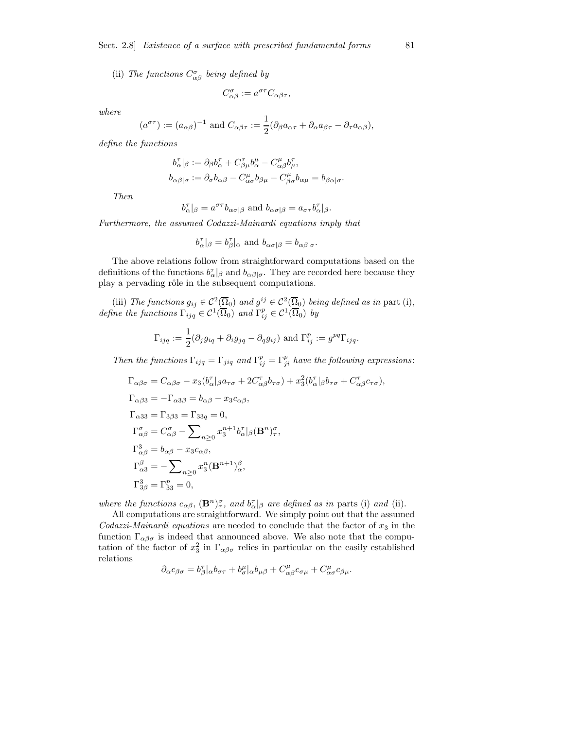(ii) The functions  $C^{\sigma}_{\alpha\beta}$  being defined by

$$
C^{\sigma}_{\alpha\beta} := a^{\sigma\tau} C_{\alpha\beta\tau},
$$

where

$$
a^{\sigma\tau}
$$
 :=  $(a_{\alpha\beta})^{-1}$  and  $C_{\alpha\beta\tau} := \frac{1}{2}(\partial_{\beta}a_{\alpha\tau} + \partial_{\alpha}a_{\beta\tau} - \partial_{\tau}a_{\alpha\beta}),$ 

define the functions

 $\overline{a}$ 

$$
b_{\alpha}^{\tau}|_{\beta} := \partial_{\beta}b_{\alpha}^{\tau} + C_{\beta\mu}^{\tau}b_{\alpha}^{\mu} - C_{\alpha\beta}^{\mu}b_{\mu}^{\tau},
$$
  

$$
b_{\alpha\beta|\sigma} := \partial_{\sigma}b_{\alpha\beta} - C_{\alpha\sigma}^{\mu}b_{\beta\mu} - C_{\beta\sigma}^{\mu}b_{\alpha\mu} = b_{\beta\alpha|\sigma}.
$$

Then

$$
b_{\alpha}^{\tau}|_{\beta} = a^{\sigma\tau}b_{\alpha\sigma|\beta} \text{ and } b_{\alpha\sigma|\beta} = a_{\sigma\tau}b_{\alpha}^{\tau}|_{\beta}.
$$

Furthermore, the assumed Codazzi-Mainardi equations imply that

$$
b_{\alpha}^{\tau}|_{\beta} = b_{\beta}^{\tau}|_{\alpha}
$$
 and  $b_{\alpha\sigma|\beta} = b_{\alpha\beta|\sigma}$ .

The above relations follow from straightforward computations based on the definitions of the functions  $b^{\tau}_{\alpha}|_{\beta}$  and  $b_{\alpha\beta|\sigma}$ . They are recorded here because they play a pervading rôle in the subsequent computations.

(iii) The functions  $g_{ij} \in C^2(\overline{\Omega}_0)$  and  $g^{ij} \in C^2(\overline{\Omega}_0)$  being defined as in part (i), define the functions  $\Gamma_{ijq} \in \mathcal{C}^1(\overline{\Omega}_0)$  and  $\Gamma_{ij}^p \in \mathcal{C}^1(\overline{\Omega}_0)$  by

$$
\Gamma_{ijq} := \frac{1}{2} (\partial_j g_{iq} + \partial_i g_{jq} - \partial_q g_{ij}) \text{ and } \Gamma_{ij}^p := g^{pq} \Gamma_{ijq}.
$$

Then the functions  $\Gamma_{ijq} = \Gamma_{jiq}$  and  $\Gamma_{ij}^p = \Gamma_{ji}^p$  have the following expressions:

$$
\Gamma_{\alpha\beta\sigma} = C_{\alpha\beta\sigma} - x_3(b_{\alpha}^{\tau}|_{\beta}a_{\tau\sigma} + 2C_{\alpha\beta}^{\tau}b_{\tau\sigma}) + x_3^2(b_{\alpha}^{\tau}|_{\beta}b_{\tau\sigma} + C_{\alpha\beta}^{\tau}c_{\tau\sigma}),
$$
  
\n
$$
\Gamma_{\alpha\beta3} = -\Gamma_{\alpha3\beta} = b_{\alpha\beta} - x_3c_{\alpha\beta},
$$
  
\n
$$
\Gamma_{\alpha33} = \Gamma_{3\beta3} = \Gamma_{33q} = 0,
$$
  
\n
$$
\Gamma_{\alpha\beta}^{\sigma} = C_{\alpha\beta}^{\sigma} - \sum_{n\geq 0} x_3^{n+1}b_{\alpha}^{\tau}|_{\beta}(\mathbf{B}^n)_{\tau}^{\sigma},
$$
  
\n
$$
\Gamma_{\alpha\beta}^3 = b_{\alpha\beta} - x_3c_{\alpha\beta},
$$
  
\n
$$
\Gamma_{\alpha3}^{\beta} = -\sum_{n\geq 0} x_3^n(\mathbf{B}^{n+1})_{\alpha}^{\beta},
$$
  
\n
$$
\Gamma_{3\beta}^3 = \Gamma_{33}^p = 0,
$$

where the functions  $c_{\alpha\beta}$ ,  $(\mathbf{B}^n)^{\sigma}_{\tau}$ , and  $b^{\tau}_{\alpha}|_{\beta}$  are defined as in parts (i) and (ii).

All computations are straightforward. We simply point out that the assumed Codazzi-Mainardi equations are needed to conclude that the factor of  $x_3$  in the function  $\Gamma_{\alpha\beta\sigma}$  is indeed that announced above. We also note that the computation of the factor of  $x_3^2$  in  $\Gamma_{\alpha\beta\sigma}$  relies in particular on the easily established relations

$$
\partial_{\alpha}c_{\beta\sigma}=b_{\beta}^{\tau}|_{\alpha}b_{\sigma\tau}+b_{\sigma}^{\mu}|_{\alpha}b_{\mu\beta}+C_{\alpha\beta}^{\mu}c_{\sigma\mu}+C_{\alpha\sigma}^{\mu}c_{\beta\mu}.
$$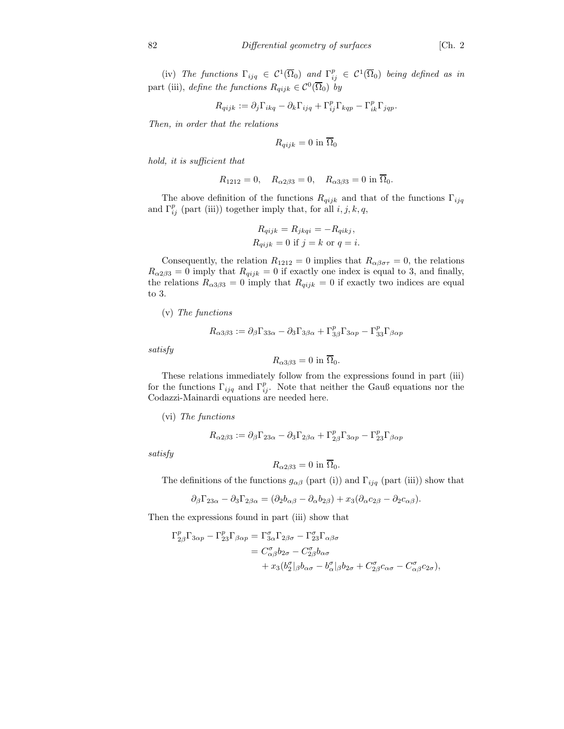(iv) The functions  $\Gamma_{ijq} \in C^1(\overline{\Omega}_0)$  and  $\Gamma_{ij}^p \in C^1(\overline{\Omega}_0)$  being defined as in part (iii), define the functions  $R_{qijk} \in C^0(\overline{\Omega}_0)$  by

$$
R_{qijk} := \partial_j \Gamma_{ikq} - \partial_k \Gamma_{ijq} + \Gamma_{ij}^p \Gamma_{kqp} - \Gamma_{ik}^p \Gamma_{jqp}.
$$

Then, in order that the relations

$$
R_{qijk} = 0 \text{ in } \overline{\Omega}_0
$$

hold, it is sufficient that

$$
R_{1212} = 0, \quad R_{\alpha 2\beta 3} = 0, \quad R_{\alpha 3\beta 3} = 0 \text{ in } \overline{\Omega}_0.
$$

The above definition of the functions  $R_{qijk}$  and that of the functions  $\Gamma_{ijq}$ and  $\Gamma_{ij}^p$  (part (iii)) together imply that, for all  $i, j, k, q$ ,

$$
R_{qijk} = R_{jkqi} = -R_{qikj},
$$
  
\n
$$
R_{qijk} = 0
$$
 if  $j = k$  or  $q = i$ .

Consequently, the relation  $R_{1212} = 0$  implies that  $R_{\alpha\beta\sigma\tau} = 0$ , the relations  $R_{\alpha 2\beta 3} = 0$  imply that  $R_{qijk} = 0$  if exactly one index is equal to 3, and finally, the relations  $R_{\alpha 3\beta 3} = 0$  imply that  $R_{qijk} = 0$  if exactly two indices are equal to 3.

(v) The functions

$$
R_{\alpha3\beta3} := \partial_{\beta}\Gamma_{33\alpha} - \partial_{3}\Gamma_{3\beta\alpha} + \Gamma_{3\beta}^{p}\Gamma_{3\alpha p} - \Gamma_{33}^{p}\Gamma_{\beta\alpha p}
$$

satisfy

$$
R_{\alpha 3\beta 3} = 0
$$
 in  $\overline{\Omega}_0$ .

These relations immediately follow from the expressions found in part (iii) for the functions  $\Gamma_{ijq}$  and  $\Gamma_{ij}^p$ . Note that neither the Gauß equations nor the Codazzi-Mainardi equations are needed here.

(vi) The functions

$$
R_{\alpha2\beta3} := \partial_{\beta}\Gamma_{23\alpha} - \partial_{3}\Gamma_{2\beta\alpha} + \Gamma^{p}_{2\beta}\Gamma_{3\alpha p} - \Gamma^{p}_{23}\Gamma_{\beta\alpha p}
$$

satisfy

$$
R_{\alpha 2\beta 3} = 0 \text{ in } \overline{\Omega}_0.
$$

The definitions of the functions  $g_{\alpha\beta}$  (part (i)) and  $\Gamma_{ijq}$  (part (iii)) show that

$$
\partial_{\beta}\Gamma_{23\alpha} - \partial_{3}\Gamma_{2\beta\alpha} = (\partial_{2}b_{\alpha\beta} - \partial_{\alpha}b_{2\beta}) + x_{3}(\partial_{\alpha}c_{2\beta} - \partial_{2}c_{\alpha\beta}).
$$

Then the expressions found in part (iii) show that

$$
\Gamma^p_{2\beta}\Gamma_{3\alpha p} - \Gamma^p_{23}\Gamma_{\beta\alpha p} = \Gamma^{\sigma}_{3\alpha}\Gamma_{2\beta\sigma} - \Gamma^{\sigma}_{23}\Gamma_{\alpha\beta\sigma} \n= C^{\sigma}_{\alpha\beta}b_{2\sigma} - C^{\sigma}_{2\beta}b_{\alpha\sigma} \n+ x_3(b^{\sigma}_2|\beta b_{\alpha\sigma} - b^{\sigma}_{\alpha}|\beta b_{2\sigma} + C^{\sigma}_{2\beta}c_{\alpha\sigma} - C^{\sigma}_{\alpha\beta}c_{2\sigma}),
$$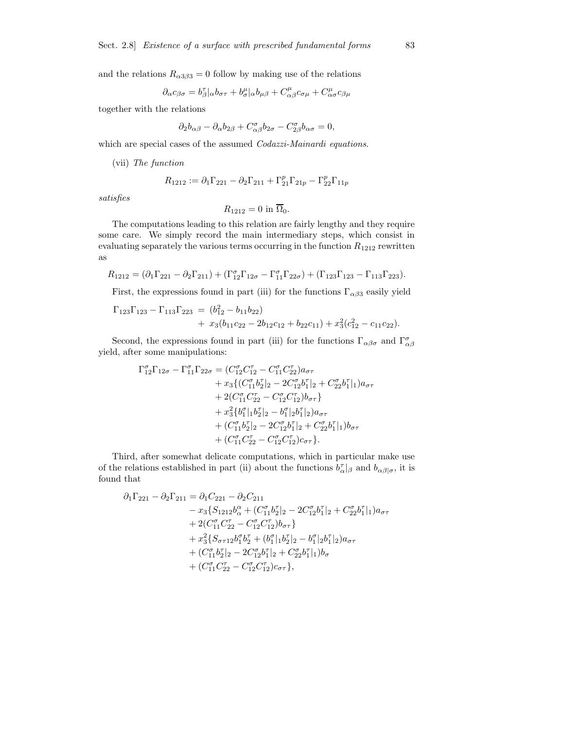and the relations  $R_{\alpha 3\beta 3} = 0$  follow by making use of the relations

$$
\partial_{\alpha}c_{\beta\sigma} = b_{\beta}^{\tau}|_{\alpha}b_{\sigma\tau} + b_{\sigma}^{\mu}|_{\alpha}b_{\mu\beta} + C_{\alpha\beta}^{\mu}c_{\sigma\mu} + C_{\alpha\sigma}^{\mu}c_{\beta\mu}
$$

together with the relations

$$
\partial_2 b_{\alpha\beta} - \partial_\alpha b_{2\beta} + C_{\alpha\beta}^\sigma b_{2\sigma} - C_{2\beta}^\sigma b_{\alpha\sigma} = 0,
$$

which are special cases of the assumed *Codazzi-Mainardi equations*.

(vii) The function

$$
R_{1212} := \partial_1 \Gamma_{221} - \partial_2 \Gamma_{211} + \Gamma_{21}^p \Gamma_{21p} - \Gamma_{22}^p \Gamma_{11p}
$$

satisfies

$$
R_{1212} = 0 \text{ in } \overline{\Omega}_0.
$$

The computations leading to this relation are fairly lengthy and they require some care. We simply record the main intermediary steps, which consist in evaluating separately the various terms occurring in the function  $R_{1212}$  rewritten as

$$
R_{1212} = (\partial_1 \Gamma_{221} - \partial_2 \Gamma_{211}) + (\Gamma_{12}^{\sigma} \Gamma_{12\sigma} - \Gamma_{11}^{\sigma} \Gamma_{22\sigma}) + (\Gamma_{123} \Gamma_{123} - \Gamma_{113} \Gamma_{223}).
$$

First, the expressions found in part (iii) for the functions  $\Gamma_{\alpha\beta3}$  easily yield

$$
\Gamma_{123}\Gamma_{123} - \Gamma_{113}\Gamma_{223} = (b_{12}^2 - b_{11}b_{22}) \n+ x_3(b_{11}c_{22} - 2b_{12}c_{12} + b_{22}c_{11}) + x_3^2(c_{12}^2 - c_{11}c_{22}).
$$

Second, the expressions found in part (iii) for the functions  $\Gamma_{\alpha\beta\sigma}$  and  $\Gamma_{\alpha\beta}^{\sigma}$ yield, after some manipulations:

$$
\Gamma_{12}^{\sigma}\Gamma_{12\sigma} - \Gamma_{11}^{\sigma}\Gamma_{22\sigma} = (C_{12}^{\sigma}C_{12}^{\sigma} - C_{11}^{\sigma}C_{22}^{\sigma})a_{\sigma\tau} \n+ x_3\{ (C_{11}^{\sigma}b_2^{\tau}]_2 - 2C_{12}^{\sigma}b_1^{\tau}]_2 + C_{22}^{\sigma}b_1^{\tau}]_1)a_{\sigma\tau} \n+ 2(C_{11}^{\sigma}C_{22}^{\tau} - C_{12}^{\sigma}C_{12}^{\tau})b_{\sigma\tau} \} \n+ x_3^2\{b_1^{\sigma}|1b_2^{\tau}|_2 - b_1^{\sigma}|2b_1^{\tau}|_2)a_{\sigma\tau} \n+ (C_{11}^{\sigma}b_2^{\tau}|_2 - 2C_{12}^{\sigma}b_1^{\tau}|_2 + C_{22}^{\sigma}b_1^{\tau}|_1)b_{\sigma\tau} \n+ (C_{11}^{\sigma}C_{22}^{\tau} - C_{12}^{\sigma}C_{12}^{\tau})c_{\sigma\tau}.
$$

Third, after somewhat delicate computations, which in particular make use of the relations established in part (ii) about the functions  $b^{\tau}_{\alpha}|_{\beta}$  and  $b_{\alpha\beta|\sigma}$ , it is found that

$$
\partial_1 \Gamma_{221} - \partial_2 \Gamma_{211} = \partial_1 C_{221} - \partial_2 C_{211} \n- x_3 \{ S_{1212} b_\alpha^\alpha + (C_{11}^\sigma b_2^\tau)_2 - 2C_{12}^\sigma b_1^\tau |_2 + C_{22}^\sigma b_1^\tau |_1) a_{\sigma\tau} \n+ 2(C_{11}^\sigma C_{22}^\tau - C_{12}^\sigma C_{12}^\tau) b_{\sigma\tau} \} \n+ x_3^2 \{ S_{\sigma\tau 12} b_1^\sigma b_2^\tau + (b_1^\sigma |_{1} b_2^\tau |_{2} - b_1^\sigma |_{2} b_1^\tau |_{2}) a_{\sigma\tau} \n+ (C_{11}^\sigma b_2^\tau |_{2} - 2C_{12}^\sigma b_1^\tau |_{2} + C_{22}^\sigma b_1^\tau |_{1}) b_\sigma \n+ (C_{11}^\sigma C_{22}^\tau - C_{12}^\sigma C_{12}^\tau) c_{\sigma\tau} \},
$$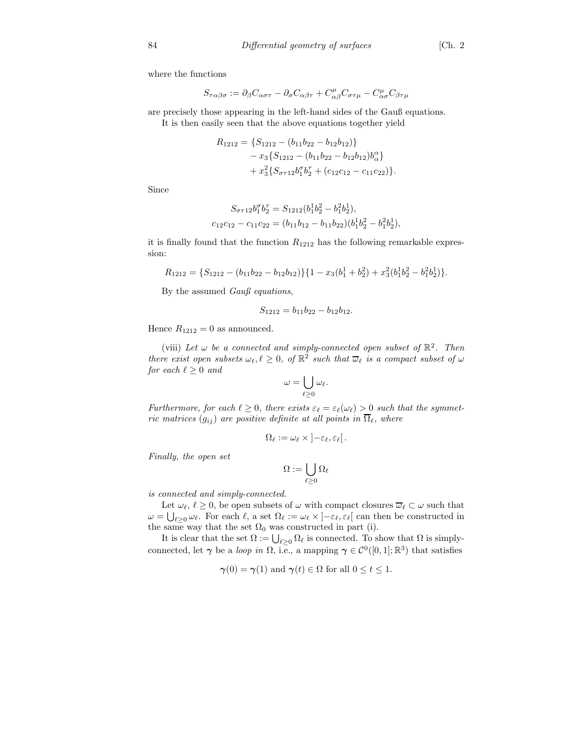where the functions

$$
S_{\tau\alpha\beta\sigma} := \partial_{\beta}C_{\alpha\sigma\tau} - \partial_{\sigma}C_{\alpha\beta\tau} + C_{\alpha\beta}^{\mu}C_{\sigma\tau\mu} - C_{\alpha\sigma}^{\mu}C_{\beta\tau\mu}
$$

are precisely those appearing in the left-hand sides of the Gauß equations. It is then easily seen that the above equations together yield

$$
R_{1212} = \{S_{1212} - (b_{11}b_{22} - b_{12}b_{12})\}
$$
  
-  $x_3 \{S_{1212} - (b_{11}b_{22} - b_{12}b_{12})b_{\alpha}^{\alpha}\}$   
+  $x_3^2 \{S_{\sigma\tau 12}b_1^{\sigma}b_2^{\tau} + (c_{12}c_{12} - c_{11}c_{22})\}.$ 

Since

$$
S_{\sigma\tau 12}b_1^{\sigma}b_2^{\tau} = S_{1212}(b_1^1b_2^2 - b_1^2b_2^1),
$$
  

$$
c_{12}c_{12} - c_{11}c_{22} = (b_{11}b_{12} - b_{11}b_{22})(b_1^1b_2^2 - b_1^2b_2^1),
$$

it is finally found that the function  $R_{1212}$  has the following remarkable expression:

$$
R_{1212} = \{S_{1212} - (b_{11}b_{22} - b_{12}b_{12})\}\{1 - x_3(b_1^1 + b_2^2) + x_3^2(b_1^1b_2^2 - b_1^2b_2^1)\}.
$$

By the assumed Gauß equations,

$$
S_{1212} = b_{11}b_{22} - b_{12}b_{12}.
$$

Hence  $R_{1212} = 0$  as announced.

(viii) Let  $\omega$  be a connected and simply-connected open subset of  $\mathbb{R}^2$ . Then there exist open subsets  $\omega_{\ell}, \ell \geq 0$ , of  $\mathbb{R}^2$  such that  $\overline{\omega}_{\ell}$  is a compact subset of  $\omega$ for each  $\ell \geq 0$  and

$$
\omega = \bigcup_{\ell \geq 0} \omega_{\ell}.
$$

Furthermore, for each  $\ell \geq 0$ , there exists  $\varepsilon_{\ell} = \varepsilon_{\ell}(\omega_{\ell}) > 0$  such that the symmetric matrices  $(g_{ij})$  are positive definite at all points in  $\overline{\Omega}_{\ell}$ , where

$$
\Omega_{\ell} := \omega_{\ell} \times \left] -\varepsilon_{\ell}, \varepsilon_{\ell} \right[.
$$

Finally, the open set

$$
\Omega:=\bigcup_{\ell\geq 0}\Omega_\ell
$$

is connected and simply-connected.

Let  $\omega_{\ell}, \ell \geq 0$ , be open subsets of  $\omega$  with compact closures  $\overline{\omega}_{\ell} \subset \omega$  such that  $\omega = \bigcup_{\ell \geq 0} \omega_{\ell}$ . For each  $\ell$ , a set  $\Omega_{\ell} := \omega_{\ell} \times [-\varepsilon_{\ell}, \varepsilon_{\ell}]$  can then be constructed in the same way that the set  $\Omega_0$  was constructed in part (i).

It is clear that the set  $\Omega := \bigcup_{\ell \geq 0} \Omega_{\ell}$  is connected. To show that  $\Omega$  is simplyconnected, let  $\gamma$  be a *loop in*  $\Omega$ , i.e., a mapping  $\gamma \in C^0([0,1];\mathbb{R}^3)$  that satisfies

$$
\gamma(0) = \gamma(1)
$$
 and  $\gamma(t) \in \Omega$  for all  $0 \le t \le 1$ .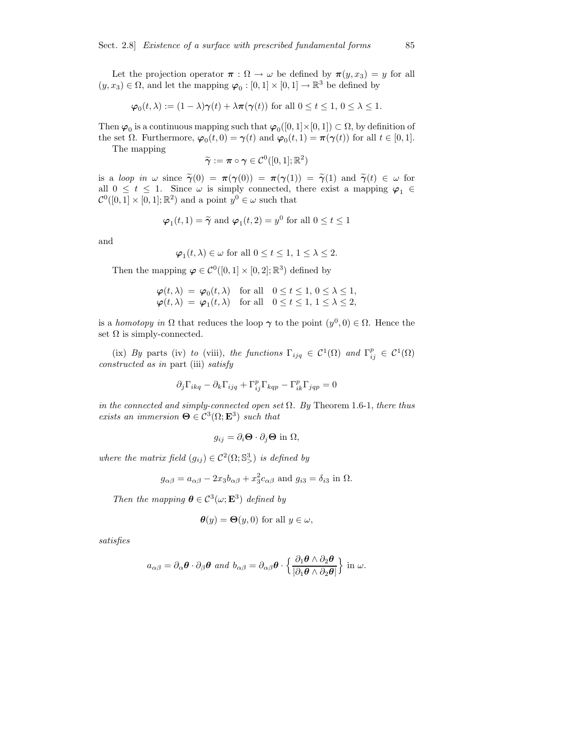Let the projection operator  $\pi : \Omega \to \omega$  be defined by  $\pi(y, x_3) = y$  for all  $(y, x_3) \in \Omega$ , and let the mapping  $\varphi_0 : [0, 1] \times [0, 1] \to \mathbb{R}^3$  be defined by

$$
\varphi_0(t,\lambda) := (1-\lambda)\gamma(t) + \lambda \pi(\gamma(t)) \text{ for all } 0 \le t \le 1, 0 \le \lambda \le 1.
$$

Then  $\varphi_0$  is a continuous mapping such that  $\varphi_0([0,1] \times [0,1]) \subset \Omega$ , by definition of the set  $\Omega$ . Furthermore,  $\varphi_0(t,0) = \gamma(t)$  and  $\varphi_0(t,1) = \pi(\gamma(t))$  for all  $t \in [0,1]$ .

The mapping

 $\widetilde{\gamma} := \boldsymbol{\pi} \circ \boldsymbol{\gamma} \in \mathcal{C}^0([0,1];\mathbb{R}^2)$ 

is a loop in  $\omega$  since  $\tilde{\gamma}(0) = \pi(\gamma(0)) = \pi(\gamma(1)) = \tilde{\gamma}(1)$  and  $\tilde{\gamma}(t) \in \omega$  for all  $0 \leq t \leq 1$ . Since  $\omega$  is simply connected, there exist a mapping  $\varphi_1 \in$  $C^0([0,1] \times [0,1]; \mathbb{R}^2)$  and a point  $y^0 \in \omega$  such that

$$
\varphi_1(t,1) = \tilde{\gamma}
$$
 and  $\varphi_1(t,2) = y^0$  for all  $0 \le t \le 1$ 

and

$$
\varphi_1(t,\lambda) \in \omega \text{ for all } 0 \le t \le 1, 1 \le \lambda \le 2.
$$

Then the mapping  $\varphi \in C^0([0,1] \times [0,2]; \mathbb{R}^3)$  defined by

$$
\varphi(t,\lambda) = \varphi_0(t,\lambda) \quad \text{for all} \quad 0 \le t \le 1, \, 0 \le \lambda \le 1, \n\varphi(t,\lambda) = \varphi_1(t,\lambda) \quad \text{for all} \quad 0 \le t \le 1, \, 1 \le \lambda \le 2,
$$

is a homotopy in  $\Omega$  that reduces the loop  $\gamma$  to the point  $(y^0, 0) \in \Omega$ . Hence the set  $\Omega$  is simply-connected.

(ix) By parts (iv) to (viii), the functions  $\Gamma_{ijq} \in C^1(\Omega)$  and  $\Gamma_{ij}^p \in C^1(\Omega)$ constructed as in part (iii) satisfy

$$
\partial_j \Gamma_{ikq} - \partial_k \Gamma_{ijq} + \Gamma_{ij}^p \Gamma_{kqp} - \Gamma_{ik}^p \Gamma_{jqp} = 0
$$

in the connected and simply-connected open set  $\Omega$ . By Theorem 1.6-1, there thus exists an immersion  $\mathbf{\Theta} \in \mathcal{C}^3(\Omega; \mathbf{E}^3)$  such that

$$
g_{ij} = \partial_i \mathbf{\Theta} \cdot \partial_j \mathbf{\Theta} \text{ in } \Omega,
$$

where the matrix field  $(g_{ij}) \in C^2(\Omega; \mathbb{S}^3)$  is defined by

$$
g_{\alpha\beta} = a_{\alpha\beta} - 2x_3 b_{\alpha\beta} + x_3^2 c_{\alpha\beta} \text{ and } g_{i3} = \delta_{i3} \text{ in } \Omega.
$$

Then the mapping  $\boldsymbol{\theta} \in C^3(\omega; \mathbf{E}^3)$  defined by

$$
\boldsymbol{\theta}(y) = \boldsymbol{\Theta}(y,0) \text{ for all } y \in \omega,
$$

satisfies

$$
a_{\alpha\beta}=\partial_{\alpha}\boldsymbol{\theta}\cdot\partial_{\beta}\boldsymbol{\theta} \text{ and } b_{\alpha\beta}=\partial_{\alpha\beta}\boldsymbol{\theta}\cdot\left\{\frac{\partial_1\boldsymbol{\theta}\wedge\partial_2\boldsymbol{\theta}}{|\partial_1\boldsymbol{\theta}\wedge\partial_2\boldsymbol{\theta}|}\right\}\text{ in }\omega.
$$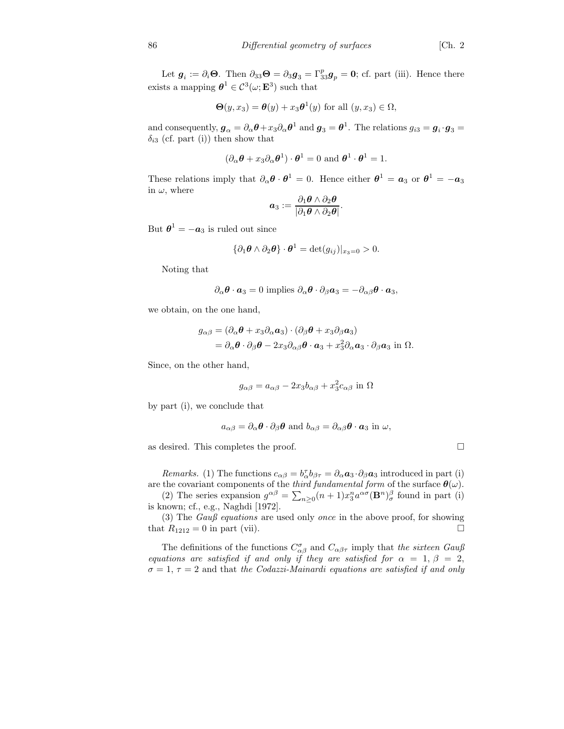Let  $g_i := \partial_i \Theta$ . Then  $\partial_{33} \Theta = \partial_3 g_3 = \Gamma^p_{33} g_p = 0$ ; cf. part (iii). Hence there exists a mapping  $\boldsymbol{\theta}^1 \in \mathcal{C}^3(\omega; \mathbf{E}^3)$  such that

$$
\Theta(y, x_3) = \theta(y) + x_3 \theta^1(y) \text{ for all } (y, x_3) \in \Omega,
$$

and consequently,  $g_{\alpha} = \partial_{\alpha} \theta + x_3 \partial_{\alpha} \theta^1$  and  $g_3 = \theta^1$ . The relations  $g_{i3} = g_i \cdot g_3 =$  $\delta_{i3}$  (cf. part (i)) then show that

$$
(\partial_{\alpha}\boldsymbol{\theta} + x_3 \partial_{\alpha}\boldsymbol{\theta}^1) \cdot \boldsymbol{\theta}^1 = 0 \text{ and } \boldsymbol{\theta}^1 \cdot \boldsymbol{\theta}^1 = 1.
$$

These relations imply that  $\partial_{\alpha} \theta \cdot \theta^1 = 0$ . Hence either  $\theta^1 = a_3$  or  $\theta^1 = -a_3$ in  $\omega$ , where

$$
\boldsymbol{a}_3:=\frac{\partial_1\boldsymbol{\theta}\wedge\partial_2\boldsymbol{\theta}}{|\partial_1\boldsymbol{\theta}\wedge\partial_2\boldsymbol{\theta}|}.
$$

But  $\boldsymbol{\theta}^1 = -\boldsymbol{a}_3$  is ruled out since

$$
\{\partial_1 \boldsymbol{\theta} \wedge \partial_2 \boldsymbol{\theta}\} \cdot \boldsymbol{\theta}^1 = \det(g_{ij})|_{x_3=0} > 0.
$$

Noting that

$$
\partial_{\alpha} \boldsymbol{\theta} \cdot \boldsymbol{a}_3 = 0
$$
 implies  $\partial_{\alpha} \boldsymbol{\theta} \cdot \partial_{\beta} \boldsymbol{a}_3 = -\partial_{\alpha\beta} \boldsymbol{\theta} \cdot \boldsymbol{a}_3$ ,

we obtain, on the one hand,

$$
g_{\alpha\beta} = (\partial_{\alpha}\boldsymbol{\theta} + x_3 \partial_{\alpha} \boldsymbol{a}_3) \cdot (\partial_{\beta}\boldsymbol{\theta} + x_3 \partial_{\beta} \boldsymbol{a}_3)
$$
  
=  $\partial_{\alpha}\boldsymbol{\theta} \cdot \partial_{\beta}\boldsymbol{\theta} - 2x_3 \partial_{\alpha\beta}\boldsymbol{\theta} \cdot \boldsymbol{a}_3 + x_3^2 \partial_{\alpha} \boldsymbol{a}_3 \cdot \partial_{\beta} \boldsymbol{a}_3$  in  $\Omega$ .

Since, on the other hand,

$$
g_{\alpha\beta} = a_{\alpha\beta} - 2x_3 b_{\alpha\beta} + x_3^2 c_{\alpha\beta}
$$
 in  $\Omega$ 

by part (i), we conclude that

$$
a_{\alpha\beta} = \partial_{\alpha}\boldsymbol{\theta} \cdot \partial_{\beta}\boldsymbol{\theta}
$$
 and  $b_{\alpha\beta} = \partial_{\alpha\beta}\boldsymbol{\theta} \cdot \boldsymbol{a}_3$  in  $\omega$ ,

as desired. This completes the proof.  $\Box$ 

Remarks. (1) The functions  $c_{\alpha\beta} = b_{\alpha}^{\dagger} b_{\beta\tau} = \partial_{\alpha} a_{3} \cdot \partial_{\beta} a_{3}$  introduced in part (i) are the covariant components of the *third fundamental form* of the surface  $\theta(\omega)$ .

(2) The series expansion  $g^{\alpha\beta} = \sum_{n\geq 0} (n+1)x_3^n a^{\alpha\sigma} (\mathbf{B}^n)_\sigma^\beta$  found in part (i) is known; cf., e.g., Naghdi [1972].

(3) The Gauß equations are used only once in the above proof, for showing that  $R_{1212} = 0$  in part (vii).

The definitions of the functions  $C^{\sigma}_{\alpha\beta}$  and  $C_{\alpha\beta\tau}$  imply that the sixteen Gauß equations are satisfied if and only if they are satisfied for  $\alpha = 1, \beta = 2$ ,  $\sigma = 1, \tau = 2$  and that the Codazzi-Mainardi equations are satisfied if and only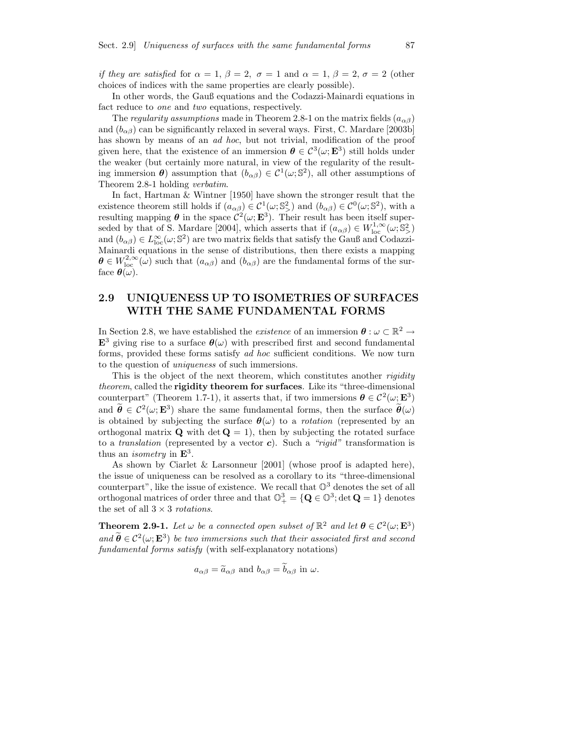if they are satisfied for  $\alpha = 1, \beta = 2, \sigma = 1$  and  $\alpha = 1, \beta = 2, \sigma = 2$  (other choices of indices with the same properties are clearly possible).

In other words, the Gauß equations and the Codazzi-Mainardi equations in fact reduce to one and two equations, respectively.

The regularity assumptions made in Theorem 2.8-1 on the matrix fields ( $a_{\alpha\beta}$ ) and  $(b_{\alpha\beta})$  can be significantly relaxed in several ways. First, C. Mardare [2003b] has shown by means of an *ad hoc*, but not trivial, modification of the proof given here, that the existence of an immersion  $\theta \in C^3(\omega; \mathbf{E}^3)$  still holds under the weaker (but certainly more natural, in view of the regularity of the resulting immersion  $\theta$ ) assumption that  $(b_{\alpha\beta}) \in C^1(\omega; \mathbb{S}^2)$ , all other assumptions of Theorem 2.8-1 holding verbatim.

In fact, Hartman & Wintner [1950] have shown the stronger result that the existence theorem still holds if  $(a_{\alpha\beta}) \in C^1(\omega; \mathbb{S}^2)$  and  $(b_{\alpha\beta}) \in C^0(\omega; \mathbb{S}^2)$ , with a resulting mapping  $\theta$  in the space  $\mathcal{C}^2(\omega; \mathbf{E}^3)$ . Their result has been itself superseded by that of S. Mardare [2004], which asserts that if  $(a_{\alpha\beta}) \in W^{1,\infty}_{loc}(\omega; \mathbb{S}^2)$ and  $(b_{\alpha\beta}) \in L^{\infty}_{loc}(\omega; \mathbb{S}^2)$  are two matrix fields that satisfy the Gauß and Codazzi-Mainardi equations in the sense of distributions, then there exists a mapping  $\boldsymbol{\theta} \in W^{2,\infty}_{loc}(\omega)$  such that  $(a_{\alpha\beta})$  and  $(b_{\alpha\beta})$  are the fundamental forms of the surface  $\boldsymbol{\theta}(\omega)$ .

### 2.9 UNIQUENESS UP TO ISOMETRIES OF SURFACES WITH THE SAME FUNDAMENTAL FORMS

In Section 2.8, we have established the *existence* of an immersion  $\boldsymbol{\theta} : \omega \subset \mathbb{R}^2 \to$  $\mathbf{E}^3$  giving rise to a surface  $\boldsymbol{\theta}(\omega)$  with prescribed first and second fundamental forms, provided these forms satisfy ad hoc sufficient conditions. We now turn to the question of uniqueness of such immersions.

This is the object of the next theorem, which constitutes another *rigidity* theorem, called the **rigidity theorem for surfaces**. Like its "three-dimensional counterpart" (Theorem 1.7-1), it asserts that, if two immersions  $\theta \in C^2(\omega; \mathbb{E}^3)$ and  $\hat{\theta} \in C^2(\omega; \mathbf{E}^3)$  share the same fundamental forms, then the surface  $\hat{\theta}(\omega)$ is obtained by subjecting the surface  $\theta(\omega)$  to a *rotation* (represented by an orthogonal matrix  $\bf{Q}$  with det  $\bf{Q} = 1$ , then by subjecting the rotated surface to a *translation* (represented by a vector c). Such a "rigid" transformation is thus an *isometry* in  $\mathbf{E}^3$ .

As shown by Ciarlet & Larsonneur [2001] (whose proof is adapted here), the issue of uniqueness can be resolved as a corollary to its "three-dimensional counterpart", like the issue of existence. We recall that  $\mathbb{O}^3$  denotes the set of all orthogonal matrices of order three and that  $\mathbb{O}^3_+ = {\mathbf{Q} \in \mathbb{O}^3; \det \mathbf{Q} = 1}$  denotes the set of all  $3 \times 3$  rotations.

**Theorem 2.9-1.** Let  $\omega$  be a connected open subset of  $\mathbb{R}^2$  and let  $\theta \in C^2(\omega; \mathbf{E}^3)$ and  $\hat{\boldsymbol{\theta}} \in C^2(\omega; \mathbf{E}^3)$  be two immersions such that their associated first and second fundamental forms satisfy (with self-explanatory notations)

$$
a_{\alpha\beta} = \tilde{a}_{\alpha\beta}
$$
 and  $b_{\alpha\beta} = b_{\alpha\beta}$  in  $\omega$ .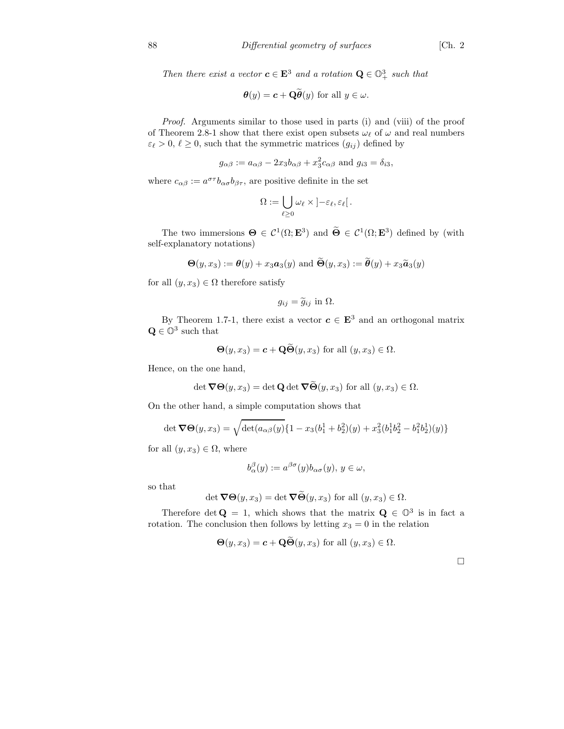Then there exist a vector  $c \in \mathbf{E}^3$  and a rotation  $\mathbf{Q} \in \mathbb{O}^3_+$  such that

$$
\boldsymbol{\theta}(y) = \boldsymbol{c} + \mathbf{Q}\boldsymbol{\theta}(y) \text{ for all } y \in \omega.
$$

Proof. Arguments similar to those used in parts (i) and (viii) of the proof of Theorem 2.8-1 show that there exist open subsets  $\omega_{\ell}$  of  $\omega$  and real numbers  $\varepsilon_\ell > 0, \ell \geq 0$ , such that the symmetric matrices  $(g_{ij})$  defined by

$$
g_{\alpha\beta} := a_{\alpha\beta} - 2x_3b_{\alpha\beta} + x_3^2c_{\alpha\beta}
$$
 and  $g_{i3} = \delta_{i3}$ ,

where  $c_{\alpha\beta} := a^{\sigma\tau} b_{\alpha\sigma} b_{\beta\tau}$ , are positive definite in the set

$$
\Omega:=\bigcup_{\ell\geq 0}\omega_\ell\times\left]-\varepsilon_\ell,\varepsilon_\ell\right[.
$$

The two immersions  $\Theta \in C^1(\Omega; \mathbf{E}^3)$  and  $\widetilde{\Theta} \in C^1(\Omega; \mathbf{E}^3)$  defined by (with self-explanatory notations)

$$
\Theta(y, x_3) := \theta(y) + x_3 a_3(y) \text{ and } \widetilde{\Theta}(y, x_3) := \widetilde{\theta}(y) + x_3 \widetilde{a}_3(y)
$$

for all  $(y, x_3) \in \Omega$  therefore satisfy

$$
g_{ij} = \widetilde{g}_{ij} \text{ in } \Omega.
$$

By Theorem 1.7-1, there exist a vector  $c \in E^3$  and an orthogonal matrix  $\mathbf{Q} \in \mathbb{O}^3$  such that

$$
\Theta(y, x_3) = \mathbf{c} + \mathbf{Q}\Theta(y, x_3)
$$
 for all  $(y, x_3) \in \Omega$ .

Hence, on the one hand,

$$
\det \nabla \Theta(y, x_3) = \det \mathbf{Q} \det \nabla \widetilde{\Theta}(y, x_3) \text{ for all } (y, x_3) \in \Omega.
$$

On the other hand, a simple computation shows that

$$
\det \mathbf{\nabla} \Theta(y, x_3) = \sqrt{\det(a_{\alpha\beta}(y)\{1 - x_3(b_1^1 + b_2^2)(y) + x_3^2(b_1^1b_2^2 - b_1^2b_2^1)(y)\}}
$$

for all  $(y, x_3) \in \Omega$ , where

$$
b_{\alpha}^{\beta}(y) := a^{\beta \sigma}(y) b_{\alpha \sigma}(y), y \in \omega,
$$

so that

$$
\det \nabla \Theta(y, x_3) = \det \nabla \widetilde{\Theta}(y, x_3) \text{ for all } (y, x_3) \in \Omega.
$$

Therefore det  $\mathbf{Q} = 1$ , which shows that the matrix  $\mathbf{Q} \in \mathbb{O}^3$  is in fact a rotation. The conclusion then follows by letting  $x_3 = 0$  in the relation

$$
\Theta(y, x_3) = \mathbf{c} + \mathbf{Q} \widetilde{\Theta}(y, x_3) \text{ for all } (y, x_3) \in \Omega.
$$

 $\Box$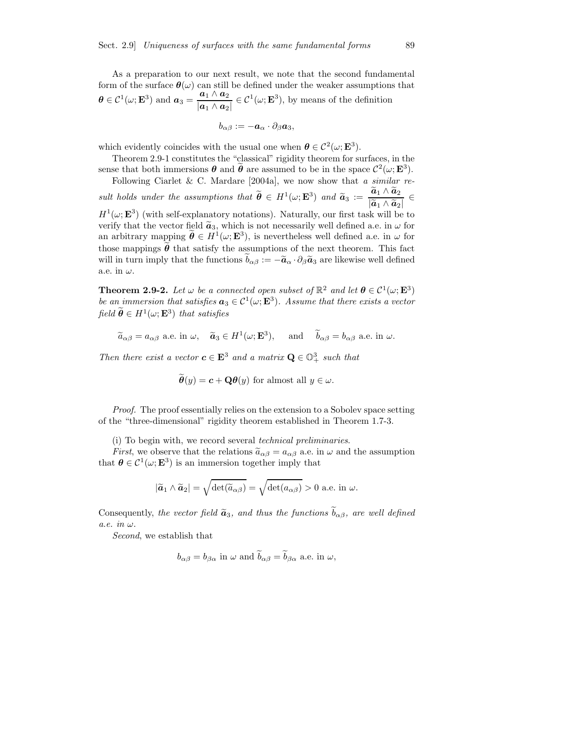As a preparation to our next result, we note that the second fundamental form of the surface  $\theta(\omega)$  can still be defined under the weaker assumptions that  $\boldsymbol{\theta} \in \mathcal{C}^1(\omega; \mathbf{E}^3)$  and  $\boldsymbol{a}_3 = \frac{\boldsymbol{a}_1 \wedge \boldsymbol{a}_2}{|\boldsymbol{a}_1 \wedge \boldsymbol{a}_2|}$  $\frac{a_1 \wedge a_2}{|a_1 \wedge a_2|} \in C^1(\omega; \mathbf{E}^3)$ , by means of the definition

$$
b_{\alpha\beta}:=-\bm{a}_\alpha\cdot\partial_\beta\bm{a}_3,
$$

which evidently coincides with the usual one when  $\theta \in C^2(\omega; \mathbf{E}^3)$ .

Theorem 2.9-1 constitutes the "classical" rigidity theorem for surfaces, in the sense that both immersions  $\theta$  and  $\tilde{\theta}$  are assumed to be in the space  $\mathcal{C}^2(\omega; \mathbf{E}^3)$ .

Following Ciarlet & C. Mardare [2004a], we now show that a similar result holds under the assumptions that  $\widetilde{\boldsymbol{\theta}} \in H^1(\omega; \mathbf{E}^3)$  and  $\widetilde{\boldsymbol{a}}_3 := \frac{\widetilde{\boldsymbol{a}}_1 \wedge \widetilde{\boldsymbol{a}}_2}{|\widetilde{\boldsymbol{a}}_1 \wedge \widetilde{\boldsymbol{a}}_2|}$  $\frac{\left|\widetilde{a}_{1} \wedge \widetilde{a}_{2}\right|}{\left|\cdots\right|} \in$  $H^1(\omega; \mathbf{E}^3)$  (with self-explanatory notations). Naturally, our first task will be to verify that the vector field  $\tilde{a}_3$ , which is not necessarily well defined a.e. in  $\omega$  for an arbitrary mapping  $\hat{\theta} \in H^1(\omega; \mathbf{E}^3)$ , is nevertheless well defined a.e. in  $\omega$  for those mappings  $\tilde{\theta}$  that satisfy the assumptions of the next theorem. This fact will in turn imply that the functions  $b_{\alpha\beta} := -\tilde{a}_{\alpha} \cdot \partial_{\beta} \tilde{a}_3$  are likewise well defined a.e. in  $\omega$ .

**Theorem 2.9-2.** Let  $\omega$  be a connected open subset of  $\mathbb{R}^2$  and let  $\theta \in C^1(\omega; \mathbf{E}^3)$ be an immersion that satisfies  $a_3 \in C^1(\omega; \mathbf{E}^3)$ . Assume that there exists a vector field  $\hat{\boldsymbol{\theta}} \in H^1(\omega; \mathbf{E}^3)$  that satisfies

 $\widetilde{a}_{\alpha\beta} = a_{\alpha\beta}$  a.e. in  $\omega$ ,  $\widetilde{a}_3 \in H^1(\omega; \mathbf{E}^3)$ , and  $\widetilde{b}_{\alpha\beta} = b_{\alpha\beta}$  a.e. in  $\omega$ .

Then there exist a vector  $c \in \mathbf{E}^3$  and a matrix  $\mathbf{Q} \in \mathbb{O}^3_+$  such that

$$
\widetilde{\boldsymbol{\theta}}(y) = \boldsymbol{c} + \mathbf{Q}\boldsymbol{\theta}(y) \text{ for almost all } y \in \omega.
$$

Proof. The proof essentially relies on the extension to a Sobolev space setting of the "three-dimensional" rigidity theorem established in Theorem 1.7-3.

(i) To begin with, we record several technical preliminaries.

*First*, we observe that the relations  $\tilde{a}_{\alpha\beta} = a_{\alpha\beta}$  a.e. in  $\omega$  and the assumption that  $\boldsymbol{\theta} \in C^1(\omega; \mathbf{E}^3)$  is an immersion together imply that

$$
|\tilde{a}_1 \wedge \tilde{a}_2| = \sqrt{\det(\tilde{a}_{\alpha\beta})} = \sqrt{\det(a_{\alpha\beta})} > 0
$$
 a.e. in  $\omega$ .

Consequently, the vector field  $\tilde{a}_3$ , and thus the functions  $\tilde{b}_{\alpha\beta}$ , are well defined a.e. in  $\omega$ .

Second, we establish that

$$
b_{\alpha\beta} = b_{\beta\alpha}
$$
 in  $\omega$  and  $\tilde{b}_{\alpha\beta} = \tilde{b}_{\beta\alpha}$  a.e. in  $\omega$ ,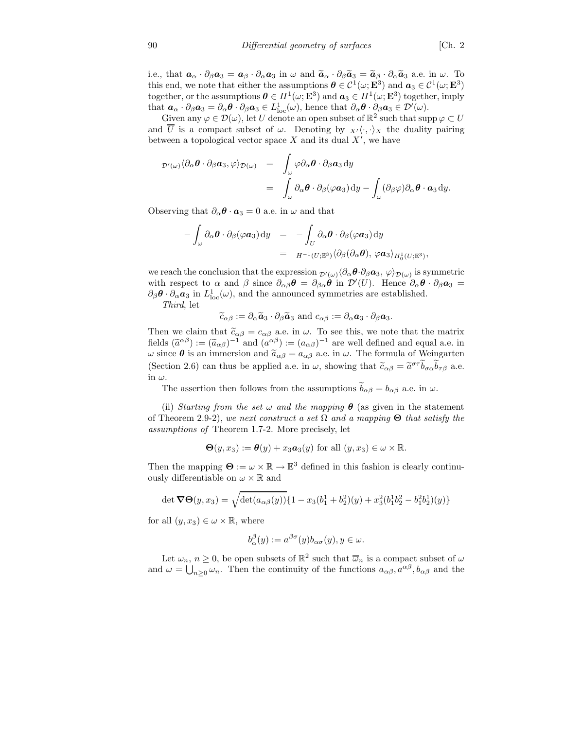i.e., that  $\mathbf{a}_{\alpha} \cdot \partial_{\beta} \mathbf{a}_{3} = \mathbf{a}_{\beta} \cdot \partial_{\alpha} \mathbf{a}_{3}$  in  $\omega$  and  $\widetilde{\mathbf{a}}_{\alpha} \cdot \partial_{\beta} \widetilde{\mathbf{a}}_{3} = \widetilde{\mathbf{a}}_{\beta} \cdot \partial_{\alpha} \widetilde{\mathbf{a}}_{3}$  a.e. in  $\omega$ . To this end, we note that either the assumptions  $\theta \in C^1(\omega; \mathbf{E}^3)$  and  $\mathbf{a}_3 \in C^1(\omega; \mathbf{E}^3)$ together, or the assumptions  $\boldsymbol{\theta} \in H^1(\omega; \mathbf{E}^3)$  and  $\boldsymbol{a}_3 \in H^1(\omega; \mathbf{E}^3)$  together, imply that  $a_{\alpha} \cdot \partial_{\beta} a_{3} = \partial_{\alpha} \theta \cdot \partial_{\beta} a_{3} \in L^{1}_{loc}(\omega)$ , hence that  $\partial_{\alpha} \theta \cdot \partial_{\beta} a_{3} \in \mathcal{D}'(\omega)$ .

Given any  $\varphi \in \mathcal{D}(\omega)$ , let U denote an open subset of  $\mathbb{R}^2$  such that supp  $\varphi \subset U$ and  $\overline{U}$  is a compact subset of  $\omega$ . Denoting by  $_{X'}\langle \cdot, \cdot \rangle_X$  the duality pairing between a topological vector space  $X$  and its dual  $X'$ , we have

$$
\mathcal{D}'(\omega)\langle\partial_{\alpha}\boldsymbol{\theta}\cdot\partial_{\beta}\boldsymbol{a}_{3},\varphi\rangle_{\mathcal{D}(\omega)} = \int_{\omega}\varphi\partial_{\alpha}\boldsymbol{\theta}\cdot\partial_{\beta}\boldsymbol{a}_{3}dy
$$
  

$$
= \int_{\omega}\partial_{\alpha}\boldsymbol{\theta}\cdot\partial_{\beta}(\varphi\boldsymbol{a}_{3})dy - \int_{\omega}(\partial_{\beta}\varphi)\partial_{\alpha}\boldsymbol{\theta}\cdot\boldsymbol{a}_{3}dy.
$$

Observing that  $\partial_{\alpha} \theta \cdot \mathbf{a}_3 = 0$  a.e. in  $\omega$  and that

$$
- \int_{\omega} \partial_{\alpha} \theta \cdot \partial_{\beta} (\varphi \mathbf{a}_3) dy = - \int_{U} \partial_{\alpha} \theta \cdot \partial_{\beta} (\varphi \mathbf{a}_3) dy
$$
  

$$
= H^{-1}(U; \mathbb{E}^3) \langle \partial_{\beta} (\partial_{\alpha} \theta), \varphi \mathbf{a}_3 \rangle_{H_0^1(U; \mathbb{E}^3)},
$$

we reach the conclusion that the expression  $p'(\omega) \langle \partial_\alpha \theta \cdot \partial_\beta a_3, \varphi \rangle_{\mathcal{D}(\omega)}$  is symmetric with respect to  $\alpha$  and  $\beta$  since  $\partial_{\alpha\beta}\theta = \partial_{\beta\alpha}\theta$  in  $\mathcal{D}'(U)$ . Hence  $\partial_{\alpha}\theta \cdot \partial_{\beta}a_3 =$  $\partial_{\beta} \theta \cdot \partial_{\alpha} a_3$  in  $L^1_{loc}(\omega)$ , and the announced symmetries are established.

Third, let

 $\widetilde{c}_{\alpha\beta} := \partial_{\alpha}\widetilde{a}_3 \cdot \partial_{\beta}\widetilde{a}_3$  and  $c_{\alpha\beta} := \partial_{\alpha}a_3 \cdot \partial_{\beta}a_3$ .

Then we claim that  $\tilde{c}_{\alpha\beta} = c_{\alpha\beta}$  a.e. in  $\omega$ . To see this, we note that the matrix fields  $(\tilde{a}^{\alpha\beta}) := (\tilde{a}_{\alpha\beta})^{-1}$  and  $(a^{\alpha\beta}) := (a_{\alpha\beta})^{-1}$  are well defined and equal a.e. in  $ω$  since  $θ$  is an immersion and  $\tilde{a}_{\alpha\beta} = a_{\alpha\beta}$  a.e. in  $ω$ . The formula of Weingarten (Section 2.6) can thus be applied a.e. in  $\omega$ , showing that  $\tilde{c}_{\alpha\beta} = \tilde{a}^{\sigma\tau}\tilde{b}_{\sigma\alpha}\tilde{b}_{\tau\beta}$  a.e. in  $\omega$ .

The assertion then follows from the assumptions  $b_{\alpha\beta} = b_{\alpha\beta}$  a.e. in  $\omega$ .

(ii) Starting from the set  $\omega$  and the mapping  $\theta$  (as given in the statement of Theorem 2.9-2), we next construct a set  $\Omega$  and a mapping  $\Theta$  that satisfy the assumptions of Theorem 1.7-2. More precisely, let

$$
\Theta(y, x_3) := \theta(y) + x_3 a_3(y) \text{ for all } (y, x_3) \in \omega \times \mathbb{R}.
$$

Then the mapping  $\Theta := \omega \times \mathbb{R} \to \mathbb{E}^3$  defined in this fashion is clearly continuously differentiable on  $\omega \times \mathbb{R}$  and

$$
\det \mathbf{\nabla} \Theta(y, x_3) = \sqrt{\det(a_{\alpha\beta}(y))} \{1 - x_3(b_1^1 + b_2^2)(y) + x_3^2(b_1^1b_2^2 - b_1^2b_2^1)(y)\}
$$

for all  $(y, x_3) \in \omega \times \mathbb{R}$ , where

$$
b_{\alpha}^{\beta}(y) := a^{\beta \sigma}(y) b_{\alpha \sigma}(y), y \in \omega.
$$

Let  $\omega_n$ ,  $n \geq 0$ , be open subsets of  $\mathbb{R}^2$  such that  $\overline{\omega}_n$  is a compact subset of  $\omega$ and  $\omega = \bigcup_{n\geq 0} \omega_n$ . Then the continuity of the functions  $a_{\alpha\beta}, a^{\alpha\beta}, b_{\alpha\beta}$  and the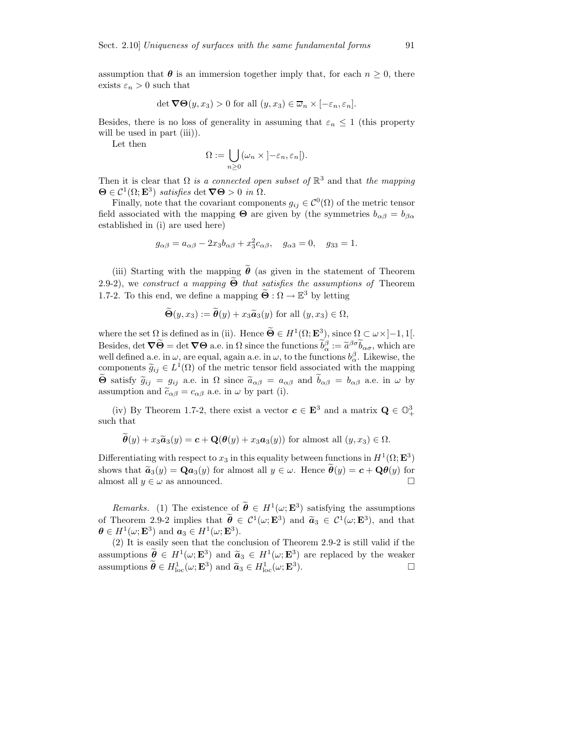assumption that  $\theta$  is an immersion together imply that, for each  $n \geq 0$ , there exists  $\varepsilon_n > 0$  such that

$$
\det \mathbf{\nabla} \Theta(y, x_3) > 0 \text{ for all } (y, x_3) \in \overline{\omega}_n \times [-\varepsilon_n, \varepsilon_n].
$$

Besides, there is no loss of generality in assuming that  $\varepsilon_n \leq 1$  (this property will be used in part (iii)).

Let then

$$
\Omega := \bigcup_{n \geq 0} (\omega_n \times [-\varepsilon_n, \varepsilon_n]).
$$

Then it is clear that  $\Omega$  is a connected open subset of  $\mathbb{R}^3$  and that the mapping  $\Theta \in \mathcal{C}^1(\Omega; \mathbf{E}^3)$  satisfies det  $\nabla \Theta > 0$  in  $\Omega$ .

Finally, note that the covariant components  $g_{ij} \in C^{0}(\Omega)$  of the metric tensor field associated with the mapping  $\Theta$  are given by (the symmetries  $b_{\alpha\beta} = b_{\beta\alpha}$ established in (i) are used here)

$$
g_{\alpha\beta} = a_{\alpha\beta} - 2x_3b_{\alpha\beta} + x_3^2c_{\alpha\beta}, \quad g_{\alpha 3} = 0, \quad g_{33} = 1.
$$

(iii) Starting with the mapping  $\hat{\theta}$  (as given in the statement of Theorem 2.9-2), we construct a mapping  $\Theta$  that satisfies the assumptions of Theorem 1.7-2. To this end, we define a mapping  $\widetilde{\Theta} : \Omega \to \mathbb{E}^3$  by letting

$$
\tilde{\Theta}(y, x_3) := \tilde{\theta}(y) + x_3 \tilde{\boldsymbol{a}}_3(y) \text{ for all } (y, x_3) \in \Omega,
$$

where the set  $\Omega$  is defined as in (ii). Hence  $\tilde{\Theta} \in H^1(\Omega; \mathbf{E}^3)$ , since  $\Omega \subset \omega \times ]-1,1[$ . Besides, det  $\nabla \widetilde{\Theta} = \det \nabla \Theta$  a.e. in  $\Omega$  since the functions  $\widetilde{b}^{\beta}_{\alpha} := \widetilde{a}^{\beta \sigma} \widetilde{b}_{\alpha \sigma}$ , which are well defined a.e. in  $\omega$ , are equal, again a.e. in  $\omega$ , to the functions  $b_{\alpha}^{\beta}$ . Likewise, the components  $\widetilde{g}_{ij} \in L^1(\Omega)$  of the metric tensor field associated with the mapping  $\widetilde{g}_{ij}$  and  $\widetilde{g}_{ij}$  $\widetilde{\Theta}$  satisfy  $\widetilde{g}_{ij} = g_{ij}$  a.e. in  $\Omega$  since  $\widetilde{a}_{\alpha\beta} = a_{\alpha\beta}$  and  $\widetilde{b}_{\alpha\beta} = b_{\alpha\beta}$  a.e. in  $\omega$  by assumption and  $\tilde{c}_{\alpha\beta} = c_{\alpha\beta}$  a.e. in  $\omega$  by part (i).

(iv) By Theorem 1.7-2, there exist a vector  $\mathbf{c} \in \mathbf{E}^3$  and a matrix  $\mathbf{Q} \in \mathbb{O}_{+}^3$ such that

$$
\boldsymbol{\theta}(y) + x_3 \widetilde{\boldsymbol{a}}_3(y) = \boldsymbol{c} + \mathbf{Q}(\boldsymbol{\theta}(y) + x_3 \boldsymbol{a}_3(y))
$$
 for almost all  $(y, x_3) \in \Omega$ .

Differentiating with respect to  $x_3$  in this equality between functions in  $H^1(\Omega; \mathbf{E}^3)$ shows that  $\tilde{\mathbf{a}}_3(y) = \mathbf{Q} \mathbf{a}_3(y)$  for almost all  $y \in \omega$ . Hence  $\tilde{\mathbf{\theta}}(y) = \mathbf{c} + \mathbf{Q}\mathbf{\theta}(y)$  for almost all  $y \in \omega$  as announced almost all  $y \in \omega$  as announced.

*Remarks.* (1) The existence of  $\hat{\theta} \in H^1(\omega; \mathbf{E}^3)$  satisfying the assumptions of Theorem 2.9-2 implies that  $\ddot{\theta} \in C^1(\omega; \mathbf{E}^3)$  and  $\tilde{\mathbf{a}}_3 \in C^1(\omega; \mathbf{E}^3)$ , and that  $\boldsymbol{\theta} \in H^1(\omega; \mathbf{E}^3)$  and  $\boldsymbol{a}_3 \in H^1(\omega; \mathbf{E}^3)$ .

(2) It is easily seen that the conclusion of Theorem 2.9-2 is still valid if the assumptions  $\widetilde{\boldsymbol{\theta}} \in H^1(\omega; \mathbf{E}^3)$  and  $\widetilde{\boldsymbol{a}}_3 \in H^1(\omega; \mathbf{E}^3)$  are replaced by the weaker assumptions  $\tilde{\boldsymbol{\theta}} \in H^1_{loc}(\omega; \mathbf{E}^3)$  and  $\tilde{\boldsymbol{a}}_3 \in H^1_{loc}(\omega; \mathbf{E}^3)$ ).  $\qquad \qquad \Box$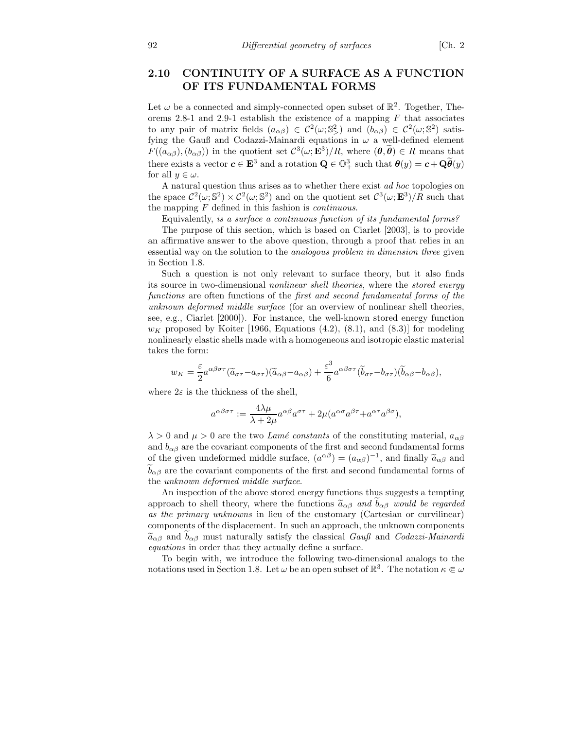### 2.10 CONTINUITY OF A SURFACE AS A FUNCTION OF ITS FUNDAMENTAL FORMS

Let  $\omega$  be a connected and simply-connected open subset of  $\mathbb{R}^2$ . Together, Theorems 2.8-1 and 2.9-1 establish the existence of a mapping  $F$  that associates to any pair of matrix fields  $(a_{\alpha\beta}) \in C^2(\omega; S^2)$  and  $(b_{\alpha\beta}) \in C^2(\omega; S^2)$  satisfying the Gauß and Codazzi-Mainardi equations in  $\omega$  a well-defined element  $F((a_{\alpha\beta}), (b_{\alpha\beta}))$  in the quotient set  $\mathcal{C}^3(\omega; \mathbf{E}^3)/R$ , where  $(\theta, \theta) \in R$  means that there exists a vector  $c \in \mathbf{E}^3$  and a rotation  $\mathbf{Q} \in \mathbb{O}^3_+$  such that  $\theta(y) = c + \mathbf{Q}\widetilde{\theta}(y)$ for all  $y \in \omega$ .

A natural question thus arises as to whether there exist ad hoc topologies on the space  $C^2(\omega; S^2) \times C^2(\omega; S^2)$  and on the quotient set  $C^3(\omega; \mathbf{E}^3)/R$  such that the mapping  $F$  defined in this fashion is *continuous*.

Equivalently, is a surface a continuous function of its fundamental forms?

The purpose of this section, which is based on Ciarlet [2003], is to provide an affirmative answer to the above question, through a proof that relies in an essential way on the solution to the analogous problem in dimension three given in Section 1.8.

Such a question is not only relevant to surface theory, but it also finds its source in two-dimensional nonlinear shell theories, where the stored energy functions are often functions of the *first and second fundamental forms of the* unknown deformed middle surface (for an overview of nonlinear shell theories, see, e.g., Ciarlet [2000]). For instance, the well-known stored energy function  $w_K$  proposed by Koiter [1966, Equations (4.2), (8.1), and (8.3)] for modeling nonlinearly elastic shells made with a homogeneous and isotropic elastic material takes the form:

$$
w_K = \frac{\varepsilon}{2} a^{\alpha\beta\sigma\tau} (\widetilde{a}_{\sigma\tau} - a_{\sigma\tau}) (\widetilde{a}_{\alpha\beta} - a_{\alpha\beta}) + \frac{\varepsilon^3}{6} a^{\alpha\beta\sigma\tau} (\widetilde{b}_{\sigma\tau} - b_{\sigma\tau}) (\widetilde{b}_{\alpha\beta} - b_{\alpha\beta}),
$$

where  $2\varepsilon$  is the thickness of the shell,

$$
a^{\alpha\beta\sigma\tau}:=\frac{4\lambda\mu}{\lambda+2\mu}a^{\alpha\beta}a^{\sigma\tau}+2\mu(a^{\alpha\sigma}a^{\beta\tau}+a^{\alpha\tau}a^{\beta\sigma}),
$$

 $\lambda > 0$  and  $\mu > 0$  are the two Lamé constants of the constituting material,  $a_{\alpha\beta}$ and  $b_{\alpha\beta}$  are the covariant components of the first and second fundamental forms of the given undeformed middle surface,  $(a^{\alpha\beta}) = (a_{\alpha\beta})^{-1}$ , and finally  $\tilde{a}_{\alpha\beta}$  and  $\widetilde{b}_{\alpha\beta}$  are the covariant components of the first and second fundamental forms of the unknown deformed middle surface.

An inspection of the above stored energy functions thus suggests a tempting approach to shell theory, where the functions  $\tilde{a}_{\alpha\beta}$  and  $b_{\alpha\beta}$  would be regarded as the primary unknowns in lieu of the customary (Cartesian or curvilinear) components of the displacement. In such an approach, the unknown components  $\tilde{a}_{\alpha\beta}$  and  $b_{\alpha\beta}$  must naturally satisfy the classical Gauß and Codazzi-Mainardi equations in order that they actually define a surface.

To begin with, we introduce the following two-dimensional analogs to the notations used in Section 1.8. Let  $\omega$  be an open subset of  $\mathbb{R}^3$ . The notation  $\kappa \in \omega$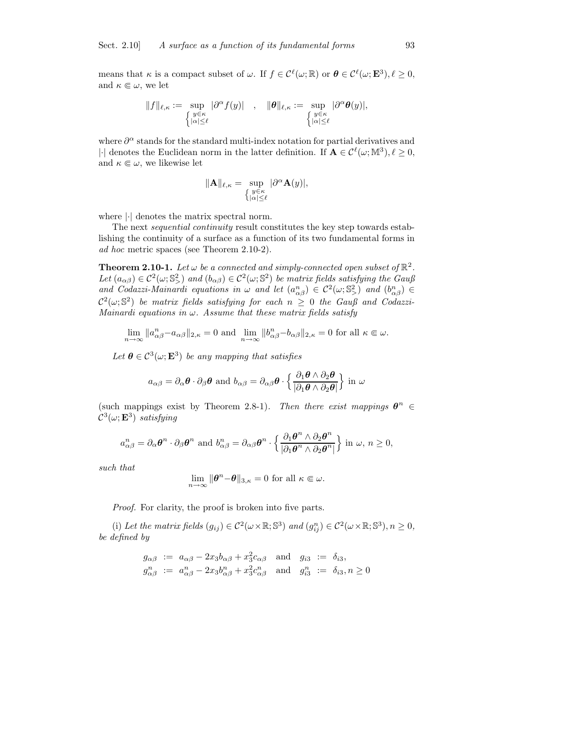means that  $\kappa$  is a compact subset of  $\omega$ . If  $f \in \mathcal{C}^{\ell}(\omega;\mathbb{R})$  or  $\boldsymbol{\theta} \in \mathcal{C}^{\ell}(\omega;\mathbf{E}^{3}), \ell \geq 0$ , and  $\kappa \in \omega$ , we let

$$
\|f\|_{\ell,\kappa}:=\sup_{\left\{\begin{subarray}{l} y\in\kappa\\|\alpha|\leq\ell\end{subarray}}|\partial^\alpha f(y)|\quad,\quad \|\pmb\theta\|_{\ell,\kappa}:=\sup_{\left\{\begin{subarray}{l} y\in\kappa\\|\alpha|\leq\ell\end{subarray}}|\partial^\alpha\pmb\theta(y)|,
$$

where  $\partial^{\alpha}$  stands for the standard multi-index notation for partial derivatives and | $\cdot$ | denotes the Euclidean norm in the latter definition. If  $\mathbf{A} \in \mathcal{C}^{\ell}(\omega;\mathbb{M}^3), \ell \geq 0$ , and  $\kappa \in \omega$ , we likewise let

$$
\|\mathbf{A}\|_{\ell,\kappa} = \sup_{\substack{y \in \kappa \\ |\alpha| \le \ell}} |\partial^{\alpha} \mathbf{A}(y)|,
$$

where |·| denotes the matrix spectral norm.

The next sequential continuity result constitutes the key step towards establishing the continuity of a surface as a function of its two fundamental forms in ad hoc metric spaces (see Theorem 2.10-2).

**Theorem 2.10-1.** Let  $\omega$  be a connected and simply-connected open subset of  $\mathbb{R}^2$ . Let  $(a_{\alpha\beta}) \in C^2(\omega; \mathbb{S}^2)$  and  $(b_{\alpha\beta}) \in C^2(\omega; \mathbb{S}^2)$  be matrix fields satisfying the Gauß and Codazzi-Mainardi equations in  $\omega$  and let  $(a_{\alpha\beta}^n) \in C^2(\omega; \mathbb{S}^2)$  and  $(b_{\alpha\beta}^n) \in$  $\mathcal{C}^2(\omega;\mathbb{S}^2)$  be matrix fields satisfying for each  $n\,\geq\,0$  the Gauß and Codazzi-Mainardi equations in  $\omega$ . Assume that these matrix fields satisfy

$$
\lim_{n\to\infty}\|a_{\alpha\beta}^n-a_{\alpha\beta}\|_{2,\kappa}=0\text{ and }\lim_{n\to\infty}\|b_{\alpha\beta}^n-b_{\alpha\beta}\|_{2,\kappa}=0\text{ for all }\kappa\in\omega.
$$

Let  $\boldsymbol{\theta} \in \mathcal{C}^3(\omega; \mathbf{E}^3)$  be any mapping that satisfies

$$
a_{\alpha\beta} = \partial_{\alpha} \boldsymbol{\theta} \cdot \partial_{\beta} \boldsymbol{\theta} \text{ and } b_{\alpha\beta} = \partial_{\alpha\beta} \boldsymbol{\theta} \cdot \left\{ \frac{\partial_1 \boldsymbol{\theta} \wedge \partial_2 \boldsymbol{\theta}}{|\partial_1 \boldsymbol{\theta} \wedge \partial_2 \boldsymbol{\theta}|} \right\} \text{ in } \omega
$$

(such mappings exist by Theorem 2.8-1). Then there exist mappings  $\boldsymbol{\theta}^n \in$  $\mathcal{C}^3(\omega; \mathbf{E}^3)$  satisfying

$$
a_{\alpha\beta}^n = \partial_\alpha \theta^n \cdot \partial_\beta \theta^n \text{ and } b_{\alpha\beta}^n = \partial_{\alpha\beta} \theta^n \cdot \left\{ \frac{\partial_1 \theta^n \wedge \partial_2 \theta^n}{|\partial_1 \theta^n \wedge \partial_2 \theta^n|} \right\} \text{ in } \omega, n \ge 0,
$$

such that

$$
\lim_{n \to \infty} \|\boldsymbol{\theta}^n - \boldsymbol{\theta}\|_{3,\kappa} = 0 \text{ for all } \kappa \in \omega.
$$

Proof. For clarity, the proof is broken into five parts.

(i) Let the matrix fields  $(g_{ij}) \in C^2(\omega \times \mathbb{R}; \mathbb{S}^3)$  and  $(g_{ij}^n) \in C^2(\omega \times \mathbb{R}; \mathbb{S}^3), n \ge 0$ , be defined by

$$
g_{\alpha\beta} := a_{\alpha\beta} - 2x_3 b_{\alpha\beta} + x_3^2 c_{\alpha\beta} \text{ and } g_{i3} := \delta_{i3},
$$
  
\n
$$
g_{\alpha\beta}^n := a_{\alpha\beta}^n - 2x_3 b_{\alpha\beta}^n + x_3^2 c_{\alpha\beta}^n \text{ and } g_{i3}^n := \delta_{i3}, n \ge 0
$$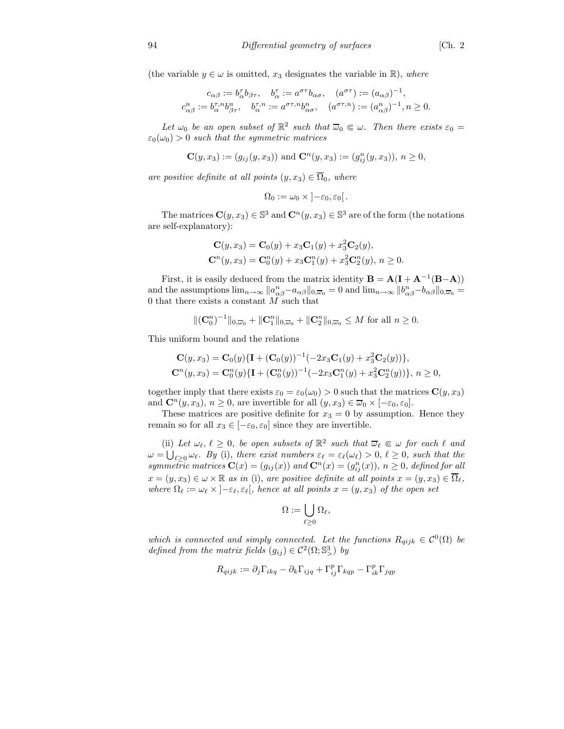$$
\begin{aligned} c_{\alpha\beta} &:= b_\alpha^\tau b_{\beta\tau}, \quad b_\alpha^\tau := a^{\sigma\tau} b_{\alpha\sigma}, \quad (a^{\sigma\tau}) := (a_{\alpha\beta})^{-1}, \\ c_{\alpha\beta}^n &:= b_\alpha^{\tau,n} b_{\beta\tau}^n, \quad b_\alpha^{\tau,n} := a^{\sigma\tau,n} b_{\alpha\sigma}^n, \quad (a^{\sigma\tau,n}) := (a_{\alpha\beta}^n)^{-1}, n \geq 0. \end{aligned}
$$

Let  $\omega_0$  be an open subset of  $\mathbb{R}^2$  such that  $\overline{\omega}_0 \in \omega$ . Then there exists  $\varepsilon_0 =$  $\varepsilon_0(\omega_0) > 0$  such that the symmetric matrices

$$
\mathbf{C}(y,x_3):=(g_{ij}(y,x_3)) \text{ and } \mathbf{C}^n(y,x_3):=(g_{ij}^n(y,x_3)), n \geq 0,
$$

are positive definite at all points  $(y, x_3) \in \overline{\Omega}_0$ , where

$$
\Omega_0 := \omega_0 \times \left] -\varepsilon_0, \varepsilon_0 \right[.
$$

The matrices  $\mathbf{C}(y, x_3) \in \mathbb{S}^3$  and  $\mathbf{C}^n(y, x_3) \in \mathbb{S}^3$  are of the form (the notations are self-explanatory):

$$
\mathbf{C}(y, x_3) = \mathbf{C}_0(y) + x_3 \mathbf{C}_1(y) + x_3^2 \mathbf{C}_2(y),
$$
  
\n
$$
\mathbf{C}^n(y, x_3) = \mathbf{C}_0^n(y) + x_3 \mathbf{C}_1^n(y) + x_3^2 \mathbf{C}_2^n(y), n \ge 0.
$$

First, it is easily deduced from the matrix identity  $\mathbf{B} = \mathbf{A}(\mathbf{I} + \mathbf{A}^{-1}(\mathbf{B} - \mathbf{A}))$ and the assumptions  $\lim_{n\to\infty} ||a_{\alpha\beta}^n - a_{\alpha\beta}||_{0,\overline{\omega}_0} = 0$  and  $\lim_{n\to\infty} ||b_{\alpha\beta}^n - b_{\alpha\beta}||_{0,\overline{\omega}_0} =$ 0 that there exists a constant  $M$  such that

 $\|(C_0^n)^{-1}\|_{0,\overline{\omega}_0} + \|C_1^n\|_{0,\overline{\omega}_0} + \|C_2^n\|_{0,\overline{\omega}_0} \leq M$  for all  $n \geq 0$ .

This uniform bound and the relations

$$
\mathbf{C}(y, x_3) = \mathbf{C}_0(y)\{\mathbf{I} + (\mathbf{C}_0(y))^{-1}(-2x_3\mathbf{C}_1(y) + x_3^2\mathbf{C}_2(y))\},\
$$
  

$$
\mathbf{C}^n(y, x_3) = \mathbf{C}_0^n(y)\{\mathbf{I} + (\mathbf{C}_0^n(y))^{-1}(-2x_3\mathbf{C}_1^n(y) + x_3^2\mathbf{C}_2^n(y))\}, n \ge 0,
$$

together imply that there exists  $\varepsilon_0 = \varepsilon_0(\omega_0) > 0$  such that the matrices  $\mathbf{C}(y, x_3)$ and  $\mathbf{C}^n(y, x_3), n \geq 0$ , are invertible for all  $(y, x_3) \in \overline{\omega}_0 \times [-\varepsilon_0, \varepsilon_0].$ 

These matrices are positive definite for  $x_3 = 0$  by assumption. Hence they remain so for all  $x_3 \in [-\varepsilon_0, \varepsilon_0]$  since they are invertible.

(ii) Let  $\omega_{\ell}, \ell \geq 0$ , be open subsets of  $\mathbb{R}^2$  such that  $\overline{\omega}_{\ell} \in \omega$  for each  $\ell$  and  $\omega = \bigcup_{\ell \geq 0} \omega_{\ell}$ . By (i), there exist numbers  $\varepsilon_{\ell} = \varepsilon_{\ell}(\omega_{\ell}) > 0, \ell \geq 0$ , such that the symmetric matrices  $\mathbf{C}(x) = (g_{ij}(x))$  and  $\mathbf{C}^n(x) = (g_{ij}^n(x)), n \ge 0$ , defined for all  $x = (y, x_3) \in \omega \times \mathbb{R}$  as in (i), are positive definite at all points  $x = (y, x_3) \in \overline{\Omega}_{\ell}$ , where  $\Omega_{\ell} := \omega_{\ell} \times [-\varepsilon_{\ell}, \varepsilon_{\ell}],$  hence at all points  $x = (y, x_3)$  of the open set

$$
\Omega:=\bigcup_{\ell\geq 0}\Omega_\ell,
$$

which is connected and simply connected. Let the functions  $R_{qijk} \in C^{0}(\Omega)$  be defined from the matrix fields  $(g_{ij}) \in C^2(\Omega; \mathbb{S}^3)$  by

$$
R_{qijk} := \partial_j \Gamma_{ikq} - \partial_k \Gamma_{ijq} + \Gamma_{ij}^p \Gamma_{kqp} - \Gamma_{ik}^p \Gamma_{jqp}
$$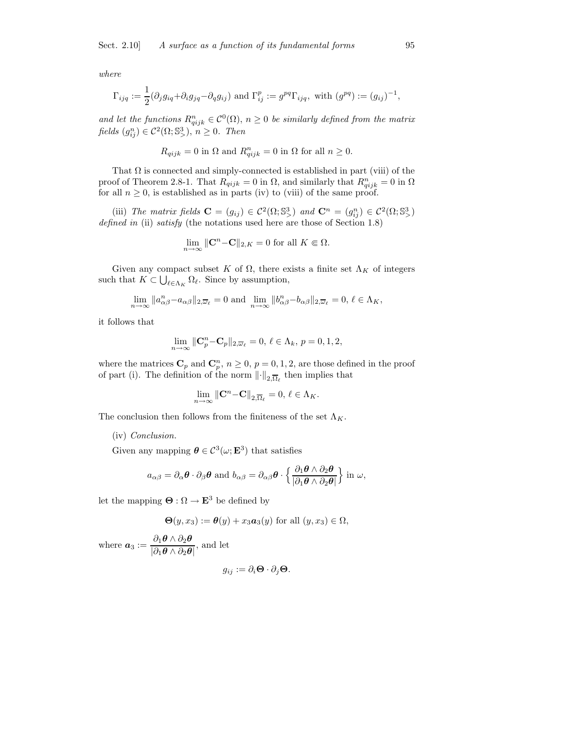where

$$
\Gamma_{ijq} := \frac{1}{2} (\partial_j g_{iq} + \partial_i g_{jq} - \partial_q g_{ij}) \text{ and } \Gamma_{ij}^p := g^{pq} \Gamma_{ijq}, \text{ with } (g^{pq}) := (g_{ij})^{-1},
$$

and let the functions  $R_{qijk}^n \in C^0(\Omega)$ ,  $n \geq 0$  be similarly defined from the matrix fields  $(g_{ij}^n) \in C^2(\Omega; \mathbb{S}^3)$ ,  $n \geq 0$ . Then

$$
R_{qijk} = 0
$$
 in  $\Omega$  and  $R_{qijk}^n = 0$  in  $\Omega$  for all  $n \ge 0$ .

That  $\Omega$  is connected and simply-connected is established in part (viii) of the proof of Theorem 2.8-1. That  $R_{qijk} = 0$  in  $\Omega$ , and similarly that  $R_{qijk}^n = 0$  in  $\Omega$ for all  $n \geq 0$ , is established as in parts (iv) to (viii) of the same proof.

(iii) The matrix fields  $\mathbf{C} = (g_{ij}) \in C^2(\Omega; \mathbb{S}^3)$  and  $\mathbf{C}^n = (g_{ij}^n) \in C^2(\Omega; \mathbb{S}^3)$ defined in (ii) satisfy (the notations used here are those of Section 1.8)

$$
\lim_{n \to \infty} \|\mathbf{C}^n - \mathbf{C}\|_{2,K} = 0 \text{ for all } K \in \Omega.
$$

Given any compact subset K of  $\Omega$ , there exists a finite set  $\Lambda_K$  of integers such that  $K \subset \bigcup_{\ell \in \Lambda_K} \Omega_\ell$ . Since by assumption,

$$
\lim_{n\to\infty}||a_{\alpha\beta}^n-a_{\alpha\beta}||_{2,\overline{\omega}_{\ell}}=0\,\,\text{and}\,\,\lim_{n\to\infty}||b_{\alpha\beta}^n-b_{\alpha\beta}||_{2,\overline{\omega}_{\ell}}=0,\,\ell\in\Lambda_K,
$$

it follows that

$$
\lim_{n \to \infty} \|\mathbf{C}_p^n - \mathbf{C}_p\|_{2,\overline{\omega}_\ell} = 0, \ \ell \in \Lambda_k, \ p = 0, 1, 2,
$$

where the matrices  $\mathbb{C}_p$  and  $\mathbb{C}_p^n$ ,  $n \geq 0$ ,  $p = 0, 1, 2$ , are those defined in the proof of part (i). The definition of the norm  $\lVert \cdot \rVert_{2,\overline{\Omega}_{\ell}}$  then implies that

$$
\lim_{n\to\infty}\left\|\mathbf{C}^n-\mathbf{C}\right\|_{2,\overline{\Omega}_{\ell}}=0,\,\ell\in\Lambda_K.
$$

The conclusion then follows from the finiteness of the set  $\Lambda_K$ .

#### (iv) Conclusion.

Given any mapping  $\boldsymbol{\theta} \in C^3(\omega; \mathbf{E}^3)$  that satisfies

$$
a_{\alpha\beta} = \partial_{\alpha} \boldsymbol{\theta} \cdot \partial_{\beta} \boldsymbol{\theta} \text{ and } b_{\alpha\beta} = \partial_{\alpha\beta} \boldsymbol{\theta} \cdot \left\{ \frac{\partial_1 \boldsymbol{\theta} \wedge \partial_2 \boldsymbol{\theta}}{|\partial_1 \boldsymbol{\theta} \wedge \partial_2 \boldsymbol{\theta}|} \right\} \text{ in } \omega,
$$

let the mapping  $\mathbf{\Theta}: \Omega \to \mathbf{E}^3$  be defined by

$$
\Theta(y, x_3) := \theta(y) + x_3 a_3(y) \text{ for all } (y, x_3) \in \Omega,
$$

where  $a_3 := \frac{\partial_1 \theta \wedge \partial_2 \theta}{\partial_1 \theta \wedge \partial_2 \theta}$  $\frac{\partial_1 \mathcal{O} \wedge \partial_2 \mathcal{O}}{\partial_1 \mathcal{O} \wedge \partial_2 \mathcal{O}},$  and let

$$
g_{ij} := \partial_i \mathbf{\Theta} \cdot \partial_j \mathbf{\Theta}.
$$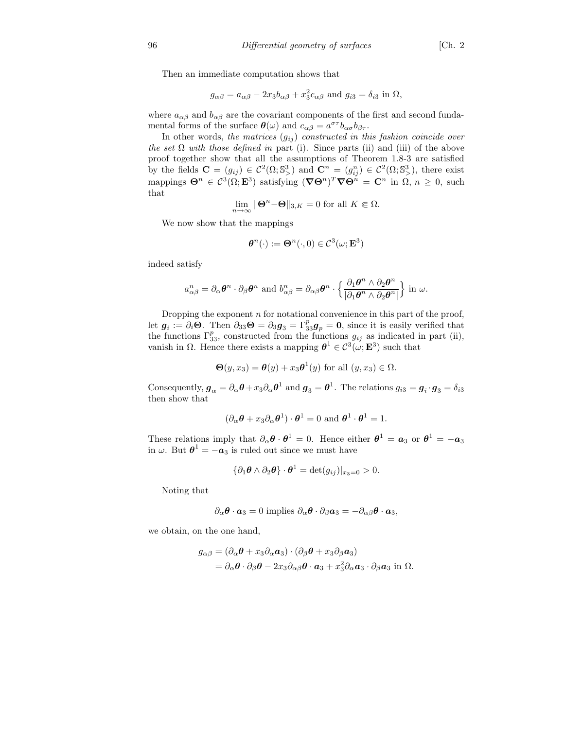Then an immediate computation shows that

$$
g_{\alpha\beta} = a_{\alpha\beta} - 2x_3 b_{\alpha\beta} + x_3^2 c_{\alpha\beta} \text{ and } g_{i3} = \delta_{i3} \text{ in } \Omega,
$$

where  $a_{\alpha\beta}$  and  $b_{\alpha\beta}$  are the covariant components of the first and second fundamental forms of the surface  $\theta(\omega)$  and  $c_{\alpha\beta} = a^{\sigma\tau}b_{\alpha\sigma}b_{\beta\tau}$ .

In other words, the matrices  $(g_{ij})$  constructed in this fashion coincide over the set  $\Omega$  with those defined in part (i). Since parts (ii) and (iii) of the above proof together show that all the assumptions of Theorem 1.8-3 are satisfied by the fields  $\mathbf{C} = (g_{ij}) \in \mathcal{C}^2(\Omega; \mathbb{S}^3)$  and  $\mathbf{C}^n = (g_{ij}^n) \in \mathcal{C}^2(\Omega; \mathbb{S}^3)$ , there exist mappings  $\Theta^n \in C^3(\Omega; \mathbf{E}^3)$  satisfying  $(\nabla \Theta^n)^T \nabla \Theta^n = \mathbf{C}^n$  in  $\Omega, n \geq 0$ , such that

$$
\lim_{n \to \infty} \|\mathbf{\Theta}^n - \mathbf{\Theta}\|_{3,K} = 0 \text{ for all } K \in \Omega.
$$

We now show that the mappings

$$
\boldsymbol{\theta}^n(\cdot) := \boldsymbol{\Theta}^n(\cdot, 0) \in \mathcal{C}^3(\omega; \mathbf{E}^3)
$$

indeed satisfy

$$
a_{\alpha\beta}^n = \partial_\alpha \boldsymbol{\theta}^n \cdot \partial_\beta \boldsymbol{\theta}^n \text{ and } b_{\alpha\beta}^n = \partial_{\alpha\beta} \boldsymbol{\theta}^n \cdot \left\{ \frac{\partial_1 \boldsymbol{\theta}^n \wedge \partial_2 \boldsymbol{\theta}^n}{\partial_1 \boldsymbol{\theta}^n \wedge \partial_2 \boldsymbol{\theta}^n} \right\} \text{ in } \omega.
$$

Dropping the exponent  $n$  for notational convenience in this part of the proof, let  $g_i := \partial_i \Theta$ . Then  $\partial_{33} \Theta = \partial_3 g_3 = \Gamma_{33}^p g_p = 0$ , since it is easily verified that the functions  $\Gamma_{33}^p$ , constructed from the functions  $g_{ij}$  as indicated in part (ii), vanish in  $\Omega$ . Hence there exists a mapping  $\theta^1 \in C^3(\omega; \mathbf{E}^3)$  such that

$$
\Theta(y, x_3) = \theta(y) + x_3 \theta^1(y) \text{ for all } (y, x_3) \in \Omega.
$$

Consequently,  $g_{\alpha} = \partial_{\alpha} \theta + x_3 \partial_{\alpha} \theta^1$  and  $g_3 = \theta^1$ . The relations  $g_{i3} = g_i \cdot g_3 = \delta_{i3}$ then show that

$$
(\partial_{\alpha}\boldsymbol{\theta} + x_3 \partial_{\alpha}\boldsymbol{\theta}^1) \cdot \boldsymbol{\theta}^1 = 0 \text{ and } \boldsymbol{\theta}^1 \cdot \boldsymbol{\theta}^1 = 1.
$$

These relations imply that  $\partial_{\alpha} \theta \cdot \theta^1 = 0$ . Hence either  $\theta^1 = a_3$  or  $\theta^1 = -a_3$ in  $\omega$ . But  $\boldsymbol{\theta}^1 = -\boldsymbol{a}_3$  is ruled out since we must have

$$
\{\partial_1 \boldsymbol{\theta} \wedge \partial_2 \boldsymbol{\theta}\} \cdot \boldsymbol{\theta}^1 = \det(g_{ij})|_{x_3=0} > 0.
$$

Noting that

$$
\partial_{\alpha} \boldsymbol{\theta} \cdot \boldsymbol{a}_3 = 0
$$
 implies  $\partial_{\alpha} \boldsymbol{\theta} \cdot \partial_{\beta} \boldsymbol{a}_3 = -\partial_{\alpha\beta} \boldsymbol{\theta} \cdot \boldsymbol{a}_3$ ,

we obtain, on the one hand,

$$
g_{\alpha\beta} = (\partial_{\alpha}\boldsymbol{\theta} + x_3 \partial_{\alpha} \mathbf{a}_3) \cdot (\partial_{\beta}\boldsymbol{\theta} + x_3 \partial_{\beta} \mathbf{a}_3)
$$
  
=  $\partial_{\alpha}\boldsymbol{\theta} \cdot \partial_{\beta}\boldsymbol{\theta} - 2x_3 \partial_{\alpha\beta}\boldsymbol{\theta} \cdot \mathbf{a}_3 + x_3^2 \partial_{\alpha} \mathbf{a}_3 \cdot \partial_{\beta} \mathbf{a}_3$  in  $\Omega$ .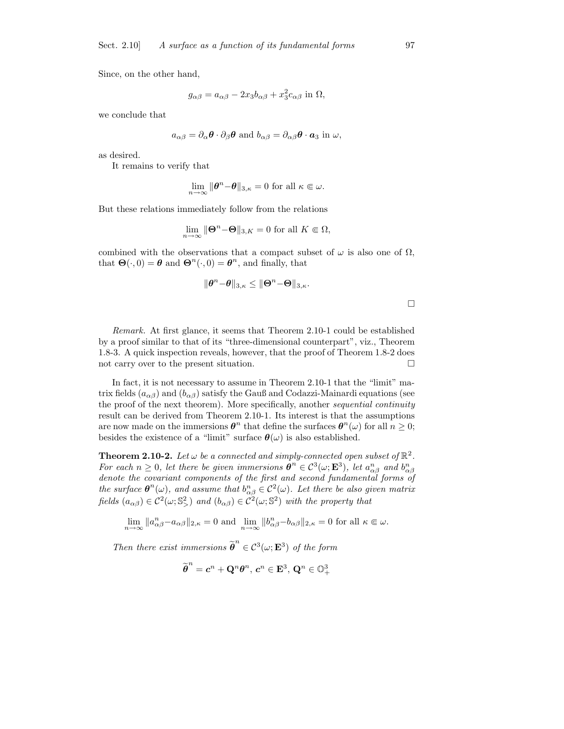Since, on the other hand,

$$
g_{\alpha\beta} = a_{\alpha\beta} - 2x_3b_{\alpha\beta} + x_3^2c_{\alpha\beta}
$$
 in  $\Omega$ ,

we conclude that

$$
a_{\alpha\beta} = \partial_{\alpha}\boldsymbol{\theta} \cdot \partial_{\beta}\boldsymbol{\theta}
$$
 and  $b_{\alpha\beta} = \partial_{\alpha\beta}\boldsymbol{\theta} \cdot \boldsymbol{a}_3$  in  $\omega$ ,

as desired.

It remains to verify that

$$
\lim_{n \to \infty} \|\boldsymbol{\theta}^n - \boldsymbol{\theta}\|_{3,\kappa} = 0 \text{ for all } \kappa \in \omega.
$$

But these relations immediately follow from the relations

$$
\lim_{n \to \infty} \|\Theta^n - \Theta\|_{3,K} = 0 \text{ for all } K \in \Omega,
$$

combined with the observations that a compact subset of  $\omega$  is also one of  $\Omega$ , that  $\mathbf{\Theta}(\cdot,0) = \boldsymbol{\theta}$  and  $\mathbf{\Theta}^n(\cdot,0) = \boldsymbol{\theta}^n$ , and finally, that

$$
\|\boldsymbol{\theta}^n\!-\!\boldsymbol{\theta}\|_{3,\kappa}\leq \|\boldsymbol{\Theta}^n\!-\!\boldsymbol{\Theta}\|_{3,\kappa}.
$$

 $\Box$ 

Remark. At first glance, it seems that Theorem 2.10-1 could be established by a proof similar to that of its "three-dimensional counterpart", viz., Theorem 1.8-3. A quick inspection reveals, however, that the proof of Theorem 1.8-2 does not carry over to the present situation.  $\Box$ 

In fact, it is not necessary to assume in Theorem 2.10-1 that the "limit" matrix fields  $(a_{\alpha\beta})$  and  $(b_{\alpha\beta})$  satisfy the Gauß and Codazzi-Mainardi equations (see the proof of the next theorem). More specifically, another sequential continuity result can be derived from Theorem 2.10-1. Its interest is that the assumptions are now made on the immersions  $\boldsymbol{\theta}^n$  that define the surfaces  $\boldsymbol{\theta}^n(\omega)$  for all  $n \geq 0$ ; besides the existence of a "limit" surface  $\theta(\omega)$  is also established.

**Theorem 2.10-2.** Let  $\omega$  be a connected and simply-connected open subset of  $\mathbb{R}^2$ . For each  $n \geq 0$ , let there be given immersions  $\boldsymbol{\theta}^n \in C^3(\omega; \mathbf{E}^3)$ , let  $a_{\alpha\beta}^n$  and  $b_{\alpha\beta}^n$ denote the covariant components of the first and second fundamental forms of the surface  $\theta^n(\omega)$ , and assume that  $b^n_{\alpha\beta} \in C^2(\omega)$ . Let there be also given matrix fields  $(a_{\alpha\beta}) \in C^2(\omega; \mathbb{S}^2)$  and  $(b_{\alpha\beta}) \in C^2(\omega; \mathbb{S}^2)$  with the property that

 $\lim_{n \to \infty} \|a_{\alpha\beta}^n - a_{\alpha\beta}\|_{2,\kappa} = 0$  and  $\lim_{n \to \infty} \|b_{\alpha\beta}^n - b_{\alpha\beta}\|_{2,\kappa} = 0$  for all  $\kappa \in \omega$ .

Then there exist immersions  $\widetilde{\boldsymbol{\theta}}^n$  $\in \mathcal{C}^3(\omega; \mathbf{E}^3)$  of the form

$$
\widetilde{\pmb{\theta}}^n = \pmb{c}^n + \mathbf{Q}^n \pmb{\theta}^n, \, \pmb{c}^n \in \mathbf{E}^3, \, \mathbf{Q}^n \in \mathbb{O}^3_+
$$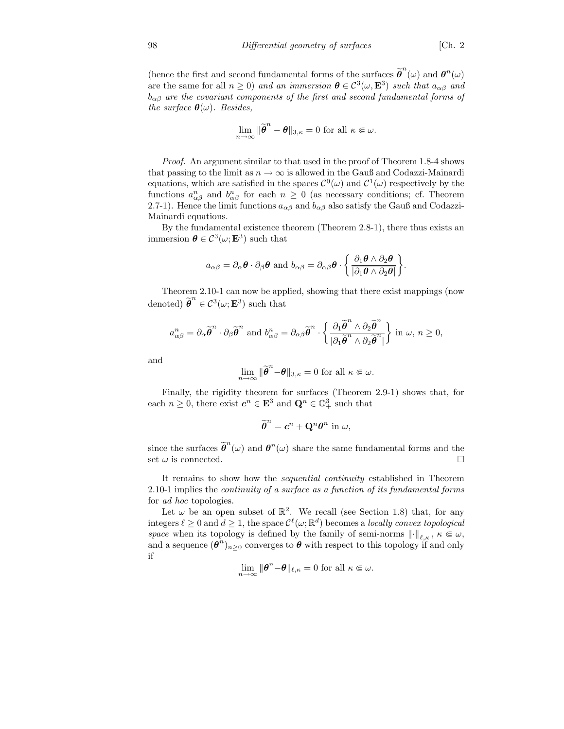(hence the first and second fundamental forms of the surfaces  $\tilde{\theta}^n(\omega)$  and  $\theta^n(\omega)$ are the same for all  $n \geq 0$ ) and an immersion  $\boldsymbol{\theta} \in C^3(\omega, \mathbf{E}^3)$  such that  $a_{\alpha\beta}$  and  $b_{\alpha\beta}$  are the covariant components of the first and second fundamental forms of the surface  $\theta(\omega)$ . Besides,

$$
\lim_{n\to\infty}\|\widetilde{\boldsymbol{\theta}}^n-\boldsymbol{\theta}\|_{3,\kappa}=0 \text{ for all } \kappa\in\omega.
$$

Proof. An argument similar to that used in the proof of Theorem 1.8-4 shows that passing to the limit as  $n \to \infty$  is allowed in the Gauß and Codazzi-Mainardi equations, which are satisfied in the spaces  $\mathcal{C}^0(\omega)$  and  $\mathcal{C}^1(\omega)$  respectively by the functions  $a_{\alpha\beta}^n$  and  $b_{\alpha\beta}^n$  for each  $n \geq 0$  (as necessary conditions; cf. Theorem 2.7-1). Hence the limit functions  $a_{\alpha\beta}$  and  $b_{\alpha\beta}$  also satisfy the Gauß and Codazzi-Mainardi equations.

By the fundamental existence theorem (Theorem 2.8-1), there thus exists an immersion  $\boldsymbol{\theta} \in \mathcal{C}^3(\omega; \mathbf{E}^3)$  such that

$$
a_{\alpha\beta} = \partial_{\alpha} \boldsymbol{\theta} \cdot \partial_{\beta} \boldsymbol{\theta} \text{ and } b_{\alpha\beta} = \partial_{\alpha\beta} \boldsymbol{\theta} \cdot \left\{ \frac{\partial_1 \boldsymbol{\theta} \wedge \partial_2 \boldsymbol{\theta}}{|\partial_1 \boldsymbol{\theta} \wedge \partial_2 \boldsymbol{\theta}|} \right\}.
$$

Theorem 2.10-1 can now be applied, showing that there exist mappings (now denoted)  $\widetilde{\boldsymbol{\theta}}^n$  $\in \mathcal{C}^3(\omega; \mathbf{E}^3)$  such that

$$
a_{\alpha\beta}^n = \partial_\alpha \widetilde{\boldsymbol{\theta}}^n \cdot \partial_\beta \widetilde{\boldsymbol{\theta}}^n \text{ and } b_{\alpha\beta}^n = \partial_{\alpha\beta} \widetilde{\boldsymbol{\theta}}^n \cdot \left\{ \frac{\partial_1 \widetilde{\boldsymbol{\theta}}^n \wedge \partial_2 \widetilde{\boldsymbol{\theta}}^n}{|\partial_1 \widetilde{\boldsymbol{\theta}}^n \wedge \partial_2 \widetilde{\boldsymbol{\theta}}^n|} \right\} \text{ in } \omega, n \ge 0,
$$

and

$$
\lim_{n\to\infty} \|\widetilde{\boldsymbol{\theta}}^n \text{-}\boldsymbol{\theta}\|_{3,\kappa} = 0 \text{ for all } \kappa \in \omega.
$$

Finally, the rigidity theorem for surfaces (Theorem 2.9-1) shows that, for each  $n \geq 0$ , there exist  $c^n \in \mathbf{E}^3$  and  $\mathbf{Q}^n \in \mathbb{O}^3_+$  such that

$$
\widetilde{\boldsymbol{\theta}}^n = \boldsymbol{c}^n + \mathbf{Q}^n \boldsymbol{\theta}^n \text{ in } \omega,
$$

since the surfaces  $\tilde{\boldsymbol{\theta}}^n(\omega)$  and  $\boldsymbol{\theta}^n(\omega)$  share the same fundamental forms and the set  $\omega$  is connected.

It remains to show how the sequential continuity established in Theorem 2.10-1 implies the continuity of a surface as a function of its fundamental forms for ad hoc topologies.

Let  $\omega$  be an open subset of  $\mathbb{R}^2$ . We recall (see Section 1.8) that, for any integers  $\ell \geq 0$  and  $d \geq 1$ , the space  $\mathcal{C}^{\ell}(\omega;\mathbb{R}^d)$  becomes a locally convex topological space when its topology is defined by the family of semi-norms  $\lVert \cdot \rVert_{\ell,\kappa}, \kappa \in \omega$ , and a sequence  $(\theta^n)_{n\geq 0}$  converges to  $\theta$  with respect to this topology if and only if

$$
\lim_{n\to\infty} \|\boldsymbol{\theta}^n-\boldsymbol{\theta}\|_{\ell,\kappa} = 0 \text{ for all } \kappa \in \omega.
$$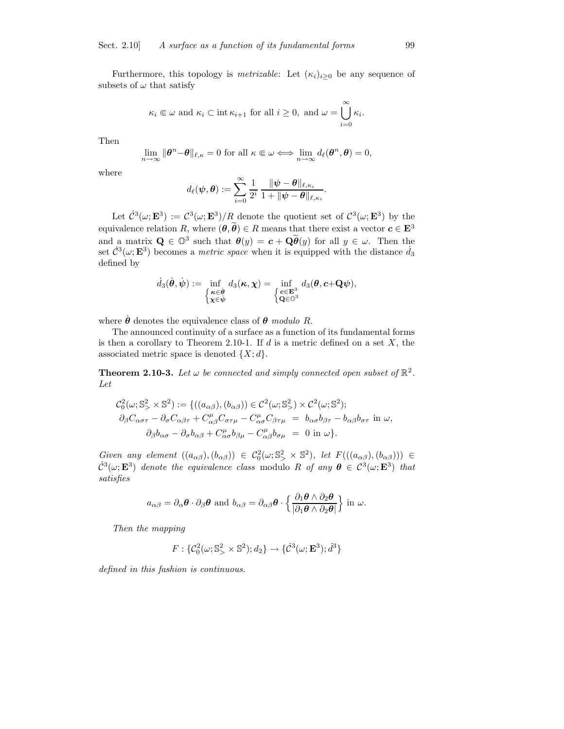Furthermore, this topology is *metrizable*: Let  $(\kappa_i)_{i>0}$  be any sequence of subsets of  $\omega$  that satisfy

$$
\kappa_i \in \omega
$$
 and  $\kappa_i \subset \text{int } \kappa_{i+1}$  for all  $i \ge 0$ , and  $\omega = \bigcup_{i=0}^{\infty} \kappa_i$ .

Then

$$
\lim_{n\to\infty} \|\boldsymbol{\theta}^n - \boldsymbol{\theta}\|_{\ell,\kappa} = 0 \text{ for all } \kappa \in \omega \Longleftrightarrow \lim_{n\to\infty} d_{\ell}(\boldsymbol{\theta}^n, \boldsymbol{\theta}) = 0,
$$

where

$$
d_\ell(\boldsymbol{\psi}, \boldsymbol{\theta}) := \sum_{i=0}^\infty \frac{1}{2^i} \, \frac{\|\boldsymbol{\psi} - \boldsymbol{\theta}\|_{\ell, \kappa_i}}{1 + \|\boldsymbol{\psi} - \boldsymbol{\theta}\|_{\ell, \kappa_i}}.
$$

Let  $\dot{\mathcal{C}}^3(\omega; \mathbf{E}^3) := {\mathcal{C}}^3(\omega; \mathbf{E}^3)/R$  denote the quotient set of  ${\mathcal{C}}^3(\omega; \mathbf{E}^3)$  by the equivalence relation R, where  $(\theta, \tilde{\theta}) \in R$  means that there exist a vector  $c \in \mathbf{E}^{3}$ and a matrix  $\mathbf{Q} \in \mathbb{O}^3$  such that  $\theta(y) = c + \mathbf{Q}\tilde{\theta}(y)$  for all  $y \in \omega$ . Then the set  $\mathcal{C}^3(\omega; \mathbf{E}^3)$  becomes a *metric space* when it is equipped with the distance  $\dot{d}_3$ defined by

$$
\dot{d}_3(\dot{\boldsymbol{\theta}}, \dot{\boldsymbol{\psi}}) := \inf_{\begin{cases} \boldsymbol{\kappa} \in \dot{\boldsymbol{\theta}} \\ \boldsymbol{\chi} \in \dot{\boldsymbol{\psi}} \end{cases}} d_3(\boldsymbol{\kappa}, \boldsymbol{\chi}) = \inf_{\begin{cases} \boldsymbol{c} \in \mathbf{E}^3 \\ \mathbf{Q} \in \mathbb{O}^3 \end{cases}} d_3(\boldsymbol{\theta}, \boldsymbol{c} + \mathbf{Q}\boldsymbol{\psi}),
$$

where  $\dot{\theta}$  denotes the equivalence class of  $\theta$  modulo R.

The announced continuity of a surface as a function of its fundamental forms is then a corollary to Theorem 2.10-1. If  $d$  is a metric defined on a set  $X$ , the associated metric space is denoted  $\{X; d\}.$ 

**Theorem 2.10-3.** Let  $\omega$  be connected and simply connected open subset of  $\mathbb{R}^2$ . Let

$$
C_0^2(\omega; \mathbb{S}^2) := \{((a_{\alpha\beta}), (b_{\alpha\beta})) \in C^2(\omega; \mathbb{S}^2) \times C^2(\omega; \mathbb{S}^2); \partial_{\beta}C_{\alpha\sigma\tau} - \partial_{\sigma}C_{\alpha\beta\tau} + C_{\alpha\beta}^{\mu}C_{\sigma\tau\mu} - C_{\alpha\sigma}^{\mu}C_{\beta\tau\mu} = b_{\alpha\sigma}b_{\beta\tau} - b_{\alpha\beta}b_{\sigma\tau} \text{ in } \omega, \partial_{\beta}b_{\alpha\sigma} - \partial_{\sigma}b_{\alpha\beta} + C_{\alpha\sigma}^{\mu}b_{\beta\mu} - C_{\alpha\beta}^{\mu}b_{\sigma\mu} = 0 \text{ in } \omega \}.
$$

Given any element  $((a_{\alpha\beta}),(b_{\alpha\beta})) \in C_0^2(\omega; S^2) \times S^2$ , let  $F(((a_{\alpha\beta}),(b_{\alpha\beta}))) \in$  $\dot{\mathcal{C}}^3(\omega; \mathbf{E}^3)$  denote the equivalence class modulo R of any  $\boldsymbol{\theta} \in \mathcal{C}^3(\omega; \mathbf{E}^3)$  that satisfies

$$
a_{\alpha\beta}=\partial_{\alpha}\boldsymbol{\theta}\cdot\partial_{\beta}\boldsymbol{\theta} \text{ and } b_{\alpha\beta}=\partial_{\alpha\beta}\boldsymbol{\theta}\cdot\left\{\frac{\partial_1\boldsymbol{\theta}\wedge\partial_2\boldsymbol{\theta}}{|\partial_1\boldsymbol{\theta}\wedge\partial_2\boldsymbol{\theta}|}\right\}\text{ in }\omega.
$$

Then the mapping

$$
F: \{ \mathcal{C}_0^2(\omega; \mathbb{S}^2) \times \mathbb{S}^2; d_2 \} \to \{ \dot{\mathcal{C}}^3(\omega; \mathbf{E}^3) ; \dot{d}^3 \}
$$

defined in this fashion is continuous.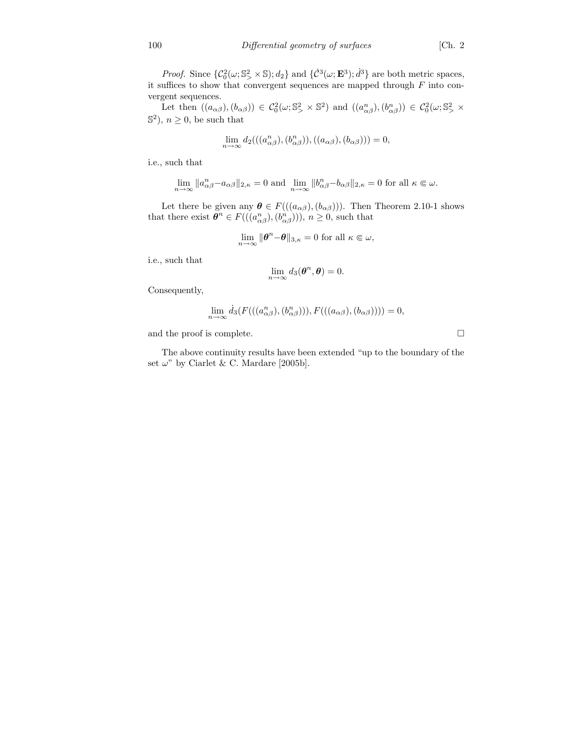*Proof.* Since  $\{\mathcal{C}_0^2(\omega; \mathbb{S}^2) \times \mathbb{S}; d_2\}$  and  $\{\mathcal{C}^3(\omega; \mathbf{E}^3); d^3\}$  are both metric spaces, it suffices to show that convergent sequences are mapped through  $F$  into convergent sequences.

Let then  $((a_{\alpha\beta}),(b_{\alpha\beta})) \in C_0^2(\omega; S^2) \times S^2$  and  $((a_{\alpha\beta}^n),(b_{\alpha\beta}^n)) \in C_0^2(\omega; S^2) \times$  $\mathbb{S}^2$ ,  $n \geq 0$ , be such that

$$
\lim_{n \to \infty} d_2(((a_{\alpha\beta}^n), (b_{\alpha\beta}^n)), ((a_{\alpha\beta}), (b_{\alpha\beta}))) = 0,
$$

i.e., such that

$$
\lim_{n\to\infty}\|a_{\alpha\beta}^n-a_{\alpha\beta}\|_{2,\kappa}=0\text{ and }\lim_{n\to\infty}\|b_{\alpha\beta}^n-b_{\alpha\beta}\|_{2,\kappa}=0\text{ for all }\kappa\in\omega.
$$

Let there be given any  $\boldsymbol{\theta} \in F(((a_{\alpha\beta}),(b_{\alpha\beta})))$ . Then Theorem 2.10-1 shows that there exist  $\boldsymbol{\theta}^n \in F(((a_{\alpha\beta}^n), (b_{\alpha\beta}^n))), n \geq 0$ , such that

$$
\lim_{n \to \infty} \|\boldsymbol{\theta}^n - \boldsymbol{\theta}\|_{3,\kappa} = 0 \text{ for all } \kappa \in \omega,
$$

i.e., such that

$$
\lim_{n\to\infty}d_3(\boldsymbol{\theta}^n,\boldsymbol{\theta})=0.
$$

Consequently,

$$
\lim_{n \to \infty} d_3(F(((a_{\alpha\beta}^n), (b_{\alpha\beta}^n))), F(((a_{\alpha\beta}), (b_{\alpha\beta})))) = 0,
$$

and the proof is complete.  $\hfill \square$ 

The above continuity results have been extended "up to the boundary of the set  $\omega$ " by Ciarlet & C. Mardare [2005b].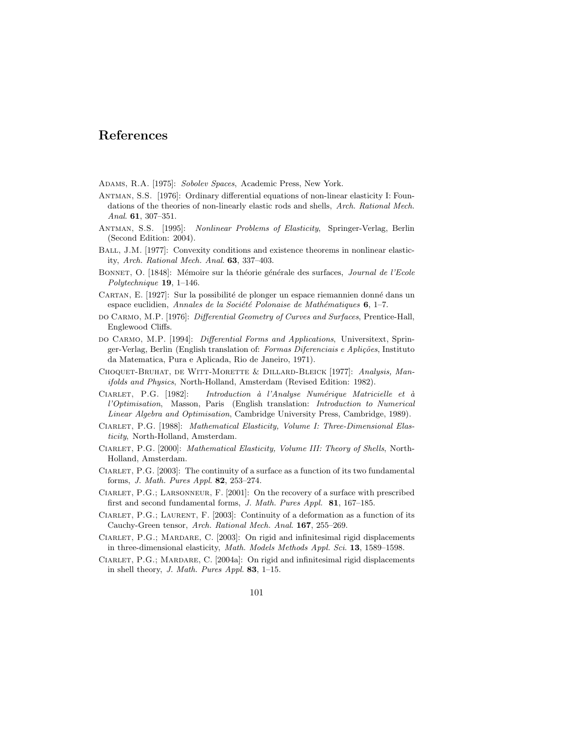# References

- ADAMS, R.A. [1975]: Sobolev Spaces, Academic Press, New York.
- Antman, S.S. [1976]: Ordinary differential equations of non-linear elasticity I: Foundations of the theories of non-linearly elastic rods and shells, Arch. Rational Mech. Anal. 61, 307–351.
- Antman, S.S. [1995]: Nonlinear Problems of Elasticity, Springer-Verlag, Berlin (Second Edition: 2004).
- Ball, J.M. [1977]: Convexity conditions and existence theorems in nonlinear elasticity, Arch. Rational Mech. Anal. 63, 337–403.
- BONNET, O. [1848]: Mémoire sur la théorie générale des surfaces, Journal de l'Ecole Polytechnique 19, 1–146.
- CARTAN, E. [1927]: Sur la possibilité de plonger un espace riemannien donné dans un espace euclidien, Annales de la Société Polonaise de Mathématiques 6, 1–7.
- do Carmo, M.P. [1976]: Differential Geometry of Curves and Surfaces, Prentice-Hall, Englewood Cliffs.
- DO CARMO, M.P. [1994]: Differential Forms and Applications, Universitext, Springer-Verlag, Berlin (English translation of: Formas Diferenciais e Aplições, Instituto da Matematica, Pura e Aplicada, Rio de Janeiro, 1971).
- CHOQUET-BRUHAT, DE WITT-MORETTE & DILLARD-BLEICK [1977]: Analysis, Manifolds and Physics, North-Holland, Amsterdam (Revised Edition: 1982).
- CIARLET, P.G. [1982]: Introduction à l'Analyse Numérique Matricielle et à l'Optimisation, Masson, Paris (English translation: Introduction to Numerical Linear Algebra and Optimisation, Cambridge University Press, Cambridge, 1989).
- CIARLET, P.G. [1988]: Mathematical Elasticity, Volume I: Three-Dimensional Elasticity, North-Holland, Amsterdam.
- CIARLET, P.G. [2000]: Mathematical Elasticity, Volume III: Theory of Shells, North-Holland, Amsterdam.
- CIARLET, P.G. [2003]: The continuity of a surface as a function of its two fundamental forms, J. Math. Pures Appl. 82, 253–274.
- Ciarlet, P.G.; Larsonneur, F. [2001]: On the recovery of a surface with prescribed first and second fundamental forms, J. Math. Pures Appl. 81, 167–185.
- CIARLET, P.G.; LAURENT, F. [2003]: Continuity of a deformation as a function of its Cauchy-Green tensor, Arch. Rational Mech. Anal. 167, 255–269.
- CIARLET, P.G.; MARDARE, C. [2003]: On rigid and infinitesimal rigid displacements in three-dimensional elasticity, Math. Models Methods Appl. Sci. 13, 1589–1598.
- CIARLET, P.G.; MARDARE, C. [2004a]: On rigid and infinitesimal rigid displacements in shell theory, J. Math. Pures Appl. 83, 1–15.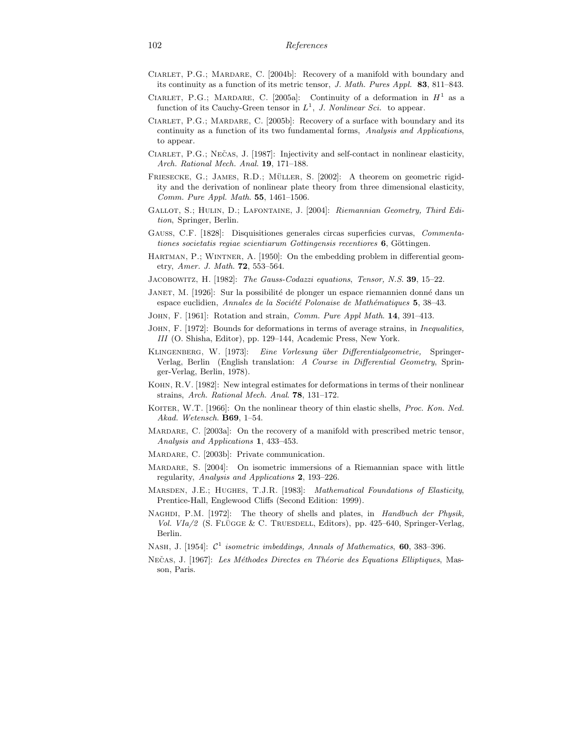- Ciarlet, P.G.; Mardare, C. [2004b]: Recovery of a manifold with boundary and its continuity as a function of its metric tensor, J. Math. Pures Appl. 83, 811–843.
- CIARLET, P.G.; MARDARE, C. [2005a]: Continuity of a deformation in  $H^1$  as a function of its Cauchy-Green tensor in  $L^1$ , J. Nonlinear Sci. to appear.
- CIARLET, P.G.; MARDARE, C. [2005b]: Recovery of a surface with boundary and its continuity as a function of its two fundamental forms, Analysis and Applications, to appear.
- CIARLET, P.G.; NEČAS, J. [1987]: Injectivity and self-contact in nonlinear elasticity, Arch. Rational Mech. Anal. 19, 171–188.
- FRIESECKE, G.; JAMES, R.D.; MÜLLER, S.  $[2002]$ : A theorem on geometric rigidity and the derivation of nonlinear plate theory from three dimensional elasticity, Comm. Pure Appl. Math. 55, 1461–1506.
- Gallot, S.; Hulin, D.; Lafontaine, J. [2004]: Riemannian Geometry, Third Edition, Springer, Berlin.
- Gauss, C.F. [1828]: Disquisitiones generales circas superficies curvas, Commentationes societatis regiae scientiarum Gottingensis recentiores  $6,$  Göttingen.
- HARTMAN, P.; WINTNER, A. [1950]: On the embedding problem in differential geometry, Amer. J. Math. 72, 553–564.
- JACOBOWITZ, H. [1982]: The Gauss-Codazzi equations, Tensor, N.S. 39, 15–22.
- JANET, M. [1926]: Sur la possibilité de plonger un espace riemannien donné dans un espace euclidien, Annales de la Société Polonaise de Mathématiques 5, 38–43.
- John, F. [1961]: Rotation and strain, Comm. Pure Appl Math. 14, 391–413.
- John, F. [1972]: Bounds for deformations in terms of average strains, in Inequalities, III (O. Shisha, Editor), pp. 129–144, Academic Press, New York.
- KLINGENBERG, W. [1973]: Eine Vorlesung über Differentialgeometrie, Springer-Verlag, Berlin (English translation: A Course in Differential Geometry, Springer-Verlag, Berlin, 1978).
- Kohn, R.V. [1982]: New integral estimates for deformations in terms of their nonlinear strains, Arch. Rational Mech. Anal. 78, 131–172.
- KOITER, W.T. [1966]: On the nonlinear theory of thin elastic shells, *Proc. Kon. Ned.* Akad. Wetensch. B69, 1–54.
- MARDARE, C. [2003a]: On the recovery of a manifold with prescribed metric tensor, Analysis and Applications 1, 433–453.
- Mardare, C. [2003b]: Private communication.
- Mardare, S. [2004]: On isometric immersions of a Riemannian space with little regularity, Analysis and Applications 2, 193–226.
- MARSDEN, J.E.; HUGHES, T.J.R. [1983]: Mathematical Foundations of Elasticity, Prentice-Hall, Englewood Cliffs (Second Edition: 1999).
- NAGHDI, P.M. [1972]: The theory of shells and plates, in *Handbuch der Physik*, Vol. VIa/2 (S. Flügge & C. Truesdell, Editors), pp. 425–640, Springer-Verlag, Berlin.
- NASH, J. [1954]:  $C^1$  isometric imbeddings, Annals of Mathematics, 60, 383-396.
- NECAS, J. [1967]: Les Méthodes Directes en Théorie des Equations Elliptiques, Masson, Paris.